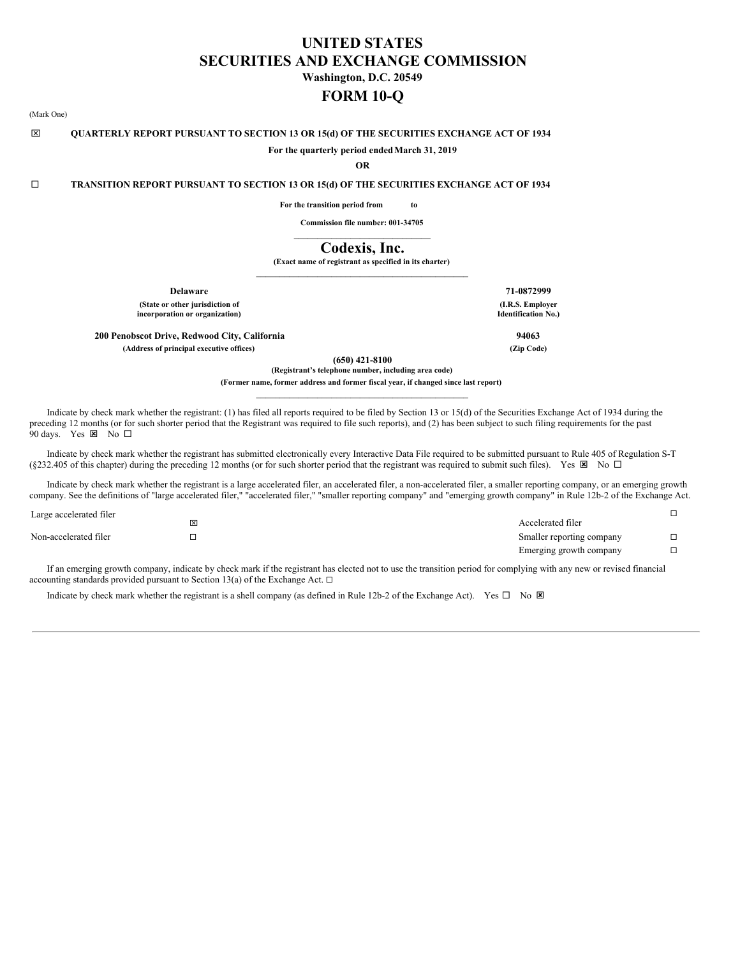# **UNITED STATES SECURITIES AND EXCHANGE COMMISSION**

**Washington, D.C. 20549**

## **FORM 10-Q**

(Mark One)

### x **QUARTERLY REPORT PURSUANT TO SECTION 13 OR 15(d) OF THE SECURITIES EXCHANGE ACT OF 1934**

**For the quarterly period endedMarch 31, 2019**

**OR**

¨ **TRANSITION REPORT PURSUANT TO SECTION 13 OR 15(d) OF THE SECURITIES EXCHANGE ACT OF 1934**

**For the transition period from to**

**Commission file number: 001-34705** \_\_\_\_\_\_\_\_\_\_\_\_\_\_\_\_\_\_\_\_\_\_\_\_\_\_\_\_\_

## **Codexis, Inc.**

**(Exact name of registrant as specified in its charter)** \_\_\_\_\_\_\_\_\_\_\_\_\_\_\_\_\_\_\_\_\_\_\_\_\_\_\_\_\_\_\_\_\_\_\_\_\_\_\_\_\_\_\_\_\_

**Delaware 71-0872999**

**(State or other jurisdiction of incorporation or organization)**

**200 Penobscot Drive, Redwood City, California 94063**

**(Address of principal executive offices) (Zip Code)**

**(650) 421-8100**

**(Registrant's telephone number, including area code) (Former name, former address and former fiscal year, if changed since last report)** \_\_\_\_\_\_\_\_\_\_\_\_\_\_\_\_\_\_\_\_\_\_\_\_\_\_\_\_\_\_\_\_\_\_\_\_\_\_\_\_\_\_\_\_\_

Indicate by check mark whether the registrant: (1) has filed all reports required to be filed by Section 13 or 15(d) of the Securities Exchange Act of 1934 during the preceding 12 months (or for such shorter period that the Registrant was required to file such reports), and (2) has been subject to such filing requirements for the past 90 days. Yes  $\boxtimes$  No  $\square$ 

Indicate by check mark whether the registrant has submitted electronically every Interactive Data File required to be submitted pursuant to Rule 405 of Regulation S-T (§232.405 of this chapter) during the preceding 12 months (or for such shorter period that the registrant was required to submit such files). Yes  $\boxtimes$  No  $\square$ 

Indicate by check mark whether the registrant is a large accelerated filer, an accelerated filer, a non-accelerated filer, a smaller reporting company, or an emerging growth company. See the definitions of "large accelerated filer," "accelerated filer," "smaller reporting company" and "emerging growth company" in Rule 12b-2 of the Exchange Act.

| Large accelerated filer |   |                           |  |
|-------------------------|---|---------------------------|--|
|                         | ⊠ | Accelerated filer         |  |
| Non-accelerated filer   |   | Smaller reporting company |  |
|                         |   | Emerging growth company   |  |
|                         |   |                           |  |

If an emerging growth company, indicate by check mark if the registrant has elected not to use the transition period for complying with any new or revised financial accounting standards provided pursuant to Section 13(a) of the Exchange Act.  $\Box$ 

Indicate by check mark whether the registrant is a shell company (as defined in Rule 12b-2 of the Exchange Act). Yes  $\Box$  No  $\boxtimes$ 

**(I.R.S. Employer Identification No.)**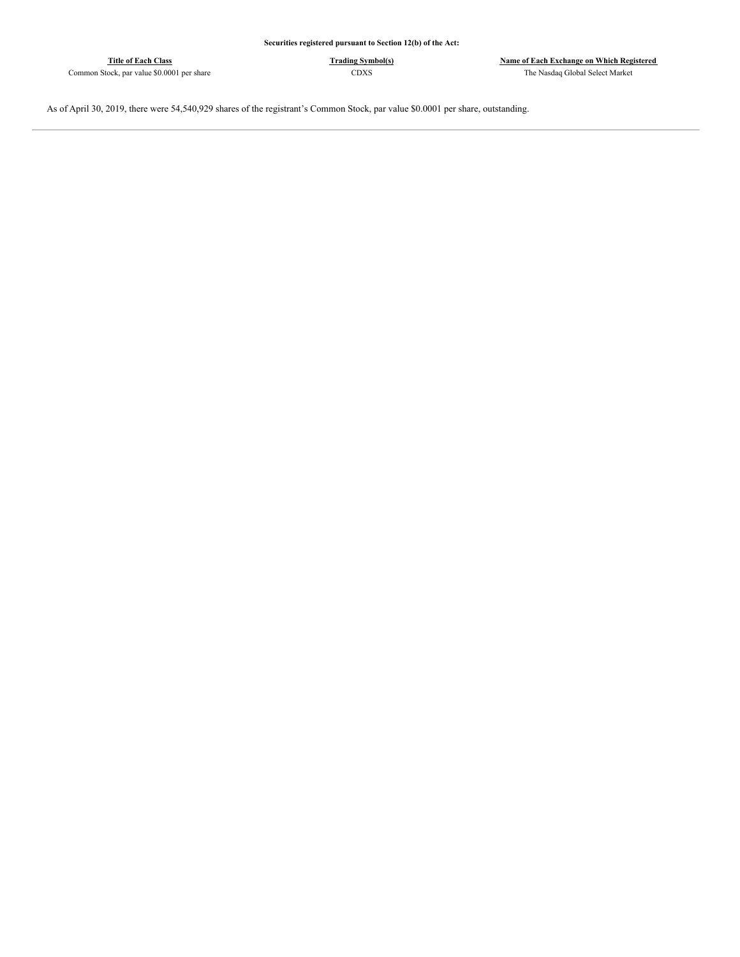**Title of Each Class Trading Symbol(s) Name of Each Exchange on Which Registered** Common Stock, par value \$0.0001 per share CDXS The Nasdaq Global Select Market

As of April 30, 2019, there were 54,540,929 shares of the registrant's Common Stock, par value \$0.0001 per share, outstanding.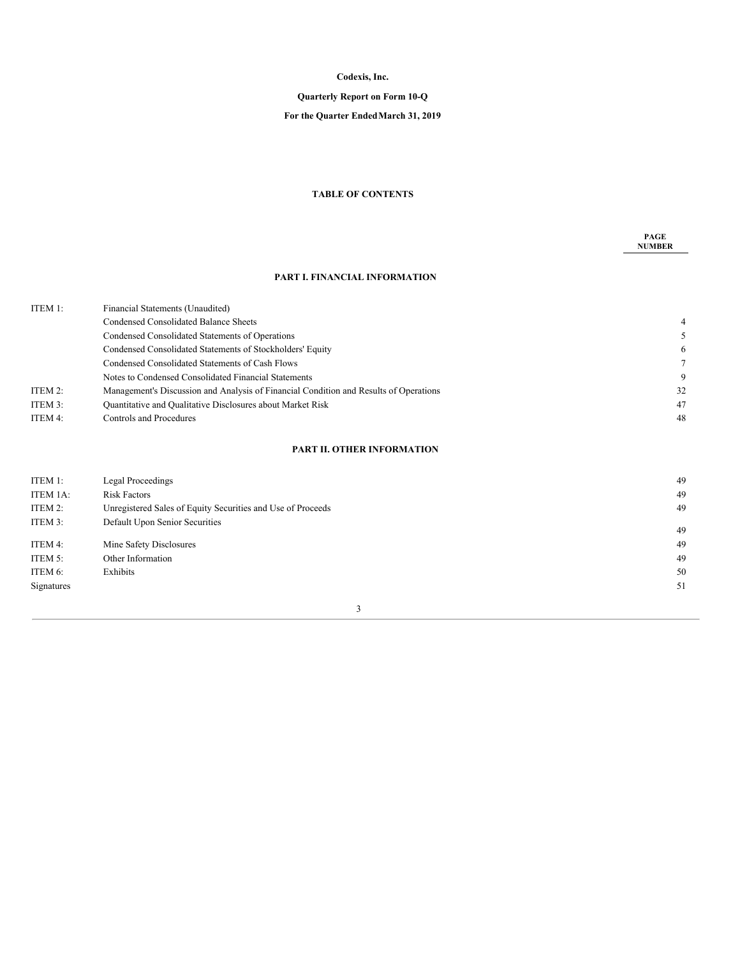## **Codexis, Inc.**

## **Quarterly Report on Form 10-Q**

## **For the Quarter EndedMarch 31, 2019**

## **TABLE OF CONTENTS**

|         |                                                                                       | <b>PAGE</b><br><b>NUMBER</b> |
|---------|---------------------------------------------------------------------------------------|------------------------------|
|         | PART I. FINANCIAL INFORMATION                                                         |                              |
| ITEM 1: | Financial Statements (Unaudited)                                                      |                              |
|         | <b>Condensed Consolidated Balance Sheets</b>                                          | 4                            |
|         | Condensed Consolidated Statements of Operations                                       | 5                            |
|         | Condensed Consolidated Statements of Stockholders' Equity                             | 6                            |
|         | Condensed Consolidated Statements of Cash Flows                                       |                              |
|         | Notes to Condensed Consolidated Financial Statements                                  | 9                            |
| ITEM 2: | Management's Discussion and Analysis of Financial Condition and Results of Operations | 32                           |
| ITEM 3: | Quantitative and Qualitative Disclosures about Market Risk                            | 47                           |
| ITEM 4: | <b>Controls and Procedures</b>                                                        | 48                           |
|         | <b>PART II. OTHER INFORMATION</b>                                                     |                              |

| ITEM 1:    | Legal Proceedings                                           | 49 |
|------------|-------------------------------------------------------------|----|
| ITEM 1A:   | <b>Risk Factors</b>                                         | 49 |
| ITEM 2:    | Unregistered Sales of Equity Securities and Use of Proceeds | 49 |
| ITEM 3:    | Default Upon Senior Securities                              |    |
|            |                                                             | 49 |
| ITEM 4:    | Mine Safety Disclosures                                     | 49 |
| ITEM 5:    | Other Information                                           | 49 |
| ITEM 6:    | Exhibits                                                    | 50 |
| Signatures |                                                             | 51 |
|            |                                                             |    |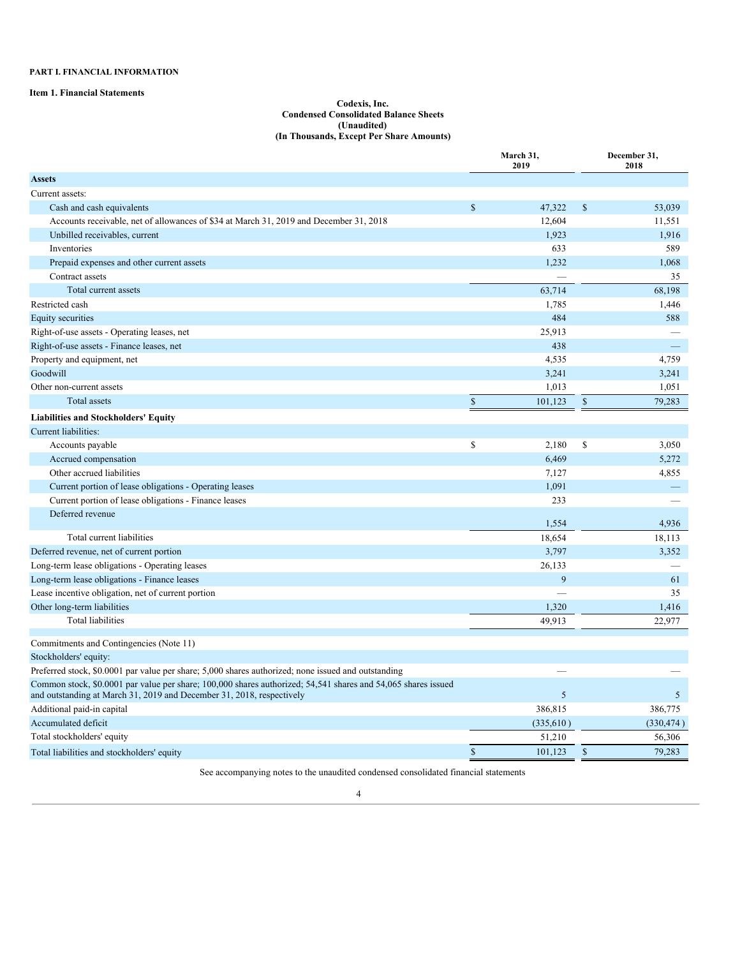## <span id="page-3-0"></span>**Item 1. Financial Statements**

## **Codexis, Inc. Condensed Consolidated Balance Sheets (Unaudited) (In Thousands, Except Per Share Amounts)**

|                                                                                                                                                                                        |               | March 31,<br>2019 |               | December 31,<br>2018 |
|----------------------------------------------------------------------------------------------------------------------------------------------------------------------------------------|---------------|-------------------|---------------|----------------------|
| <b>Assets</b>                                                                                                                                                                          |               |                   |               |                      |
| Current assets:                                                                                                                                                                        |               |                   |               |                      |
| Cash and cash equivalents                                                                                                                                                              | $\mathcal{S}$ | 47,322            | $\mathsf{\$}$ | 53,039               |
| Accounts receivable, net of allowances of \$34 at March 31, 2019 and December 31, 2018                                                                                                 |               | 12,604            |               | 11,551               |
| Unbilled receivables, current                                                                                                                                                          |               | 1,923             |               | 1,916                |
| Inventories                                                                                                                                                                            |               | 633               |               | 589                  |
| Prepaid expenses and other current assets                                                                                                                                              |               | 1,232             |               | 1,068                |
| Contract assets                                                                                                                                                                        |               |                   |               | 35                   |
| Total current assets                                                                                                                                                                   |               | 63,714            |               | 68,198               |
| Restricted cash                                                                                                                                                                        |               | 1,785             |               | 1,446                |
| Equity securities                                                                                                                                                                      |               | 484               |               | 588                  |
| Right-of-use assets - Operating leases, net                                                                                                                                            |               | 25,913            |               |                      |
| Right-of-use assets - Finance leases, net                                                                                                                                              |               | 438               |               |                      |
| Property and equipment, net                                                                                                                                                            |               | 4,535             |               | 4,759                |
| Goodwill                                                                                                                                                                               |               | 3.241             |               | 3,241                |
| Other non-current assets                                                                                                                                                               |               | 1,013             |               | 1,051                |
| Total assets                                                                                                                                                                           | $\mathbb{S}$  | 101,123           | $\$$          | 79,283               |
| <b>Liabilities and Stockholders' Equity</b>                                                                                                                                            |               |                   |               |                      |
| Current liabilities:                                                                                                                                                                   |               |                   |               |                      |
| Accounts payable                                                                                                                                                                       | $\mathbb S$   | 2,180             | \$            | 3,050                |
| Accrued compensation                                                                                                                                                                   |               | 6.469             |               | 5.272                |
| Other accrued liabilities                                                                                                                                                              |               | 7,127             |               | 4,855                |
| Current portion of lease obligations - Operating leases                                                                                                                                |               | 1,091             |               |                      |
| Current portion of lease obligations - Finance leases                                                                                                                                  |               | 233               |               |                      |
| Deferred revenue                                                                                                                                                                       |               | 1,554             |               | 4,936                |
| Total current liabilities                                                                                                                                                              |               | 18,654            |               | 18,113               |
| Deferred revenue, net of current portion                                                                                                                                               |               | 3,797             |               | 3,352                |
| Long-term lease obligations - Operating leases                                                                                                                                         |               | 26,133            |               |                      |
| Long-term lease obligations - Finance leases                                                                                                                                           |               | 9                 |               | 61                   |
| Lease incentive obligation, net of current portion                                                                                                                                     |               |                   |               | 35                   |
| Other long-term liabilities                                                                                                                                                            |               | 1,320             |               | 1,416                |
| <b>Total liabilities</b>                                                                                                                                                               |               | 49,913            |               | 22,977               |
|                                                                                                                                                                                        |               |                   |               |                      |
| Commitments and Contingencies (Note 11)                                                                                                                                                |               |                   |               |                      |
| Stockholders' equity:                                                                                                                                                                  |               |                   |               |                      |
| Preferred stock, \$0.0001 par value per share; 5,000 shares authorized; none issued and outstanding                                                                                    |               |                   |               |                      |
| Common stock, \$0.0001 par value per share; 100,000 shares authorized; 54,541 shares and 54,065 shares issued<br>and outstanding at March 31, 2019 and December 31, 2018, respectively |               | 5                 |               | 5                    |
| Additional paid-in capital                                                                                                                                                             |               | 386,815           |               | 386,775              |
| Accumulated deficit                                                                                                                                                                    |               | (335, 610)        |               | (330, 474)           |
| Total stockholders' equity                                                                                                                                                             |               | 51,210            |               | 56,306               |
| Total liabilities and stockholders' equity                                                                                                                                             | $\mathbb{S}$  | 101,123           | $\mathsf{\$}$ | 79,283               |

See accompanying notes to the unaudited condensed consolidated financial statements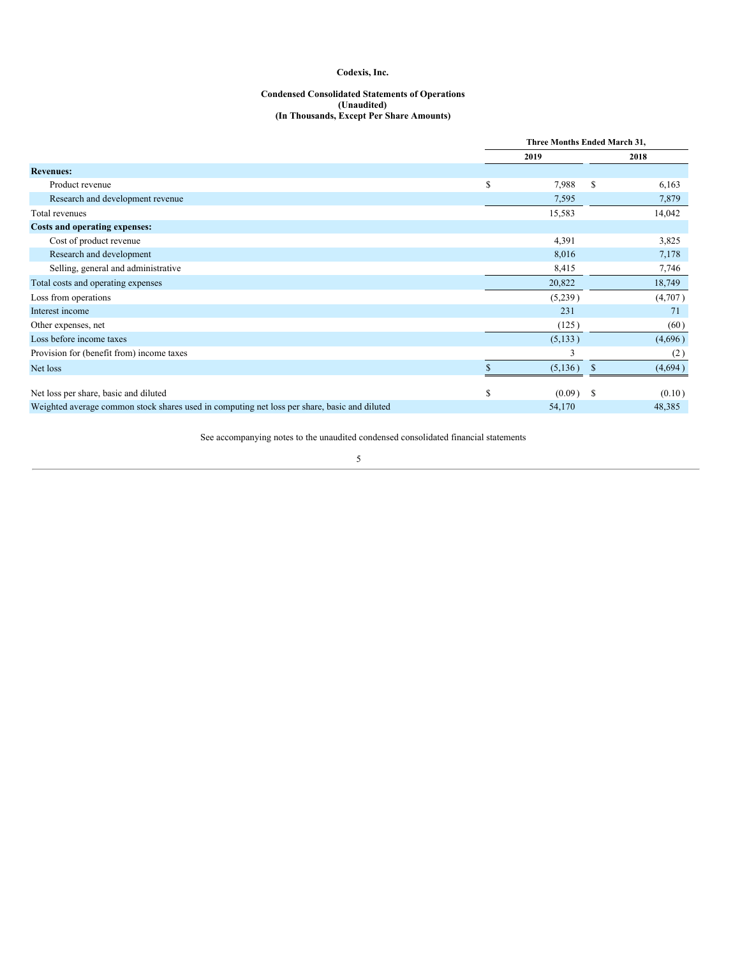## **Codexis, Inc.**

#### **Condensed Consolidated Statements of Operations (Unaudited) (In Thousands, Except Per Share Amounts)**

<span id="page-4-0"></span>

|                                                                                              | Three Months Ended March 31, |               |         |
|----------------------------------------------------------------------------------------------|------------------------------|---------------|---------|
|                                                                                              | 2019                         |               | 2018    |
| <b>Revenues:</b>                                                                             |                              |               |         |
| Product revenue                                                                              | \$<br>7,988                  | \$            | 6,163   |
| Research and development revenue                                                             | 7,595                        |               | 7,879   |
| Total revenues                                                                               | 15,583                       |               | 14,042  |
| Costs and operating expenses:                                                                |                              |               |         |
| Cost of product revenue                                                                      | 4,391                        |               | 3,825   |
| Research and development                                                                     | 8,016                        |               | 7,178   |
| Selling, general and administrative                                                          | 8,415                        |               | 7,746   |
| Total costs and operating expenses                                                           | 20,822                       |               | 18,749  |
| Loss from operations                                                                         | (5,239)                      |               | (4,707) |
| Interest income                                                                              | 231                          |               | 71      |
| Other expenses, net                                                                          | (125)                        |               | (60)    |
| Loss before income taxes                                                                     | (5, 133)                     |               | (4,696) |
| Provision for (benefit from) income taxes                                                    | 3                            |               | (2)     |
| Net loss                                                                                     | \$<br>(5,136)                | <sup>\$</sup> | (4,694) |
| Net loss per share, basic and diluted                                                        | \$<br>(0.09)                 | $\mathbf{s}$  | (0.10)  |
| Weighted average common stock shares used in computing net loss per share, basic and diluted | 54,170                       |               | 48,385  |

See accompanying notes to the unaudited condensed consolidated financial statements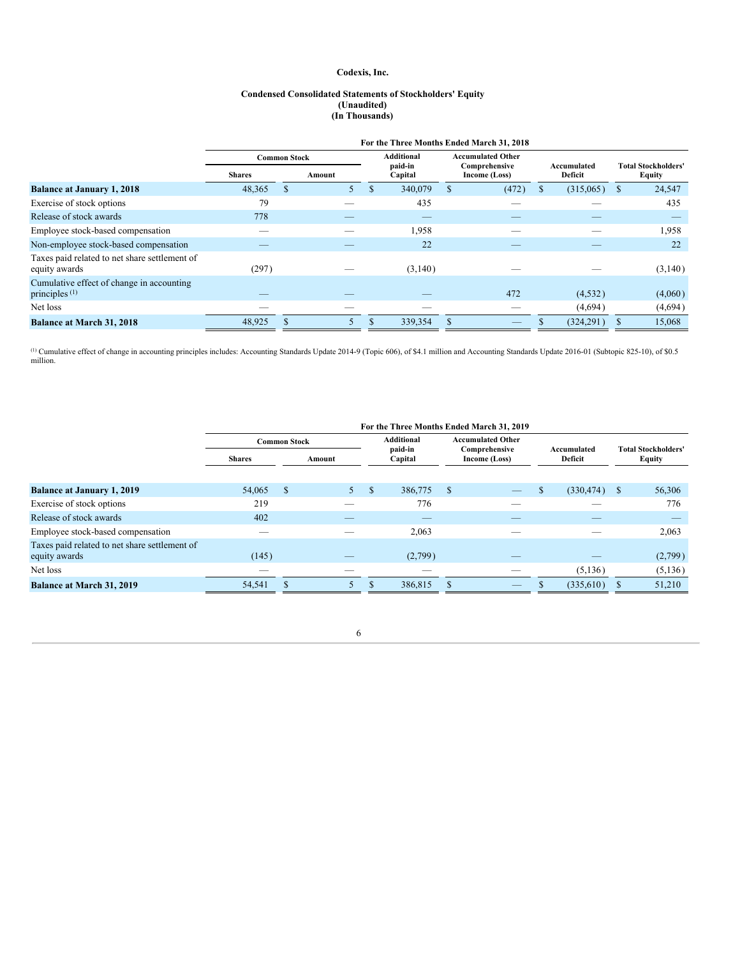## **Codexis, Inc.**

#### **Condensed Consolidated Statements of Stockholders' Equity (Unaudited) (In Thousands)**

<span id="page-5-0"></span>

|                                                                        | For the Three Months Ended March 31, 2018 |     |        |              |                              |          |                                           |    |             |   |                            |
|------------------------------------------------------------------------|-------------------------------------------|-----|--------|--------------|------------------------------|----------|-------------------------------------------|----|-------------|---|----------------------------|
|                                                                        | <b>Common Stock</b>                       |     |        |              | <b>Additional</b><br>paid-in |          | <b>Accumulated Other</b><br>Comprehensive |    | Accumulated |   | <b>Total Stockholders'</b> |
|                                                                        | <b>Shares</b>                             |     | Amount |              | Capital                      |          | Income (Loss)                             |    | Deficit     |   | <b>Equity</b>              |
| <b>Balance at January 1, 2018</b>                                      | 48,365                                    | \$. | 5      | $\mathbf{s}$ | 340,079                      | -S       | (472)                                     | S. | (315,065)   | S | 24,547                     |
| Exercise of stock options                                              | 79                                        |     |        |              | 435                          |          |                                           |    |             |   | 435                        |
| Release of stock awards                                                | 778                                       |     |        |              |                              |          |                                           |    |             |   |                            |
| Employee stock-based compensation                                      | $\overline{\phantom{a}}$                  |     |        |              | 1,958                        |          |                                           |    |             |   | 1,958                      |
| Non-employee stock-based compensation                                  |                                           |     |        |              | 22                           |          |                                           |    |             |   | 22                         |
| Taxes paid related to net share settlement of<br>equity awards         | (297)                                     |     |        |              | (3,140)                      |          |                                           |    |             |   | (3,140)                    |
| Cumulative effect of change in accounting<br>principles <sup>(1)</sup> |                                           |     |        |              |                              |          | 472                                       |    | (4,532)     |   | (4,060)                    |
| Net loss                                                               | _                                         |     |        |              |                              |          |                                           |    | (4,694)     |   | (4,694)                    |
| Balance at March 31, 2018                                              | 48,925                                    |     | 5      | <b>S</b>     | 339,354                      | <b>S</b> |                                           |    | (324, 291)  |   | 15,068                     |

(1) Cumulative effect of change in accounting principles includes: Accounting Standards Update 2014-9 (Topic 606), of \$4.1 million and Accounting Standards Update 2016-01 (Subtopic 825-10), of \$0.5 million.

|                                                                |               | For the Three Months Ended March 31, 2019 |                          |                                         |                          |                                                            |  |                        |                 |                                      |         |  |
|----------------------------------------------------------------|---------------|-------------------------------------------|--------------------------|-----------------------------------------|--------------------------|------------------------------------------------------------|--|------------------------|-----------------|--------------------------------------|---------|--|
|                                                                | <b>Shares</b> | <b>Common Stock</b><br>Amount             |                          | <b>Additional</b><br>paid-in<br>Capital |                          | <b>Accumulated Other</b><br>Comprehensive<br>Income (Loss) |  | Accumulated<br>Deficit |                 | <b>Total Stockholders'</b><br>Equity |         |  |
|                                                                |               |                                           |                          |                                         |                          |                                                            |  |                        |                 |                                      |         |  |
| <b>Balance at January 1, 2019</b>                              | 54,065        | S                                         | 5 <sup>1</sup>           | <sup>S</sup>                            | 386,775                  | -S                                                         |  | \$                     | $(330, 474)$ \$ |                                      | 56,306  |  |
| Exercise of stock options                                      | 219           |                                           |                          |                                         | 776                      |                                                            |  |                        |                 |                                      | 776     |  |
| Release of stock awards                                        | 402           |                                           | _                        |                                         | _                        |                                                            |  |                        |                 |                                      |         |  |
| Employee stock-based compensation                              | --            |                                           |                          |                                         | 2,063                    |                                                            |  |                        |                 |                                      | 2,063   |  |
| Taxes paid related to net share settlement of<br>equity awards | (145)         |                                           |                          |                                         | (2,799)                  |                                                            |  |                        |                 |                                      | (2,799) |  |
| Net loss                                                       | __            |                                           | $\overline{\phantom{a}}$ |                                         | $\overline{\phantom{a}}$ |                                                            |  |                        | (5,136)         |                                      | (5,136) |  |
| Balance at March 31, 2019                                      | 54,541        |                                           | $\overline{\mathcal{L}}$ | £.                                      | 386,815                  | $\mathcal{S}$                                              |  |                        | (335,610)       |                                      | 51,210  |  |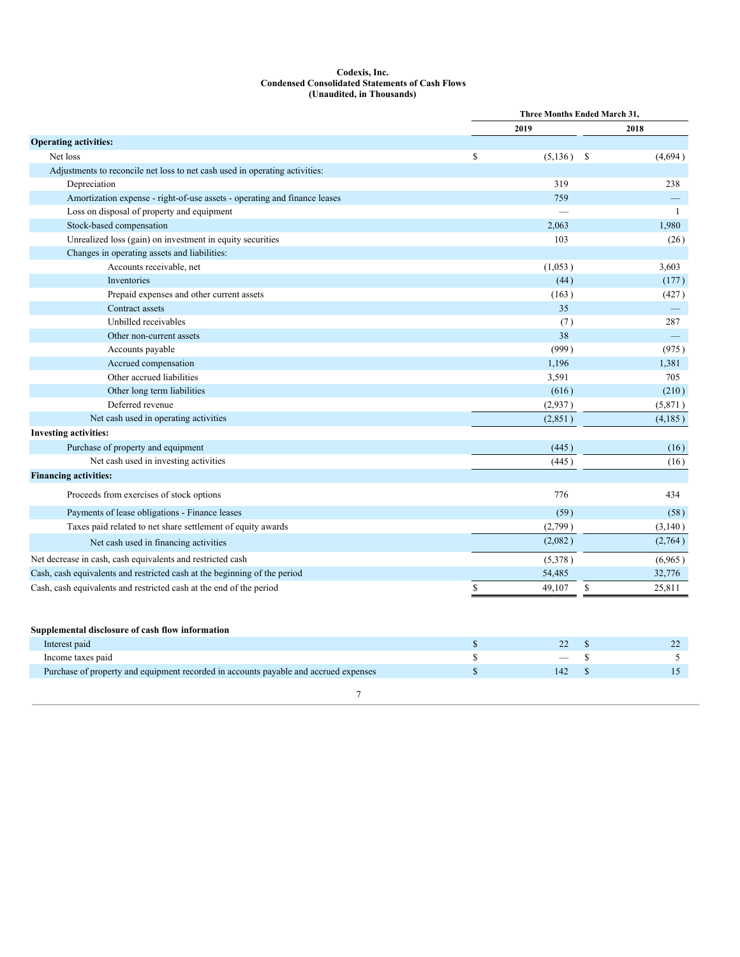#### **Codexis, Inc. Condensed Consolidated Statements of Cash Flows (Unaudited, in Thousands)**

<span id="page-6-0"></span>

|                                                                             | Three Months Ended March 31, |                                 |
|-----------------------------------------------------------------------------|------------------------------|---------------------------------|
|                                                                             | 2019                         | 2018                            |
| <b>Operating activities:</b>                                                |                              |                                 |
| Net loss                                                                    | \$<br>(5,136)<br>\$          | (4,694)                         |
| Adjustments to reconcile net loss to net cash used in operating activities: |                              |                                 |
| Depreciation                                                                | 319                          | 238                             |
| Amortization expense - right-of-use assets - operating and finance leases   | 759                          |                                 |
| Loss on disposal of property and equipment                                  |                              | -1                              |
| Stock-based compensation                                                    | 2,063                        | 1,980                           |
| Unrealized loss (gain) on investment in equity securities                   | 103                          | (26)                            |
| Changes in operating assets and liabilities:                                |                              |                                 |
| Accounts receivable, net                                                    | (1,053)                      | 3,603                           |
| Inventories                                                                 | (44)                         | (177)                           |
| Prepaid expenses and other current assets                                   | (163)                        | (427)                           |
| Contract assets                                                             | 35                           | $\hspace{0.1mm}-\hspace{0.1mm}$ |
| Unbilled receivables                                                        | (7)                          | 287                             |
| Other non-current assets                                                    | 38                           |                                 |
| Accounts payable                                                            | (999)                        | (975)                           |
| Accrued compensation                                                        | 1,196                        | 1,381                           |
| Other accrued liabilities                                                   | 3,591                        | 705                             |
| Other long term liabilities                                                 | (616)                        | (210)                           |
| Deferred revenue                                                            | (2,937)                      | (5,871)                         |
| Net cash used in operating activities                                       | (2,851)                      | (4, 185)                        |
| <b>Investing activities:</b>                                                |                              |                                 |
| Purchase of property and equipment                                          | (445)                        | (16)                            |
| Net cash used in investing activities                                       | (445)                        | (16)                            |
| Financing activities:                                                       |                              |                                 |
| Proceeds from exercises of stock options                                    | 776                          | 434                             |
| Payments of lease obligations - Finance leases                              | (59)                         | (58)                            |
| Taxes paid related to net share settlement of equity awards                 | (2,799)                      | (3,140)                         |
| Net cash used in financing activities                                       | (2,082)                      | (2,764)                         |
| Net decrease in cash, cash equivalents and restricted cash                  | (5,378)                      | (6,965)                         |
| Cash, cash equivalents and restricted cash at the beginning of the period   | 54,485                       | 32,776                          |
| Cash, cash equivalents and restricted cash at the end of the period         | \$<br>\$<br>49,107           | 25,811                          |
|                                                                             |                              |                                 |

## **Supplemental disclosure of cash flow information**

| Interest paid                                                                        |                                 |  |
|--------------------------------------------------------------------------------------|---------------------------------|--|
| Income taxes paid                                                                    | $\hspace{0.1mm}-\hspace{0.1mm}$ |  |
| Purchase of property and equipment recorded in accounts payable and accrued expenses | 142                             |  |
|                                                                                      |                                 |  |

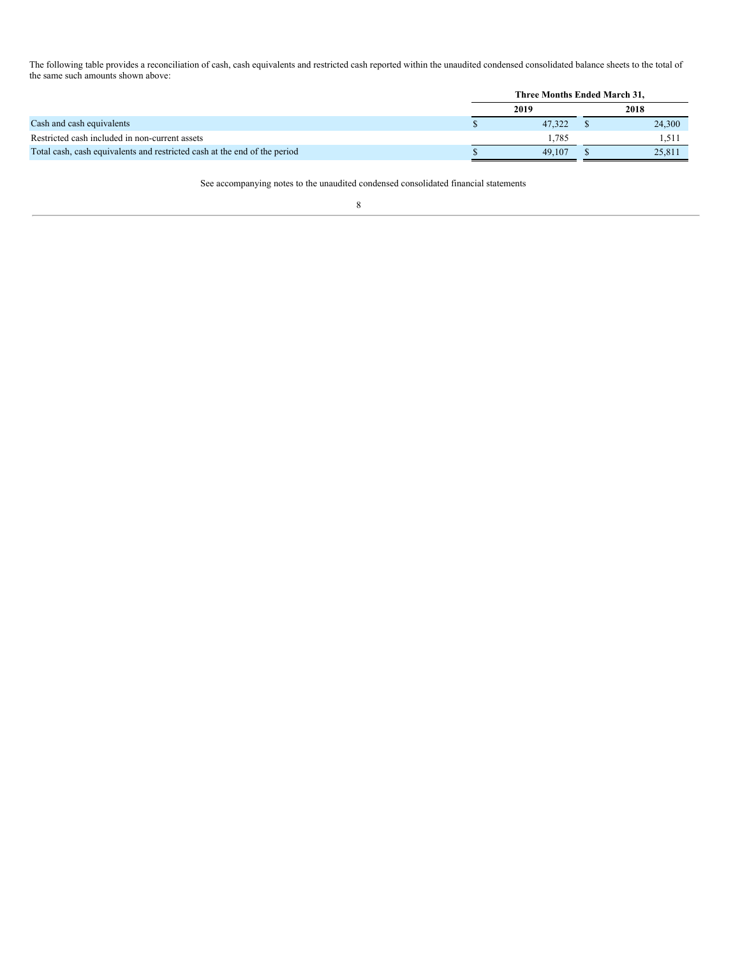The following table provides a reconciliation of cash, cash equivalents and restricted cash reported within the unaudited condensed consolidated balance sheets to the total of the same such amounts shown above:

|                                                                           | Three Months Ended March 31, |        |
|---------------------------------------------------------------------------|------------------------------|--------|
|                                                                           | 2019                         | 2018   |
| Cash and cash equivalents                                                 | 47.322                       | 24,300 |
| Restricted cash included in non-current assets                            | 1.785                        | 1,511  |
| Total cash, cash equivalents and restricted cash at the end of the period | 49.107                       | 25.811 |

See accompanying notes to the unaudited condensed consolidated financial statements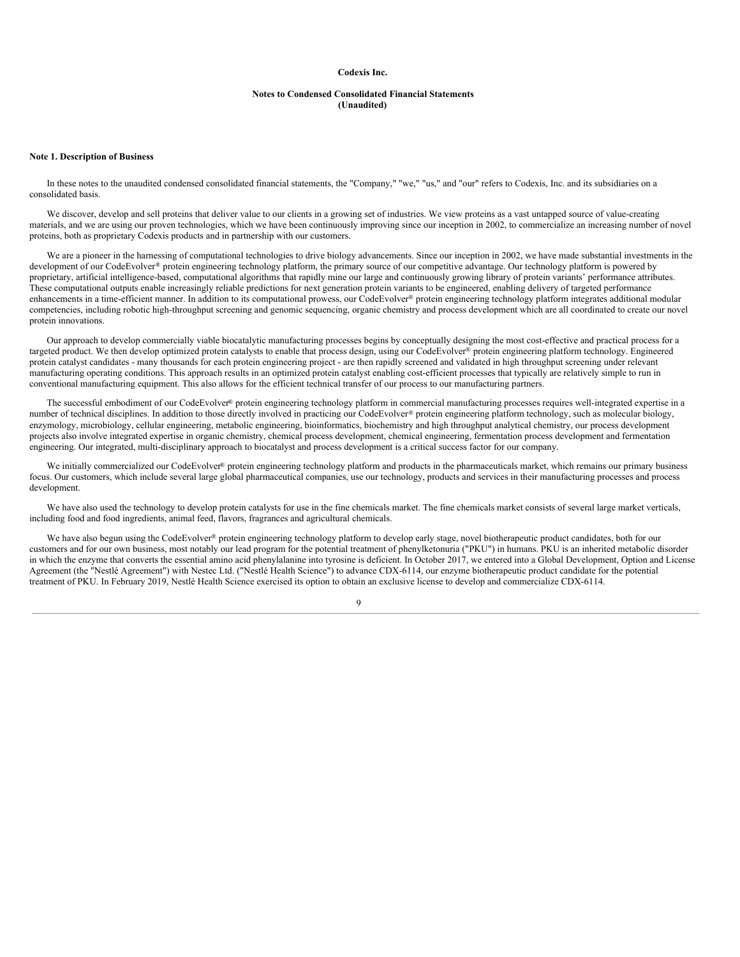#### **Codexis Inc.**

#### **Notes to Condensed Consolidated Financial Statements (Unaudited)**

#### <span id="page-8-0"></span>**Note 1. Description of Business**

In these notes to the unaudited condensed consolidated financial statements, the "Company," "we," "us," and "our" refers to Codexis, Inc. and its subsidiaries on a consolidated basis.

We discover, develop and sell proteins that deliver value to our clients in a growing set of industries. We view proteins as a vast untapped source of value-creating materials, and we are using our proven technologies, which we have been continuously improving since our inception in 2002, to commercialize an increasing number of novel proteins, both as proprietary Codexis products and in partnership with our customers.

We are a pioneer in the harnessing of computational technologies to drive biology advancements. Since our inception in 2002, we have made substantial investments in the development of our CodeEvolver® protein engineering technology platform, the primary source of our competitive advantage. Our technology platform is powered by proprietary, artificial intelligence-based, computational algorithms that rapidly mine our large and continuously growing library of protein variants' performance attributes. These computational outputs enable increasingly reliable predictions for next generation protein variants to be engineered, enabling delivery of targeted performance enhancements in a time-efficient manner. In addition to its computational prowess, our CodeEvolver® protein engineering technology platform integrates additional modular competencies, including robotic high-throughput screening and genomic sequencing, organic chemistry and process development which are all coordinated to create our novel protein innovations.

Our approach to develop commercially viable biocatalytic manufacturing processes begins by conceptually designing the most cost-effective and practical process for a targeted product. We then develop optimized protein catalysts to enable that process design, using our CodeEvolver® protein engineering platform technology. Engineered protein catalyst candidates - many thousands for each protein engineering project - are then rapidly screened and validated in high throughput screening under relevant manufacturing operating conditions. This approach results in an optimized protein catalyst enabling cost-efficient processes that typically are relatively simple to run in conventional manufacturing equipment. This also allows for the efficient technical transfer of our process to our manufacturing partners.

The successful embodiment of our CodeEvolver® protein engineering technology platform in commercial manufacturing processes requires well-integrated expertise in a number of technical disciplines. In addition to those directly involved in practicing our CodeEvolver® protein engineering platform technology, such as molecular biology, enzymology, microbiology, cellular engineering, metabolic engineering, bioinformatics, biochemistry and high throughput analytical chemistry, our process development projects also involve integrated expertise in organic chemistry, chemical process development, chemical engineering, fermentation process development and fermentation engineering. Our integrated, multi-disciplinary approach to biocatalyst and process development is a critical success factor for our company.

We initially commercialized our CodeEvolver® protein engineering technology platform and products in the pharmaceuticals market, which remains our primary business focus. Our customers, which include several large global pharmaceutical companies, use our technology, products and services in their manufacturing processes and process development.

We have also used the technology to develop protein catalysts for use in the fine chemicals market. The fine chemicals market consists of several large market verticals, including food and food ingredients, animal feed, flavors, fragrances and agricultural chemicals.

We have also begun using the CodeEvolver® protein engineering technology platform to develop early stage, novel biotherapeutic product candidates, both for our customers and for our own business, most notably our lead program for the potential treatment of phenylketonuria ("PKU") in humans. PKU is an inherited metabolic disorder in which the enzyme that converts the essential amino acid phenylalanine into tyrosine is deficient. In October 2017, we entered into a Global Development, Option and License Agreement (the "Nestlé Agreement") with Nestec Ltd. ("Nestlé Health Science") to advance CDX-6114, our enzyme biotherapeutic product candidate for the potential treatment of PKU. In February 2019, Nestlé Health Science exercised its option to obtain an exclusive license to develop and commercialize CDX-6114.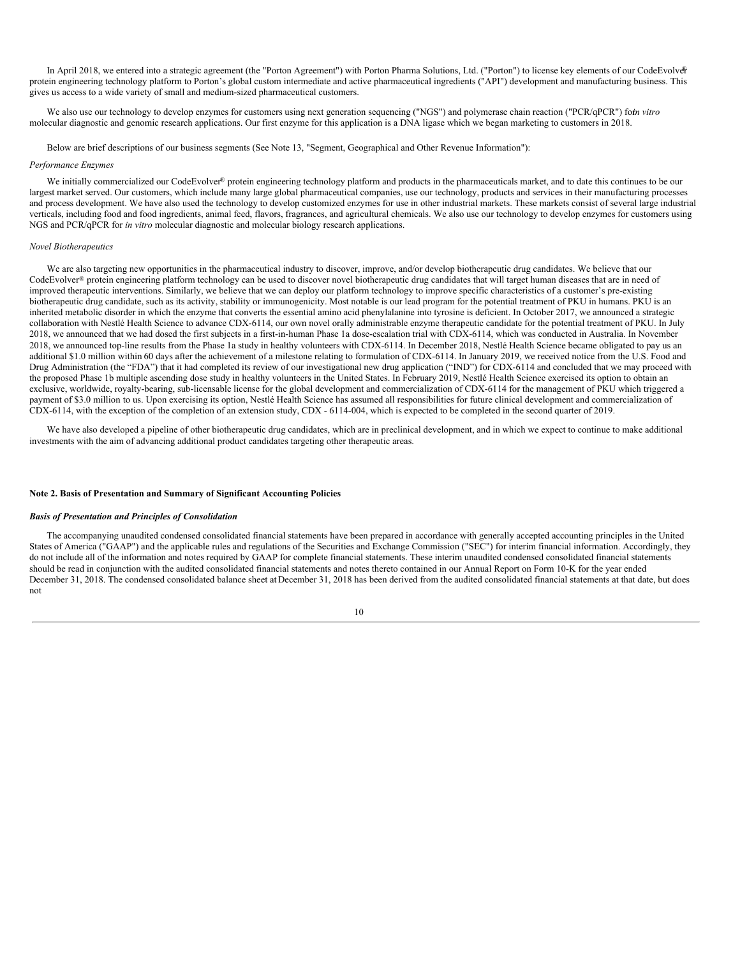In April 2018, we entered into a strategic agreement (the "Porton Agreement") with Porton Pharma Solutions, Ltd. ("Porton") to license key elements of our CodeEvolver protein engineering technology platform to Porton's global custom intermediate and active pharmaceutical ingredients ("API") development and manufacturing business. This gives us access to a wide variety of small and medium-sized pharmaceutical customers.

We also use our technology to develop enzymes for customers using next generation sequencing ("NGS") and polymerase chain reaction ("PCR/qPCR") for*in vitro* molecular diagnostic and genomic research applications. Our first enzyme for this application is a DNA ligase which we began marketing to customers in 2018.

Below are brief descriptions of our business segments (See Note 13, "Segment, Geographical and Other Revenue Information"):

## *Performance Enzymes*

We initially commercialized our CodeEvolver® protein engineering technology platform and products in the pharmaceuticals market, and to date this continues to be our largest market served. Our customers, which include many large global pharmaceutical companies, use our technology, products and services in their manufacturing processes and process development. We have also used the technology to develop customized enzymes for use in other industrial markets. These markets consist of several large industrial verticals, including food and food ingredients, animal feed, flavors, fragrances, and agricultural chemicals. We also use our technology to develop enzymes for customers using NGS and PCR/qPCR for *in vitro* molecular diagnostic and molecular biology research applications.

#### *Novel Biotherapeutics*

We are also targeting new opportunities in the pharmaceutical industry to discover, improve, and/or develop biotherapeutic drug candidates. We believe that our CodeEvolver<sup>®</sup> protein engineering platform technology can be used to discover novel biotherapeutic drug candidates that will target human diseases that are in need of improved therapeutic interventions. Similarly, we believe that we can deploy our platform technology to improve specific characteristics of a customer's pre-existing biotherapeutic drug candidate, such as its activity, stability or immunogenicity. Most notable is our lead program for the potential treatment of PKU in humans. PKU is an inherited metabolic disorder in which the enzyme that converts the essential amino acid phenylalanine into tyrosine is deficient. In October 2017, we announced a strategic collaboration with Nestlé Health Science to advance CDX-6114, our own novel orally administrable enzyme therapeutic candidate for the potential treatment of PKU. In July 2018, we announced that we had dosed the first subjects in a first-in-human Phase 1a dose-escalation trial with CDX-6114, which was conducted in Australia. In November 2018, we announced top-line results from the Phase 1a study in healthy volunteers with CDX-6114. In December 2018, Nestlé Health Science became obligated to pay us an additional \$1.0 million within 60 days after the achievement of a milestone relating to formulation of CDX-6114. In January 2019, we received notice from the U.S. Food and Drug Administration (the "FDA") that it had completed its review of our investigational new drug application ("IND") for CDX-6114 and concluded that we may proceed with the proposed Phase 1b multiple ascending dose study in healthy volunteers in the United States. In February 2019, Nestlé Health Science exercised its option to obtain an exclusive, worldwide, royalty-bearing, sub-licensable license for the global development and commercialization of CDX-6114 for the management of PKU which triggered a payment of \$3.0 million to us. Upon exercising its option, Nestlé Health Science has assumed all responsibilities for future clinical development and commercialization of CDX-6114, with the exception of the completion of an extension study, CDX - 6114-004, which is expected to be completed in the second quarter of 2019.

We have also developed a pipeline of other biotherapeutic drug candidates, which are in preclinical development, and in which we expect to continue to make additional investments with the aim of advancing additional product candidates targeting other therapeutic areas.

#### **Note 2. Basis of Presentation and Summary of Significant Accounting Policies**

#### *Basis of Presentation and Principles of Consolidation*

The accompanying unaudited condensed consolidated financial statements have been prepared in accordance with generally accepted accounting principles in the United States of America ("GAAP") and the applicable rules and regulations of the Securities and Exchange Commission ("SEC") for interim financial information. Accordingly, they do not include all of the information and notes required by GAAP for complete financial statements. These interim unaudited condensed consolidated financial statements should be read in conjunction with the audited consolidated financial statements and notes thereto contained in our Annual Report on Form 10-K for the year ended December 31, 2018. The condensed consolidated balance sheet at December 31, 2018 has been derived from the audited consolidated financial statements at that date, but does not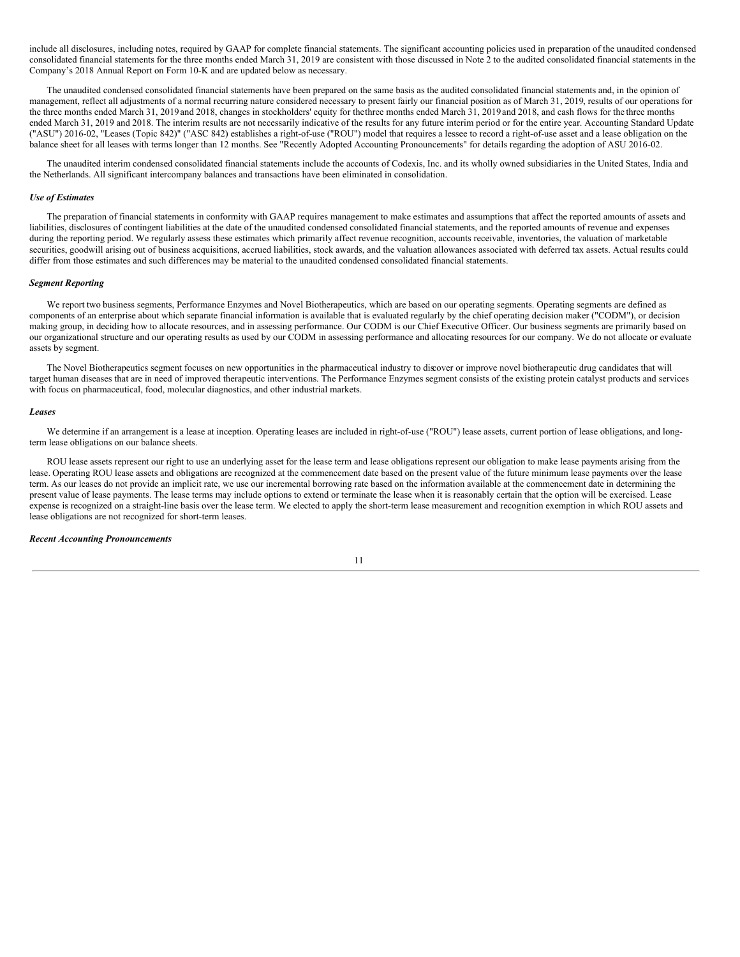include all disclosures, including notes, required by GAAP for complete financial statements. The significant accounting policies used in preparation of the unaudited condensed consolidated financial statements for the three months ended March 31, 2019 are consistent with those discussed in Note 2 to the audited consolidated financial statements in the Company's 2018 Annual Report on Form 10-K and are updated below as necessary.

The unaudited condensed consolidated financial statements have been prepared on the same basis as the audited consolidated financial statements and, in the opinion of management, reflect all adjustments of a normal recurring nature considered necessary to present fairly our financial position as of March 31, 2019, results of our operations for the three months ended March 31, 2019 and 2018, changes in stockholders' equity for the three months ended March 31, 2019 and 2018, and cash flows for the three months ended March 31, 2019 and 2018. The interim results are not necessarily indicative of the results for any future interim period or for the entire year. Accounting Standard Update ("ASU") 2016-02, "Leases (Topic 842)" ("ASC 842) establishes a right-of-use ("ROU") model that requires a lessee to record a right-of-use asset and a lease obligation on the balance sheet for all leases with terms longer than 12 months. See "Recently Adopted Accounting Pronouncements" for details regarding the adoption of ASU 2016-02.

The unaudited interim condensed consolidated financial statements include the accounts of Codexis, Inc. and its wholly owned subsidiaries in the United States, India and the Netherlands. All significant intercompany balances and transactions have been eliminated in consolidation.

### *Use of Estimates*

The preparation of financial statements in conformity with GAAP requires management to make estimates and assumptions that affect the reported amounts of assets and liabilities, disclosures of contingent liabilities at the date of the unaudited condensed consolidated financial statements, and the reported amounts of revenue and expenses during the reporting period. We regularly assess these estimates which primarily affect revenue recognition, accounts receivable, inventories, the valuation of marketable securities, goodwill arising out of business acquisitions, accrued liabilities, stock awards, and the valuation allowances associated with deferred tax assets. Actual results could differ from those estimates and such differences may be material to the unaudited condensed consolidated financial statements.

#### *Segment Reporting*

We report two business segments, Performance Enzymes and Novel Biotherapeutics, which are based on our operating segments. Operating segments are defined as components of an enterprise about which separate financial information is available that is evaluated regularly by the chief operating decision maker ("CODM"), or decision making group, in deciding how to allocate resources, and in assessing performance. Our CODM is our Chief Executive Officer. Our business segments are primarily based on our organizational structure and our operating results as used by our CODM in assessing performance and allocating resources for our company. We do not allocate or evaluate assets by segment.

The Novel Biotherapeutics segment focuses on new opportunities in the pharmaceutical industry to discover or improve novel biotherapeutic drug candidates that will target human diseases that are in need of improved therapeutic interventions. The Performance Enzymes segment consists of the existing protein catalyst products and services with focus on pharmaceutical, food, molecular diagnostics, and other industrial markets.

#### *Leases*

We determine if an arrangement is a lease at inception. Operating leases are included in right-of-use ("ROU") lease assets, current portion of lease obligations, and longterm lease obligations on our balance sheets.

ROU lease assets represent our right to use an underlying asset for the lease term and lease obligations represent our obligation to make lease payments arising from the lease. Operating ROU lease assets and obligations are recognized at the commencement date based on the present value of the future minimum lease payments over the lease term. As our leases do not provide an implicit rate, we use our incremental borrowing rate based on the information available at the commencement date in determining the present value of lease payments. The lease terms may include options to extend or terminate the lease when it is reasonably certain that the option will be exercised. Lease expense is recognized on a straight-line basis over the lease term. We elected to apply the short-term lease measurement and recognition exemption in which ROU assets and lease obligations are not recognized for short-term leases.

#### *Recent Accounting Pronouncements*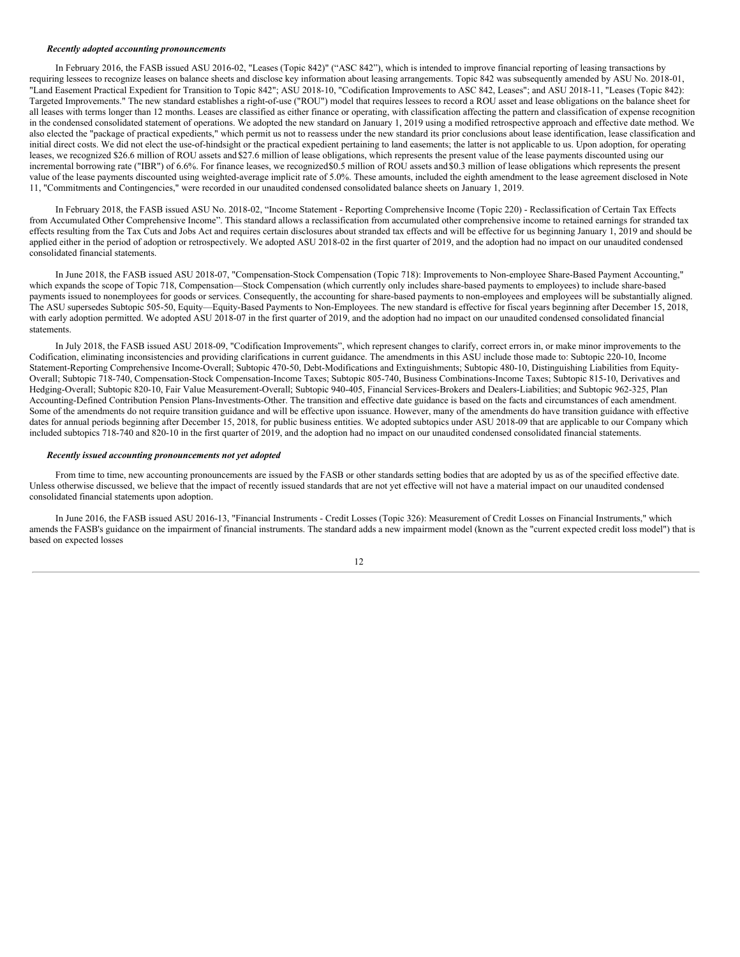#### *Recently adopted accounting pronouncements*

In February 2016, the FASB issued ASU 2016-02, "Leases (Topic 842)" ("ASC 842"), which is intended to improve financial reporting of leasing transactions by requiring lessees to recognize leases on balance sheets and disclose key information about leasing arrangements. Topic 842 was subsequently amended by ASU No. 2018-01, "Land Easement Practical Expedient for Transition to Topic 842"; ASU 2018-10, "Codification Improvements to ASC 842, Leases"; and ASU 2018-11, "Leases (Topic 842): Targeted Improvements." The new standard establishes a right-of-use ("ROU") model that requires lessees to record a ROU asset and lease obligations on the balance sheet for all leases with terms longer than 12 months. Leases are classified as either finance or operating, with classification affecting the pattern and classification of expense recognition in the condensed consolidated statement of operations. We adopted the new standard on January 1, 2019 using a modified retrospective approach and effective date method. We also elected the "package of practical expedients," which permit us not to reassess under the new standard its prior conclusions about lease identification, lease classification and initial direct costs. We did not elect the use-of-hindsight or the practical expedient pertaining to land easements; the latter is not applicable to us. Upon adoption, for operating leases, we recognized \$26.6 million of ROU assets and \$27.6 million of lease obligations, which represents the present value of the lease payments discounted using our incremental borrowing rate ("IBR") of 6.6%. For finance leases, we recognized\$0.5 million of ROU assets and \$0.3 million of lease obligations which represents the present value of the lease payments discounted using weighted-average implicit rate of 5.0%. These amounts, included the eighth amendment to the lease agreement disclosed in Note 11, "Commitments and Contingencies," were recorded in our unaudited condensed consolidated balance sheets on January 1, 2019.

In February 2018, the FASB issued ASU No. 2018-02, "Income Statement - Reporting Comprehensive Income (Topic 220) - Reclassification of Certain Tax Effects from Accumulated Other Comprehensive Income". This standard allows a reclassification from accumulated other comprehensive income to retained earnings for stranded tax effects resulting from the Tax Cuts and Jobs Act and requires certain disclosures about stranded tax effects and will be effective for us beginning January 1, 2019 and should be applied either in the period of adoption or retrospectively. We adopted ASU 2018-02 in the first quarter of 2019, and the adoption had no impact on our unaudited condensed consolidated financial statements.

In June 2018, the FASB issued ASU 2018-07, "Compensation-Stock Compensation (Topic 718): Improvements to Non-employee Share-Based Payment Accounting," which expands the scope of Topic 718, Compensation—Stock Compensation (which currently only includes share-based payments to employees) to include share-based payments issued to nonemployees for goods or services. Consequently, the accounting for share-based payments to non-employees and employees will be substantially aligned. The ASU supersedes Subtopic 505-50, Equity—Equity-Based Payments to Non-Employees. The new standard is effective for fiscal years beginning after December 15, 2018, with early adoption permitted. We adopted ASU 2018-07 in the first quarter of 2019, and the adoption had no impact on our unaudited condensed consolidated financial statements.

In July 2018, the FASB issued ASU 2018-09, "Codification Improvements", which represent changes to clarify, correct errors in, or make minor improvements to the Codification, eliminating inconsistencies and providing clarifications in current guidance. The amendments in this ASU include those made to: Subtopic 220-10, Income Statement-Reporting Comprehensive Income-Overall; Subtopic 470-50, Debt-Modifications and Extinguishments; Subtopic 480-10, Distinguishing Liabilities from Equity-Overall; Subtopic 718-740, Compensation-Stock Compensation-Income Taxes; Subtopic 805-740, Business Combinations-Income Taxes; Subtopic 815-10, Derivatives and Hedging-Overall; Subtopic 820-10, Fair Value Measurement-Overall; Subtopic 940-405, Financial Services-Brokers and Dealers-Liabilities; and Subtopic 962-325, Plan Accounting-Defined Contribution Pension Plans-Investments-Other. The transition and effective date guidance is based on the facts and circumstances of each amendment. Some of the amendments do not require transition guidance and will be effective upon issuance. However, many of the amendments do have transition guidance with effective dates for annual periods beginning after December 15, 2018, for public business entities. We adopted subtopics under ASU 2018-09 that are applicable to our Company which included subtopics 718-740 and 820-10 in the first quarter of 2019, and the adoption had no impact on our unaudited condensed consolidated financial statements.

#### *Recently issued accounting pronouncements not yet adopted*

From time to time, new accounting pronouncements are issued by the FASB or other standards setting bodies that are adopted by us as of the specified effective date. Unless otherwise discussed, we believe that the impact of recently issued standards that are not yet effective will not have a material impact on our unaudited condensed consolidated financial statements upon adoption.

In June 2016, the FASB issued ASU 2016-13, "Financial Instruments - Credit Losses (Topic 326): Measurement of Credit Losses on Financial Instruments," which amends the FASB's guidance on the impairment of financial instruments. The standard adds a new impairment model (known as the "current expected credit loss model") that is based on expected losses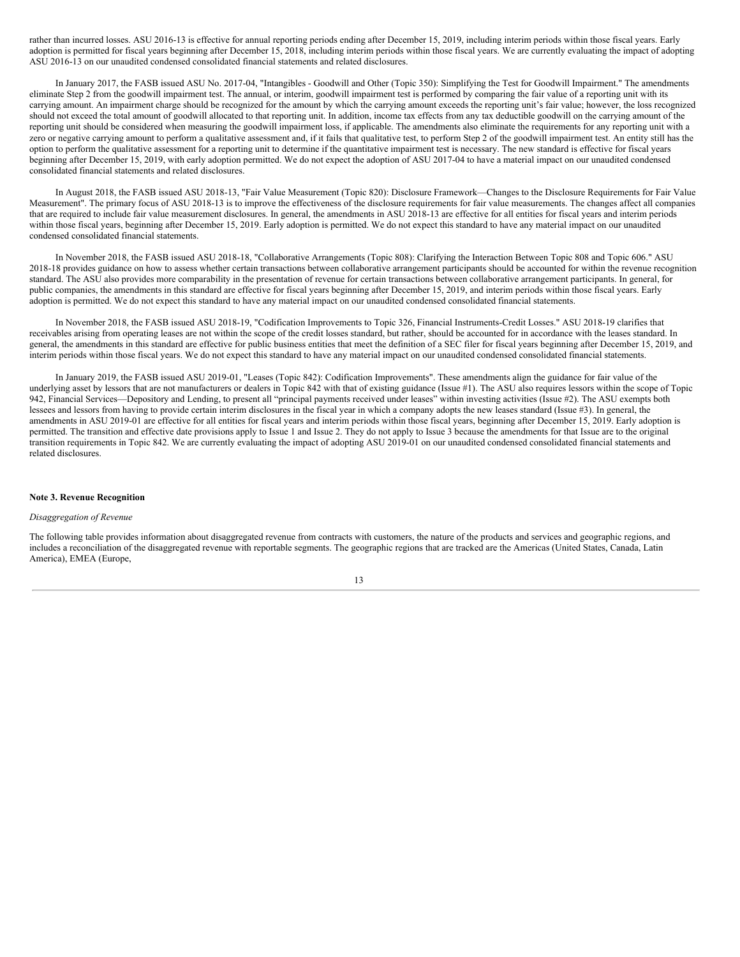rather than incurred losses. ASU 2016-13 is effective for annual reporting periods ending after December 15, 2019, including interim periods within those fiscal years. Early adoption is permitted for fiscal years beginning after December 15, 2018, including interim periods within those fiscal years. We are currently evaluating the impact of adopting ASU 2016-13 on our unaudited condensed consolidated financial statements and related disclosures.

In January 2017, the FASB issued ASU No. 2017-04, "Intangibles - Goodwill and Other (Topic 350): Simplifying the Test for Goodwill Impairment." The amendments eliminate Step 2 from the goodwill impairment test. The annual, or interim, goodwill impairment test is performed by comparing the fair value of a reporting unit with its carrying amount. An impairment charge should be recognized for the amount by which the carrying amount exceeds the reporting unit's fair value; however, the loss recognized should not exceed the total amount of goodwill allocated to that reporting unit. In addition, income tax effects from any tax deductible goodwill on the carrying amount of the reporting unit should be considered when measuring the goodwill impairment loss, if applicable. The amendments also eliminate the requirements for any reporting unit with a zero or negative carrying amount to perform a qualitative assessment and, if it fails that qualitative test, to perform Step 2 of the goodwill impairment test. An entity still has the option to perform the qualitative assessment for a reporting unit to determine if the quantitative impairment test is necessary. The new standard is effective for fiscal years beginning after December 15, 2019, with early adoption permitted. We do not expect the adoption of ASU 2017-04 to have a material impact on our unaudited condensed consolidated financial statements and related disclosures.

In August 2018, the FASB issued ASU 2018-13, "Fair Value Measurement (Topic 820): Disclosure Framework—Changes to the Disclosure Requirements for Fair Value Measurement". The primary focus of ASU 2018-13 is to improve the effectiveness of the disclosure requirements for fair value measurements. The changes affect all companies that are required to include fair value measurement disclosures. In general, the amendments in ASU 2018-13 are effective for all entities for fiscal years and interim periods within those fiscal years, beginning after December 15, 2019. Early adoption is permitted. We do not expect this standard to have any material impact on our unaudited condensed consolidated financial statements.

In November 2018, the FASB issued ASU 2018-18, "Collaborative Arrangements (Topic 808): Clarifying the Interaction Between Topic 808 and Topic 606." ASU 2018-18 provides guidance on how to assess whether certain transactions between collaborative arrangement participants should be accounted for within the revenue recognition standard. The ASU also provides more comparability in the presentation of revenue for certain transactions between collaborative arrangement participants. In general, for public companies, the amendments in this standard are effective for fiscal years beginning after December 15, 2019, and interim periods within those fiscal years. Early adoption is permitted. We do not expect this standard to have any material impact on our unaudited condensed consolidated financial statements.

In November 2018, the FASB issued ASU 2018-19, "Codification Improvements to Topic 326, Financial Instruments-Credit Losses." ASU 2018-19 clarifies that receivables arising from operating leases are not within the scope of the credit losses standard, but rather, should be accounted for in accordance with the leases standard. In general, the amendments in this standard are effective for public business entities that meet the definition of a SEC filer for fiscal years beginning after December 15, 2019, and interim periods within those fiscal years. We do not expect this standard to have any material impact on our unaudited condensed consolidated financial statements.

In January 2019, the FASB issued ASU 2019-01, "Leases (Topic 842): Codification Improvements". These amendments align the guidance for fair value of the underlying asset by lessors that are not manufacturers or dealers in Topic 842 with that of existing guidance (Issue #1). The ASU also requires lessors within the scope of Topic 942, Financial Services—Depository and Lending, to present all "principal payments received under leases" within investing activities (Issue #2). The ASU exempts both lessees and lessors from having to provide certain interim disclosures in the fiscal year in which a company adopts the new leases standard (Issue #3). In general, the amendments in ASU 2019-01 are effective for all entities for fiscal years and interim periods within those fiscal years, beginning after December 15, 2019. Early adoption is permitted. The transition and effective date provisions apply to Issue 1 and Issue 2. They do not apply to Issue 3 because the amendments for that Issue are to the original transition requirements in Topic 842. We are currently evaluating the impact of adopting ASU 2019-01 on our unaudited condensed consolidated financial statements and related disclosures.

### **Note 3. Revenue Recognition**

## *Disaggregation of Revenue*

The following table provides information about disaggregated revenue from contracts with customers, the nature of the products and services and geographic regions, and includes a reconciliation of the disaggregated revenue with reportable segments. The geographic regions that are tracked are the Americas (United States, Canada, Latin America), EMEA (Europe,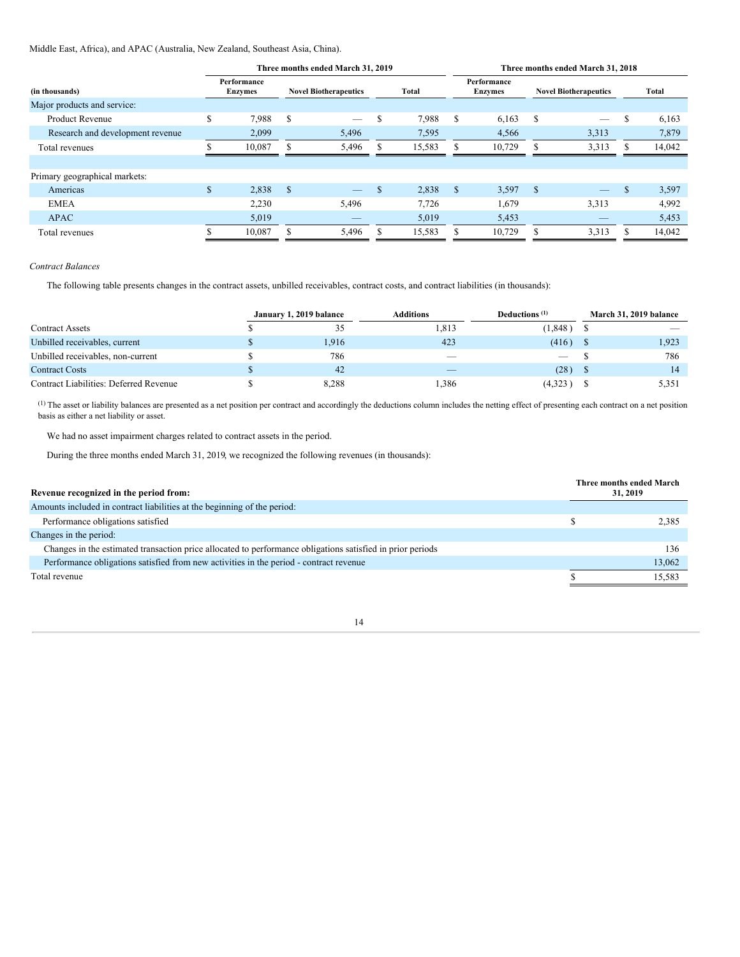Middle East, Africa), and APAC (Australia, New Zealand, Southeast Asia, China).

|                                  | Three months ended March 31, 2019 |                               |              |                              |               | Three months ended March 31, 2018 |               |                        |               |                              |               |        |
|----------------------------------|-----------------------------------|-------------------------------|--------------|------------------------------|---------------|-----------------------------------|---------------|------------------------|---------------|------------------------------|---------------|--------|
| (in thousands)                   |                                   | Performance<br><b>Enzymes</b> |              | <b>Novel Biotherapeutics</b> |               | Total                             |               | Performance<br>Enzymes |               | <b>Novel Biotherapeutics</b> |               | Total  |
| Major products and service:      |                                   |                               |              |                              |               |                                   |               |                        |               |                              |               |        |
| <b>Product Revenue</b>           | \$                                | 7,988                         | \$           | $\overline{\phantom{m}}$     | S             | 7.988                             | \$            | 6,163                  | <sup>\$</sup> |                              | <sup>\$</sup> | 6,163  |
| Research and development revenue |                                   | 2,099                         |              | 5,496                        |               | 7,595                             |               | 4,566                  |               | 3,313                        |               | 7,879  |
| Total revenues                   | ሖ                                 | 10,087                        | S            | 5,496                        |               | 15,583                            |               | 10,729                 | S             | 3,313                        |               | 14,042 |
|                                  |                                   |                               |              |                              |               |                                   |               |                        |               |                              |               |        |
| Primary geographical markets:    |                                   |                               |              |                              |               |                                   |               |                        |               |                              |               |        |
| Americas                         | \$                                | 2,838                         | $\mathbf{s}$ |                              | <sup>\$</sup> | 2,838                             | <sup>\$</sup> | 3,597                  | <sup>\$</sup> |                              | $\mathbb{S}$  | 3,597  |
| <b>EMEA</b>                      |                                   | 2,230                         |              | 5,496                        |               | 7,726                             |               | 1,679                  |               | 3,313                        |               | 4,992  |
| <b>APAC</b>                      |                                   | 5,019                         |              | _                            |               | 5,019                             |               | 5,453                  |               |                              |               | 5,453  |
| Total revenues                   |                                   | 10,087                        | \$           | 5,496                        |               | 15,583                            |               | 10,729                 |               | 3,313                        |               | 14,042 |

## *Contract Balances*

The following table presents changes in the contract assets, unbilled receivables, contract costs, and contract liabilities (in thousands):

|                                        | January 1, 2019 balance | <b>Additions</b>         | Deductions <sup>(1)</sup> | March 31, 2019 balance |
|----------------------------------------|-------------------------|--------------------------|---------------------------|------------------------|
| Contract Assets                        |                         | 1.813                    | (1, 848)                  |                        |
| Unbilled receivables, current          | 1.916                   | 423                      | (416)                     | 1,923                  |
| Unbilled receivables, non-current      | 786                     | $\sim$                   |                           | 786                    |
| <b>Contract Costs</b>                  | 42                      | $\overline{\phantom{a}}$ | (28)                      | 14                     |
| Contract Liabilities: Deferred Revenue | 8,288                   | .386                     | (4,323)                   | 5,351                  |

(1) The asset or liability balances are presented as a net position per contract and accordingly the deductions column includes the netting effect of presenting each contract on a net position basis as either a net liability or asset.

We had no asset impairment charges related to contract assets in the period.

During the three months ended March 31, 2019, we recognized the following revenues (in thousands):

| Revenue recognized in the period from:                                                                     | Three months ended March<br>31, 2019 |
|------------------------------------------------------------------------------------------------------------|--------------------------------------|
| Amounts included in contract liabilities at the beginning of the period:                                   |                                      |
| Performance obligations satisfied                                                                          | 2,385                                |
| Changes in the period:                                                                                     |                                      |
| Changes in the estimated transaction price allocated to performance obligations satisfied in prior periods | 136                                  |
| Performance obligations satisfied from new activities in the period - contract revenue                     | 13.062                               |
| Total revenue                                                                                              | 15.583                               |
|                                                                                                            |                                      |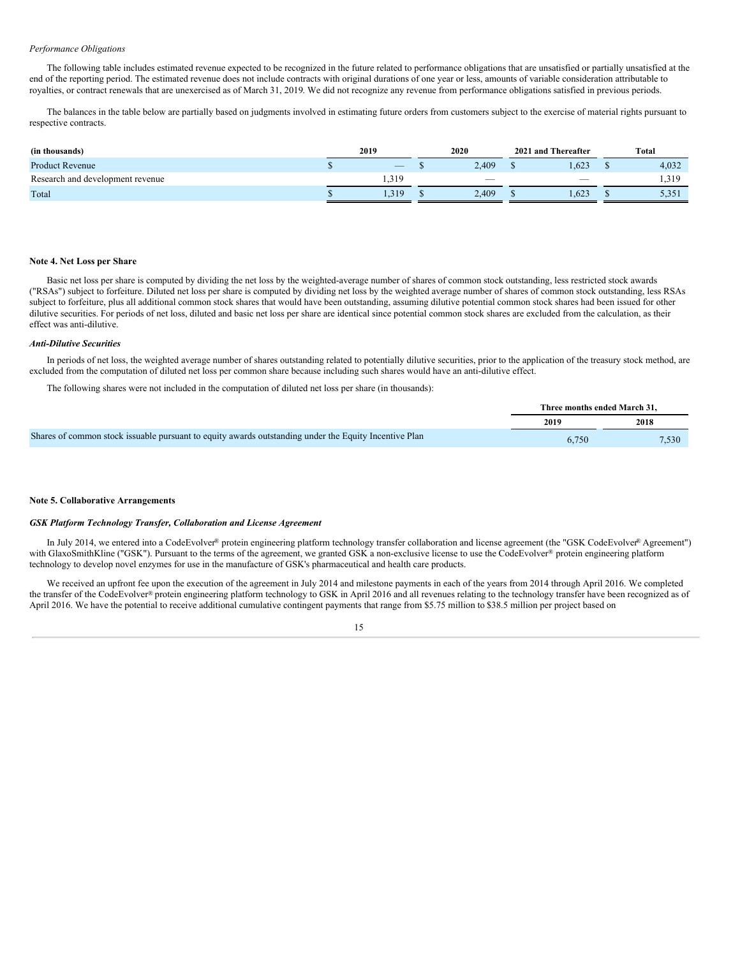## *Performance Obligations*

The following table includes estimated revenue expected to be recognized in the future related to performance obligations that are unsatisfied or partially unsatisfied at the end of the reporting period. The estimated revenue does not include contracts with original durations of one year or less, amounts of variable consideration attributable to royalties, or contract renewals that are unexercised as of March 31, 2019. We did not recognize any revenue from performance obligations satisfied in previous periods.

The balances in the table below are partially based on judgments involved in estimating future orders from customers subject to the exercise of material rights pursuant to respective contracts.

| (in thousands)                   | 2020<br>2019                    |  | 2021 and Thereafter      |  | Total |  |       |
|----------------------------------|---------------------------------|--|--------------------------|--|-------|--|-------|
| <b>Product Revenue</b>           | $\hspace{0.1mm}-\hspace{0.1mm}$ |  | 2,409                    |  | .623  |  | 4,032 |
| Research and development revenue | 319ء                            |  | $\overline{\phantom{a}}$ |  | _     |  | 1,319 |
| Total                            | .319                            |  | 2.409                    |  | .623  |  | 5,351 |

#### **Note 4. Net Loss per Share**

Basic net loss per share is computed by dividing the net loss by the weighted-average number of shares of common stock outstanding, less restricted stock awards ("RSAs") subject to forfeiture. Diluted net loss per share is computed by dividing net loss by the weighted average number of shares of common stock outstanding, less RSAs subject to forfeiture, plus all additional common stock shares that would have been outstanding, assuming dilutive potential common stock shares had been issued for other dilutive securities. For periods of net loss, diluted and basic net loss per share are identical since potential common stock shares are excluded from the calculation, as their effect was anti-dilutive.

#### *Anti-Dilutive Securities*

In periods of net loss, the weighted average number of shares outstanding related to potentially dilutive securities, prior to the application of the treasury stock method, are excluded from the computation of diluted net loss per common share because including such shares would have an anti-dilutive effect.

The following shares were not included in the computation of diluted net loss per share (in thousands):

|                                                                                                       | Three months ended March 31. |       |  |  |
|-------------------------------------------------------------------------------------------------------|------------------------------|-------|--|--|
|                                                                                                       | 2019                         | 2018  |  |  |
| Shares of common stock issuable pursuant to equity awards outstanding under the Equity Incentive Plan |                              | 7.530 |  |  |

#### **Note 5. Collaborative Arrangements**

#### *GSK Platform Technology Transfer, Collaboration and License Agreement*

In July 2014, we entered into a CodeEvolver® protein engineering platform technology transfer collaboration and license agreement (the "GSK CodeEvolver® Agreement") with GlaxoSmithKline ("GSK"). Pursuant to the terms of the agreement, we granted GSK a non-exclusive license to use the CodeEvolver® protein engineering platform technology to develop novel enzymes for use in the manufacture of GSK's pharmaceutical and health care products.

We received an upfront fee upon the execution of the agreement in July 2014 and milestone payments in each of the years from 2014 through April 2016. We completed the transfer of the CodeEvolver® protein engineering platform technology to GSK in April 2016 and all revenues relating to the technology transfer have been recognized as of April 2016. We have the potential to receive additional cumulative contingent payments that range from \$5.75 million to \$38.5 million per project based on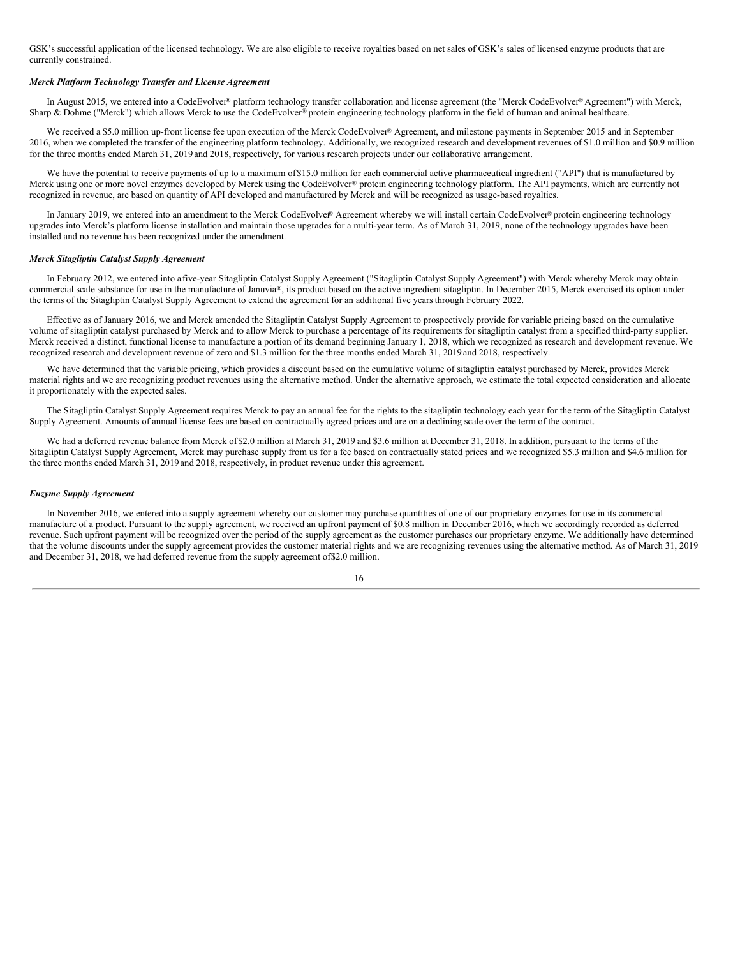GSK's successful application of the licensed technology. We are also eligible to receive royalties based on net sales of GSK's sales of licensed enzyme products that are currently constrained.

## *Merck Platform Technology Transfer and License Agreement*

In August 2015, we entered into a CodeEvolver® platform technology transfer collaboration and license agreement (the "Merck CodeEvolver® Agreement") with Merck, Sharp & Dohme ("Merck") which allows Merck to use the CodeEvolver® protein engineering technology platform in the field of human and animal healthcare.

We received a \$5.0 million up-front license fee upon execution of the Merck CodeEvolver® Agreement, and milestone payments in September 2015 and in September 2016, when we completed the transfer of the engineering platform technology. Additionally, we recognized research and development revenues of \$1.0 million and \$0.9 million for the three months ended March 31, 2019 and 2018, respectively, for various research projects under our collaborative arrangement.

We have the potential to receive payments of up to a maximum of \$15.0 million for each commercial active pharmaceutical ingredient ("API") that is manufactured by Merck using one or more novel enzymes developed by Merck using the CodeEvolver® protein engineering technology platform. The API payments, which are currently not recognized in revenue, are based on quantity of API developed and manufactured by Merck and will be recognized as usage-based royalties.

In January 2019, we entered into an amendment to the Merck CodeEvolver® Agreement whereby we will install certain CodeEvolver® protein engineering technology upgrades into Merck's platform license installation and maintain those upgrades for a multi-year term. As of March 31, 2019, none of the technology upgrades have been installed and no revenue has been recognized under the amendment.

#### *Merck Sitagliptin Catalyst Supply Agreement*

In February 2012, we entered into afive-year Sitagliptin Catalyst Supply Agreement ("Sitagliptin Catalyst Supply Agreement") with Merck whereby Merck may obtain commercial scale substance for use in the manufacture of Januvia®, its product based on the active ingredient sitagliptin. In December 2015, Merck exercised its option under the terms of the Sitagliptin Catalyst Supply Agreement to extend the agreement for an additional five years through February 2022.

Effective as of January 2016, we and Merck amended the Sitagliptin Catalyst Supply Agreement to prospectively provide for variable pricing based on the cumulative volume of sitagliptin catalyst purchased by Merck and to allow Merck to purchase a percentage of its requirements for sitagliptin catalyst from a specified third-party supplier. Merck received a distinct, functional license to manufacture a portion of its demand beginning January 1, 2018, which we recognized as research and development revenue. We recognized research and development revenue of zero and \$1.3 million for the three months ended March 31, 2019 and 2018, respectively.

We have determined that the variable pricing, which provides a discount based on the cumulative volume of sitagliptin catalyst purchased by Merck, provides Merck material rights and we are recognizing product revenues using the alternative method. Under the alternative approach, we estimate the total expected consideration and allocate it proportionately with the expected sales.

The Sitagliptin Catalyst Supply Agreement requires Merck to pay an annual fee for the rights to the sitagliptin technology each year for the term of the Sitagliptin Catalyst Supply Agreement. Amounts of annual license fees are based on contractually agreed prices and are on a declining scale over the term of the contract.

We had a deferred revenue balance from Merck of \$2.0 million at March 31, 2019 and \$3.6 million at December 31, 2018. In addition, pursuant to the terms of the Sitagliptin Catalyst Supply Agreement, Merck may purchase supply from us for a fee based on contractually stated prices and we recognized \$5.3 million and \$4.6 million for the three months ended March 31, 2019 and 2018, respectively, in product revenue under this agreement.

#### *Enzyme Supply Agreement*

In November 2016, we entered into a supply agreement whereby our customer may purchase quantities of one of our proprietary enzymes for use in its commercial manufacture of a product. Pursuant to the supply agreement, we received an upfront payment of \$0.8 million in December 2016, which we accordingly recorded as deferred revenue. Such upfront payment will be recognized over the period of the supply agreement as the customer purchases our proprietary enzyme. We additionally have determined that the volume discounts under the supply agreement provides the customer material rights and we are recognizing revenues using the alternative method. As of March 31, 2019 and December 31, 2018, we had deferred revenue from the supply agreement of\$2.0 million.

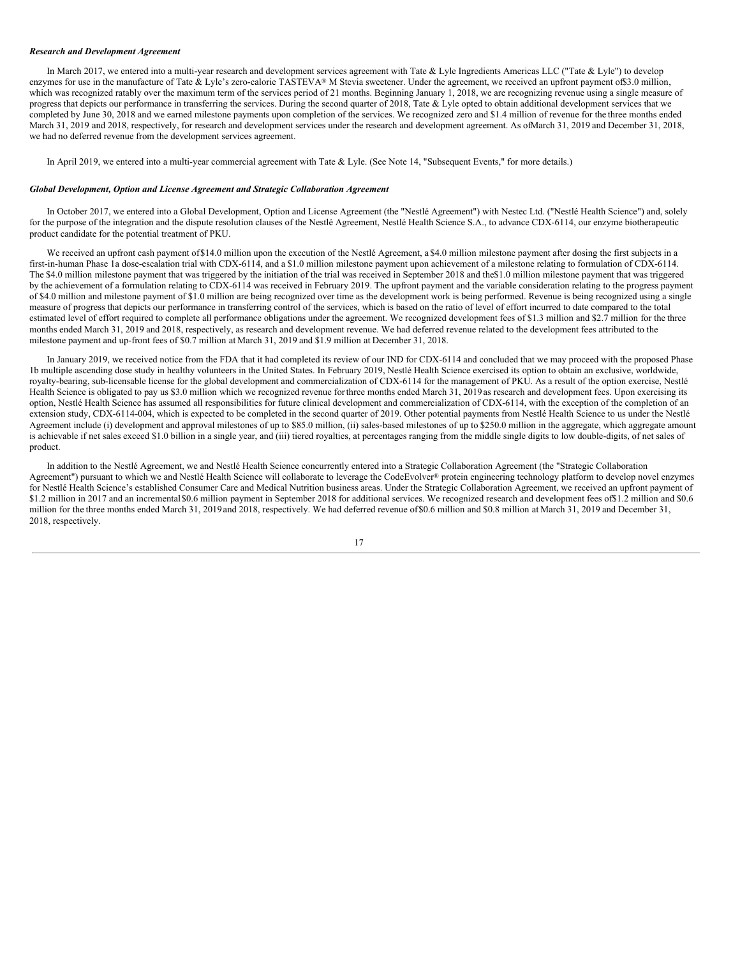## *Research and Development Agreement*

In March 2017, we entered into a multi-year research and development services agreement with Tate & Lyle Ingredients Americas LLC ("Tate & Lyle") to develop enzymes for use in the manufacture of Tate & Lyle's zero-calorie TASTEVA® M Stevia sweetener. Under the agreement, we received an upfront payment of\$3.0 million, which was recognized ratably over the maximum term of the services period of 21 months. Beginning January 1, 2018, we are recognizing revenue using a single measure of progress that depicts our performance in transferring the services. During the second quarter of 2018, Tate & Lyle opted to obtain additional development services that we completed by June 30, 2018 and we earned milestone payments upon completion of the services. We recognized zero and \$1.4 million of revenue for the three months ended March 31, 2019 and 2018, respectively, for research and development services under the research and development agreement. As ofMarch 31, 2019 and December 31, 2018, we had no deferred revenue from the development services agreement.

In April 2019, we entered into a multi-year commercial agreement with Tate & Lyle. (See Note 14, "Subsequent Events," for more details.)

## *Global Development, Option and License Agreement and Strategic Collaboration Agreement*

In October 2017, we entered into a Global Development, Option and License Agreement (the "Nestlé Agreement") with Nestec Ltd. ("Nestlé Health Science") and, solely for the purpose of the integration and the dispute resolution clauses of the Nestlé Agreement, Nestlé Health Science S.A., to advance CDX-6114, our enzyme biotherapeutic product candidate for the potential treatment of PKU.

We received an upfront cash payment of\$14.0 million upon the execution of the Nestlé Agreement, a \$4.0 million milestone payment after dosing the first subjects in a first-in-human Phase 1a dose-escalation trial with CDX-6114, and a \$1.0 million milestone payment upon achievement of a milestone relating to formulation of CDX-6114. The \$4.0 million milestone payment that was triggered by the initiation of the trial was received in September 2018 and the\$1.0 million milestone payment that was triggered by the achievement of a formulation relating to CDX-6114 was received in February 2019. The upfront payment and the variable consideration relating to the progress payment of \$4.0 million and milestone payment of \$1.0 million are being recognized over time as the development work is being performed. Revenue is being recognized using a single measure of progress that depicts our performance in transferring control of the services, which is based on the ratio of level of effort incurred to date compared to the total estimated level of effort required to complete all performance obligations under the agreement. We recognized development fees of \$1.3 million and \$2.7 million for the three months ended March 31, 2019 and 2018, respectively, as research and development revenue. We had deferred revenue related to the development fees attributed to the milestone payment and up-front fees of \$0.7 million at March 31, 2019 and \$1.9 million at December 31, 2018.

In January 2019, we received notice from the FDA that it had completed its review of our IND for CDX-6114 and concluded that we may proceed with the proposed Phase 1b multiple ascending dose study in healthy volunteers in the United States. In February 2019, Nestlé Health Science exercised its option to obtain an exclusive, worldwide, royalty-bearing, sub-licensable license for the global development and commercialization of CDX-6114 for the management of PKU. As a result of the option exercise, Nestlé Health Science is obligated to pay us \$3.0 million which we recognized revenue forthree months ended March 31, 2019 as research and development fees. Upon exercising its option, Nestlé Health Science has assumed all responsibilities for future clinical development and commercialization of CDX-6114, with the exception of the completion of an extension study, CDX-6114-004, which is expected to be completed in the second quarter of 2019. Other potential payments from Nestlé Health Science to us under the Nestlé Agreement include (i) development and approval milestones of up to \$85.0 million, (ii) sales-based milestones of up to \$250.0 million in the aggregate, which aggregate amount is achievable if net sales exceed \$1.0 billion in a single year, and (iii) tiered royalties, at percentages ranging from the middle single digits to low double-digits, of net sales of product.

In addition to the Nestlé Agreement, we and Nestlé Health Science concurrently entered into a Strategic Collaboration Agreement (the "Strategic Collaboration Agreement") pursuant to which we and Nestlé Health Science will collaborate to leverage the CodeEvolver® protein engineering technology platform to develop novel enzymes for Nestlé Health Science's established Consumer Care and Medical Nutrition business areas. Under the Strategic Collaboration Agreement, we received an upfront payment of \$1.2 million in 2017 and an incremental\$0.6 million payment in September 2018 for additional services. We recognized research and development fees of\$1.2 million and \$0.6 million for the three months ended March 31, 2019 and 2018, respectively. We had deferred revenue of\$0.6 million and \$0.8 million at March 31, 2019 and December 31, 2018, respectively.

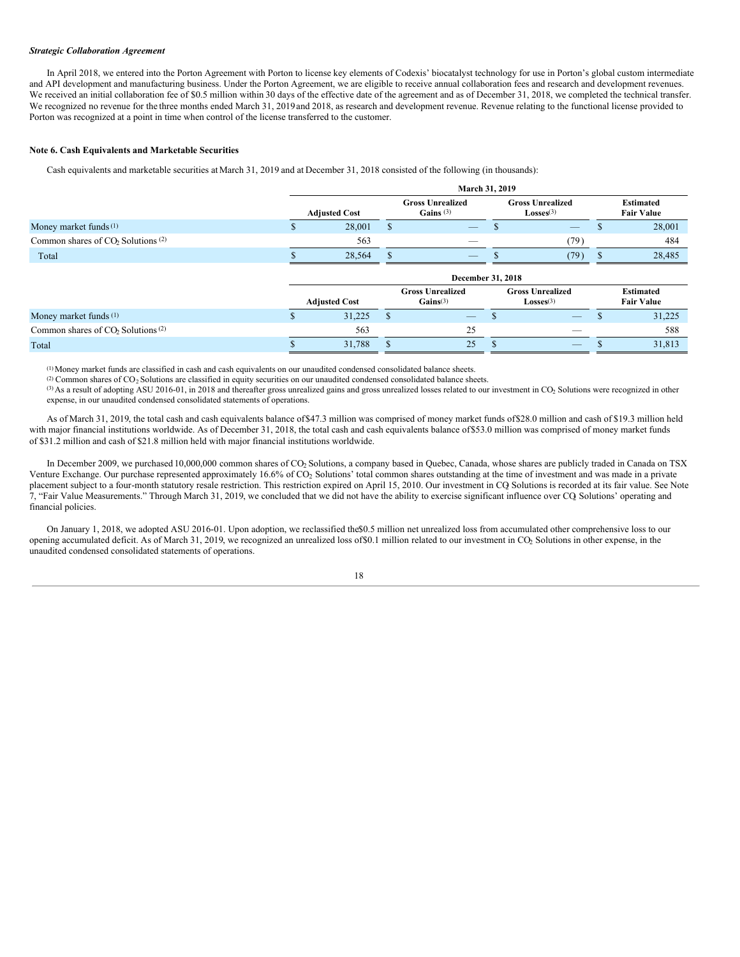## *Strategic Collaboration Agreement*

In April 2018, we entered into the Porton Agreement with Porton to license key elements of Codexis' biocatalyst technology for use in Porton's global custom intermediate and API development and manufacturing business. Under the Porton Agreement, we are eligible to receive annual collaboration fees and research and development revenues. We received an initial collaboration fee of \$0.5 million within 30 days of the effective date of the agreement and as of December 31, 2018, we completed the technical transfer. We recognized no revenue for the three months ended March 31, 2019 and 2018, as research and development revenue. Revenue relating to the functional license provided to Porton was recognized at a point in time when control of the license transferred to the customer.

### **Note 6. Cash Equivalents and Marketable Securities**

Cash equivalents and marketable securities atMarch 31, 2019 and at December 31, 2018 consisted of the following (in thousands):

|                                                           | March 31, 2019       |                      |                                        |                          |                                      |      |                                       |                                       |
|-----------------------------------------------------------|----------------------|----------------------|----------------------------------------|--------------------------|--------------------------------------|------|---------------------------------------|---------------------------------------|
|                                                           |                      | <b>Adjusted Cost</b> | <b>Gross Unrealized</b><br>Gains $(3)$ |                          | <b>Gross Unrealized</b><br>Losses(3) |      |                                       | <b>Estimated</b><br><b>Fair Value</b> |
| Money market funds <sup>(1)</sup>                         |                      | 28,001               | S                                      |                          |                                      | _    |                                       | 28,001                                |
| Common shares of CO <sub>2</sub> Solutions <sup>(2)</sup> |                      | 563                  |                                        | -                        |                                      | (79) |                                       | 484                                   |
| Total                                                     |                      | 28,564               |                                        |                          |                                      | (79) |                                       | 28,485                                |
|                                                           |                      |                      |                                        | December 31, 2018        |                                      |      |                                       |                                       |
|                                                           | <b>Adjusted Cost</b> |                      | <b>Gross Unrealized</b><br>Gains(3)    |                          | <b>Gross Unrealized</b><br>Losses(3) |      | <b>Estimated</b><br><b>Fair Value</b> |                                       |
|                                                           |                      |                      |                                        |                          |                                      |      |                                       |                                       |
| Money market funds (1)                                    |                      | 31,225               | $\mathbf S$                            | $\overline{\phantom{m}}$ |                                      |      |                                       | 31,225                                |
| Common shares of CO <sub>2</sub> Solutions <sup>(2)</sup> |                      | 563                  |                                        | 25                       |                                      |      |                                       | 588                                   |

(1)Money market funds are classified in cash and cash equivalents on our unaudited condensed consolidated balance sheets.

(2) Common shares of CO<sup>2</sup> Solutions are classified in equity securities on our unaudited condensed consolidated balance sheets.

(3) As a result of adopting ASU 2016-01, in 2018 and thereafter gross unrealized gains and gross unrealized losses related to our investment in CO<sub>2</sub> Solutions were recognized in other expense, in our unaudited condensed consolidated statements of operations.

As of March 31, 2019, the total cash and cash equivalents balance of\$47.3 million was comprised of money market funds of\$28.0 million and cash of \$19.3 million held with major financial institutions worldwide. As of December 31, 2018, the total cash and cash equivalents balance of \$53.0 million was comprised of money market funds of \$31.2 million and cash of \$21.8 million held with major financial institutions worldwide.

In December 2009, we purchased 10,000,000 common shares of CO<sub>2</sub> Solutions, a company based in Quebec, Canada, whose shares are publicly traded in Canada on TSX Venture Exchange. Our purchase represented approximately 16.6% of CO<sub>2</sub> Solutions' total common shares outstanding at the time of investment and was made in a private placement subject to a four-month statutory resale restriction. This restriction expired on April 15, 2010. Our investment in CQ Solutions is recorded at its fair value. See Note 7, "Fair Value Measurements." Through March 31, 2019, we concluded that we did not have the ability to exercise significant influence over CO<sup>2</sup> Solutions' operating and financial policies.

On January 1, 2018, we adopted ASU 2016-01. Upon adoption, we reclassified the\$0.5 million net unrealized loss from accumulated other comprehensive loss to our opening accumulated deficit. As of March 31, 2019, we recognized an unrealized loss of\$0.1 million related to our investment in CO<sup>2</sup> Solutions in other expense, in the unaudited condensed consolidated statements of operations.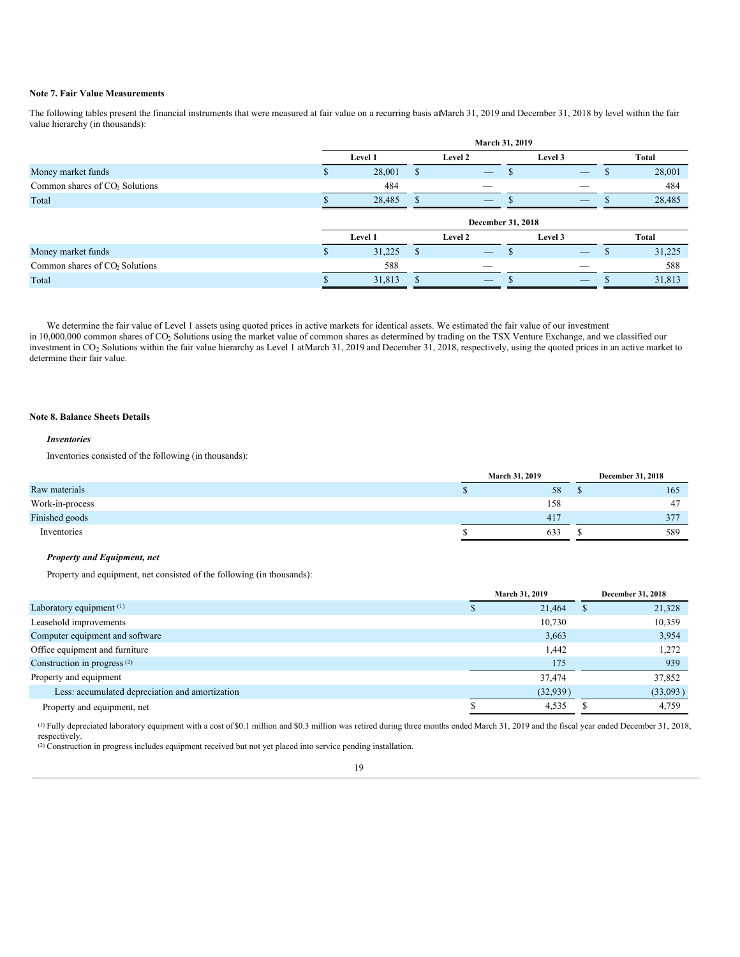## **Note 7. Fair Value Measurements**

The following tables present the financial instruments that were measured at fair value on a recurring basis atMarch 31, 2019 and December 31, 2018 by level within the fair value hierarchy (in thousands):

|                                            | March 31, 2019 |         |          |                                 |  |                          |    |              |
|--------------------------------------------|----------------|---------|----------|---------------------------------|--|--------------------------|----|--------------|
|                                            |                | Level 1 |          | Level 2                         |  | Level 3                  |    | <b>Total</b> |
| Money market funds                         |                | 28,001  | <b>S</b> | $\overline{\phantom{m}}$        |  |                          | ٠D | 28,001       |
| Common shares of CO <sub>2</sub> Solutions |                | 484     |          | $-$                             |  | $\overline{\phantom{a}}$ |    | 484          |
| Total                                      |                | 28,485  | <b>S</b> | _                               |  | $\qquad \qquad -$        |    | 28,485       |
|                                            |                |         |          | December 31, 2018               |  |                          |    |              |
|                                            |                | Level 1 | Level 2  |                                 |  | Level 3                  |    |              |
|                                            |                |         |          |                                 |  |                          |    | <b>Total</b> |
| Money market funds                         | л.             | 31,225  | S        | $\hspace{0.1mm}-\hspace{0.1mm}$ |  | $\qquad \qquad -$        | Ð  | 31,225       |
| Common shares of CO <sub>2</sub> Solutions |                | 588     |          |                                 |  |                          |    | 588          |
| Total                                      |                | 31,813  | S        | $\overline{\phantom{a}}$        |  |                          |    | 31,813       |

We determine the fair value of Level 1 assets using quoted prices in active markets for identical assets. We estimated the fair value of our investment in 10,000,000 common shares of CO<sup>2</sup> Solutions using the market value of common shares as determined by trading on the TSX Venture Exchange, and we classified our investment in CO<sub>2</sub> Solutions within the fair value hierarchy as Level 1 atMarch 31, 2019 and December 31, 2018, respectively, using the quoted prices in an active market to determine their fair value.

## **Note 8. Balance Sheets Details**

#### *Inventories*

Inventories consisted of the following (in thousands):

|                 |  | March 31, 2019 | December 31, 2018 |     |  |
|-----------------|--|----------------|-------------------|-----|--|
| Raw materials   |  | 58             |                   | 165 |  |
| Work-in-process |  | 158            |                   | 47  |  |
| Finished goods  |  | 417            |                   | 377 |  |
| Inventories     |  | 633            |                   | 589 |  |

## *Property and Equipment, net*

Property and equipment, net consisted of the following (in thousands):

|                                                 | March 31, 2019 |          |  | December 31, 2018 |
|-------------------------------------------------|----------------|----------|--|-------------------|
| Laboratory equipment $(1)$                      |                | 21,464   |  | 21,328            |
| Leasehold improvements                          |                | 10,730   |  | 10,359            |
| Computer equipment and software                 |                | 3,663    |  | 3.954             |
| Office equipment and furniture                  |                | 1,442    |  | 1,272             |
| Construction in progress $(2)$                  |                | 175      |  | 939               |
| Property and equipment                          |                | 37,474   |  | 37,852            |
| Less: accumulated depreciation and amortization |                | (32,939) |  | (33,093)          |
| Property and equipment, net                     |                | 4,535    |  | 4.759             |

(1) Fully depreciated laboratory equipment with a cost of\$0.1 million and \$0.3 million was retired during three months ended March 31, 2019 and the fiscal year ended December 31, 2018, respectively.

<sup>(2)</sup> Construction in progress includes equipment received but not yet placed into service pending installation.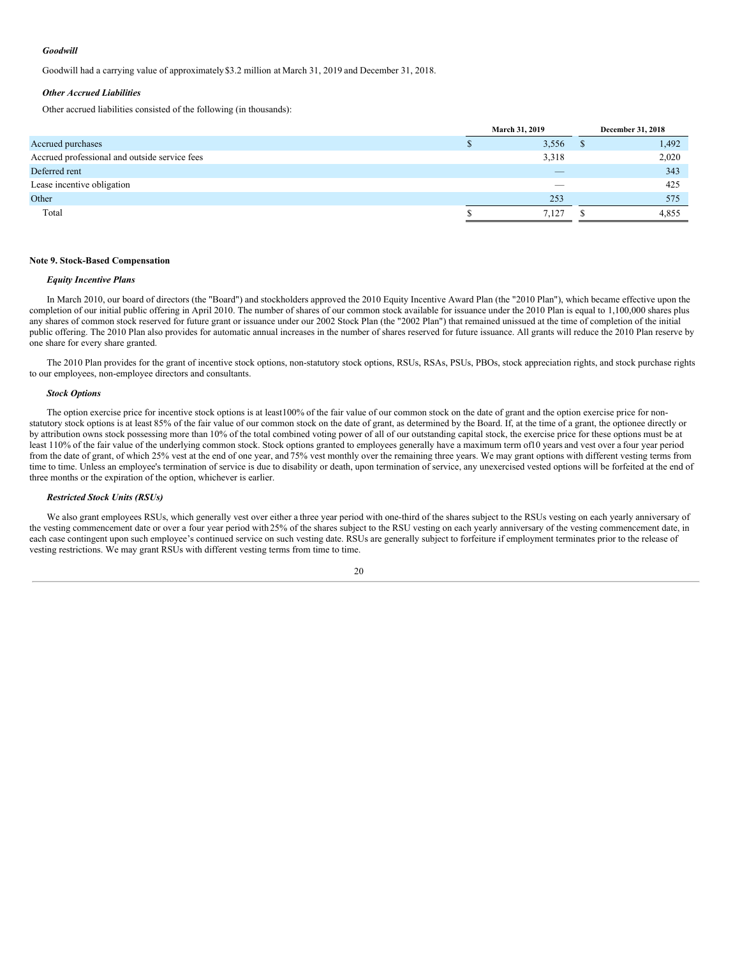### *Goodwill*

Goodwill had a carrying value of approximately \$3.2 million at March 31, 2019 and December 31, 2018.

## *Other Accrued Liabilities*

Other accrued liabilities consisted of the following (in thousands):

|                                               | March 31, 2019 |                          |  | December 31, 2018 |  |  |
|-----------------------------------------------|----------------|--------------------------|--|-------------------|--|--|
| Accrued purchases                             |                | 3,556                    |  | 1,492             |  |  |
| Accrued professional and outside service fees |                | 3,318                    |  | 2,020             |  |  |
| Deferred rent                                 |                |                          |  | 343               |  |  |
| Lease incentive obligation                    |                | $\overline{\phantom{a}}$ |  | 425               |  |  |
| Other                                         |                | 253                      |  | 575               |  |  |
| Total                                         |                | 7.127                    |  | 4.855             |  |  |

#### **Note 9. Stock-Based Compensation**

#### *Equity Incentive Plans*

In March 2010, our board of directors (the "Board") and stockholders approved the 2010 Equity Incentive Award Plan (the "2010 Plan"), which became effective upon the completion of our initial public offering in April 2010. The number of shares of our common stock available for issuance under the 2010 Plan is equal to 1,100,000 shares plus any shares of common stock reserved for future grant or issuance under our 2002 Stock Plan (the "2002 Plan") that remained unissued at the time of completion of the initial public offering. The 2010 Plan also provides for automatic annual increases in the number of shares reserved for future issuance. All grants will reduce the 2010 Plan reserve by one share for every share granted.

The 2010 Plan provides for the grant of incentive stock options, non-statutory stock options, RSUs, RSAs, PSUs, PBOs, stock appreciation rights, and stock purchase rights to our employees, non-employee directors and consultants.

## *Stock Options*

The option exercise price for incentive stock options is at least100% of the fair value of our common stock on the date of grant and the option exercise price for nonstatutory stock options is at least 85% of the fair value of our common stock on the date of grant, as determined by the Board. If, at the time of a grant, the optionee directly or by attribution owns stock possessing more than 10% of the total combined voting power of all of our outstanding capital stock, the exercise price for these options must be at least 110% of the fair value of the underlying common stock. Stock options granted to employees generally have a maximum term of10 years and vest over a four year period from the date of grant, of which 25% vest at the end of one year, and 75% vest monthly over the remaining three years. We may grant options with different vesting terms from time to time. Unless an employee's termination of service is due to disability or death, upon termination of service, any unexercised vested options will be forfeited at the end of three months or the expiration of the option, whichever is earlier.

## *Restricted Stock Units (RSUs)*

We also grant employees RSUs, which generally vest over either a three year period with one-third of the shares subject to the RSUs vesting on each yearly anniversary of the vesting commencement date or over a four year period with 25% of the shares subject to the RSU vesting on each yearly anniversary of the vesting commencement date, in each case contingent upon such employee's continued service on such vesting date. RSUs are generally subject to forfeiture if employment terminates prior to the release of vesting restrictions. We may grant RSUs with different vesting terms from time to time.

20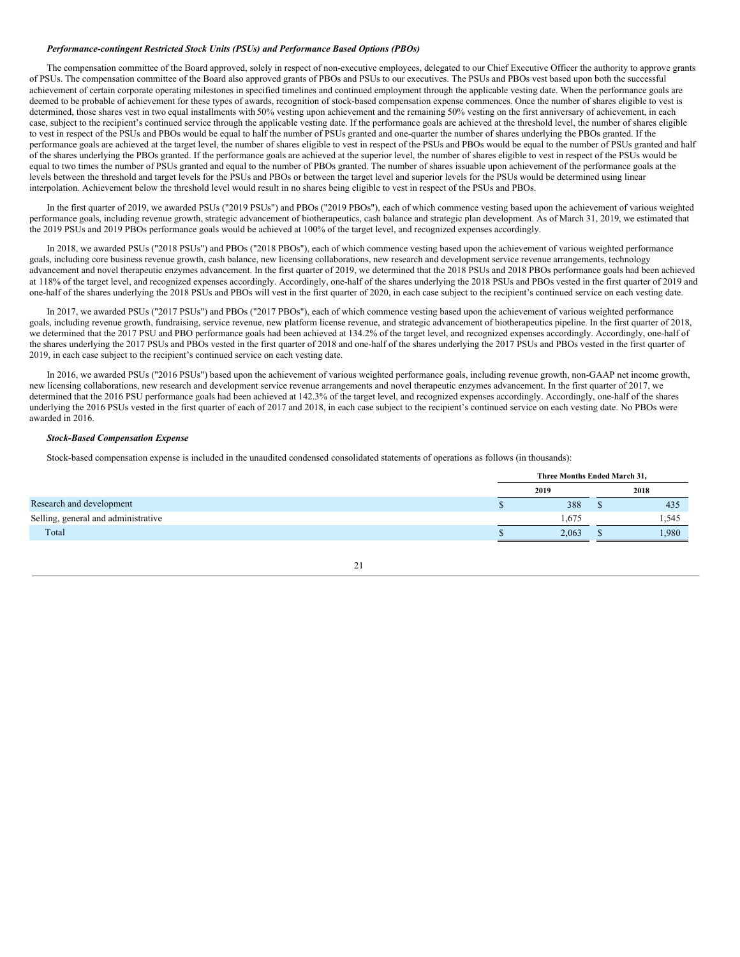## *Performance-contingent Restricted Stock Units (PSUs) and Performance Based Options (PBOs)*

The compensation committee of the Board approved, solely in respect of non-executive employees, delegated to our Chief Executive Officer the authority to approve grants of PSUs. The compensation committee of the Board also approved grants of PBOs and PSUs to our executives. The PSUs and PBOs vest based upon both the successful achievement of certain corporate operating milestones in specified timelines and continued employment through the applicable vesting date. When the performance goals are deemed to be probable of achievement for these types of awards, recognition of stock-based compensation expense commences. Once the number of shares eligible to vest is determined, those shares vest in two equal installments with 50% vesting upon achievement and the remaining 50% vesting on the first anniversary of achievement, in each case, subject to the recipient's continued service through the applicable vesting date. If the performance goals are achieved at the threshold level, the number of shares eligible to vest in respect of the PSUs and PBOs would be equal to half the number of PSUs granted and one-quarter the number of shares underlying the PBOs granted. If the performance goals are achieved at the target level, the number of shares eligible to vest in respect of the PSUs and PBOs would be equal to the number of PSUs granted and half of the shares underlying the PBOs granted. If the performance goals are achieved at the superior level, the number of shares eligible to vest in respect of the PSUs would be equal to two times the number of PSUs granted and equal to the number of PBOs granted. The number of shares issuable upon achievement of the performance goals at the levels between the threshold and target levels for the PSUs and PBOs or between the target level and superior levels for the PSUs would be determined using linear interpolation. Achievement below the threshold level would result in no shares being eligible to vest in respect of the PSUs and PBOs.

In the first quarter of 2019, we awarded PSUs ("2019 PSUs") and PBOs ("2019 PBOs"), each of which commence vesting based upon the achievement of various weighted performance goals, including revenue growth, strategic advancement of biotherapeutics, cash balance and strategic plan development. As of March 31, 2019, we estimated that the 2019 PSUs and 2019 PBOs performance goals would be achieved at 100% of the target level, and recognized expenses accordingly.

In 2018, we awarded PSUs ("2018 PSUs") and PBOs ("2018 PBOs"), each of which commence vesting based upon the achievement of various weighted performance goals, including core business revenue growth, cash balance, new licensing collaborations, new research and development service revenue arrangements, technology advancement and novel therapeutic enzymes advancement. In the first quarter of 2019, we determined that the 2018 PSUs and 2018 PBOs performance goals had been achieved at 118% of the target level, and recognized expenses accordingly. Accordingly, one-half of the shares underlying the 2018 PSUs and PBOs vested in the first quarter of 2019 and one-half of the shares underlying the 2018 PSUs and PBOs will vest in the first quarter of 2020, in each case subject to the recipient's continued service on each vesting date.

In 2017, we awarded PSUs ("2017 PSUs") and PBOs ("2017 PBOs"), each of which commence vesting based upon the achievement of various weighted performance goals, including revenue growth, fundraising, service revenue, new platform license revenue, and strategic advancement of biotherapeutics pipeline. In the first quarter of 2018, we determined that the 2017 PSU and PBO performance goals had been achieved at 134.2% of the target level, and recognized expenses accordingly. Accordingly, one-half of the shares underlying the 2017 PSUs and PBOs vested in the first quarter of 2018 and one-half of the shares underlying the 2017 PSUs and PBOs vested in the first quarter of 2019, in each case subject to the recipient's continued service on each vesting date.

In 2016, we awarded PSUs ("2016 PSUs") based upon the achievement of various weighted performance goals, including revenue growth, non-GAAP net income growth, new licensing collaborations, new research and development service revenue arrangements and novel therapeutic enzymes advancement. In the first quarter of 2017, we determined that the 2016 PSU performance goals had been achieved at 142.3% of the target level, and recognized expenses accordingly. Accordingly, one-half of the shares underlying the 2016 PSUs vested in the first quarter of each of 2017 and 2018, in each case subject to the recipient's continued service on each vesting date. No PBOs were awarded in 2016.

#### *Stock-Based Compensation Expense*

Stock-based compensation expense is included in the unaudited condensed consolidated statements of operations as follows (in thousands):

|                                     | Three Months Ended March 31, |       |  |       |  |
|-------------------------------------|------------------------------|-------|--|-------|--|
|                                     |                              | 2019  |  | 2018  |  |
| Research and development            |                              | 388   |  | 435   |  |
| Selling, general and administrative |                              | 1.675 |  | 1.545 |  |
| Total                               |                              | 2.063 |  | 1,980 |  |

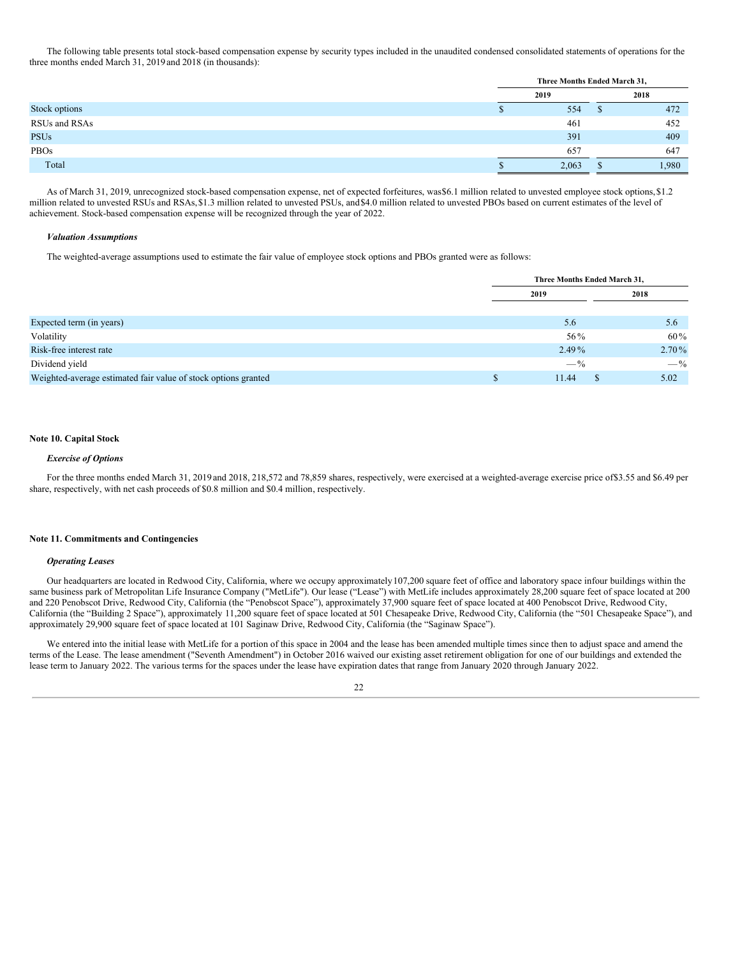The following table presents total stock-based compensation expense by security types included in the unaudited condensed consolidated statements of operations for the three months ended March 31, 2019 and 2018 (in thousands):

|               |  | Three Months Ended March 31, |  |       |
|---------------|--|------------------------------|--|-------|
|               |  | 2019                         |  | 2018  |
| Stock options |  | 554                          |  | 472   |
| RSUs and RSAs |  | 461                          |  | 452   |
| <b>PSUs</b>   |  | 391                          |  | 409   |
| PBOs          |  | 657                          |  | 647   |
| Total         |  | 2,063                        |  | 1,980 |

As of March 31, 2019, unrecognized stock-based compensation expense, net of expected forfeitures, was\$6.1 million related to unvested employee stock options,\$1.2 million related to unvested RSUs and RSAs,\$1.3 million related to unvested PSUs, and\$4.0 million related to unvested PBOs based on current estimates of the level of achievement. Stock-based compensation expense will be recognized through the year of 2022.

## *Valuation Assumptions*

The weighted-average assumptions used to estimate the fair value of employee stock options and PBOs granted were as follows:

|                                                                | Three Months Ended March 31, |      |                 |  |
|----------------------------------------------------------------|------------------------------|------|-----------------|--|
|                                                                | 2019                         | 2018 |                 |  |
|                                                                |                              |      |                 |  |
| Expected term (in years)                                       | 5.6                          |      | 5.6             |  |
| Volatility                                                     | 56%                          |      | $60\%$          |  |
| Risk-free interest rate                                        | $2.49\%$                     |      | $2.70\%$        |  |
| Dividend yield                                                 | $-\frac{6}{6}$               |      | $- \frac{9}{6}$ |  |
| Weighted-average estimated fair value of stock options granted | 11.44                        |      | 5.02            |  |

## **Note 10. Capital Stock**

#### *Exercise of Options*

For the three months ended March 31, 2019 and 2018, 218,572 and 78,859 shares, respectively, were exercised at a weighted-average exercise price of\$3.55 and \$6.49 per share, respectively, with net cash proceeds of \$0.8 million and \$0.4 million, respectively.

### **Note 11. Commitments and Contingencies**

#### *Operating Leases*

Our headquarters are located in Redwood City, California, where we occupy approximately107,200 square feet of office and laboratory space infour buildings within the same business park of Metropolitan Life Insurance Company ("MetLife"). Our lease ("Lease") with MetLife includes approximately 28,200 square feet of space located at 200 and 220 Penobscot Drive, Redwood City, California (the "Penobscot Space"), approximately 37,900 square feet of space located at 400 Penobscot Drive, Redwood City, California (the "Building 2 Space"), approximately 11,200 square feet of space located at 501 Chesapeake Drive, Redwood City, California (the "501 Chesapeake Space"), and approximately 29,900 square feet of space located at 101 Saginaw Drive, Redwood City, California (the "Saginaw Space").

We entered into the initial lease with MetLife for a portion of this space in 2004 and the lease has been amended multiple times since then to adjust space and amend the terms of the Lease. The lease amendment ("Seventh Amendment") in October 2016 waived our existing asset retirement obligation for one of our buildings and extended the lease term to January 2022. The various terms for the spaces under the lease have expiration dates that range from January 2020 through January 2022.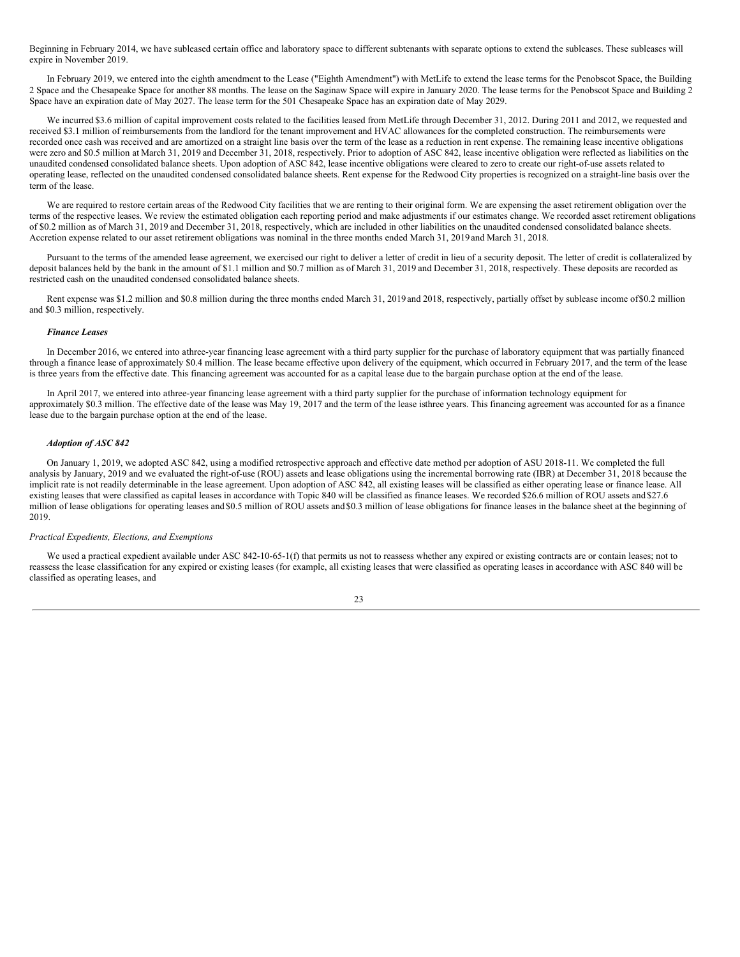Beginning in February 2014, we have subleased certain office and laboratory space to different subtenants with separate options to extend the subleases. These subleases will expire in November 2019.

In February 2019, we entered into the eighth amendment to the Lease ("Eighth Amendment") with MetLife to extend the lease terms for the Penobscot Space, the Building 2 Space and the Chesapeake Space for another 88 months. The lease on the Saginaw Space will expire in January 2020. The lease terms for the Penobscot Space and Building 2 Space have an expiration date of May 2027. The lease term for the 501 Chesapeake Space has an expiration date of May 2029.

We incurred \$3.6 million of capital improvement costs related to the facilities leased from MetLife through December 31, 2012. During 2011 and 2012, we requested and received \$3.1 million of reimbursements from the landlord for the tenant improvement and HVAC allowances for the completed construction. The reimbursements were recorded once cash was received and are amortized on a straight line basis over the term of the lease as a reduction in rent expense. The remaining lease incentive obligations were zero and \$0.5 million at March 31, 2019 and December 31, 2018, respectively. Prior to adoption of ASC 842, lease incentive obligation were reflected as liabilities on the unaudited condensed consolidated balance sheets. Upon adoption of ASC 842, lease incentive obligations were cleared to zero to create our right-of-use assets related to operating lease, reflected on the unaudited condensed consolidated balance sheets. Rent expense for the Redwood City properties is recognized on a straight-line basis over the term of the lease.

We are required to restore certain areas of the Redwood City facilities that we are renting to their original form. We are expensing the asset retirement obligation over the terms of the respective leases. We review the estimated obligation each reporting period and make adjustments if our estimates change. We recorded asset retirement obligations of \$0.2 million as of March 31, 2019 and December 31, 2018, respectively, which are included in other liabilities on the unaudited condensed consolidated balance sheets. Accretion expense related to our asset retirement obligations was nominal in the three months ended March 31, 2019 and March 31, 2018.

Pursuant to the terms of the amended lease agreement, we exercised our right to deliver a letter of credit in lieu of a security deposit. The letter of credit is collateralized by deposit balances held by the bank in the amount of \$1.1 million and \$0.7 million as of March 31, 2019 and December 31, 2018, respectively. These deposits are recorded as restricted cash on the unaudited condensed consolidated balance sheets.

Rent expense was \$1.2 million and \$0.8 million during the three months ended March 31, 2019 and 2018, respectively, partially offset by sublease income of \$0.2 million and \$0.3 million, respectively.

#### *Finance Leases*

In December 2016, we entered into athree-year financing lease agreement with a third party supplier for the purchase of laboratory equipment that was partially financed through a finance lease of approximately \$0.4 million. The lease became effective upon delivery of the equipment, which occurred in February 2017, and the term of the lease is three years from the effective date. This financing agreement was accounted for as a capital lease due to the bargain purchase option at the end of the lease.

In April 2017, we entered into athree-year financing lease agreement with a third party supplier for the purchase of information technology equipment for approximately \$0.3 million. The effective date of the lease was May 19, 2017 and the term of the lease isthree years. This financing agreement was accounted for as a finance lease due to the bargain purchase option at the end of the lease.

#### *Adoption of ASC 842*

On January 1, 2019, we adopted ASC 842, using a modified retrospective approach and effective date method per adoption of ASU 2018-11. We completed the full analysis by January, 2019 and we evaluated the right-of-use (ROU) assets and lease obligations using the incremental borrowing rate (IBR) at December 31, 2018 because the implicit rate is not readily determinable in the lease agreement. Upon adoption of ASC 842, all existing leases will be classified as either operating lease or finance lease. All existing leases that were classified as capital leases in accordance with Topic 840 will be classified as finance leases. We recorded \$26.6 million of ROU assets and \$27.6 million of lease obligations for operating leases and \$0.5 million of ROU assets and \$0.3 million of lease obligations for finance leases in the balance sheet at the beginning of 2019.

### *Practical Expedients, Elections, and Exemptions*

We used a practical expedient available under ASC 842-10-65-1(f) that permits us not to reassess whether any expired or existing contracts are or contain leases; not to reassess the lease classification for any expired or existing leases (for example, all existing leases that were classified as operating leases in accordance with ASC 840 will be classified as operating leases, and

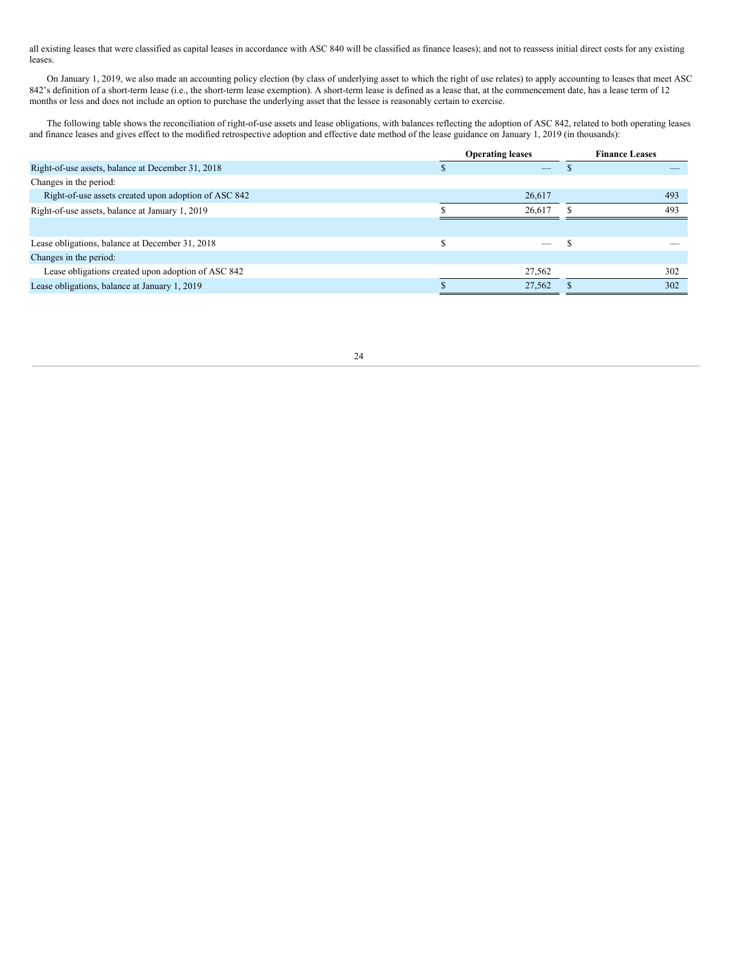all existing leases that were classified as capital leases in accordance with ASC 840 will be classified as finance leases); and not to reassess initial direct costs for any existing leases.

On January 1, 2019, we also made an accounting policy election (by class of underlying asset to which the right of use relates) to apply accounting to leases that meet ASC 842's definition of a short-term lease (i.e., the short-term lease exemption). A short-term lease is defined as a lease that, at the commencement date, has a lease term of 12 months or less and does not include an option to purchase the underlying asset that the lessee is reasonably certain to exercise.

The following table shows the reconciliation of right-of-use assets and lease obligations, with balances reflecting the adoption of ASC 842, related to both operating leases and finance leases and gives effect to the modified retrospective adoption and effective date method of the lease guidance on January 1, 2019 (in thousands):

|                                                      | <b>Operating leases</b>  | <b>Finance Leases</b> |     |  |
|------------------------------------------------------|--------------------------|-----------------------|-----|--|
| Right-of-use assets, balance at December 31, 2018    | _                        |                       |     |  |
| Changes in the period:                               |                          |                       |     |  |
| Right-of-use assets created upon adoption of ASC 842 | 26,617                   |                       | 493 |  |
| Right-of-use assets, balance at January 1, 2019      | 26,617                   |                       | 493 |  |
|                                                      |                          |                       |     |  |
| Lease obligations, balance at December 31, 2018      | $\overline{\phantom{a}}$ |                       |     |  |
| Changes in the period:                               |                          |                       |     |  |
| Lease obligations created upon adoption of ASC 842   | 27,562                   |                       | 302 |  |
| Lease obligations, balance at January 1, 2019        | 27,562                   |                       | 302 |  |

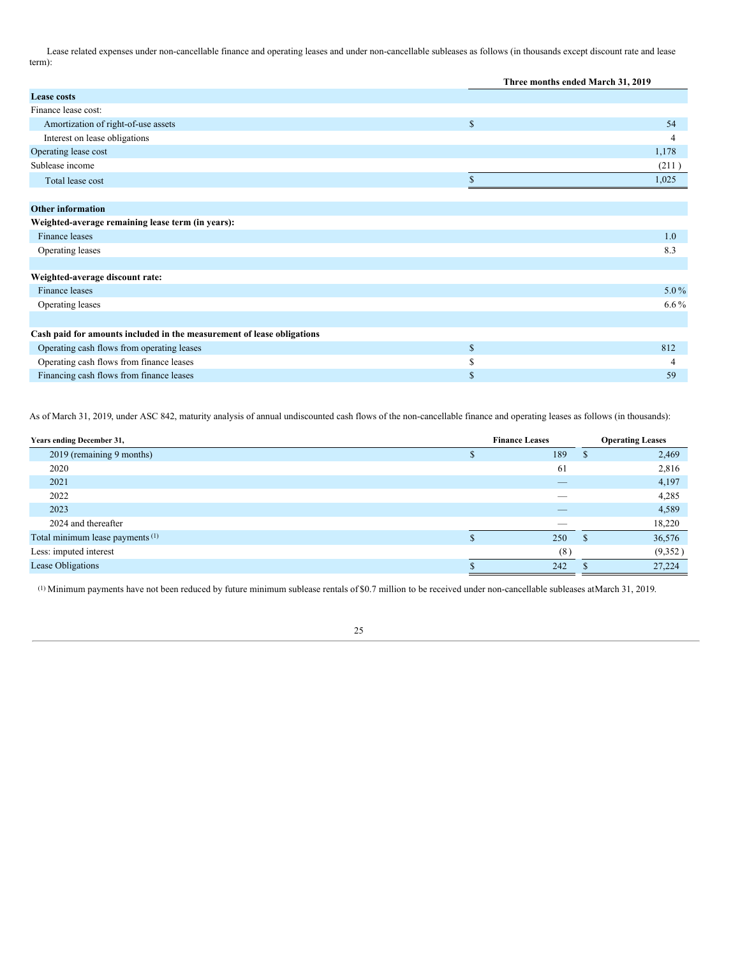Lease related expenses under non-cancellable finance and operating leases and under non-cancellable subleases as follows (in thousands except discount rate and lease term):

|                                                                        |              | Three months ended March 31, 2019 |
|------------------------------------------------------------------------|--------------|-----------------------------------|
| <b>Lease costs</b>                                                     |              |                                   |
| Finance lease cost:                                                    |              |                                   |
| Amortization of right-of-use assets                                    | $\mathbb{S}$ | 54                                |
| Interest on lease obligations                                          |              | 4                                 |
| Operating lease cost                                                   |              | 1,178                             |
| Sublease income                                                        |              | (211)                             |
| Total lease cost                                                       | $\mathbf S$  | 1,025                             |
| <b>Other information</b>                                               |              |                                   |
| Weighted-average remaining lease term (in years):                      |              |                                   |
| Finance leases                                                         |              | 1.0                               |
| Operating leases                                                       |              | 8.3                               |
| Weighted-average discount rate:                                        |              |                                   |
| Finance leases                                                         |              | 5.0%                              |
| Operating leases                                                       |              | $6.6\%$                           |
| Cash paid for amounts included in the measurement of lease obligations |              |                                   |
| Operating cash flows from operating leases                             | \$           | 812                               |
|                                                                        |              |                                   |
| Operating cash flows from finance leases                               | S            | 4                                 |
| Financing cash flows from finance leases                               | \$           | 59                                |

As of March 31, 2019, under ASC 842, maturity analysis of annual undiscounted cash flows of the non-cancellable finance and operating leases as follows (in thousands):

| <b>Years ending December 31,</b> | <b>Finance Leases</b> | <b>Operating Leases</b> |
|----------------------------------|-----------------------|-------------------------|
| 2019 (remaining 9 months)        | 189                   | 2,469                   |
| 2020                             | 61                    | 2,816                   |
| 2021                             | $-$                   | 4,197                   |
| 2022                             | _                     | 4,285                   |
| 2023                             | _                     | 4,589                   |
| 2024 and thereafter              | _                     | 18,220                  |
| Total minimum lease payments (1) | 250                   | 36,576                  |
| Less: imputed interest           | (8)                   | (9,352)                 |
| Lease Obligations                | 242                   | 27,224                  |

(1) Minimum payments have not been reduced by future minimum sublease rentals of \$0.7 million to be received under non-cancellable subleases atMarch 31, 2019.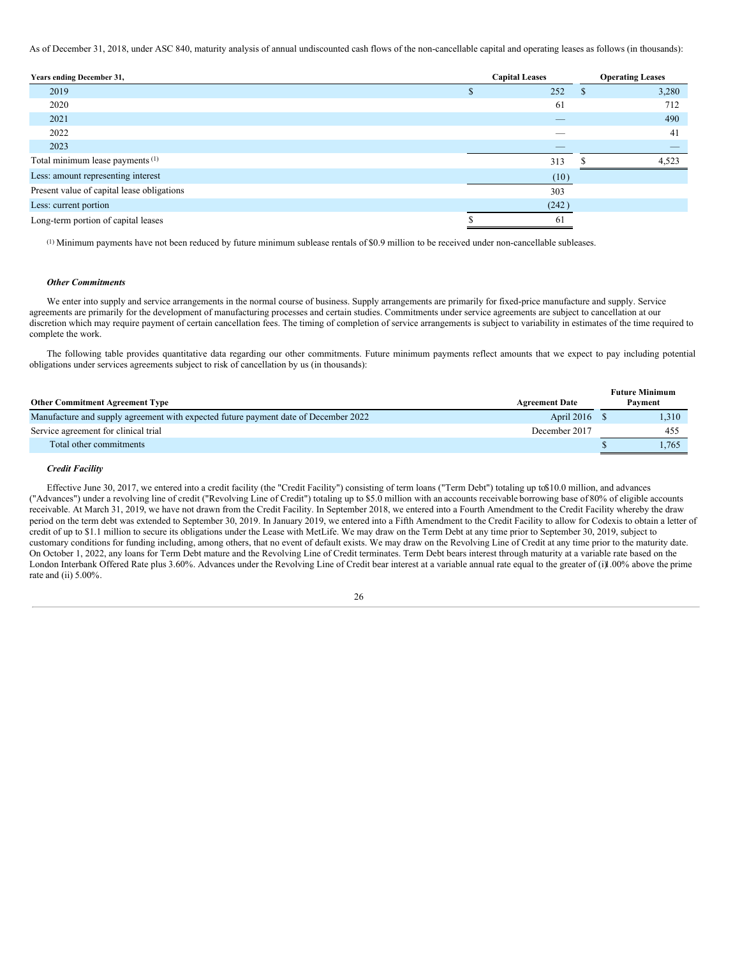As of December 31, 2018, under ASC 840, maturity analysis of annual undiscounted cash flows of the non-cancellable capital and operating leases as follows (in thousands):

| <b>Years ending December 31,</b>            | <b>Capital Leases</b> | <b>Operating Leases</b> |       |  |
|---------------------------------------------|-----------------------|-------------------------|-------|--|
| 2019                                        | 252                   |                         | 3,280 |  |
| 2020                                        | 61                    |                         | 712   |  |
| 2021                                        |                       |                         | 490   |  |
| 2022                                        | _                     |                         | 41    |  |
| 2023                                        | _                     |                         |       |  |
| Total minimum lease payments <sup>(1)</sup> | 313                   |                         | 4,523 |  |
| Less: amount representing interest          | (10)                  |                         |       |  |
| Present value of capital lease obligations  | 303                   |                         |       |  |
| Less: current portion                       | (242)                 |                         |       |  |
| Long-term portion of capital leases         | 61                    |                         |       |  |

(1) Minimum payments have not been reduced by future minimum sublease rentals of \$0.9 million to be received under non-cancellable subleases.

#### *Other Commitments*

We enter into supply and service arrangements in the normal course of business. Supply arrangements are primarily for fixed-price manufacture and supply. Service agreements are primarily for the development of manufacturing processes and certain studies. Commitments under service agreements are subject to cancellation at our discretion which may require payment of certain cancellation fees. The timing of completion of service arrangements is subject to variability in estimates of the time required to complete the work.

The following table provides quantitative data regarding our other commitments. Future minimum payments reflect amounts that we expect to pay including potential obligations under services agreements subject to risk of cancellation by us (in thousands):

| <b>Other Commitment Agreement Type</b>                                              | <b>Agreement Date</b> | <b>Future Minimum</b><br>Payment |
|-------------------------------------------------------------------------------------|-----------------------|----------------------------------|
| Manufacture and supply agreement with expected future payment date of December 2022 | April 2016            | 1.310                            |
| Service agreement for clinical trial                                                | December 2017         | 455                              |
| Total other commitments                                                             |                       | 1.765                            |

#### *Credit Facility*

Effective June 30, 2017, we entered into a credit facility (the "Credit Facility") consisting of term loans ("Term Debt") totaling up to\$10.0 million, and advances ("Advances") under a revolving line of credit ("Revolving Line of Credit") totaling up to \$5.0 million with an accounts receivable borrowing base of 80% of eligible accounts receivable. At March 31, 2019, we have not drawn from the Credit Facility. In September 2018, we entered into a Fourth Amendment to the Credit Facility whereby the draw period on the term debt was extended to September 30, 2019. In January 2019, we entered into a Fifth Amendment to the Credit Facility to allow for Codexis to obtain a letter of credit of up to \$1.1 million to secure its obligations under the Lease with MetLife. We may draw on the Term Debt at any time prior to September 30, 2019, subject to customary conditions for funding including, among others, that no event of default exists. We may draw on the Revolving Line of Credit at any time prior to the maturity date. On October 1, 2022, any loans for Term Debt mature and the Revolving Line of Credit terminates. Term Debt bears interest through maturity at a variable rate based on the London Interbank Offered Rate plus 3.60%. Advances under the Revolving Line of Credit bear interest at a variable annual rate equal to the greater of (i)1.00% above the prime rate and (ii) 5.00%.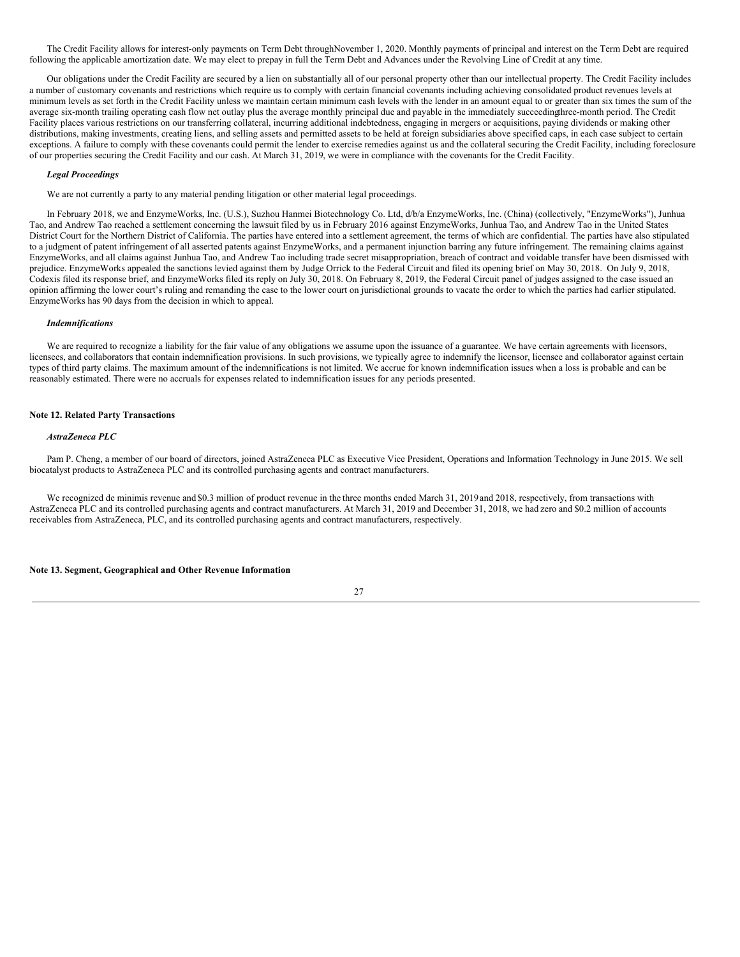The Credit Facility allows for interest-only payments on Term Debt throughNovember 1, 2020. Monthly payments of principal and interest on the Term Debt are required following the applicable amortization date. We may elect to prepay in full the Term Debt and Advances under the Revolving Line of Credit at any time.

Our obligations under the Credit Facility are secured by a lien on substantially all of our personal property other than our intellectual property. The Credit Facility includes a number of customary covenants and restrictions which require us to comply with certain financial covenants including achieving consolidated product revenues levels at minimum levels as set forth in the Credit Facility unless we maintain certain minimum cash levels with the lender in an amount equal to or greater than six times the sum of the average six-month trailing operating cash flow net outlay plus the average monthly principal due and payable in the immediately succeedingthree-month period. The Credit Facility places various restrictions on our transferring collateral, incurring additional indebtedness, engaging in mergers or acquisitions, paying dividends or making other distributions, making investments, creating liens, and selling assets and permitted assets to be held at foreign subsidiaries above specified caps, in each case subject to certain exceptions. A failure to comply with these covenants could permit the lender to exercise remedies against us and the collateral securing the Credit Facility, including foreclosure of our properties securing the Credit Facility and our cash. At March 31, 2019, we were in compliance with the covenants for the Credit Facility.

#### *Legal Proceedings*

We are not currently a party to any material pending litigation or other material legal proceedings.

In February 2018, we and EnzymeWorks, Inc. (U.S.), Suzhou Hanmei Biotechnology Co. Ltd, d/b/a EnzymeWorks, Inc. (China) (collectively, "EnzymeWorks"), Junhua Tao, and Andrew Tao reached a settlement concerning the lawsuit filed by us in February 2016 against EnzymeWorks, Junhua Tao, and Andrew Tao in the United States District Court for the Northern District of California. The parties have entered into a settlement agreement, the terms of which are confidential. The parties have also stipulated to a judgment of patent infringement of all asserted patents against EnzymeWorks, and a permanent injunction barring any future infringement. The remaining claims against EnzymeWorks, and all claims against Junhua Tao, and Andrew Tao including trade secret misappropriation, breach of contract and voidable transfer have been dismissed with prejudice. EnzymeWorks appealed the sanctions levied against them by Judge Orrick to the Federal Circuit and filed its opening brief on May 30, 2018. On July 9, 2018, Codexis filed its response brief, and EnzymeWorks filed its reply on July 30, 2018. On February 8, 2019, the Federal Circuit panel of judges assigned to the case issued an opinion affirming the lower court's ruling and remanding the case to the lower court on jurisdictional grounds to vacate the order to which the parties had earlier stipulated. EnzymeWorks has 90 days from the decision in which to appeal.

#### *Indemnifications*

We are required to recognize a liability for the fair value of any obligations we assume upon the issuance of a guarantee. We have certain agreements with licensors, licensees, and collaborators that contain indemnification provisions. In such provisions, we typically agree to indemnify the licensor, licensee and collaborator against certain types of third party claims. The maximum amount of the indemnifications is not limited. We accrue for known indemnification issues when a loss is probable and can be reasonably estimated. There were no accruals for expenses related to indemnification issues for any periods presented.

#### **Note 12. Related Party Transactions**

### *AstraZeneca PLC*

Pam P. Cheng, a member of our board of directors, joined AstraZeneca PLC as Executive Vice President, Operations and Information Technology in June 2015. We sell biocatalyst products to AstraZeneca PLC and its controlled purchasing agents and contract manufacturers.

We recognized de minimis revenue and \$0.3 million of product revenue in the three months ended March 31, 2019 and 2018, respectively, from transactions with AstraZeneca PLC and its controlled purchasing agents and contract manufacturers. At March 31, 2019 and December 31, 2018, we had zero and \$0.2 million of accounts receivables from AstraZeneca, PLC, and its controlled purchasing agents and contract manufacturers, respectively.

## **Note 13. Segment, Geographical and Other Revenue Information**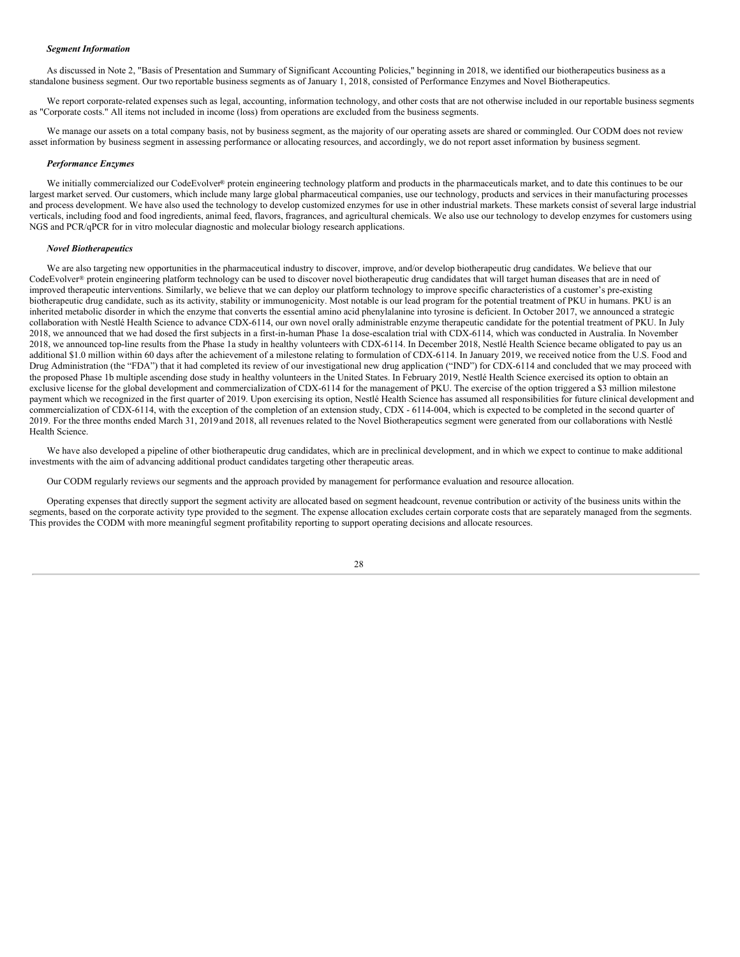#### *Segment Information*

As discussed in Note 2, "Basis of Presentation and Summary of Significant Accounting Policies," beginning in 2018, we identified our biotherapeutics business as a standalone business segment. Our two reportable business segments as of January 1, 2018, consisted of Performance Enzymes and Novel Biotherapeutics.

We report corporate-related expenses such as legal, accounting, information technology, and other costs that are not otherwise included in our reportable business segments as "Corporate costs." All items not included in income (loss) from operations are excluded from the business segments.

We manage our assets on a total company basis, not by business segment, as the majority of our operating assets are shared or commingled. Our CODM does not review asset information by business segment in assessing performance or allocating resources, and accordingly, we do not report asset information by business segment.

#### *Performance Enzymes*

We initially commercialized our CodeEvolver® protein engineering technology platform and products in the pharmaceuticals market, and to date this continues to be our largest market served. Our customers, which include many large global pharmaceutical companies, use our technology, products and services in their manufacturing processes and process development. We have also used the technology to develop customized enzymes for use in other industrial markets. These markets consist of several large industrial verticals, including food and food ingredients, animal feed, flavors, fragrances, and agricultural chemicals. We also use our technology to develop enzymes for customers using NGS and PCR/qPCR for in vitro molecular diagnostic and molecular biology research applications.

#### *Novel Biotherapeutics*

We are also targeting new opportunities in the pharmaceutical industry to discover, improve, and/or develop biotherapeutic drug candidates. We believe that our CodeEvolver® protein engineering platform technology can be used to discover novel biotherapeutic drug candidates that will target human diseases that are in need of improved therapeutic interventions. Similarly, we believe that we can deploy our platform technology to improve specific characteristics of a customer's pre-existing biotherapeutic drug candidate, such as its activity, stability or immunogenicity. Most notable is our lead program for the potential treatment of PKU in humans. PKU is an inherited metabolic disorder in which the enzyme that converts the essential amino acid phenylalanine into tyrosine is deficient. In October 2017, we announced a strategic collaboration with Nestlé Health Science to advance CDX-6114, our own novel orally administrable enzyme therapeutic candidate for the potential treatment of PKU. In July 2018, we announced that we had dosed the first subjects in a first-in-human Phase 1a dose-escalation trial with CDX-6114, which was conducted in Australia. In November 2018, we announced top-line results from the Phase 1a study in healthy volunteers with CDX-6114. In December 2018, Nestlé Health Science became obligated to pay us an additional \$1.0 million within 60 days after the achievement of a milestone relating to formulation of CDX-6114. In January 2019, we received notice from the U.S. Food and Drug Administration (the "FDA") that it had completed its review of our investigational new drug application ("IND") for CDX-6114 and concluded that we may proceed with the proposed Phase 1b multiple ascending dose study in healthy volunteers in the United States. In February 2019, Nestlé Health Science exercised its option to obtain an exclusive license for the global development and commercialization of CDX-6114 for the management of PKU. The exercise of the option triggered a \$3 million milestone payment which we recognized in the first quarter of 2019. Upon exercising its option, Nestlé Health Science has assumed all responsibilities for future clinical development and commercialization of CDX-6114, with the exception of the completion of an extension study, CDX - 6114-004, which is expected to be completed in the second quarter of 2019. For the three months ended March 31, 2019 and 2018, all revenues related to the Novel Biotherapeutics segment were generated from our collaborations with Nestlé Health Science.

We have also developed a pipeline of other biotherapeutic drug candidates, which are in preclinical development, and in which we expect to continue to make additional investments with the aim of advancing additional product candidates targeting other therapeutic areas.

Our CODM regularly reviews our segments and the approach provided by management for performance evaluation and resource allocation.

Operating expenses that directly support the segment activity are allocated based on segment headcount, revenue contribution or activity of the business units within the segments, based on the corporate activity type provided to the segment. The expense allocation excludes certain corporate costs that are separately managed from the segments. This provides the CODM with more meaningful segment profitability reporting to support operating decisions and allocate resources.

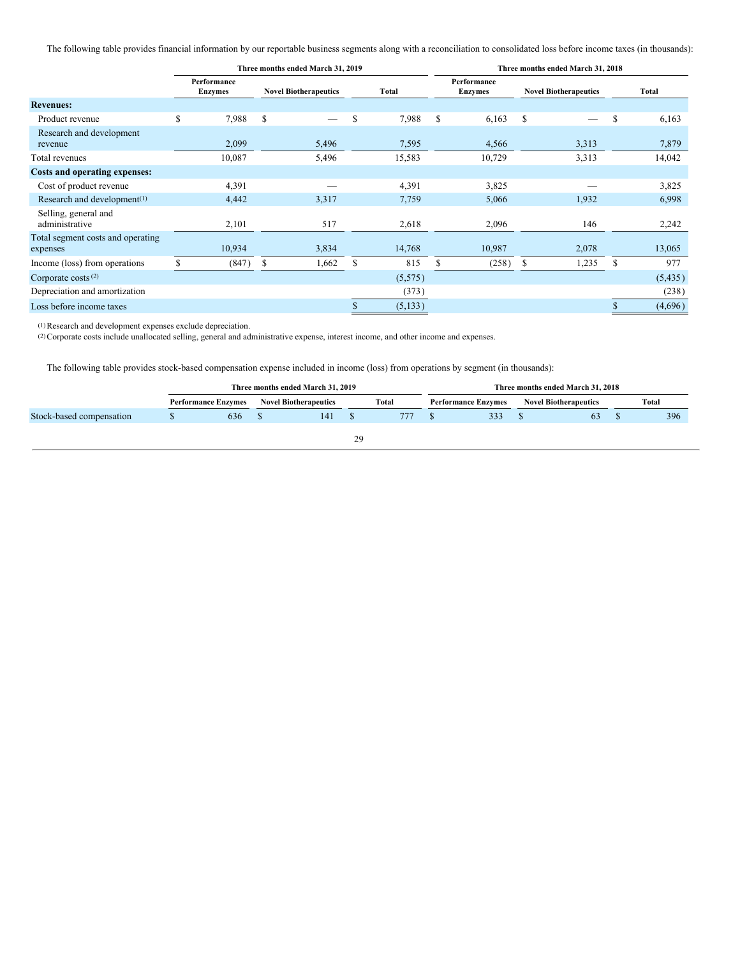The following table provides financial information by our reportable business segments along with a reconciliation to consolidated loss before income taxes (in thousands):

|                                               | Three months ended March 31, 2019 |        |               |                              |              |          | Three months ended March 31, 2018 |                               |   |                              |    |          |  |  |  |       |
|-----------------------------------------------|-----------------------------------|--------|---------------|------------------------------|--------------|----------|-----------------------------------|-------------------------------|---|------------------------------|----|----------|--|--|--|-------|
|                                               | Performance<br><b>Enzymes</b>     |        |               | <b>Novel Biotherapeutics</b> |              | Total    |                                   | Performance<br><b>Enzymes</b> |   | <b>Novel Biotherapeutics</b> |    |          |  |  |  | Total |
| <b>Revenues:</b>                              |                                   |        |               |                              |              |          |                                   |                               |   |                              |    |          |  |  |  |       |
| Product revenue                               | S                                 | 7,988  | <sup>\$</sup> |                              | S            | 7,988    | S                                 | 6,163                         | S |                              | S  | 6,163    |  |  |  |       |
| Research and development<br>revenue           |                                   | 2,099  |               | 5,496                        |              | 7,595    |                                   | 4,566                         |   | 3,313                        |    | 7,879    |  |  |  |       |
| Total revenues                                |                                   | 10,087 |               | 5,496                        |              | 15,583   |                                   | 10,729                        |   | 3,313                        |    | 14,042   |  |  |  |       |
| Costs and operating expenses:                 |                                   |        |               |                              |              |          |                                   |                               |   |                              |    |          |  |  |  |       |
| Cost of product revenue                       |                                   | 4,391  |               |                              |              | 4,391    |                                   | 3,825                         |   |                              |    | 3,825    |  |  |  |       |
| Research and development <sup>(1)</sup>       |                                   | 4,442  |               | 3,317                        |              | 7,759    |                                   | 5,066                         |   | 1,932                        |    | 6,998    |  |  |  |       |
| Selling, general and<br>administrative        |                                   | 2,101  |               | 517                          |              | 2,618    |                                   | 2,096                         |   | 146                          |    | 2,242    |  |  |  |       |
| Total segment costs and operating<br>expenses |                                   | 10,934 |               | 3,834                        |              | 14,768   |                                   | 10,987                        |   | 2,078                        |    | 13,065   |  |  |  |       |
| Income (loss) from operations                 | S                                 | (847)  | <sup>\$</sup> | 1,662                        | S.           | 815      | S                                 | (258)                         | S | 1,235                        | S  | 977      |  |  |  |       |
| Corporate costs $(2)$                         |                                   |        |               |                              |              | (5,575)  |                                   |                               |   |                              |    | (5, 435) |  |  |  |       |
| Depreciation and amortization                 |                                   |        |               |                              |              | (373)    |                                   |                               |   |                              |    | (238)    |  |  |  |       |
| Loss before income taxes                      |                                   |        |               |                              | $\mathbf{r}$ | (5, 133) |                                   |                               |   |                              | \$ | (4,696)  |  |  |  |       |

(1)Research and development expenses exclude depreciation.

(2)Corporate costs include unallocated selling, general and administrative expense, interest income, and other income and expenses.

The following table provides stock-based compensation expense included in income (loss) from operations by segment (in thousands):

|                          | Three months ended March 31, 2019 |                            |  |                              |    |     |  |       | Three months ended March 31, 2018 |                            |  |                              |  |       |
|--------------------------|-----------------------------------|----------------------------|--|------------------------------|----|-----|--|-------|-----------------------------------|----------------------------|--|------------------------------|--|-------|
|                          |                                   | <b>Performance Enzymes</b> |  | <b>Novel Biotherapeutics</b> |    |     |  | Total |                                   | <b>Performance Enzymes</b> |  | <b>Novel Biotherapeutics</b> |  | Total |
| Stock-based compensation |                                   | 636                        |  | 141                          |    | 777 |  | 333   |                                   | 63                         |  | 396                          |  |       |
|                          |                                   |                            |  |                              | 29 |     |  |       |                                   |                            |  |                              |  |       |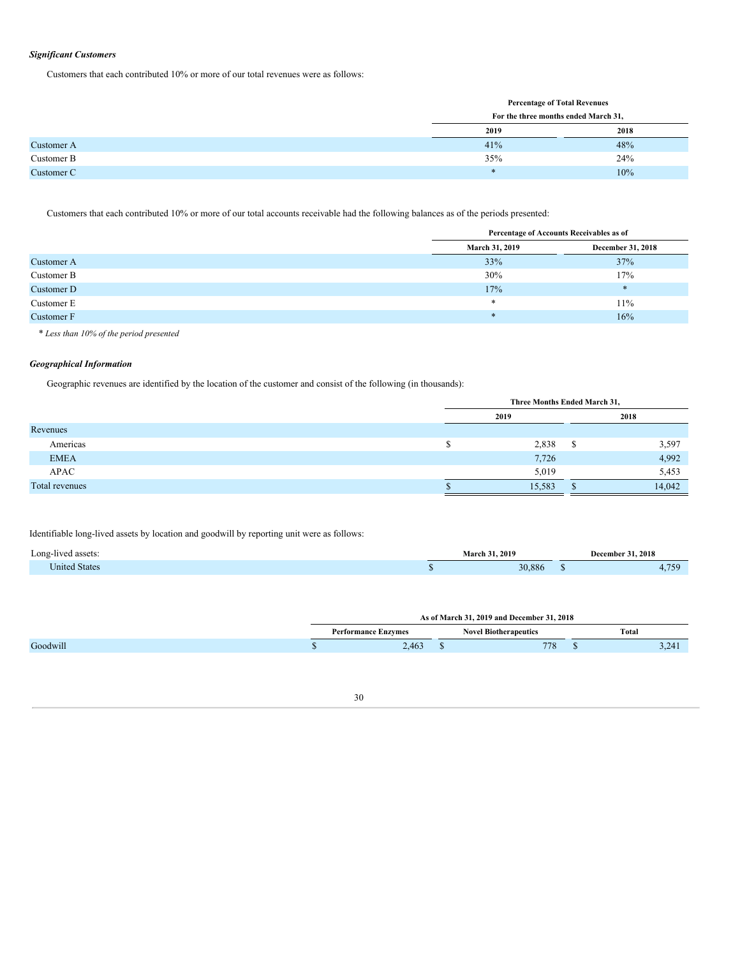## *Significant Customers*

Customers that each contributed 10% or more of our total revenues were as follows:

|            |                                      | <b>Percentage of Total Revenues</b> |  |  |  |  |
|------------|--------------------------------------|-------------------------------------|--|--|--|--|
|            | For the three months ended March 31, |                                     |  |  |  |  |
|            | 2019                                 | 2018                                |  |  |  |  |
| Customer A | 41%                                  | 48%                                 |  |  |  |  |
| Customer B | 35%                                  | 24%                                 |  |  |  |  |
| Customer C | *                                    | 10%                                 |  |  |  |  |

Customers that each contributed 10% or more of our total accounts receivable had the following balances as of the periods presented:

|            | Percentage of Accounts Receivables as of |                   |  |  |
|------------|------------------------------------------|-------------------|--|--|
|            | March 31, 2019                           | December 31, 2018 |  |  |
| Customer A | 33%                                      | 37%               |  |  |
| Customer B | 30%                                      | 17%               |  |  |
| Customer D | 17%                                      | $*$               |  |  |
| Customer E | *                                        | 11%               |  |  |
| Customer F | $\ast$                                   | 16%               |  |  |

*\* Less than 10% of the period presented*

## *Geographical Information*

Geographic revenues are identified by the location of the customer and consist of the following (in thousands):

|                | Three Months Ended March 31, |      |        |  |  |  |
|----------------|------------------------------|------|--------|--|--|--|
|                | 2019                         |      | 2018   |  |  |  |
| Revenues       |                              |      |        |  |  |  |
| Americas       | 2,838                        | - \$ | 3,597  |  |  |  |
| <b>EMEA</b>    | 7,726                        |      | 4,992  |  |  |  |
| APAC           | 5,019                        |      | 5,453  |  |  |  |
| Total revenues | 15,583                       |      | 14,042 |  |  |  |

Identifiable long-lived assets by location and goodwill by reporting unit were as follows:

| Long-lived assets:   | March 31, 2019 |        |  | December 31, 2018                    |
|----------------------|----------------|--------|--|--------------------------------------|
| <b>United States</b> |                | 30.886 |  | 750<br>$\mathcal{L}$ , $\mathcal{L}$ |

|          | As of March 31, 2019 and December 31, 2018                 |  |     |       |       |  |  |
|----------|------------------------------------------------------------|--|-----|-------|-------|--|--|
|          | <b>Novel Biotherapeutics</b><br><b>Performance Enzymes</b> |  |     | Total |       |  |  |
| Goodwill | 2,463                                                      |  | 778 |       | 3,241 |  |  |

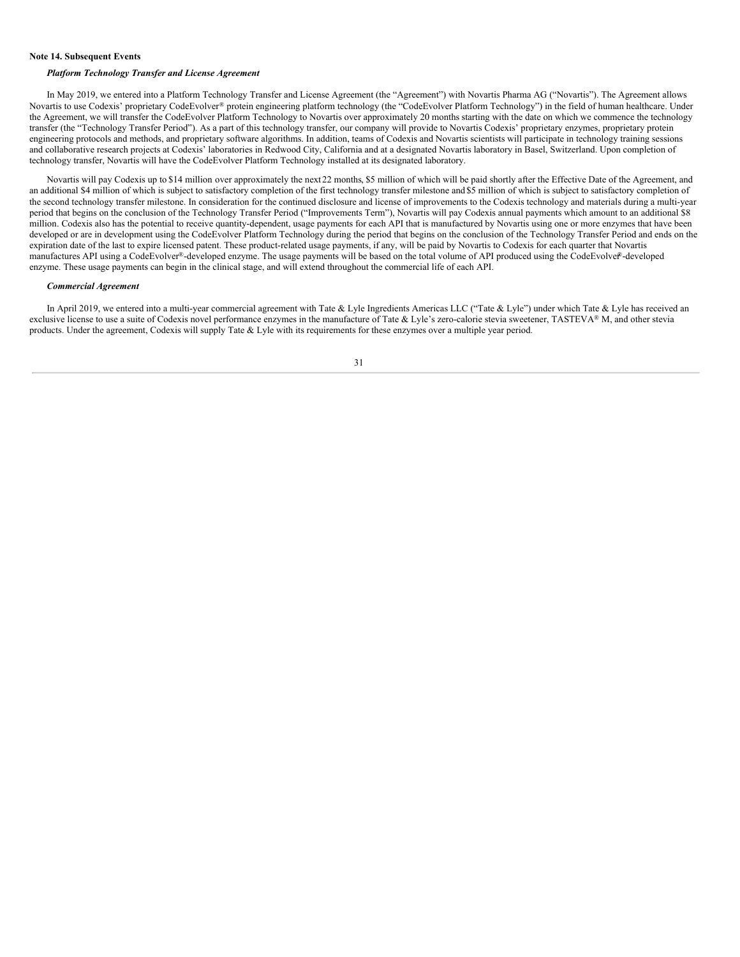#### **Note 14. Subsequent Events**

## *Platform Technology Transfer and License Agreement*

In May 2019, we entered into a Platform Technology Transfer and License Agreement (the "Agreement") with Novartis Pharma AG ("Novartis"). The Agreement allows Novartis to use Codexis' proprietary CodeEvolver® protein engineering platform technology (the "CodeEvolver Platform Technology") in the field of human healthcare. Under the Agreement, we will transfer the CodeEvolver Platform Technology to Novartis over approximately 20 months starting with the date on which we commence the technology transfer (the "Technology Transfer Period"). As a part of this technology transfer, our company will provide to Novartis Codexis' proprietary enzymes, proprietary protein engineering protocols and methods, and proprietary software algorithms. In addition, teams of Codexis and Novartis scientists will participate in technology training sessions and collaborative research projects at Codexis' laboratories in Redwood City, California and at a designated Novartis laboratory in Basel, Switzerland. Upon completion of technology transfer, Novartis will have the CodeEvolver Platform Technology installed at its designated laboratory.

Novartis will pay Codexis up to \$14 million over approximately the next 22 months, \$5 million of which will be paid shortly after the Effective Date of the Agreement, and an additional \$4 million of which is subject to satisfactory completion of the first technology transfer milestone and \$5 million of which is subject to satisfactory completion of the second technology transfer milestone. In consideration for the continued disclosure and license of improvements to the Codexis technology and materials during a multi-year period that begins on the conclusion of the Technology Transfer Period ("Improvements Term"), Novartis will pay Codexis annual payments which amount to an additional \$8 million. Codexis also has the potential to receive quantity-dependent, usage payments for each API that is manufactured by Novartis using one or more enzymes that have been developed or are in development using the CodeEvolver Platform Technology during the period that begins on the conclusion of the Technology Transfer Period and ends on the expiration date of the last to expire licensed patent. These product-related usage payments, if any, will be paid by Novartis to Codexis for each quarter that Novartis manufactures API using a CodeEvolver®-developed enzyme. The usage payments will be based on the total volume of API produced using the CodeEvolver®-developed enzyme. These usage payments can begin in the clinical stage, and will extend throughout the commercial life of each API.

### *Commercial Agreement*

In April 2019, we entered into a multi-year commercial agreement with Tate & Lyle Ingredients Americas LLC ("Tate & Lyle") under which Tate & Lyle has received an exclusive license to use a suite of Codexis novel performance enzymes in the manufacture of Tate & Lyle's zero-calorie stevia sweetener, TASTEVA® M, and other stevia products. Under the agreement, Codexis will supply Tate & Lyle with its requirements for these enzymes over a multiple year period.

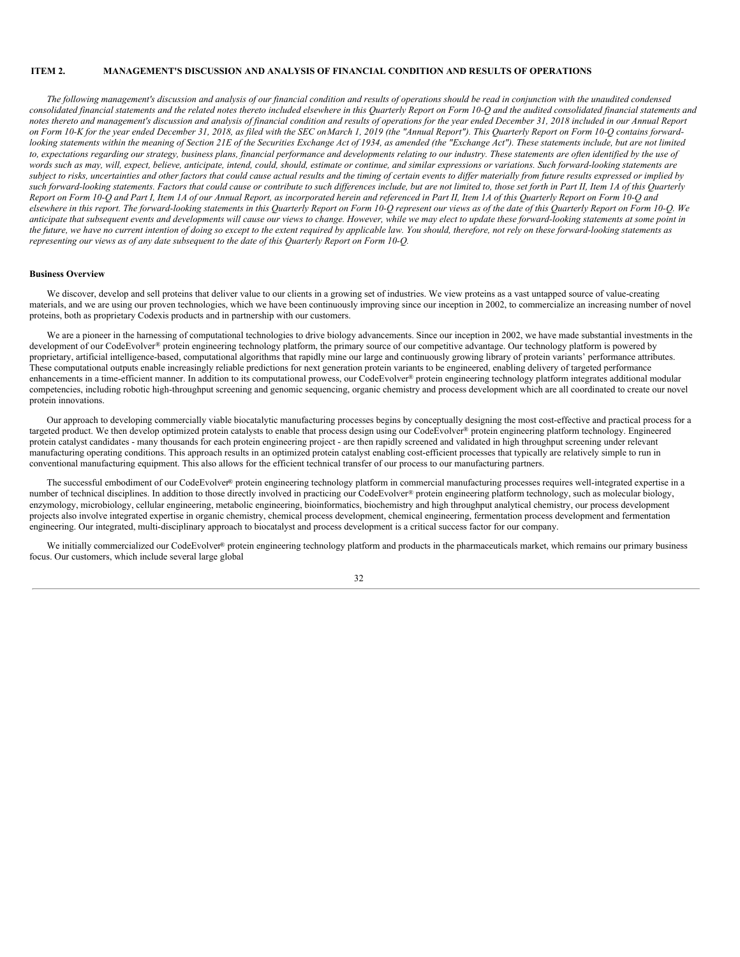## <span id="page-31-0"></span>**ITEM 2. MANAGEMENT'S DISCUSSION AND ANALYSIS OF FINANCIAL CONDITION AND RESULTS OF OPERATIONS**

The following management's discussion and analysis of our financial condition and results of operations should be read in conjunction with the unaudited condensed consolidated financial statements and the related notes thereto included elsewhere in this Quarterly Report on Form 10-Q and the audited consolidated financial statements and notes thereto and management's discussion and analysis of financial condition and results of operations for the year ended December 31, 2018 included in our Annual Report on Form 10-K for the year ended December 31, 2018, as filed with the SEC on March 1, 2019 (the "Annual Report"). This Quarterly Report on Form 10-Q contains forwardlooking statements within the meaning of Section 21E of the Securities Exchange Act of 1934, as amended (the "Exchange Act"). These statements include, but are not limited to, expectations regarding our strategy, business plans, financial performance and developments relating to our industry. These statements are often identified by the use of words such as may, will, expect, believe, anticipate, intend, could, should, estimate or continue, and similar expressions or variations. Such forward-looking statements are subject to risks, uncertainties and other factors that could cause actual results and the timing of certain events to differ materially from future results expressed or implied by such forward-looking statements. Factors that could cause or contribute to such differences include, but are not limited to, those set forth in Part II, Item 1A of this Quarterly Report on Form 10-O and Part I, Item 1A of our Annual Report, as incorporated herein and referenced in Part II, Item 1A of this Quarterly Report on Form 10-O and elsewhere in this report. The forward-looking statements in this Quarterly Report on Form 10-Q represent our views as of the date of this Quarterly Report on Form 10-Q. We anticipate that subsequent events and developments will cause our views to change. However, while we may elect to update these forward-looking statements at some point in the future, we have no current intention of doing so except to the extent required by applicable law. You should, therefore, not rely on these forward-looking statements as representing our views as of any date subsequent to the date of this Quarterly Report on Form 10-Q.

## **Business Overview**

We discover, develop and sell proteins that deliver value to our clients in a growing set of industries. We view proteins as a vast untapped source of value-creating materials, and we are using our proven technologies, which we have been continuously improving since our inception in 2002, to commercialize an increasing number of novel proteins, both as proprietary Codexis products and in partnership with our customers.

We are a pioneer in the harnessing of computational technologies to drive biology advancements. Since our inception in 2002, we have made substantial investments in the development of our CodeEvolver® protein engineering technology platform, the primary source of our competitive advantage. Our technology platform is powered by proprietary, artificial intelligence-based, computational algorithms that rapidly mine our large and continuously growing library of protein variants' performance attributes. These computational outputs enable increasingly reliable predictions for next generation protein variants to be engineered, enabling delivery of targeted performance enhancements in a time-efficient manner. In addition to its computational prowess, our CodeEvolver® protein engineering technology platform integrates additional modular competencies, including robotic high-throughput screening and genomic sequencing, organic chemistry and process development which are all coordinated to create our novel protein innovations.

Our approach to developing commercially viable biocatalytic manufacturing processes begins by conceptually designing the most cost-effective and practical process for a targeted product. We then develop optimized protein catalysts to enable that process design using our CodeEvolver® protein engineering platform technology. Engineered protein catalyst candidates - many thousands for each protein engineering project - are then rapidly screened and validated in high throughput screening under relevant manufacturing operating conditions. This approach results in an optimized protein catalyst enabling cost-efficient processes that typically are relatively simple to run in conventional manufacturing equipment. This also allows for the efficient technical transfer of our process to our manufacturing partners.

The successful embodiment of our CodeEvolver<sup>®</sup> protein engineering technology platform in commercial manufacturing processes requires well-integrated expertise in a number of technical disciplines. In addition to those directly involved in practicing our CodeEvolver® protein engineering platform technology, such as molecular biology, enzymology, microbiology, cellular engineering, metabolic engineering, bioinformatics, biochemistry and high throughput analytical chemistry, our process development projects also involve integrated expertise in organic chemistry, chemical process development, chemical engineering, fermentation process development and fermentation engineering. Our integrated, multi-disciplinary approach to biocatalyst and process development is a critical success factor for our company.

We initially commercialized our CodeEvolver<sup>®</sup> protein engineering technology platform and products in the pharmaceuticals market, which remains our primary business focus. Our customers, which include several large global

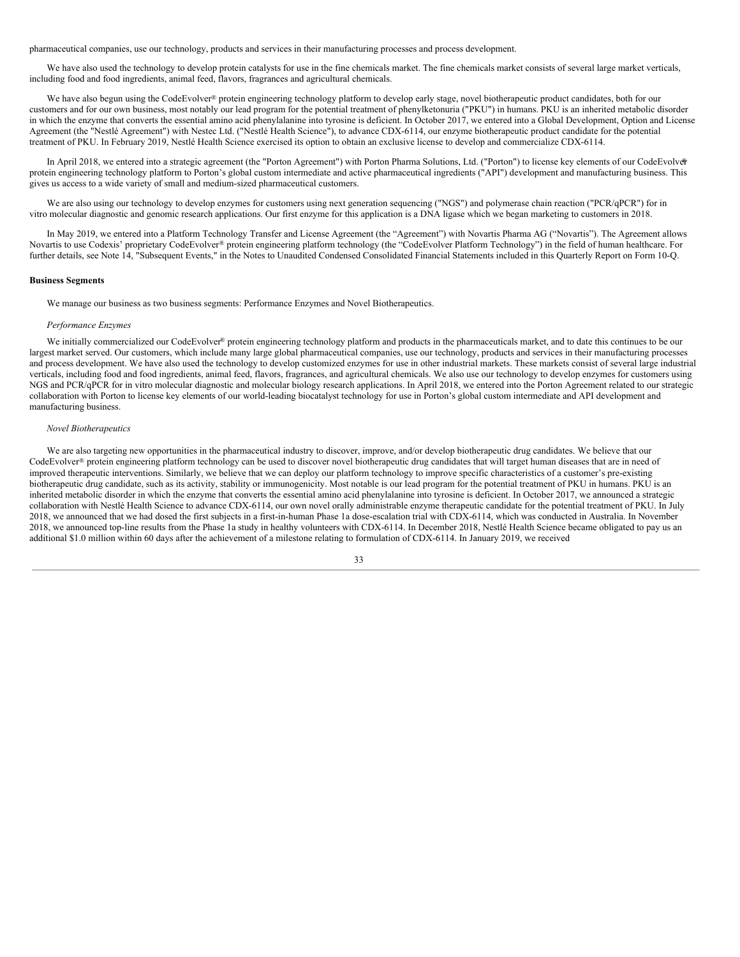pharmaceutical companies, use our technology, products and services in their manufacturing processes and process development.

We have also used the technology to develop protein catalysts for use in the fine chemicals market. The fine chemicals market consists of several large market verticals, including food and food ingredients, animal feed, flavors, fragrances and agricultural chemicals.

We have also begun using the CodeEvolver® protein engineering technology platform to develop early stage, novel biotherapeutic product candidates, both for our customers and for our own business, most notably our lead program for the potential treatment of phenylketonuria ("PKU") in humans. PKU is an inherited metabolic disorder in which the enzyme that converts the essential amino acid phenylalanine into tyrosine is deficient. In October 2017, we entered into a Global Development, Option and License Agreement (the "Nestlé Agreement") with Nestec Ltd. ("Nestlé Health Science"), to advance CDX-6114, our enzyme biotherapeutic product candidate for the potential treatment of PKU. In February 2019, Nestlé Health Science exercised its option to obtain an exclusive license to develop and commercialize CDX-6114.

In April 2018, we entered into a strategic agreement (the "Porton Agreement") with Porton Pharma Solutions, Ltd. ("Porton") to license key elements of our CodeEvolver protein engineering technology platform to Porton's global custom intermediate and active pharmaceutical ingredients ("API") development and manufacturing business. This gives us access to a wide variety of small and medium-sized pharmaceutical customers.

We are also using our technology to develop enzymes for customers using next generation sequencing ("NGS") and polymerase chain reaction ("PCR/qPCR") for in vitro molecular diagnostic and genomic research applications. Our first enzyme for this application is a DNA ligase which we began marketing to customers in 2018.

In May 2019, we entered into a Platform Technology Transfer and License Agreement (the "Agreement") with Novartis Pharma AG ("Novartis"). The Agreement allows Novartis to use Codexis' proprietary CodeEvolver® protein engineering platform technology (the "CodeEvolver Platform Technology") in the field of human healthcare. For further details, see Note 14, "Subsequent Events," in the Notes to Unaudited Condensed Consolidated Financial Statements included in this Quarterly Report on Form 10-Q.

#### **Business Segments**

We manage our business as two business segments: Performance Enzymes and Novel Biotherapeutics.

#### *Performance Enzymes*

We initially commercialized our CodeEvolver<sup>®</sup> protein engineering technology platform and products in the pharmaceuticals market, and to date this continues to be our largest market served. Our customers, which include many large global pharmaceutical companies, use our technology, products and services in their manufacturing processes and process development. We have also used the technology to develop customized enzymes for use in other industrial markets. These markets consist of several large industrial verticals, including food and food ingredients, animal feed, flavors, fragrances, and agricultural chemicals. We also use our technology to develop enzymes for customers using NGS and PCR/qPCR for in vitro molecular diagnostic and molecular biology research applications. In April 2018, we entered into the Porton Agreement related to our strategic collaboration with Porton to license key elements of our world-leading biocatalyst technology for use in Porton's global custom intermediate and API development and manufacturing business.

### *Novel Biotherapeutics*

We are also targeting new opportunities in the pharmaceutical industry to discover, improve, and/or develop biotherapeutic drug candidates. We believe that our CodeEvolver® protein engineering platform technology can be used to discover novel biotherapeutic drug candidates that will target human diseases that are in need of improved therapeutic interventions. Similarly, we believe that we can deploy our platform technology to improve specific characteristics of a customer's pre-existing biotherapeutic drug candidate, such as its activity, stability or immunogenicity. Most notable is our lead program for the potential treatment of PKU in humans. PKU is an inherited metabolic disorder in which the enzyme that converts the essential amino acid phenylalanine into tyrosine is deficient. In October 2017, we announced a strategic collaboration with Nestlé Health Science to advance CDX-6114, our own novel orally administrable enzyme therapeutic candidate for the potential treatment of PKU. In July 2018, we announced that we had dosed the first subjects in a first-in-human Phase 1a dose-escalation trial with CDX-6114, which was conducted in Australia. In November 2018, we announced top-line results from the Phase 1a study in healthy volunteers with CDX-6114. In December 2018, Nestlé Health Science became obligated to pay us an additional \$1.0 million within 60 days after the achievement of a milestone relating to formulation of CDX-6114. In January 2019, we received

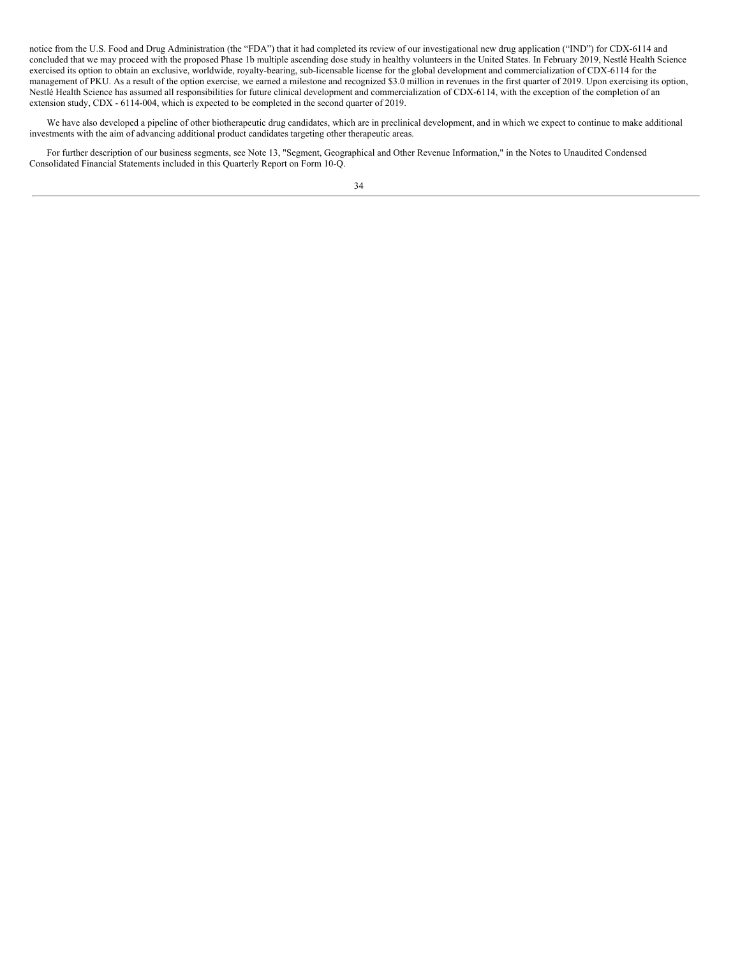notice from the U.S. Food and Drug Administration (the "FDA") that it had completed its review of our investigational new drug application ("IND") for CDX-6114 and concluded that we may proceed with the proposed Phase 1b multiple ascending dose study in healthy volunteers in the United States. In February 2019, Nestlé Health Science exercised its option to obtain an exclusive, worldwide, royalty-bearing, sub-licensable license for the global development and commercialization of CDX-6114 for the management of PKU. As a result of the option exercise, we earned a milestone and recognized \$3.0 million in revenues in the first quarter of 2019. Upon exercising its option, Nestlé Health Science has assumed all responsibilities for future clinical development and commercialization of CDX-6114, with the exception of the completion of an extension study, CDX - 6114-004, which is expected to be completed in the second quarter of 2019.

We have also developed a pipeline of other biotherapeutic drug candidates, which are in preclinical development, and in which we expect to continue to make additional investments with the aim of advancing additional product candidates targeting other therapeutic areas.

For further description of our business segments, see Note 13, "Segment, Geographical and Other Revenue Information," in the Notes to Unaudited Condensed Consolidated Financial Statements included in this Quarterly Report on Form 10-Q.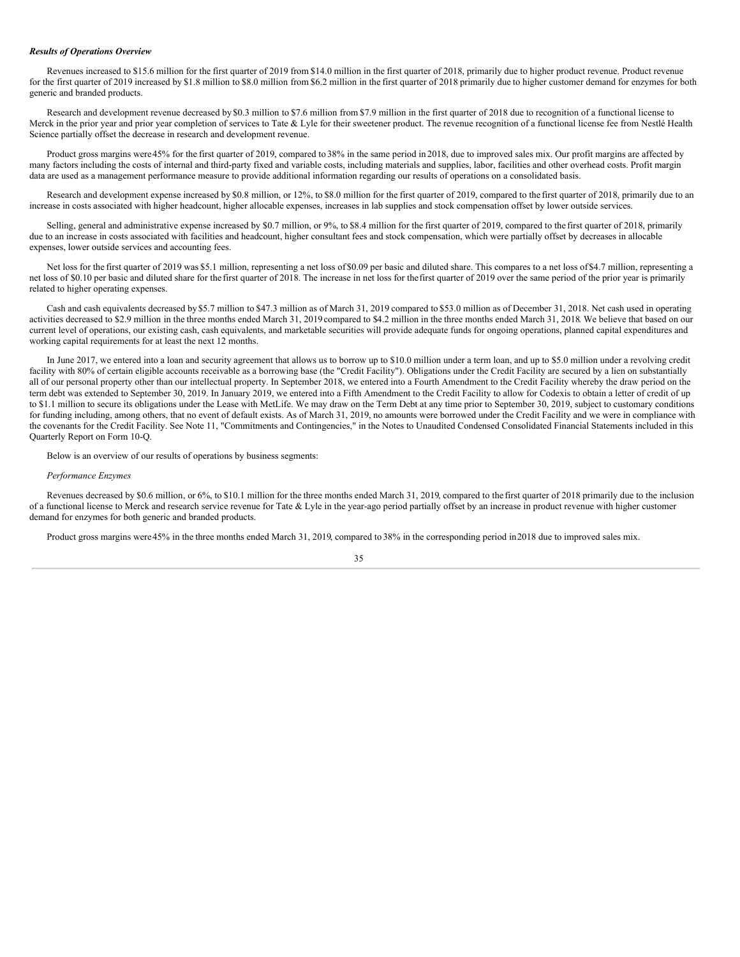#### *Results of Operations Overview*

Revenues increased to \$15.6 million for the first quarter of 2019 from \$14.0 million in the first quarter of 2018, primarily due to higher product revenue. Product revenue for the first quarter of 2019 increased by \$1.8 million to \$8.0 million from \$6.2 million in the first quarter of 2018 primarily due to higher customer demand for enzymes for both generic and branded products.

Research and development revenue decreased by \$0.3 million to \$7.6 million from \$7.9 million in the first quarter of 2018 due to recognition of a functional license to Merck in the prior year and prior year completion of services to Tate & Lyle for their sweetener product. The revenue recognition of a functional license fee from Nestlé Health Science partially offset the decrease in research and development revenue.

Product gross margins were 45% for the first quarter of 2019, compared to 38% in the same period in 2018, due to improved sales mix. Our profit margins are affected by many factors including the costs of internal and third-party fixed and variable costs, including materials and supplies, labor, facilities and other overhead costs. Profit margin data are used as a management performance measure to provide additional information regarding our results of operations on a consolidated basis.

Research and development expense increased by \$0.8 million, or 12%, to \$8.0 million for the first quarter of 2019, compared to the first quarter of 2018, primarily due to an increase in costs associated with higher headcount, higher allocable expenses, increases in lab supplies and stock compensation offset by lower outside services.

Selling, general and administrative expense increased by \$0.7 million, or 9%, to \$8.4 million for the first quarter of 2019, compared to the first quarter of 2018, primarily due to an increase in costs associated with facilities and headcount, higher consultant fees and stock compensation, which were partially offset by decreases in allocable expenses, lower outside services and accounting fees.

Net loss for the first quarter of 2019 was \$5.1 million, representing a net loss of \$0.09 per basic and diluted share. This compares to a net loss of\$4.7 million, representing a net loss of \$0.10 per basic and diluted share for the first quarter of 2018. The increase in net loss for thefirst quarter of 2019 over the same period of the prior year is primarily related to higher operating expenses.

Cash and cash equivalents decreased by \$5.7 million to \$47.3 million as of March 31, 2019 compared to \$53.0 million as of December 31, 2018. Net cash used in operating activities decreased to \$2.9 million in the three months ended March 31, 2019 compared to \$4.2 million in the three months ended March 31, 2018. We believe that based on our current level of operations, our existing cash, cash equivalents, and marketable securities will provide adequate funds for ongoing operations, planned capital expenditures and working capital requirements for at least the next 12 months.

In June 2017, we entered into a loan and security agreement that allows us to borrow up to \$10.0 million under a term loan, and up to \$5.0 million under a revolving credit facility with 80% of certain eligible accounts receivable as a borrowing base (the "Credit Facility"). Obligations under the Credit Facility are secured by a lien on substantially all of our personal property other than our intellectual property. In September 2018, we entered into a Fourth Amendment to the Credit Facility whereby the draw period on the term debt was extended to September 30, 2019. In January 2019, we entered into a Fifth Amendment to the Credit Facility to allow for Codexis to obtain a letter of credit of up to \$1.1 million to secure its obligations under the Lease with MetLife. We may draw on the Term Debt at any time prior to September 30, 2019, subject to customary conditions for funding including, among others, that no event of default exists. As of March 31, 2019, no amounts were borrowed under the Credit Facility and we were in compliance with the covenants for the Credit Facility. See Note 11, "Commitments and Contingencies," in the Notes to Unaudited Condensed Consolidated Financial Statements included in this Quarterly Report on Form 10-Q.

Below is an overview of our results of operations by business segments:

#### *Performance Enzymes*

Revenues decreased by \$0.6 million, or 6%, to \$10.1 million for the three months ended March 31, 2019, compared to the first quarter of 2018 primarily due to the inclusion of a functional license to Merck and research service revenue for Tate & Lyle in the year-ago period partially offset by an increase in product revenue with higher customer demand for enzymes for both generic and branded products.

Product gross margins were45% in the three months ended March 31, 2019, compared to 38% in the corresponding period in2018 due to improved sales mix.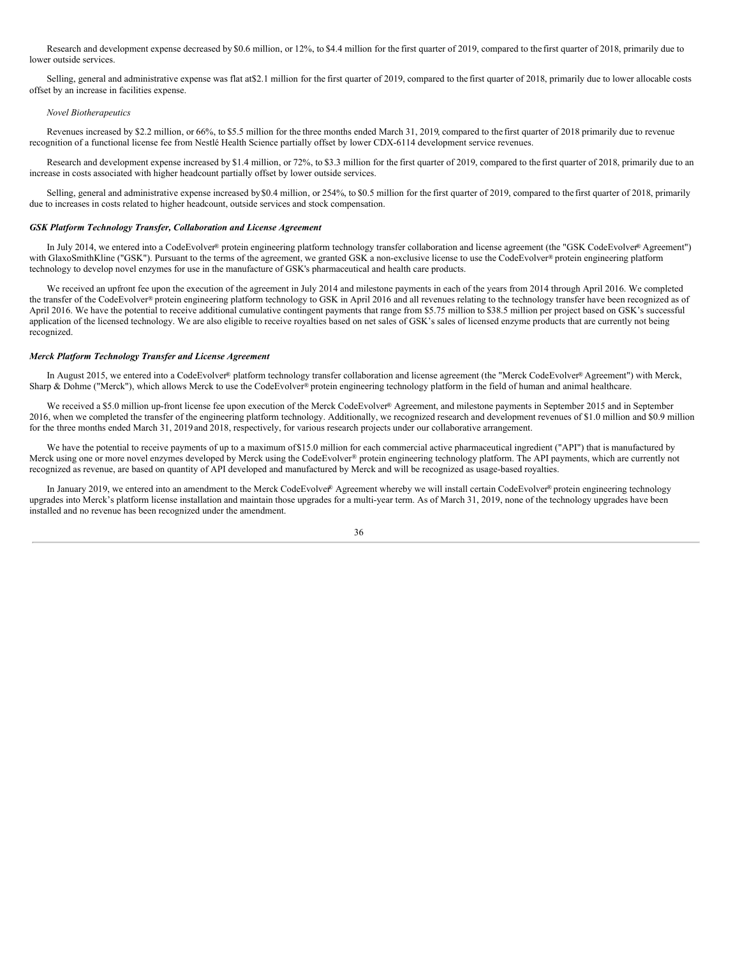Research and development expense decreased by \$0.6 million, or 12%, to \$4.4 million for the first quarter of 2019, compared to the first quarter of 2018, primarily due to lower outside services.

Selling, general and administrative expense was flat at\$2.1 million for the first quarter of 2019, compared to the first quarter of 2018, primarily due to lower allocable costs offset by an increase in facilities expense.

## *Novel Biotherapeutics*

Revenues increased by \$2.2 million, or 66%, to \$5.5 million for the three months ended March 31, 2019, compared to the first quarter of 2018 primarily due to revenue recognition of a functional license fee from Nestlé Health Science partially offset by lower CDX-6114 development service revenues.

Research and development expense increased by \$1.4 million, or 72%, to \$3.3 million for the first quarter of 2019, compared to the first quarter of 2018, primarily due to an increase in costs associated with higher headcount partially offset by lower outside services.

Selling, general and administrative expense increased by \$0.4 million, or 254%, to \$0.5 million for the first quarter of 2019, compared to the first quarter of 2018, primarily due to increases in costs related to higher headcount, outside services and stock compensation.

#### *GSK Platform Technology Transfer, Collaboration and License Agreement*

In July 2014, we entered into a CodeEvolver® protein engineering platform technology transfer collaboration and license agreement (the "GSK CodeEvolver® Agreement") with GlaxoSmithKline ("GSK"). Pursuant to the terms of the agreement, we granted GSK a non-exclusive license to use the CodeEvolver® protein engineering platform technology to develop novel enzymes for use in the manufacture of GSK's pharmaceutical and health care products.

We received an upfront fee upon the execution of the agreement in July 2014 and milestone payments in each of the years from 2014 through April 2016. We completed the transfer of the CodeEvolver® protein engineering platform technology to GSK in April 2016 and all revenues relating to the technology transfer have been recognized as of April 2016. We have the potential to receive additional cumulative contingent payments that range from \$5.75 million to \$38.5 million per project based on GSK's successful application of the licensed technology. We are also eligible to receive royalties based on net sales of GSK's sales of licensed enzyme products that are currently not being recognized.

## *Merck Platform Technology Transfer and License Agreement*

In August 2015, we entered into a CodeEvolver® platform technology transfer collaboration and license agreement (the "Merck CodeEvolver® Agreement") with Merck, Sharp & Dohme ("Merck"), which allows Merck to use the CodeEvolver® protein engineering technology platform in the field of human and animal healthcare.

We received a \$5.0 million up-front license fee upon execution of the Merck CodeEvolver® Agreement, and milestone payments in September 2015 and in September 2016, when we completed the transfer of the engineering platform technology. Additionally, we recognized research and development revenues of \$1.0 million and \$0.9 million for the three months ended March 31, 2019 and 2018, respectively, for various research projects under our collaborative arrangement.

We have the potential to receive payments of up to a maximum of \$15.0 million for each commercial active pharmaceutical ingredient ("API") that is manufactured by Merck using one or more novel enzymes developed by Merck using the CodeEvolver® protein engineering technology platform. The API payments, which are currently not recognized as revenue, are based on quantity of API developed and manufactured by Merck and will be recognized as usage-based royalties.

In January 2019, we entered into an amendment to the Merck CodeEvolver® Agreement whereby we will install certain CodeEvolver® protein engineering technology upgrades into Merck's platform license installation and maintain those upgrades for a multi-year term. As of March 31, 2019, none of the technology upgrades have been installed and no revenue has been recognized under the amendment.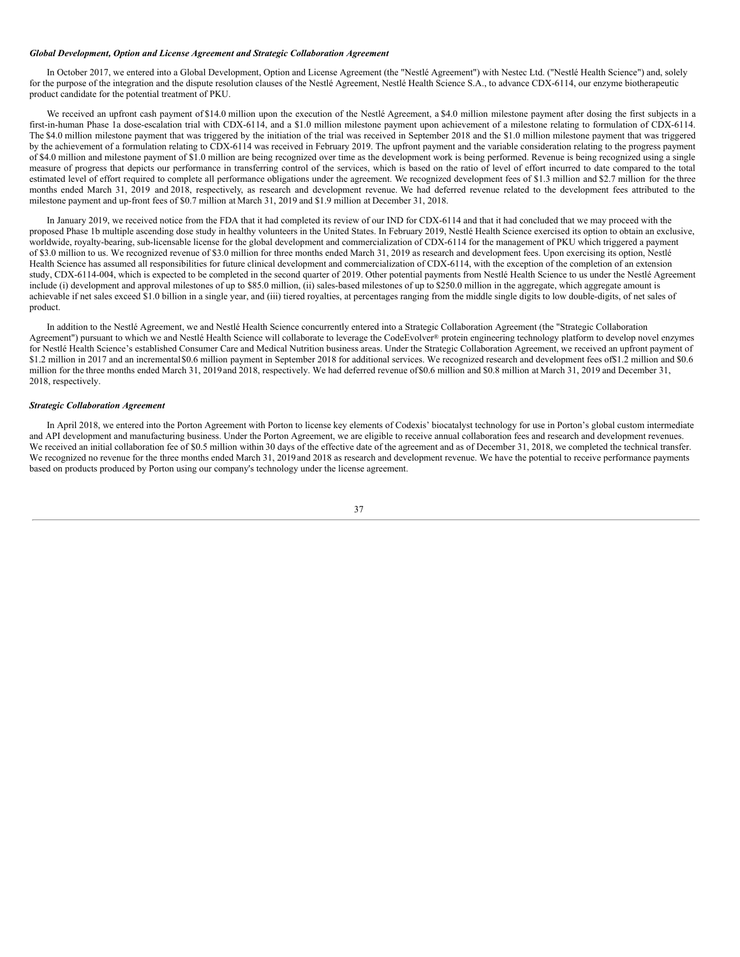#### *Global Development, Option and License Agreement and Strategic Collaboration Agreement*

In October 2017, we entered into a Global Development, Option and License Agreement (the "Nestlé Agreement") with Nestec Ltd. ("Nestlé Health Science") and, solely for the purpose of the integration and the dispute resolution clauses of the Nestlé Agreement, Nestlé Health Science S.A., to advance CDX-6114, our enzyme biotherapeutic product candidate for the potential treatment of PKU.

We received an upfront cash payment of \$14.0 million upon the execution of the Nestlé Agreement, a \$4.0 million milestone payment after dosing the first subjects in a first-in-human Phase 1a dose-escalation trial with CDX-6114, and a \$1.0 million milestone payment upon achievement of a milestone relating to formulation of CDX-6114. The \$4.0 million milestone payment that was triggered by the initiation of the trial was received in September 2018 and the \$1.0 million milestone payment that was triggered by the achievement of a formulation relating to CDX-6114 was received in February 2019. The upfront payment and the variable consideration relating to the progress payment of \$4.0 million and milestone payment of \$1.0 million are being recognized over time as the development work is being performed. Revenue is being recognized using a single measure of progress that depicts our performance in transferring control of the services, which is based on the ratio of level of effort incurred to date compared to the total estimated level of effort required to complete all performance obligations under the agreement. We recognized development fees of \$1.3 million and \$2.7 million for the three months ended March 31, 2019 and 2018, respectively, as research and development revenue. We had deferred revenue related to the development fees attributed to the milestone payment and up-front fees of \$0.7 million at March 31, 2019 and \$1.9 million at December 31, 2018.

In January 2019, we received notice from the FDA that it had completed its review of our IND for CDX-6114 and that it had concluded that we may proceed with the proposed Phase 1b multiple ascending dose study in healthy volunteers in the United States. In February 2019, Nestlé Health Science exercised its option to obtain an exclusive, worldwide, royalty-bearing, sub-licensable license for the global development and commercialization of CDX-6114 for the management of PKU which triggered a payment of \$3.0 million to us. We recognized revenue of \$3.0 million for three months ended March 31, 2019 as research and development fees. Upon exercising its option, Nestlé Health Science has assumed all responsibilities for future clinical development and commercialization of CDX-6114, with the exception of the completion of an extension study, CDX-6114-004, which is expected to be completed in the second quarter of 2019. Other potential payments from Nestlé Health Science to us under the Nestlé Agreement include (i) development and approval milestones of up to \$85.0 million, (ii) sales-based milestones of up to \$250.0 million in the aggregate, which aggregate amount is achievable if net sales exceed \$1.0 billion in a single year, and (iii) tiered royalties, at percentages ranging from the middle single digits to low double-digits, of net sales of product.

In addition to the Nestlé Agreement, we and Nestlé Health Science concurrently entered into a Strategic Collaboration Agreement (the "Strategic Collaboration Agreement") pursuant to which we and Nestlé Health Science will collaborate to leverage the CodeEvolver® protein engineering technology platform to develop novel enzymes for Nestlé Health Science's established Consumer Care and Medical Nutrition business areas. Under the Strategic Collaboration Agreement, we received an upfront payment of \$1.2 million in 2017 and an incremental\$0.6 million payment in September 2018 for additional services. We recognized research and development fees of\$1.2 million and \$0.6 million for the three months ended March 31, 2019 and 2018, respectively. We had deferred revenue of\$0.6 million and \$0.8 million at March 31, 2019 and December 31, 2018, respectively.

### *Strategic Collaboration Agreement*

In April 2018, we entered into the Porton Agreement with Porton to license key elements of Codexis' biocatalyst technology for use in Porton's global custom intermediate and API development and manufacturing business. Under the Porton Agreement, we are eligible to receive annual collaboration fees and research and development revenues. We received an initial collaboration fee of \$0.5 million within 30 days of the effective date of the agreement and as of December 31, 2018, we completed the technical transfer. We recognized no revenue for the three months ended March 31, 2019 and 2018 as research and development revenue. We have the potential to receive performance payments based on products produced by Porton using our company's technology under the license agreement.

37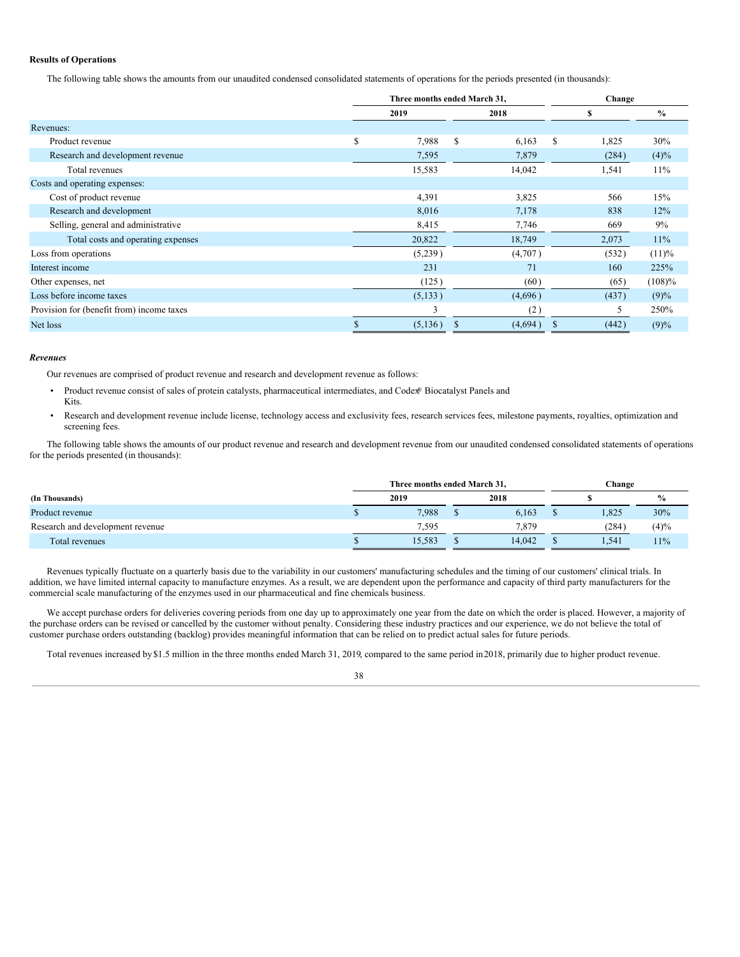## **Results of Operations**

The following table shows the amounts from our unaudited condensed consolidated statements of operations for the periods presented (in thousands):

|                                           | Three months ended March 31, |          |    |         | Change |       |               |  |
|-------------------------------------------|------------------------------|----------|----|---------|--------|-------|---------------|--|
|                                           |                              | 2019     |    | 2018    |        | S     | $\frac{0}{0}$ |  |
| Revenues:                                 |                              |          |    |         |        |       |               |  |
| Product revenue                           | \$                           | 7,988    | S. | 6,163   | S      | 1,825 | 30%           |  |
| Research and development revenue          |                              | 7,595    |    | 7,879   |        | (284) | $(4)\%$       |  |
| Total revenues                            |                              | 15,583   |    | 14,042  |        | 1,541 | 11%           |  |
| Costs and operating expenses:             |                              |          |    |         |        |       |               |  |
| Cost of product revenue                   |                              | 4,391    |    | 3,825   |        | 566   | 15%           |  |
| Research and development                  |                              | 8,016    |    | 7,178   |        | 838   | 12%           |  |
| Selling, general and administrative       |                              | 8,415    |    | 7,746   |        | 669   | 9%            |  |
| Total costs and operating expenses        |                              | 20,822   |    | 18,749  |        | 2,073 | 11%           |  |
| Loss from operations                      |                              | (5,239)  |    | (4,707) |        | (532) | (11)%         |  |
| Interest income                           |                              | 231      |    | 71      |        | 160   | 225%          |  |
| Other expenses, net                       |                              | (125)    |    | (60)    |        | (65)  | (108)%        |  |
| Loss before income taxes                  |                              | (5, 133) |    | (4,696) |        | (437) | $(9)\%$       |  |
| Provision for (benefit from) income taxes |                              | 3        |    | (2)     |        | 5     | 250%          |  |
| Net loss                                  |                              | (5, 136) |    | (4,694) |        | (442) | $(9)\%$       |  |

## *Revenues*

Our revenues are comprised of product revenue and research and development revenue as follows:

- Product revenue consist of sales of protein catalysts, pharmaceutical intermediates, and Codex® Biocatalyst Panels and Kits.
- Research and development revenue include license, technology access and exclusivity fees, research services fees, milestone payments, royalties, optimization and screening fees.

The following table shows the amounts of our product revenue and research and development revenue from our unaudited condensed consolidated statements of operations for the periods presented (in thousands):

|                                  |              |        | Three months ended March 31, |        |  |               |      |  |
|----------------------------------|--------------|--------|------------------------------|--------|--|---------------|------|--|
| (In Thousands)                   | 2019<br>2018 |        |                              |        |  | $\frac{6}{9}$ |      |  |
| Product revenue                  |              | 7,988  |                              | 6,163  |  | 1,825         | 30%  |  |
| Research and development revenue |              | 7.595  |                              | 7.879  |  | (284)         | (4)% |  |
| Total revenues                   |              | 15.583 |                              | 14.042 |  | 1,541         | 11%  |  |

Revenues typically fluctuate on a quarterly basis due to the variability in our customers' manufacturing schedules and the timing of our customers' clinical trials. In addition, we have limited internal capacity to manufacture enzymes. As a result, we are dependent upon the performance and capacity of third party manufacturers for the commercial scale manufacturing of the enzymes used in our pharmaceutical and fine chemicals business.

We accept purchase orders for deliveries covering periods from one day up to approximately one year from the date on which the order is placed. However, a majority of the purchase orders can be revised or cancelled by the customer without penalty. Considering these industry practices and our experience, we do not believe the total of customer purchase orders outstanding (backlog) provides meaningful information that can be relied on to predict actual sales for future periods.

Total revenues increased by \$1.5 million in the three months ended March 31, 2019, compared to the same period in2018, primarily due to higher product revenue.

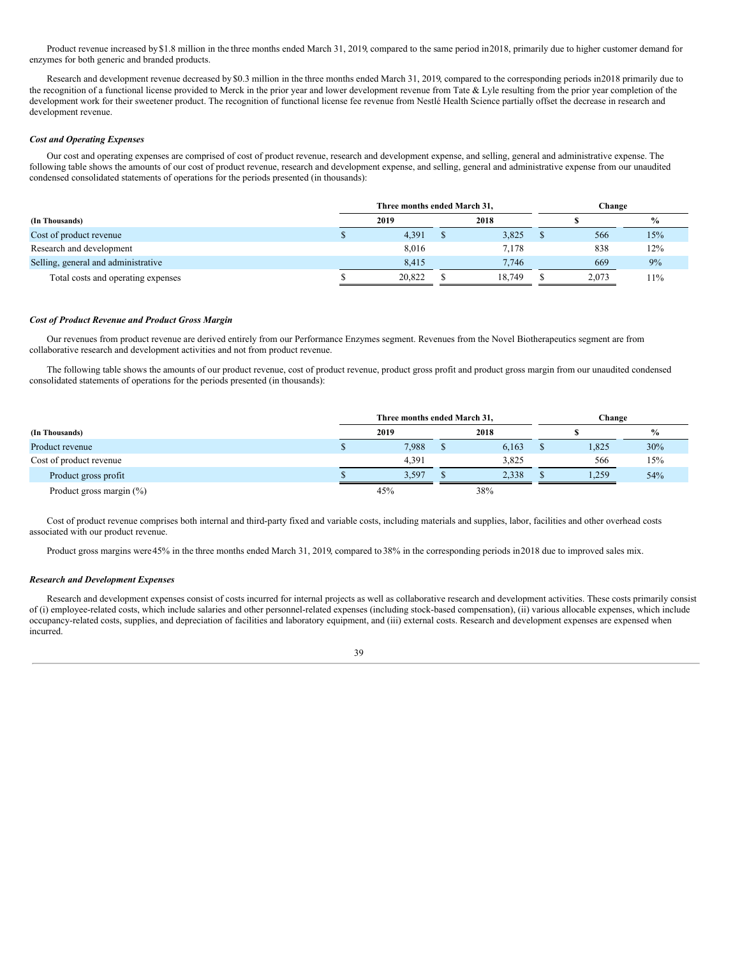Product revenue increased by \$1.8 million in the three months ended March 31, 2019, compared to the same period in2018, primarily due to higher customer demand for enzymes for both generic and branded products.

Research and development revenue decreased by \$0.3 million in the three months ended March 31, 2019, compared to the corresponding periods in2018 primarily due to the recognition of a functional license provided to Merck in the prior year and lower development revenue from Tate & Lyle resulting from the prior year completion of the development work for their sweetener product. The recognition of functional license fee revenue from Nestlé Health Science partially offset the decrease in research and development revenue.

### *Cost and Operating Expenses*

Our cost and operating expenses are comprised of cost of product revenue, research and development expense, and selling, general and administrative expense. The following table shows the amounts of our cost of product revenue, research and development expense, and selling, general and administrative expense from our unaudited condensed consolidated statements of operations for the periods presented (in thousands):

|                                     | Three months ended March 31. | Change |  |       |               |
|-------------------------------------|------------------------------|--------|--|-------|---------------|
| (In Thousands)                      | 2019                         | 2018   |  |       | $\frac{0}{0}$ |
| Cost of product revenue             | 4,391                        | 3,825  |  | 566   | 15%           |
| Research and development            | 8,016                        | 7,178  |  | 838   | 12%           |
| Selling, general and administrative | 8,415                        | 7.746  |  | 669   | 9%            |
| Total costs and operating expenses  | 20,822                       | 18.749 |  | 2,073 | 11%           |

### *Cost of Product Revenue and Product Gross Margin*

Our revenues from product revenue are derived entirely from our Performance Enzymes segment. Revenues from the Novel Biotherapeutics segment are from collaborative research and development activities and not from product revenue.

The following table shows the amounts of our product revenue, cost of product revenue, product gross profit and product gross margin from our unaudited condensed consolidated statements of operations for the periods presented (in thousands):

|                             | Three months ended March 31, |  |       |  |       |                |
|-----------------------------|------------------------------|--|-------|--|-------|----------------|
| (In Thousands)              | 2019                         |  | 2018  |  |       | $\frac{6}{10}$ |
| Product revenue             | 7,988                        |  | 6,163 |  | 1,825 | 30%            |
| Cost of product revenue     | 4,391                        |  | 3,825 |  | 566   | 15%            |
| Product gross profit        | 3.597                        |  | 2.338 |  | 1,259 | 54%            |
| Product gross margin $(\%)$ | 45%                          |  | 38%   |  |       |                |

Cost of product revenue comprises both internal and third-party fixed and variable costs, including materials and supplies, labor, facilities and other overhead costs associated with our product revenue.

Product gross margins were45% in the three months ended March 31, 2019, compared to 38% in the corresponding periods in2018 due to improved sales mix.

### *Research and Development Expenses*

Research and development expenses consist of costs incurred for internal projects as well as collaborative research and development activities. These costs primarily consist of (i) employee-related costs, which include salaries and other personnel-related expenses (including stock-based compensation), (ii) various allocable expenses, which include occupancy-related costs, supplies, and depreciation of facilities and laboratory equipment, and (iii) external costs. Research and development expenses are expensed when incurred.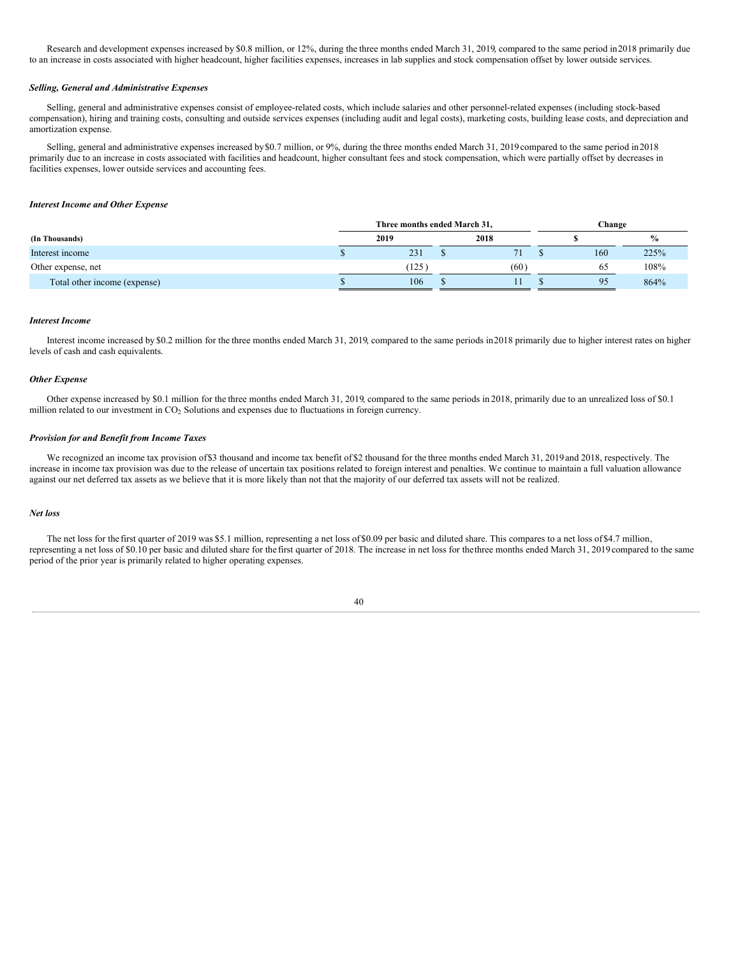Research and development expenses increased by \$0.8 million, or 12%, during the three months ended March 31, 2019, compared to the same period in2018 primarily due to an increase in costs associated with higher headcount, higher facilities expenses, increases in lab supplies and stock compensation offset by lower outside services.

### *Selling, General and Administrative Expenses*

Selling, general and administrative expenses consist of employee-related costs, which include salaries and other personnel-related expenses (including stock-based compensation), hiring and training costs, consulting and outside services expenses (including audit and legal costs), marketing costs, building lease costs, and depreciation and amortization expense.

Selling, general and administrative expenses increased by \$0.7 million, or 9%, during the three months ended March 31, 2019 compared to the same period in 2018 primarily due to an increase in costs associated with facilities and headcount, higher consultant fees and stock compensation, which were partially offset by decreases in facilities expenses, lower outside services and accounting fees.

### *Interest Income and Other Expense*

|                              |      |       | Three months ended March 31. | Change |  |     |               |
|------------------------------|------|-------|------------------------------|--------|--|-----|---------------|
| (In Thousands)               | 2019 |       |                              | 2018   |  |     | $\frac{0}{0}$ |
| Interest income              |      | 231   |                              | 71     |  | 160 | 225%          |
| Other expense, net           |      | (125) |                              | (60)   |  | 65  | 108%          |
| Total other income (expense) |      | 106   |                              |        |  | 95  | 864%          |

#### *Interest Income*

Interest income increased by \$0.2 million for the three months ended March 31, 2019, compared to the same periods in2018 primarily due to higher interest rates on higher levels of cash and cash equivalents.

#### *Other Expense*

Other expense increased by \$0.1 million for the three months ended March 31, 2019, compared to the same periods in 2018, primarily due to an unrealized loss of \$0.1 million related to our investment in CO<sub>2</sub> Solutions and expenses due to fluctuations in foreign currency.

#### *Provision for and Benefit from Income Taxes*

We recognized an income tax provision of \$3 thousand and income tax benefit of \$2 thousand for the three months ended March 31, 2019 and 2018, respectively. The increase in income tax provision was due to the release of uncertain tax positions related to foreign interest and penalties. We continue to maintain a full valuation allowance against our net deferred tax assets as we believe that it is more likely than not that the majority of our deferred tax assets will not be realized.

### *Net loss*

The net loss for the first quarter of 2019 was \$5.1 million, representing a net loss of \$0.09 per basic and diluted share. This compares to a net loss of\$4.7 million, representing a net loss of \$0.10 per basic and diluted share for the first quarter of 2018. The increase in net loss for thethree months ended March 31, 2019 compared to the same period of the prior year is primarily related to higher operating expenses.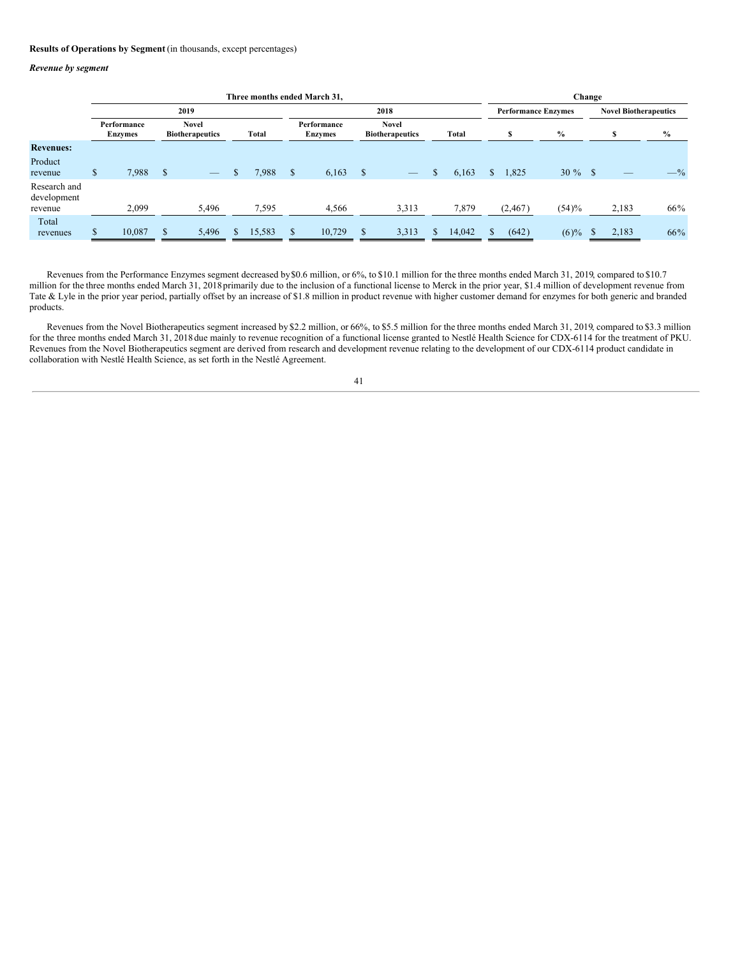### **Results of Operations by Segment** (in thousands, except percentages)

## *Revenue by segment*

|                             | Three months ended March 31, |                        |    |                                        |    |        |              |                               |          |                                        |              |        |                            |               | Change | <b>Novel Biotherapeutics</b><br>$\%$<br>s |       |  |  |
|-----------------------------|------------------------------|------------------------|----|----------------------------------------|----|--------|--------------|-------------------------------|----------|----------------------------------------|--------------|--------|----------------------------|---------------|--------|-------------------------------------------|-------|--|--|
|                             |                              |                        |    | 2019                                   |    |        |              |                               |          | 2018                                   |              |        | <b>Performance Enzymes</b> |               |        |                                           |       |  |  |
|                             |                              | Performance<br>Enzymes |    | <b>Novel</b><br><b>Biotherapeutics</b> |    | Total  |              | Performance<br><b>Enzymes</b> |          | <b>Novel</b><br><b>Biotherapeutics</b> |              | Total  | ъ                          | $\frac{0}{0}$ |        |                                           |       |  |  |
| <b>Revenues:</b>            |                              |                        |    |                                        |    |        |              |                               |          |                                        |              |        |                            |               |        |                                           |       |  |  |
| Product<br>revenue          | $\mathbb{S}$                 | 7,988                  | \$ |                                        | S  | 7,988  | $\mathbb{S}$ | 6,163                         | <b>S</b> |                                        | $\mathbb{S}$ | 6,163  | \$<br>1,825                | $30 \%$ \$    |        |                                           | $-$ % |  |  |
| Research and<br>development |                              |                        |    |                                        |    |        |              |                               |          |                                        |              |        |                            |               |        |                                           |       |  |  |
| revenue                     |                              | 2,099                  |    | 5,496                                  |    | 7,595  |              | 4,566                         |          | 3,313                                  |              | 7,879  | (2, 467)                   | (54)%         |        | 2,183                                     | 66%   |  |  |
| Total<br>revenues           |                              | 10.087                 |    | 5,496                                  | S. | 15,583 |              | 10.729                        |          | 3,313                                  | S.           | 14,042 | (642)                      | $(6)\%$       |        | 2,183                                     | 66%   |  |  |

Revenues from the Performance Enzymes segment decreased by \$0.6 million, or 6%, to \$10.1 million for the three months ended March 31, 2019, compared to \$10.7 million for the three months ended March 31, 2018 primarily due to the inclusion of a functional license to Merck in the prior year, \$1.4 million of development revenue from Tate & Lyle in the prior year period, partially offset by an increase of \$1.8 million in product revenue with higher customer demand for enzymes for both generic and branded products.

Revenues from the Novel Biotherapeutics segment increased by \$2.2 million, or 66%, to \$5.5 million for the three months ended March 31, 2019, compared to \$3.3 million for the three months ended March 31, 2018 due mainly to revenue recognition of a functional license granted to Nestlé Health Science for CDX-6114 for the treatment of PKU. Revenues from the Novel Biotherapeutics segment are derived from research and development revenue relating to the development of our CDX-6114 product candidate in collaboration with Nestlé Health Science, as set forth in the Nestlé Agreement.

### 41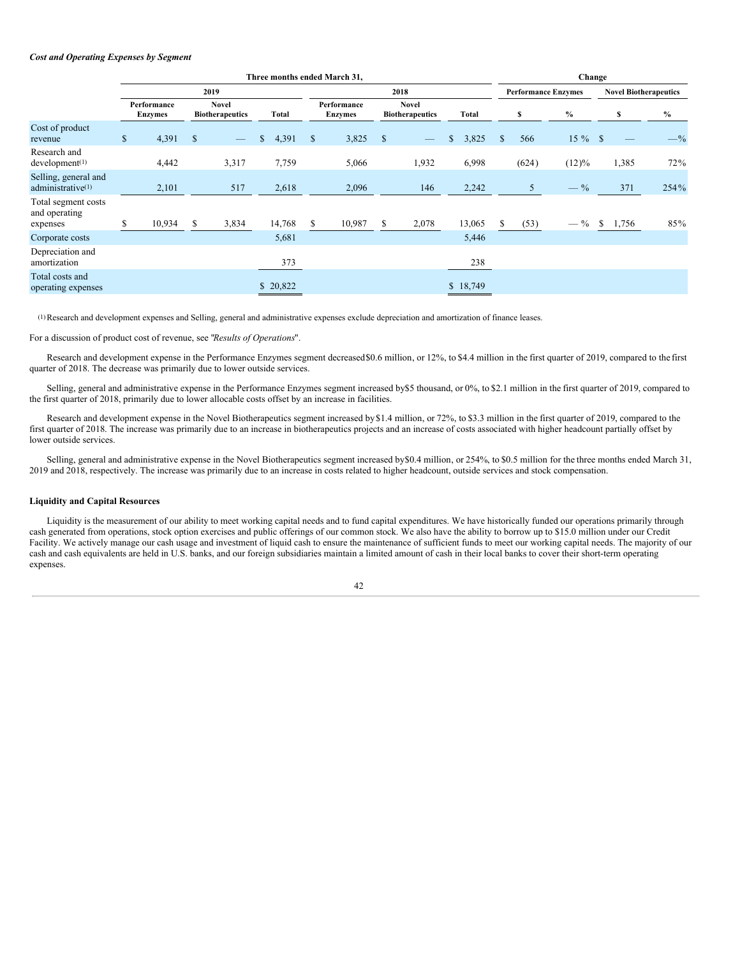## *Cost and Operating Expenses by Segment*

|                                                       |              |                        |               |                                        |              |    | Three months ended March 31,  |               |                                        |              |                            |                |               | Change     |                              |       |                 |
|-------------------------------------------------------|--------------|------------------------|---------------|----------------------------------------|--------------|----|-------------------------------|---------------|----------------------------------------|--------------|----------------------------|----------------|---------------|------------|------------------------------|-------|-----------------|
|                                                       |              |                        |               | 2019                                   |              |    |                               |               | 2018                                   |              | <b>Performance Enzymes</b> |                |               |            | <b>Novel Biotherapeutics</b> |       |                 |
|                                                       |              | Performance<br>Enzymes |               | <b>Novel</b><br><b>Biotherapeutics</b> | <b>Total</b> |    | Performance<br><b>Enzymes</b> |               | <b>Novel</b><br><b>Biotherapeutics</b> | <b>Total</b> |                            | S              | $\frac{6}{6}$ |            |                              | S     | $\%$            |
| Cost of product<br>revenue                            | $\mathbb{S}$ | 4,391                  | <sup>\$</sup> |                                        | \$<br>4,391  | \$ | 3,825                         | $\mathcal{S}$ |                                        | \$<br>3,825  | $\mathbf S$                | 566            |               | $15 \%$ \$ |                              |       | $- \frac{9}{6}$ |
| Research and<br>development <sup>(1)</sup>            |              | 4,442                  |               | 3,317                                  | 7,759        |    | 5,066                         |               | 1,932                                  | 6,998        |                            | (624)          |               | $(12)\%$   |                              | 1,385 | 72%             |
| Selling, general and<br>administrative <sup>(1)</sup> |              | 2,101                  |               | 517                                    | 2,618        |    | 2,096                         |               | 146                                    | 2,242        |                            | 5 <sup>5</sup> |               | $-$ %      |                              | 371   | 254%            |
| Total segment costs<br>and operating<br>expenses      | \$           | 10,934                 | S             | 3,834                                  | 14,768       | S  | 10,987                        | S             | 2,078                                  | 13,065       | S                          | (53)           |               | $-$ %      | \$                           | 1,756 | 85%             |
| Corporate costs                                       |              |                        |               |                                        | 5,681        |    |                               |               |                                        | 5,446        |                            |                |               |            |                              |       |                 |
| Depreciation and<br>amortization                      |              |                        |               |                                        | 373          |    |                               |               |                                        | 238          |                            |                |               |            |                              |       |                 |
| Total costs and<br>operating expenses                 |              |                        |               |                                        | \$ 20,822    |    |                               |               |                                        | \$18,749     |                            |                |               |            |                              |       |                 |

(1)Research and development expenses and Selling, general and administrative expenses exclude depreciation and amortization of finance leases.

For a discussion of product cost of revenue, see "*Results of Operations*".

Research and development expense in the Performance Enzymes segment decreased \$0.6 million, or 12%, to \$4.4 million in the first quarter of 2019, compared to the first quarter of 2018. The decrease was primarily due to lower outside services.

Selling, general and administrative expense in the Performance Enzymes segment increased by\$5 thousand, or 0%, to \$2.1 million in the first quarter of 2019, compared to the first quarter of 2018, primarily due to lower allocable costs offset by an increase in facilities.

Research and development expense in the Novel Biotherapeutics segment increased by \$1.4 million, or 72%, to \$3.3 million in the first quarter of 2019, compared to the first quarter of 2018. The increase was primarily due to an increase in biotherapeutics projects and an increase of costs associated with higher headcount partially offset by lower outside services.

Selling, general and administrative expense in the Novel Biotherapeutics segment increased by \$0.4 million, or 254%, to \$0.5 million for the three months ended March 31, 2019 and 2018, respectively. The increase was primarily due to an increase in costs related to higher headcount, outside services and stock compensation.

### **Liquidity and Capital Resources**

Liquidity is the measurement of our ability to meet working capital needs and to fund capital expenditures. We have historically funded our operations primarily through cash generated from operations, stock option exercises and public offerings of our common stock. We also have the ability to borrow up to \$15.0 million under our Credit Facility. We actively manage our cash usage and investment of liquid cash to ensure the maintenance of sufficient funds to meet our working capital needs. The majority of our cash and cash equivalents are held in U.S. banks, and our foreign subsidiaries maintain a limited amount of cash in their local banks to cover their short-term operating expenses.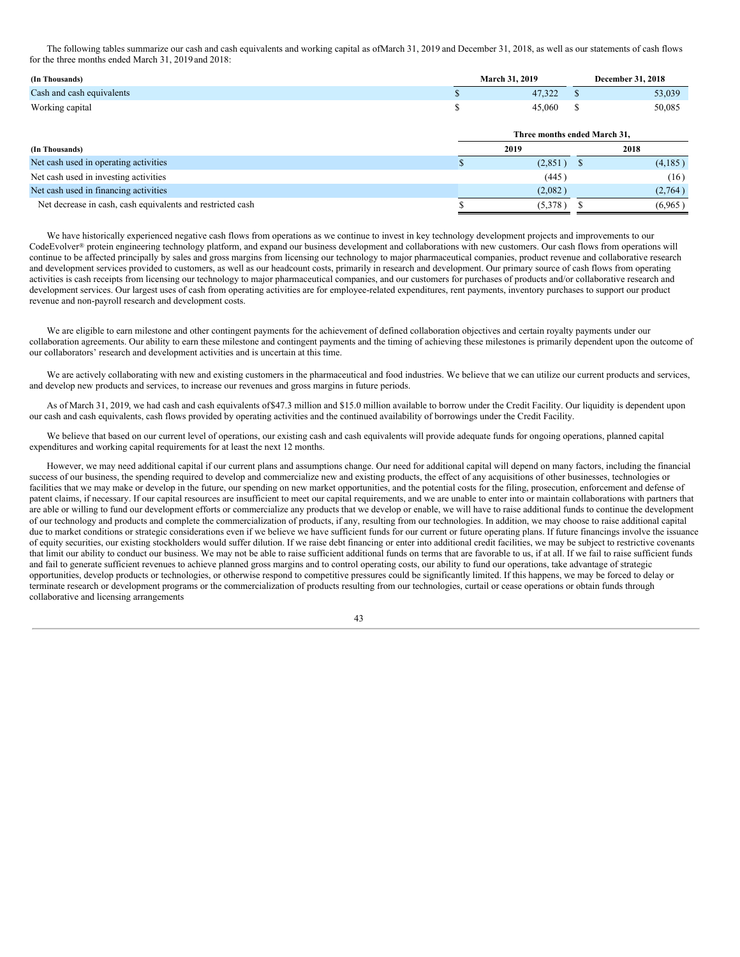The following tables summarize our cash and cash equivalents and working capital as ofMarch 31, 2019 and December 31, 2018, as well as our statements of cash flows for the three months ended March 31, 2019 and 2018:

| (In Thousands)            | March 31, 2019 | December 31, 2018            |        |
|---------------------------|----------------|------------------------------|--------|
| Cash and cash equivalents | 47,322         |                              | 53,039 |
| Working capital           | 45,060         |                              | 50,085 |
|                           |                | Three months ended March 31, |        |
| (In Thousands)            | 2019           | 2018                         |        |

| (In Inousangs)                                             | 2019    | 2018    |
|------------------------------------------------------------|---------|---------|
| Net cash used in operating activities                      | (2,851) | (4,185) |
| Net cash used in investing activities                      | (445)   | (16)    |
| Net cash used in financing activities                      | (2.082) | (2.764) |
| Net decrease in cash, cash equivalents and restricted cash | (5.378) | (6.965) |

We have historically experienced negative cash flows from operations as we continue to invest in key technology development projects and improvements to our CodeEvolver® protein engineering technology platform, and expand our business development and collaborations with new customers. Our cash flows from operations will continue to be affected principally by sales and gross margins from licensing our technology to major pharmaceutical companies, product revenue and collaborative research and development services provided to customers, as well as our headcount costs, primarily in research and development. Our primary source of cash flows from operating activities is cash receipts from licensing our technology to major pharmaceutical companies, and our customers for purchases of products and/or collaborative research and development services. Our largest uses of cash from operating activities are for employee-related expenditures, rent payments, inventory purchases to support our product revenue and non-payroll research and development costs.

We are eligible to earn milestone and other contingent payments for the achievement of defined collaboration objectives and certain royalty payments under our collaboration agreements. Our ability to earn these milestone and contingent payments and the timing of achieving these milestones is primarily dependent upon the outcome of our collaborators' research and development activities and is uncertain at this time.

We are actively collaborating with new and existing customers in the pharmaceutical and food industries. We believe that we can utilize our current products and services, and develop new products and services, to increase our revenues and gross margins in future periods.

As of March 31, 2019, we had cash and cash equivalents of\$47.3 million and \$15.0 million available to borrow under the Credit Facility. Our liquidity is dependent upon our cash and cash equivalents, cash flows provided by operating activities and the continued availability of borrowings under the Credit Facility.

We believe that based on our current level of operations, our existing cash and cash equivalents will provide adequate funds for ongoing operations, planned capital expenditures and working capital requirements for at least the next 12 months.

However, we may need additional capital if our current plans and assumptions change. Our need for additional capital will depend on many factors, including the financial success of our business, the spending required to develop and commercialize new and existing products, the effect of any acquisitions of other businesses, technologies or facilities that we may make or develop in the future, our spending on new market opportunities, and the potential costs for the filing, prosecution, enforcement and defense of patent claims, if necessary. If our capital resources are insufficient to meet our capital requirements, and we are unable to enter into or maintain collaborations with partners that are able or willing to fund our development efforts or commercialize any products that we develop or enable, we will have to raise additional funds to continue the development of our technology and products and complete the commercialization of products, if any, resulting from our technologies. In addition, we may choose to raise additional capital due to market conditions or strategic considerations even if we believe we have sufficient funds for our current or future operating plans. If future financings involve the issuance of equity securities, our existing stockholders would suffer dilution. If we raise debt financing or enter into additional credit facilities, we may be subject to restrictive covenants that limit our ability to conduct our business. We may not be able to raise sufficient additional funds on terms that are favorable to us, if at all. If we fail to raise sufficient funds and fail to generate sufficient revenues to achieve planned gross margins and to control operating costs, our ability to fund our operations, take advantage of strategic opportunities, develop products or technologies, or otherwise respond to competitive pressures could be significantly limited. If this happens, we may be forced to delay or terminate research or development programs or the commercialization of products resulting from our technologies, curtail or cease operations or obtain funds through collaborative and licensing arrangements

43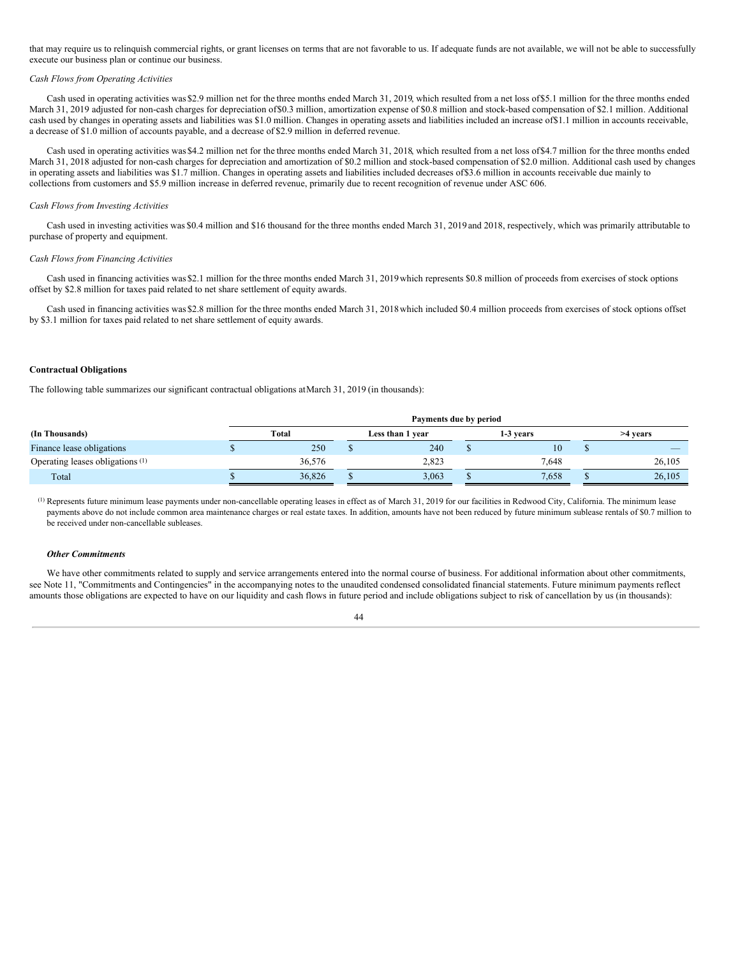that may require us to relinquish commercial rights, or grant licenses on terms that are not favorable to us. If adequate funds are not available, we will not be able to successfully execute our business plan or continue our business.

## *Cash Flows from Operating Activities*

Cash used in operating activities was \$2.9 million net for the three months ended March 31, 2019, which resulted from a net loss of\$5.1 million for the three months ended March 31, 2019 adjusted for non-cash charges for depreciation of\$0.3 million, amortization expense of \$0.8 million and stock-based compensation of \$2.1 million. Additional cash used by changes in operating assets and liabilities was \$1.0 million. Changes in operating assets and liabilities included an increase of\$1.1 million in accounts receivable, a decrease of \$1.0 million of accounts payable, and a decrease of \$2.9 million in deferred revenue.

Cash used in operating activities was \$4.2 million net for the three months ended March 31, 2018, which resulted from a net loss of\$4.7 million for the three months ended March 31, 2018 adjusted for non-cash charges for depreciation and amortization of \$0.2 million and stock-based compensation of \$2.0 million. Additional cash used by changes in operating assets and liabilities was \$1.7 million. Changes in operating assets and liabilities included decreases of\$3.6 million in accounts receivable due mainly to collections from customers and \$5.9 million increase in deferred revenue, primarily due to recent recognition of revenue under ASC 606.

### *Cash Flows from Investing Activities*

Cash used in investing activities was \$0.4 million and \$16 thousand for the three months ended March 31, 2019 and 2018, respectively, which was primarily attributable to purchase of property and equipment.

### *Cash Flows from Financing Activities*

Cash used in financing activities was \$2.1 million for the three months ended March 31, 2019which represents \$0.8 million of proceeds from exercises of stock options offset by \$2.8 million for taxes paid related to net share settlement of equity awards.

Cash used in financing activities was \$2.8 million for the three months ended March 31, 2018 which included \$0.4 million proceeds from exercises of stock options offset by \$3.1 million for taxes paid related to net share settlement of equity awards.

## **Contractual Obligations**

The following table summarizes our significant contractual obligations atMarch 31, 2019 (in thousands):

|                                  |        | Payments due by period |           |       |  |          |  |  |
|----------------------------------|--------|------------------------|-----------|-------|--|----------|--|--|
| (In Thousands)                   | Total  | Less than 1 year       | 1-3 vears |       |  | >4 years |  |  |
| Finance lease obligations        | 250    | 240                    |           | 10    |  |          |  |  |
| Operating leases obligations (1) | 36.576 | 2,823                  |           | 7,648 |  | 26.105   |  |  |
| Total                            | 36.826 | 3,063                  |           | 7,658 |  | 26,105   |  |  |

(1) Represents future minimum lease payments under non-cancellable operating leases in effect as of March 31, 2019 for our facilities in Redwood City, California. The minimum lease payments above do not include common area maintenance charges or real estate taxes. In addition, amounts have not been reduced by future minimum sublease rentals of \$0.7 million to be received under non-cancellable subleases.

#### *Other Commitments*

We have other commitments related to supply and service arrangements entered into the normal course of business. For additional information about other commitments, see Note 11, "Commitments and Contingencies" in the accompanying notes to the unaudited condensed consolidated financial statements. Future minimum payments reflect amounts those obligations are expected to have on our liquidity and cash flows in future period and include obligations subject to risk of cancellation by us (in thousands):

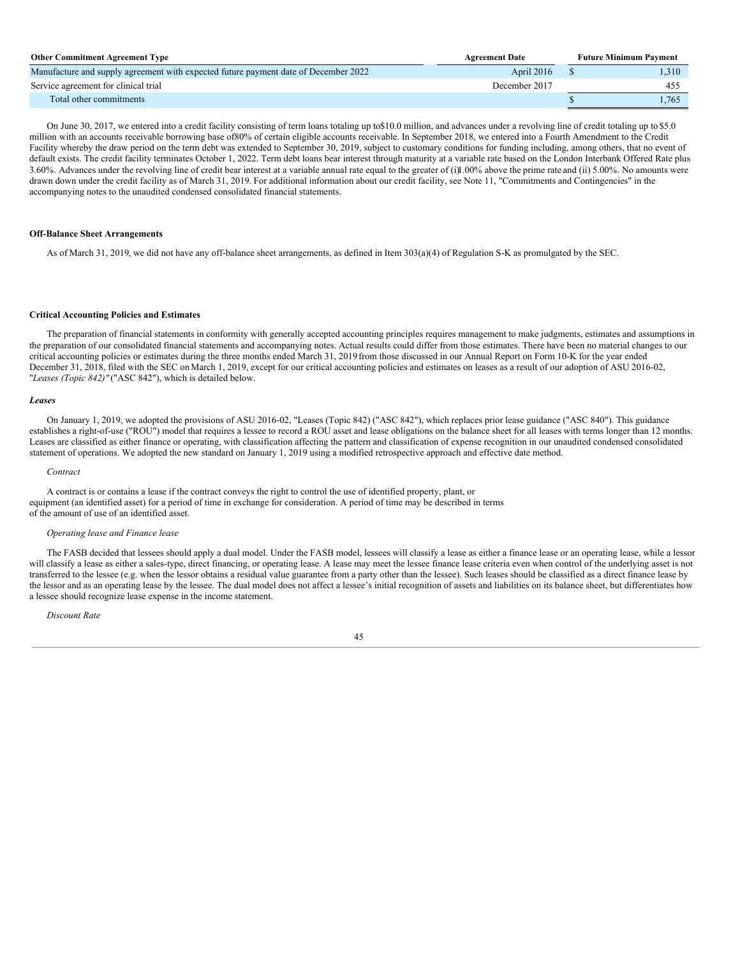| <b>Other Commitment Agreement Type</b>                                              | <b>Agreement Date</b> | <b>Future Minimum Payment</b> |
|-------------------------------------------------------------------------------------|-----------------------|-------------------------------|
| Manufacture and supply agreement with expected future payment date of December 2022 | April 2016            | 1.310                         |
| Service agreement for clinical trial                                                | December 2017         | 455                           |
| Total other commitments                                                             |                       | 1.765                         |

On June 30, 2017, we entered into a credit facility consisting of term loans totaling up to\$10.0 million, and advances under a revolving line of credit totaling up to \$5.0 million with an accounts receivable borrowing base of80% of certain eligible accounts receivable. In September 2018, we entered into a Fourth Amendment to the Credit Facility whereby the draw period on the term debt was extended to September 30, 2019, subject to customary conditions for funding including, among others, that no event of default exists. The credit facility terminates October 1, 2022. Term debt loans bear interest through maturity at a variable rate based on the London Interbank Offered Rate plus 3.60%. Advances under the revolving line of credit bear interest at a variable annual rate equal to the greater of (i)1.00% above the prime rate and (ii) 5.00%. No amounts were drawn down under the credit facility as of March 31, 2019. For additional information about our credit facility, see Note 11, "Commitments and Contingencies" in the accompanying notes to the unaudited condensed consolidated financial statements.

## **Off-Balance Sheet Arrangements**

As of March 31, 2019, we did not have any off-balance sheet arrangements, as defined in Item 303(a)(4) of Regulation S-K as promulgated by the SEC.

#### **Critical Accounting Policies and Estimates**

The preparation of financial statements in conformity with generally accepted accounting principles requires management to make judgments, estimates and assumptions in the preparation of our consolidated financial statements and accompanying notes. Actual results could differ from those estimates. There have been no material changes to our critical accounting policies or estimates during the three months ended March 31, 2019 from those discussed in our Annual Report on Form 10-K for the year ended December 31, 2018, filed with the SEC on March 1, 2019, except for our critical accounting policies and estimates on leases as a result of our adoption of ASU 2016-02, "*Leases (Topic 842)"* ("ASC 842"), which is detailed below.

#### *Leases*

On January 1, 2019, we adopted the provisions of ASU 2016-02, "Leases (Topic 842) ("ASC 842"), which replaces prior lease guidance ("ASC 840"). This guidance establishes a right-of-use ("ROU") model that requires a lessee to record a ROU asset and lease obligations on the balance sheet for all leases with terms longer than 12 months. Leases are classified as either finance or operating, with classification affecting the pattern and classification of expense recognition in our unaudited condensed consolidated statement of operations. We adopted the new standard on January 1, 2019 using a modified retrospective approach and effective date method.

### *Contract*

A contract is or contains a lease if the contract conveys the right to control the use of identified property, plant, or equipment (an identified asset) for a period of time in exchange for consideration. A period of time may be described in terms of the amount of use of an identified asset.

## *Operating lease and Finance lease*

The FASB decided that lessees should apply a dual model. Under the FASB model, lessees will classify a lease as either a finance lease or an operating lease, while a lessor will classify a lease as either a sales-type, direct financing, or operating lease. A lease may meet the lessee finance lease criteria even when control of the underlying asset is not transferred to the lessee (e.g. when the lessor obtains a residual value guarantee from a party other than the lessee). Such leases should be classified as a direct finance lease by the lessor and as an operating lease by the lessee. The dual model does not affect a lessee's initial recognition of assets and liabilities on its balance sheet, but differentiates how a lessee should recognize lease expense in the income statement.

*Discount Rate*

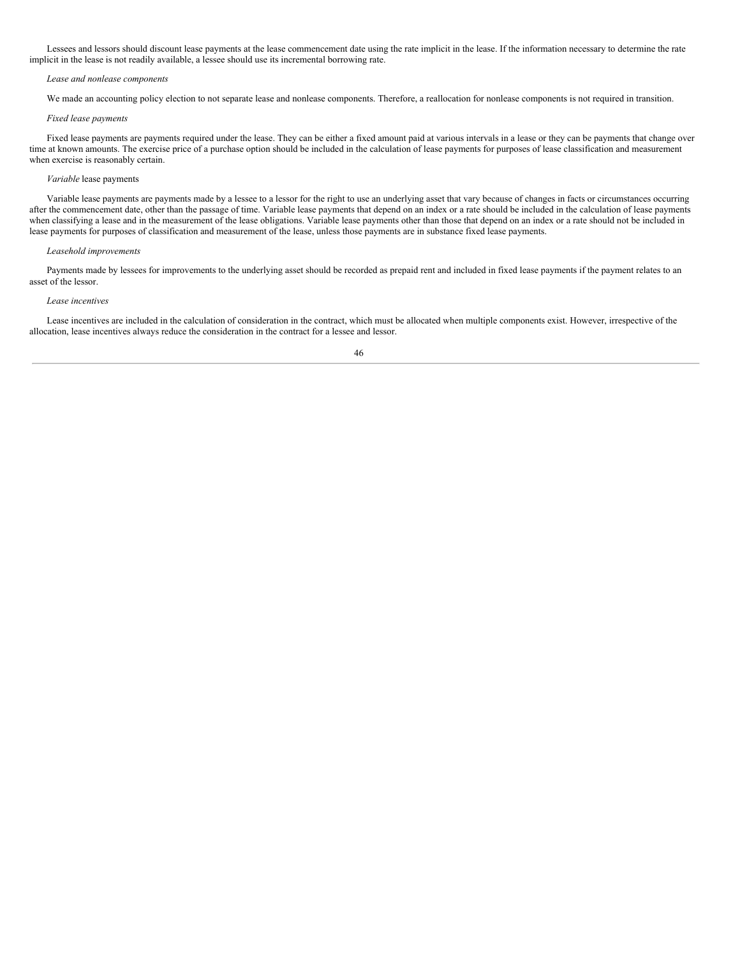Lessees and lessors should discount lease payments at the lease commencement date using the rate implicit in the lease. If the information necessary to determine the rate implicit in the lease is not readily available, a lessee should use its incremental borrowing rate.

### *Lease and nonlease components*

We made an accounting policy election to not separate lease and nonlease components. Therefore, a reallocation for nonlease components is not required in transition.

## *Fixed lease payments*

Fixed lease payments are payments required under the lease. They can be either a fixed amount paid at various intervals in a lease or they can be payments that change over time at known amounts. The exercise price of a purchase option should be included in the calculation of lease payments for purposes of lease classification and measurement when exercise is reasonably certain.

## *Variable* lease payments

Variable lease payments are payments made by a lessee to a lessor for the right to use an underlying asset that vary because of changes in facts or circumstances occurring after the commencement date, other than the passage of time. Variable lease payments that depend on an index or a rate should be included in the calculation of lease payments when classifying a lease and in the measurement of the lease obligations. Variable lease payments other than those that depend on an index or a rate should not be included in lease payments for purposes of classification and measurement of the lease, unless those payments are in substance fixed lease payments.

#### *Leasehold improvements*

Payments made by lessees for improvements to the underlying asset should be recorded as prepaid rent and included in fixed lease payments if the payment relates to an asset of the lessor.

#### *Lease incentives*

Lease incentives are included in the calculation of consideration in the contract, which must be allocated when multiple components exist. However, irrespective of the allocation, lease incentives always reduce the consideration in the contract for a lessee and lessor.

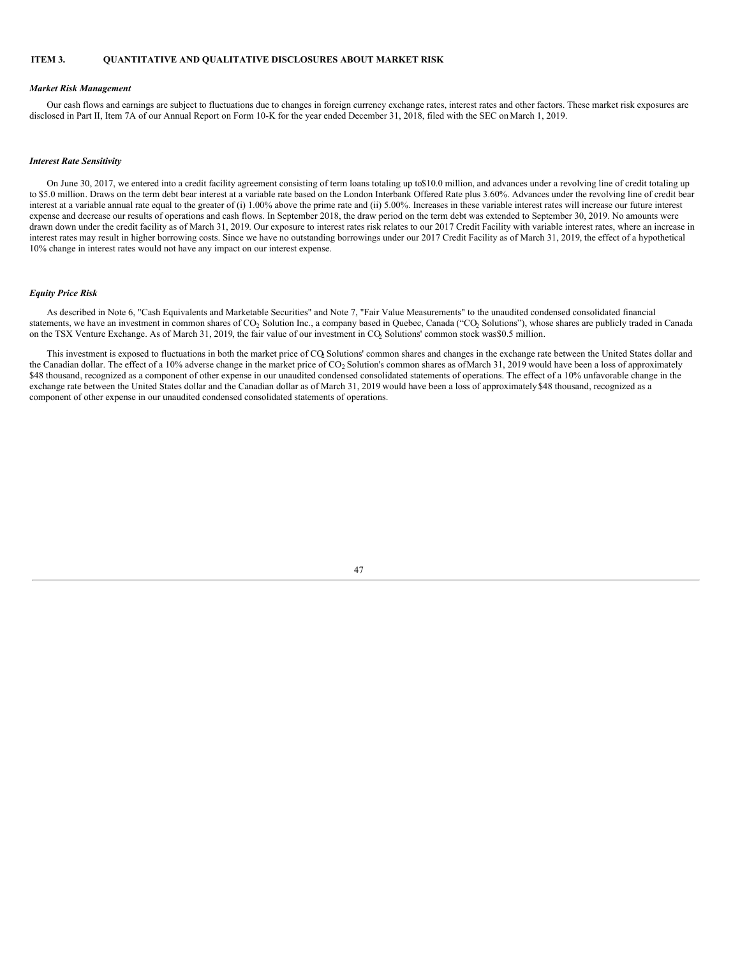## **ITEM 3. QUANTITATIVE AND QUALITATIVE DISCLOSURES ABOUT MARKET RISK**

#### *Market Risk Management*

Our cash flows and earnings are subject to fluctuations due to changes in foreign currency exchange rates, interest rates and other factors. These market risk exposures are disclosed in Part II, Item 7A of our Annual Report on Form 10-K for the year ended December 31, 2018, filed with the SEC on March 1, 2019.

#### *Interest Rate Sensitivity*

On June 30, 2017, we entered into a credit facility agreement consisting of term loans totaling up to\$10.0 million, and advances under a revolving line of credit totaling up to \$5.0 million. Draws on the term debt bear interest at a variable rate based on the London Interbank Offered Rate plus 3.60%. Advances under the revolving line of credit bear interest at a variable annual rate equal to the greater of (i) 1.00% above the prime rate and (ii) 5.00%. Increases in these variable interest rates will increase our future interest expense and decrease our results of operations and cash flows. In September 2018, the draw period on the term debt was extended to September 30, 2019. No amounts were drawn down under the credit facility as of March 31, 2019. Our exposure to interest rates risk relates to our 2017 Credit Facility with variable interest rates, where an increase in interest rates may result in higher borrowing costs. Since we have no outstanding borrowings under our 2017 Credit Facility as of March 31, 2019, the effect of a hypothetical 10% change in interest rates would not have any impact on our interest expense.

### *Equity Price Risk*

As described in Note 6, "Cash Equivalents and Marketable Securities" and Note 7, "Fair Value Measurements" to the unaudited condensed consolidated financial statements, we have an investment in common shares of CO<sub>2</sub> Solution Inc., a company based in Quebec, Canada ("CO<sub>2</sub> Solutions"), whose shares are publicly traded in Canada on the TSX Venture Exchange. As of March 31, 2019, the fair value of our investment in CO<sub>2</sub> Solutions' common stock was\$0.5 million.

This investment is exposed to fluctuations in both the market price of CO Solutions' common shares and changes in the exchange rate between the United States dollar and the Canadian dollar. The effect of a 10% adverse change in the market price of CO<sub>2</sub> Solution's common shares as of March 31, 2019 would have been a loss of approximately \$48 thousand, recognized as a component of other expense in our unaudited condensed consolidated statements of operations. The effect of a 10% unfavorable change in the exchange rate between the United States dollar and the Canadian dollar as of March 31, 2019 would have been a loss of approximately \$48 thousand, recognized as a component of other expense in our unaudited condensed consolidated statements of operations.

#### 47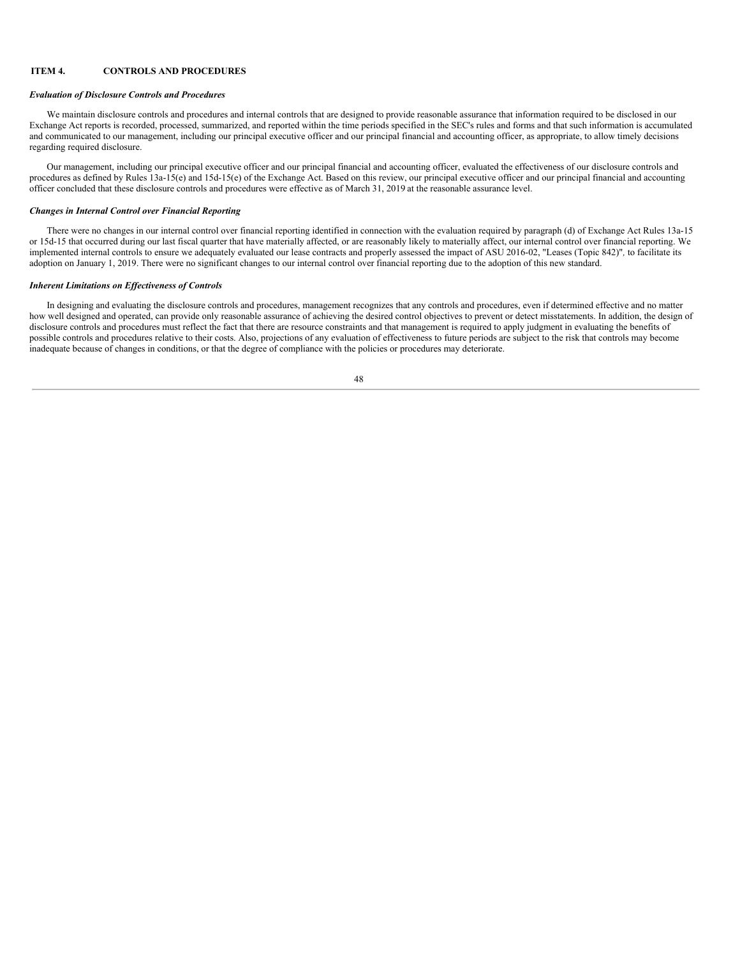## **ITEM 4. CONTROLS AND PROCEDURES**

#### *Evaluation of Disclosure Controls and Procedures*

We maintain disclosure controls and procedures and internal controls that are designed to provide reasonable assurance that information required to be disclosed in our Exchange Act reports is recorded, processed, summarized, and reported within the time periods specified in the SEC's rules and forms and that such information is accumulated and communicated to our management, including our principal executive officer and our principal financial and accounting officer, as appropriate, to allow timely decisions regarding required disclosure.

Our management, including our principal executive officer and our principal financial and accounting officer, evaluated the effectiveness of our disclosure controls and procedures as defined by Rules 13a-15(e) and 15d-15(e) of the Exchange Act. Based on this review, our principal executive officer and our principal financial and accounting officer concluded that these disclosure controls and procedures were effective as of March 31, 2019 at the reasonable assurance level.

### *Changes in Internal Control over Financial Reporting*

There were no changes in our internal control over financial reporting identified in connection with the evaluation required by paragraph (d) of Exchange Act Rules 13a-15 or 15d-15 that occurred during our last fiscal quarter that have materially affected, or are reasonably likely to materially affect, our internal control over financial reporting. We implemented internal controls to ensure we adequately evaluated our lease contracts and properly assessed the impact of ASU 2016-02, "Leases (Topic 842)"*,* to facilitate its adoption on January 1, 2019. There were no significant changes to our internal control over financial reporting due to the adoption of this new standard.

## *Inherent Limitations on Ef ectiveness of Controls*

In designing and evaluating the disclosure controls and procedures, management recognizes that any controls and procedures, even if determined effective and no matter how well designed and operated, can provide only reasonable assurance of achieving the desired control objectives to prevent or detect misstatements. In addition, the design of disclosure controls and procedures must reflect the fact that there are resource constraints and that management is required to apply judgment in evaluating the benefits of possible controls and procedures relative to their costs. Also, projections of any evaluation of effectiveness to future periods are subject to the risk that controls may become inadequate because of changes in conditions, or that the degree of compliance with the policies or procedures may deteriorate.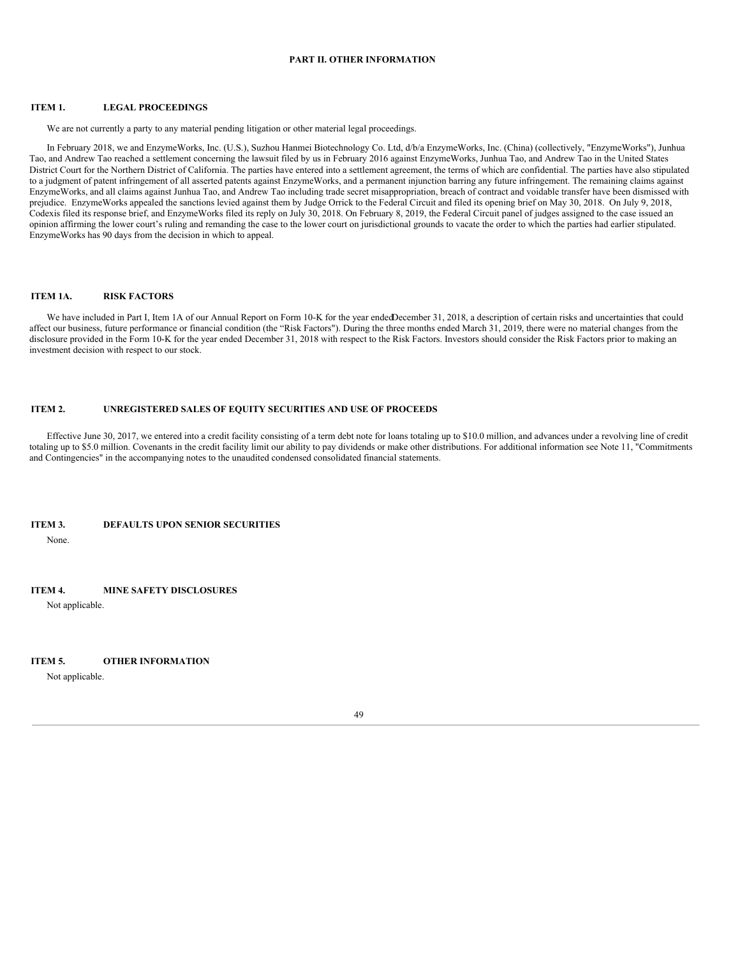## **PART II. OTHER INFORMATION**

### **ITEM 1. LEGAL PROCEEDINGS**

We are not currently a party to any material pending litigation or other material legal proceedings.

In February 2018, we and EnzymeWorks, Inc. (U.S.), Suzhou Hanmei Biotechnology Co. Ltd, d/b/a EnzymeWorks, Inc. (China) (collectively, "EnzymeWorks"), Junhua Tao, and Andrew Tao reached a settlement concerning the lawsuit filed by us in February 2016 against EnzymeWorks, Junhua Tao, and Andrew Tao in the United States District Court for the Northern District of California. The parties have entered into a settlement agreement, the terms of which are confidential. The parties have also stipulated to a judgment of patent infringement of all asserted patents against EnzymeWorks, and a permanent injunction barring any future infringement. The remaining claims against EnzymeWorks, and all claims against Junhua Tao, and Andrew Tao including trade secret misappropriation, breach of contract and voidable transfer have been dismissed with prejudice. EnzymeWorks appealed the sanctions levied against them by Judge Orrick to the Federal Circuit and filed its opening brief on May 30, 2018. On July 9, 2018, Codexis filed its response brief, and EnzymeWorks filed its reply on July 30, 2018. On February 8, 2019, the Federal Circuit panel of judges assigned to the case issued an opinion affirming the lower court's ruling and remanding the case to the lower court on jurisdictional grounds to vacate the order to which the parties had earlier stipulated. EnzymeWorks has 90 days from the decision in which to appeal.

## **ITEM 1A. RISK FACTORS**

We have included in Part I, Item 1A of our Annual Report on Form 10-K for the year endedDecember 31, 2018, a description of certain risks and uncertainties that could affect our business, future performance or financial condition (the "Risk Factors"). During the three months ended March 31, 2019, there were no material changes from the disclosure provided in the Form 10-K for the year ended December 31, 2018 with respect to the Risk Factors. Investors should consider the Risk Factors prior to making an investment decision with respect to our stock.

## **ITEM 2. UNREGISTERED SALES OF EQUITY SECURITIES AND USE OF PROCEEDS**

Effective June 30, 2017, we entered into a credit facility consisting of a term debt note for loans totaling up to \$10.0 million, and advances under a revolving line of credit totaling up to \$5.0 million. Covenants in the credit facility limit our ability to pay dividends or make other distributions. For additional information see Note 11, "Commitments and Contingencies" in the accompanying notes to the unaudited condensed consolidated financial statements.

## **ITEM 3. DEFAULTS UPON SENIOR SECURITIES**

None.

## **ITEM 4. MINE SAFETY DISCLOSURES**

Not applicable.

#### **ITEM 5. OTHER INFORMATION**

Not applicable.

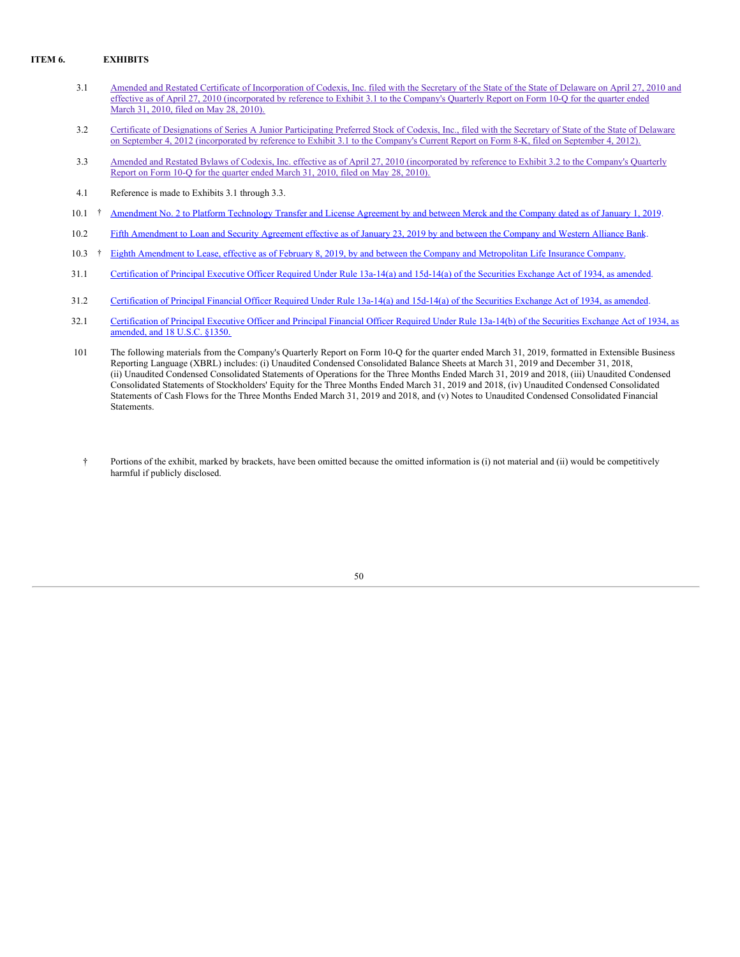# **ITEM 6. EXHIBITS**

- 3.1 Amended and Restated Certificate of [Incorporation](http://www.sec.gov/Archives/edgar/data/1200375/000095013010000138/dex31.htm) of Codexis, Inc. filed with the Secretary of the State of the State of Delaware on April 27, 2010 and effective as of April 27, 2010 (incorporated by reference to Exhibit 3.1 to the Company's Quarterly Report on Form 10-Q for the quarter ended March 31, 2010, filed on May 28, 2010).
- 3.2 Certificate of Designations of Series A Junior Participating Preferred Stock of Codexis, Inc., filed with the Secretary of State of the State of Delaware on September 4, 2012 [\(incorporated](http://www.sec.gov/Archives/edgar/data/1200375/000119312512378221/d405085dex31.htm) by reference to Exhibit 3.1 to the Company's Current Report on Form 8-K, filed on September 4, 2012).
- 3.3 Amended and Restated Bylaws of Codexis, Inc. effective as of April 27, 2010 [\(incorporated](http://www.sec.gov/Archives/edgar/data/1200375/000095013010000138/dex32.htm) by reference to Exhibit 3.2 to the Company's Quarterly Report on Form 10-Q for the quarter ended March 31, 2010, filed on May 28, 2010).
- 4.1 Reference is made to Exhibits 3.1 through 3.3.
- 10.1 <sup>†</sup> [Amendment](#page-57-0) No. 2 to Platform Technology Transfer and License Agreement by and between Merck and the Company dated as of January 1, 2019.
- 10.2 Fifth [Amendment](#page-64-0) to Loan and Security Agreement effective as of January 23, 2019 by and between the Company and Western Alliance Bank.
- 10.3 <sup>†</sup> Eighth Amendment to Lease, effective as of February 8, 2019, by and between the Company and [Metropolitan](#page-75-0) Life Insurance Company.
- 31.1 [Certification](#page-86-0) of Principal Executive Officer Required Under Rule 13a-14(a) and 15d-14(a) of the Securities Exchange Act of 1934, as amended.
- 31.2 [Certification](#page-87-0) of Principal Financial Officer Required Under Rule 13a-14(a) and 15d-14(a) of the Securities Exchange Act of 1934, as amended.
- 32.1 [Certification](#page-88-0) of Principal Executive Officer and Principal Financial Officer Required Under Rule 13a-14(b) of the Securities Exchange Act of 1934, as amended, and 18 U.S.C. §1350.
- 101 The following materials from the Company's Quarterly Report on Form 10-Q for the quarter ended March 31, 2019, formatted in Extensible Business Reporting Language (XBRL) includes: (i) Unaudited Condensed Consolidated Balance Sheets at March 31, 2019 and December 31, 2018, (ii) Unaudited Condensed Consolidated Statements of Operations for the Three Months Ended March 31, 2019 and 2018, (iii) Unaudited Condensed Consolidated Statements of Stockholders' Equity for the Three Months Ended March 31, 2019 and 2018, (iv) Unaudited Condensed Consolidated Statements of Cash Flows for the Three Months Ended March 31, 2019 and 2018, and (v) Notes to Unaudited Condensed Consolidated Financial **Statements** 
	- † Portions of the exhibit, marked by brackets, have been omitted because the omitted information is (i) not material and (ii) would be competitively harmful if publicly disclosed.

50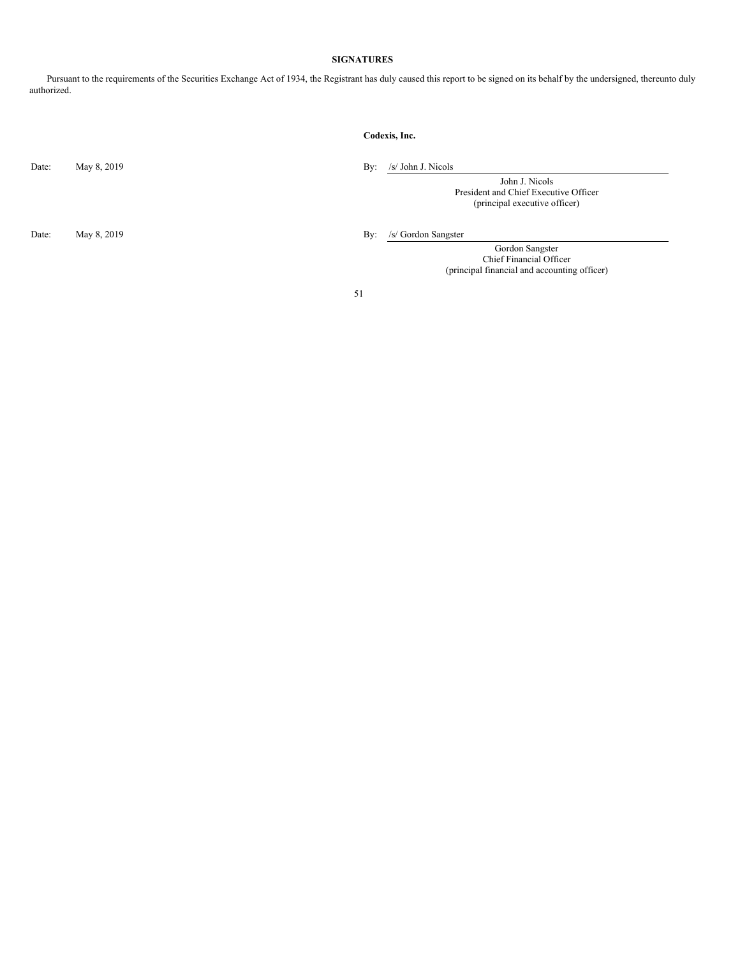# **SIGNATURES**

Pursuant to the requirements of the Securities Exchange Act of 1934, the Registrant has duly caused this report to be signed on its behalf by the undersigned, thereunto duly authorized.

|       |             | Codexis, Inc.          |
|-------|-------------|------------------------|
| Date: | May 8, 2019 | By: /s/ John J. Nicols |

John J. Nicols President and Chief Executive Officer (principal executive officer)

Date: May 8, 2019 By: /s/ Gordon Sangster

Gordon Sangster Chief Financial Officer (principal financial and accounting officer)

51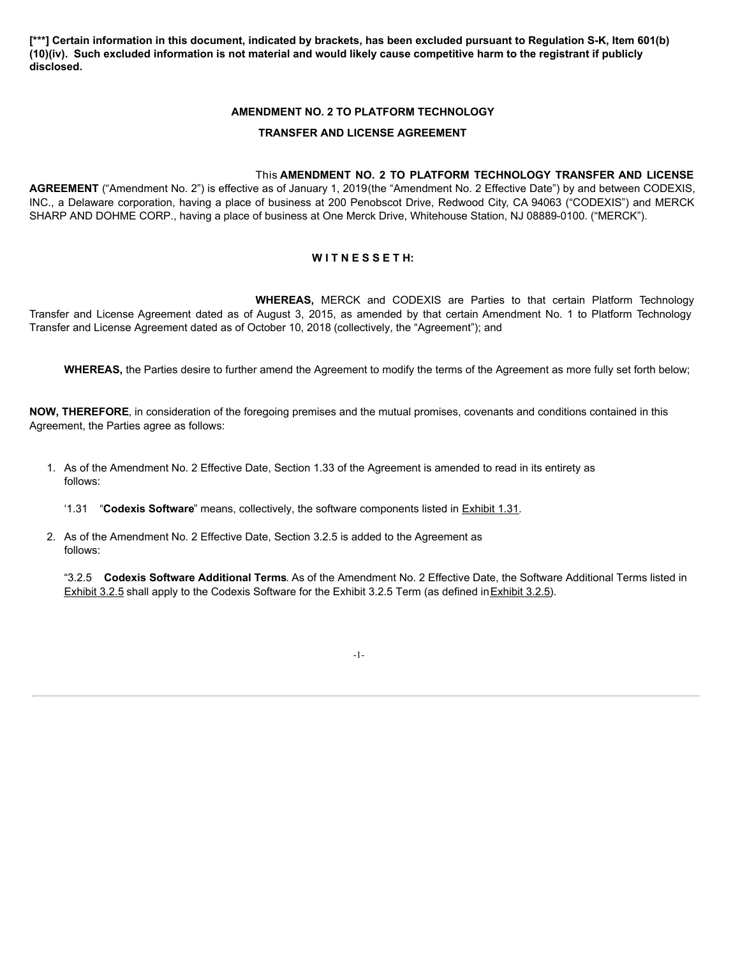[\*\*\*] Certain information in this document, indicated by brackets, has been excluded pursuant to Regulation S-K, Item 601(b) (10)(iv). Such excluded information is not material and would likely cause competitive harm to the registrant if publicly **disclosed.**

# **AMENDMENT NO. 2 TO PLATFORM TECHNOLOGY**

# **TRANSFER AND LICENSE AGREEMENT**

## This **AMENDMENT NO. 2 TO PLATFORM TECHNOLOGY TRANSFER AND LICENSE**

**AGREEMENT** ("Amendment No. 2") is effective as of January 1, 2019(the "Amendment No. 2 Effective Date") by and between CODEXIS, INC., a Delaware corporation, having a place of business at 200 Penobscot Drive, Redwood City, CA 94063 ("CODEXIS") and MERCK SHARP AND DOHME CORP., having a place of business at One Merck Drive, Whitehouse Station, NJ 08889-0100. ("MERCK").

# **W I T N E S S E T H:**

**WHEREAS,** MERCK and CODEXIS are Parties to that certain Platform Technology Transfer and License Agreement dated as of August 3, 2015, as amended by that certain Amendment No. 1 to Platform Technology Transfer and License Agreement dated as of October 10, 2018 (collectively, the "Agreement"); and

**WHEREAS,** the Parties desire to further amend the Agreement to modify the terms of the Agreement as more fully set forth below;

**NOW, THEREFORE**, in consideration of the foregoing premises and the mutual promises, covenants and conditions contained in this Agreement, the Parties agree as follows:

- 1. As of the Amendment No. 2 Effective Date, Section 1.33 of the Agreement is amended to read in its entirety as follows:
	- '1.31 "**Codexis Software**" means, collectively, the software components listed in Exhibit 1.31.
- 2. As of the Amendment No. 2 Effective Date, Section 3.2.5 is added to the Agreement as follows:

"3.2.5 **Codexis Software Additional Terms**. As of the Amendment No. 2 Effective Date, the Software Additional Terms listed in Exhibit 3.2.5 shall apply to the Codexis Software for the Exhibit 3.2.5 Term (as defined in Exhibit 3.2.5).

-1-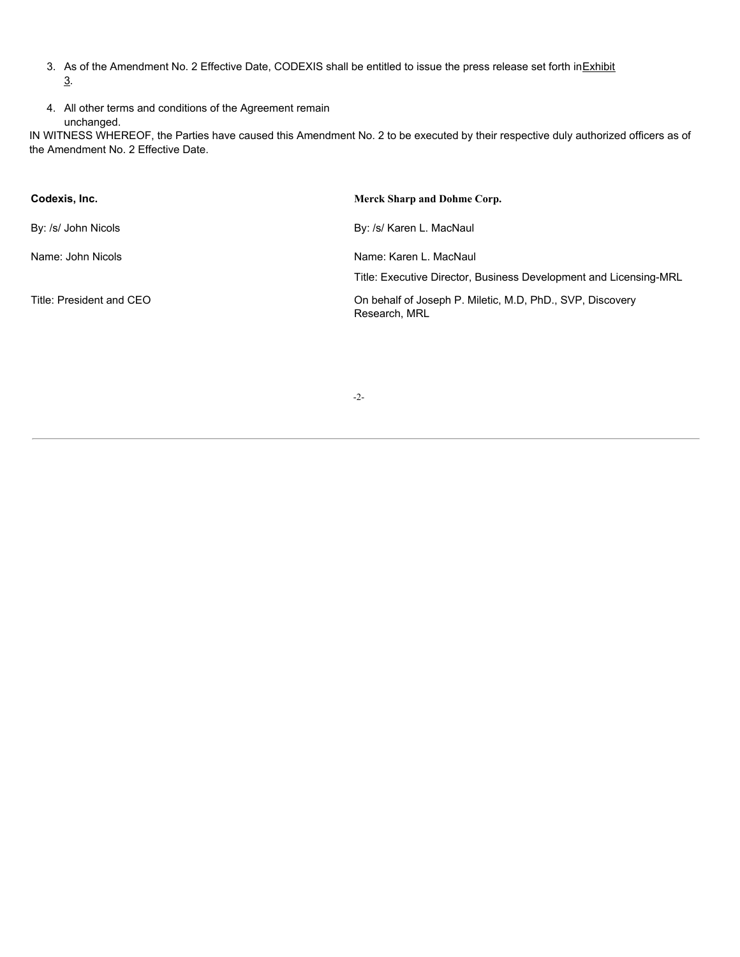- 3. As of the Amendment No. 2 Effective Date, CODEXIS shall be entitled to issue the press release set forth in Exhibit 3.
- 4. All other terms and conditions of the Agreement remain unchanged.

IN WITNESS WHEREOF, the Parties have caused this Amendment No. 2 to be executed by their respective duly authorized officers as of the Amendment No. 2 Effective Date.

| Codexis, Inc.            | Merck Sharp and Dohme Corp.                                                |
|--------------------------|----------------------------------------------------------------------------|
| By: /s/ John Nicols      | By: /s/ Karen L. MacNaul                                                   |
| Name: John Nicols        | Name: Karen L. MacNaul                                                     |
|                          | Title: Executive Director, Business Development and Licensing-MRL          |
| Title: President and CEO | On behalf of Joseph P. Miletic, M.D, PhD., SVP, Discovery<br>Research, MRL |

-2-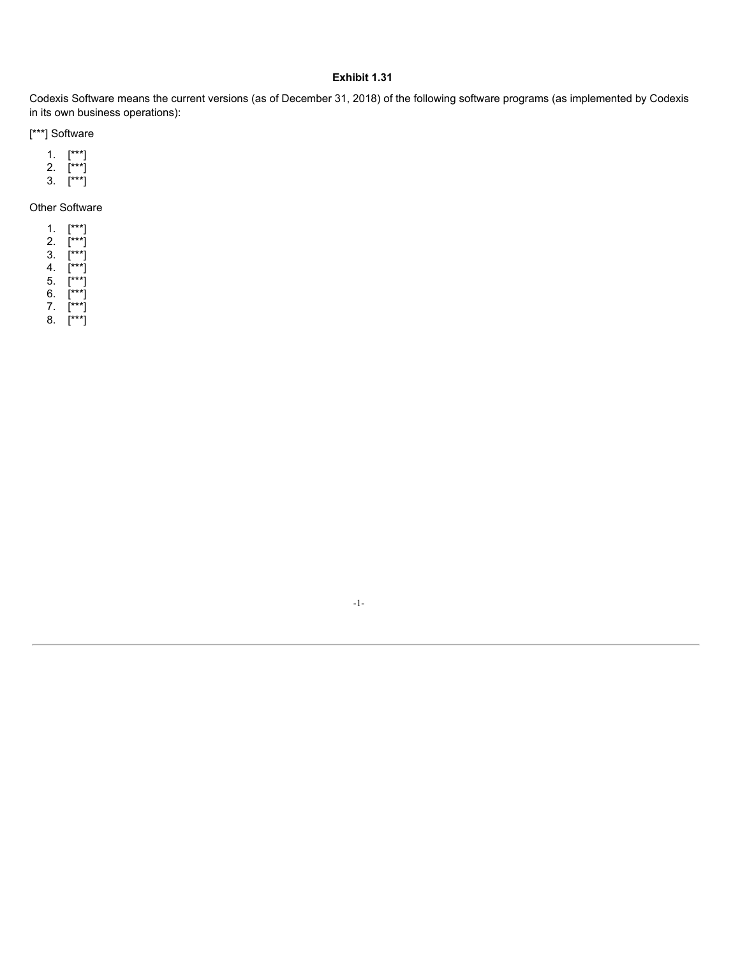# **Exhibit 1.31**

Codexis Software means the current versions (as of December 31, 2018) of the following software programs (as implemented by Codexis in its own business operations):

[\*\*\*] Software

- 1. [\*\*\*]
- 2. [\*\*\*]
- 3. [\*\*\*]

# Other Software

- 1.  $[^{***}]$ 2. [\*\*\*] 3. [\*\*\*] 4. [\*\*\*] 5. [\*\*\*] 6. [\*\*\*]
- 7. [\*\*\*]
- 8. [\*\*\*]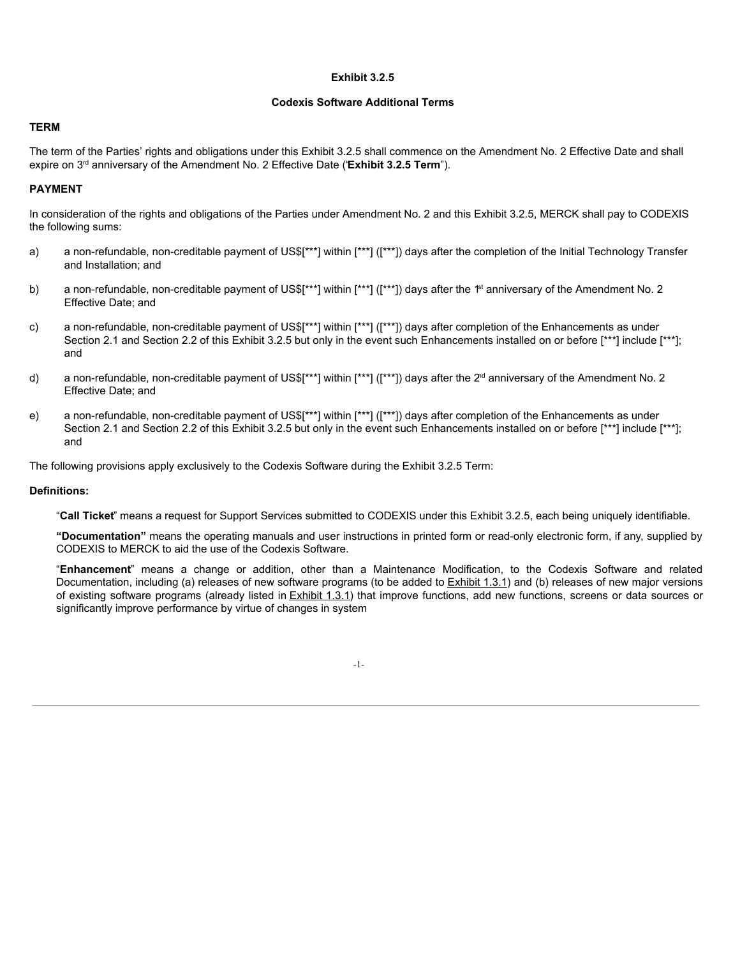## **Exhibit 3.2.5**

# **Codexis Software Additional Terms**

# **TERM**

The term of the Parties' rights and obligations under this Exhibit 3.2.5 shall commence on the Amendment No. 2 Effective Date and shall expire on 3<sup>rd</sup> anniversary of the Amendment No. 2 Effective Date ('Exhibit 3.2.5 Term").

# **PAYMENT**

In consideration of the rights and obligations of the Parties under Amendment No. 2 and this Exhibit 3.2.5, MERCK shall pay to CODEXIS the following sums:

- a) a non-refundable, non-creditable payment of US\$[\*\*\*] within [\*\*\*] ([\*\*\*]) days after the completion of the Initial Technology Transfer and Installation; and
- b) a non-refundable, non-creditable payment of US\$[\*\*\*] within [\*\*\*] ([\*\*\*]) days after the 1<sup>st</sup> anniversary of the Amendment No. 2 Effective Date; and
- c) a non-refundable, non-creditable payment of US\$[\*\*\*] within [\*\*\*] ([\*\*\*]) days after completion of the Enhancements as under Section 2.1 and Section 2.2 of this Exhibit 3.2.5 but only in the event such Enhancements installed on or before [\*\*\*] include [\*\*\*]; and
- d) a non-refundable, non-creditable payment of US\$[\*\*\*] within [\*\*\*] ([\*\*\*]) days after the 2<sup>d</sup> anniversary of the Amendment No. 2 Effective Date; and
- e) a non-refundable, non-creditable payment of US\$[\*\*\*] within [\*\*\*] ([\*\*\*]) days after completion of the Enhancements as under Section 2.1 and Section 2.2 of this Exhibit 3.2.5 but only in the event such Enhancements installed on or before [\*\*\*] include [\*\*\*]; and

The following provisions apply exclusively to the Codexis Software during the Exhibit 3.2.5 Term:

# **Definitions:**

"**Call Ticket**" means a request for Support Services submitted to CODEXIS under this Exhibit 3.2.5, each being uniquely identifiable.

**"Documentation"** means the operating manuals and user instructions in printed form or read-only electronic form, if any, supplied by CODEXIS to MERCK to aid the use of the Codexis Software.

"**Enhancement**" means a change or addition, other than a Maintenance Modification, to the Codexis Software and related Documentation, including (a) releases of new software programs (to be added to **Exhibit 1.3.1**) and (b) releases of new major versions of existing software programs (already listed in Exhibit 1.3.1) that improve functions, add new functions, screens or data sources or significantly improve performance by virtue of changes in system

-1-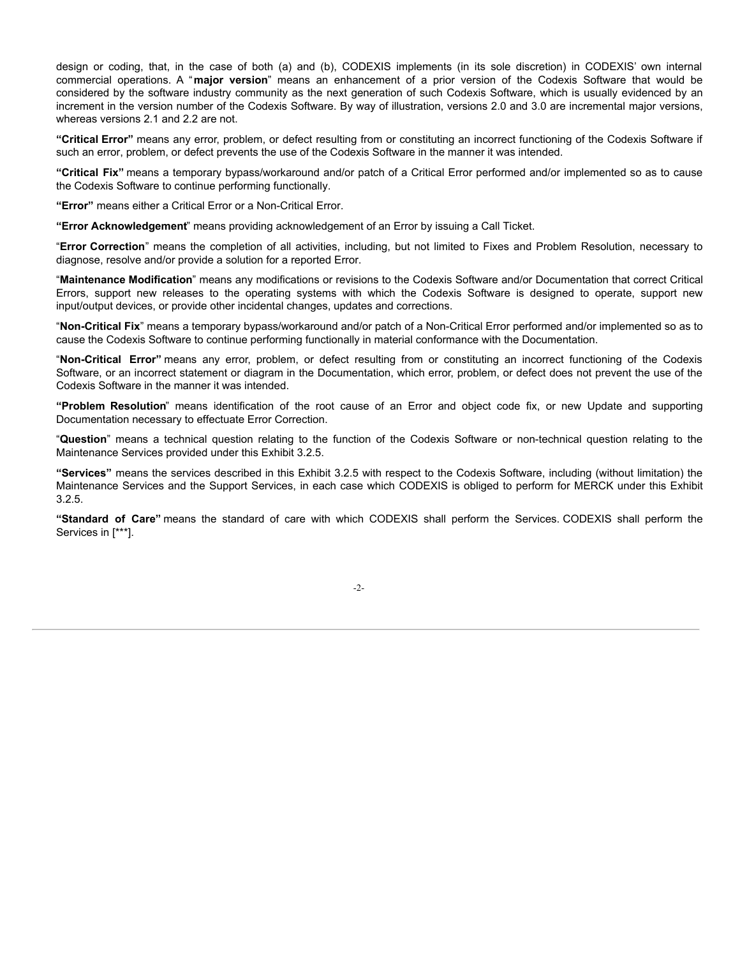design or coding, that, in the case of both (a) and (b), CODEXIS implements (in its sole discretion) in CODEXIS' own internal commercial operations. A "**major version**" means an enhancement of a prior version of the Codexis Software that would be considered by the software industry community as the next generation of such Codexis Software, which is usually evidenced by an increment in the version number of the Codexis Software. By way of illustration, versions 2.0 and 3.0 are incremental major versions, whereas versions 2.1 and 2.2 are not.

**"Critical Error"** means any error, problem, or defect resulting from or constituting an incorrect functioning of the Codexis Software if such an error, problem, or defect prevents the use of the Codexis Software in the manner it was intended.

**"Critical Fix"** means a temporary bypass/workaround and/or patch of a Critical Error performed and/or implemented so as to cause the Codexis Software to continue performing functionally.

**"Error"** means either a Critical Error or a Non-Critical Error.

**"Error Acknowledgement**" means providing acknowledgement of an Error by issuing a Call Ticket.

"**Error Correction**" means the completion of all activities, including, but not limited to Fixes and Problem Resolution, necessary to diagnose, resolve and/or provide a solution for a reported Error.

"**Maintenance Modification**" means any modifications or revisions to the Codexis Software and/or Documentation that correct Critical Errors, support new releases to the operating systems with which the Codexis Software is designed to operate, support new input/output devices, or provide other incidental changes, updates and corrections.

"**Non-Critical Fix**" means a temporary bypass/workaround and/or patch of a Non-Critical Error performed and/or implemented so as to cause the Codexis Software to continue performing functionally in material conformance with the Documentation.

"**Non-Critical Error"** means any error, problem, or defect resulting from or constituting an incorrect functioning of the Codexis Software, or an incorrect statement or diagram in the Documentation, which error, problem, or defect does not prevent the use of the Codexis Software in the manner it was intended.

**"Problem Resolution**" means identification of the root cause of an Error and object code fix, or new Update and supporting Documentation necessary to effectuate Error Correction.

"**Question**" means a technical question relating to the function of the Codexis Software or non-technical question relating to the Maintenance Services provided under this Exhibit 3.2.5.

**"Services"** means the services described in this Exhibit 3.2.5 with respect to the Codexis Software, including (without limitation) the Maintenance Services and the Support Services, in each case which CODEXIS is obliged to perform for MERCK under this Exhibit 3.2.5.

**"Standard of Care"** means the standard of care with which CODEXIS shall perform the Services. CODEXIS shall perform the Services in [\*\*\*].

 $-2-$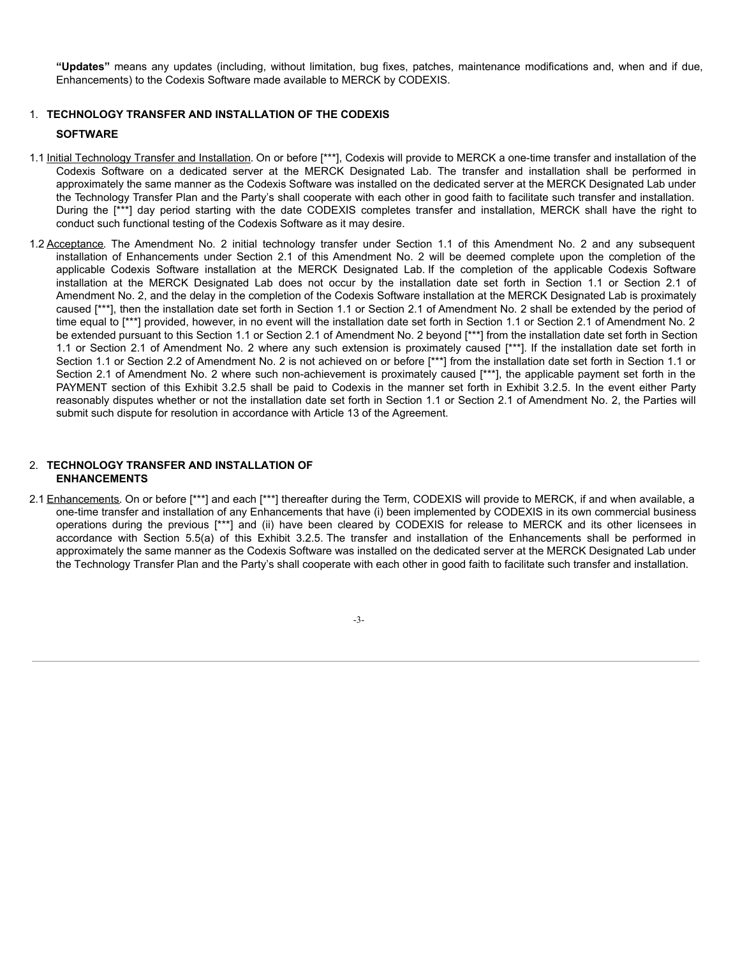**"Updates"** means any updates (including, without limitation, bug fixes, patches, maintenance modifications and, when and if due, Enhancements) to the Codexis Software made available to MERCK by CODEXIS.

# 1. **TECHNOLOGY TRANSFER AND INSTALLATION OF THE CODEXIS**

# **SOFTWARE**

- 1.1 Initial Technology Transfer and Installation. On or before [\*\*\*], Codexis will provide to MERCK a one-time transfer and installation of the Codexis Software on a dedicated server at the MERCK Designated Lab. The transfer and installation shall be performed in approximately the same manner as the Codexis Software was installed on the dedicated server at the MERCK Designated Lab under the Technology Transfer Plan and the Party's shall cooperate with each other in good faith to facilitate such transfer and installation. During the [\*\*\*] day period starting with the date CODEXIS completes transfer and installation, MERCK shall have the right to conduct such functional testing of the Codexis Software as it may desire.
- 1.2 Acceptance. The Amendment No. 2 initial technology transfer under Section 1.1 of this Amendment No. 2 and any subsequent installation of Enhancements under Section 2.1 of this Amendment No. 2 will be deemed complete upon the completion of the applicable Codexis Software installation at the MERCK Designated Lab. If the completion of the applicable Codexis Software installation at the MERCK Designated Lab does not occur by the installation date set forth in Section 1.1 or Section 2.1 of Amendment No. 2, and the delay in the completion of the Codexis Software installation at the MERCK Designated Lab is proximately caused [\*\*\*], then the installation date set forth in Section 1.1 or Section 2.1 of Amendment No. 2 shall be extended by the period of time equal to [\*\*\*] provided, however, in no event will the installation date set forth in Section 1.1 or Section 2.1 of Amendment No. 2 be extended pursuant to this Section 1.1 or Section 2.1 of Amendment No. 2 beyond [\*\*\*] from the installation date set forth in Section 1.1 or Section 2.1 of Amendment No. 2 where any such extension is proximately caused [\*\*\*]. If the installation date set forth in Section 1.1 or Section 2.2 of Amendment No. 2 is not achieved on or before [\*\*\*] from the installation date set forth in Section 1.1 or Section 2.1 of Amendment No. 2 where such non-achievement is proximately caused [\*\*\*], the applicable payment set forth in the PAYMENT section of this Exhibit 3.2.5 shall be paid to Codexis in the manner set forth in Exhibit 3.2.5. In the event either Party reasonably disputes whether or not the installation date set forth in Section 1.1 or Section 2.1 of Amendment No. 2, the Parties will submit such dispute for resolution in accordance with Article 13 of the Agreement.

## 2. **TECHNOLOGY TRANSFER AND INSTALLATION OF ENHANCEMENTS**

2.1 Enhancements. On or before [\*\*\*] and each [\*\*\*] thereafter during the Term, CODEXIS will provide to MERCK, if and when available, a one-time transfer and installation of any Enhancements that have (i) been implemented by CODEXIS in its own commercial business operations during the previous [\*\*\*] and (ii) have been cleared by CODEXIS for release to MERCK and its other licensees in accordance with Section 5.5(a) of this Exhibit 3.2.5. The transfer and installation of the Enhancements shall be performed in approximately the same manner as the Codexis Software was installed on the dedicated server at the MERCK Designated Lab under the Technology Transfer Plan and the Party's shall cooperate with each other in good faith to facilitate such transfer and installation.

## -3-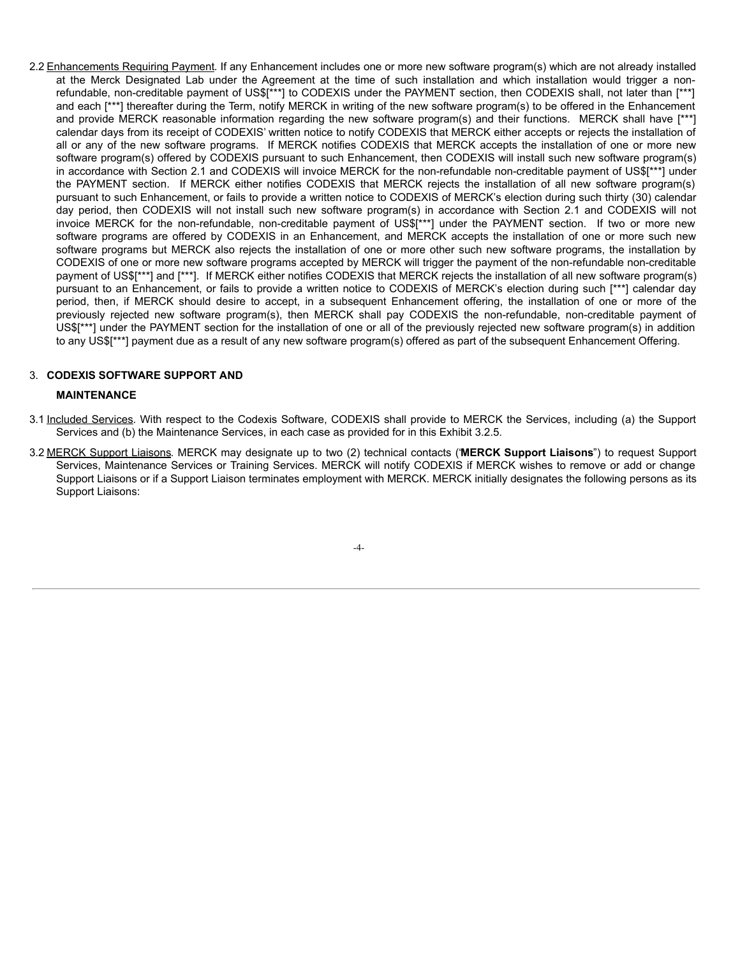<span id="page-57-0"></span>2.2 Enhancements Requiring Payment. If any Enhancement includes one or more new software program(s) which are not already installed at the Merck Designated Lab under the Agreement at the time of such installation and which installation would trigger a nonrefundable, non-creditable payment of US\$[\*\*\*] to CODEXIS under the PAYMENT section, then CODEXIS shall, not later than [\*\*\*] and each [\*\*\*] thereafter during the Term, notify MERCK in writing of the new software program(s) to be offered in the Enhancement and provide MERCK reasonable information regarding the new software program(s) and their functions. MERCK shall have [\*\*\*] calendar days from its receipt of CODEXIS' written notice to notify CODEXIS that MERCK either accepts or rejects the installation of all or any of the new software programs. If MERCK notifies CODEXIS that MERCK accepts the installation of one or more new software program(s) offered by CODEXIS pursuant to such Enhancement, then CODEXIS will install such new software program(s) in accordance with Section 2.1 and CODEXIS will invoice MERCK for the non-refundable non-creditable payment of US\$[\*\*\*] under the PAYMENT section. If MERCK either notifies CODEXIS that MERCK rejects the installation of all new software program(s) pursuant to such Enhancement, or fails to provide a written notice to CODEXIS of MERCK's election during such thirty (30) calendar day period, then CODEXIS will not install such new software program(s) in accordance with Section 2.1 and CODEXIS will not invoice MERCK for the non-refundable, non-creditable payment of US\$[\*\*\*] under the PAYMENT section. If two or more new software programs are offered by CODEXIS in an Enhancement, and MERCK accepts the installation of one or more such new software programs but MERCK also rejects the installation of one or more other such new software programs, the installation by CODEXIS of one or more new software programs accepted by MERCK will trigger the payment of the non-refundable non-creditable payment of US\$[\*\*\*] and [\*\*\*]. If MERCK either notifies CODEXIS that MERCK rejects the installation of all new software program(s) pursuant to an Enhancement, or fails to provide a written notice to CODEXIS of MERCK's election during such [\*\*\*] calendar day period, then, if MERCK should desire to accept, in a subsequent Enhancement offering, the installation of one or more of the previously rejected new software program(s), then MERCK shall pay CODEXIS the non-refundable, non-creditable payment of US\$[\*\*\*] under the PAYMENT section for the installation of one or all of the previously rejected new software program(s) in addition to any US\$[\*\*\*] payment due as a result of any new software program(s) offered as part of the subsequent Enhancement Offering.

# 3. **CODEXIS SOFTWARE SUPPORT AND**

# **MAINTENANCE**

- 3.1 Included Services. With respect to the Codexis Software, CODEXIS shall provide to MERCK the Services, including (a) the Support Services and (b) the Maintenance Services, in each case as provided for in this Exhibit 3.2.5.
- 3.2 MERCK Support Liaisons. MERCK may designate up to two (2) technical contacts ("**MERCK Support Liaisons**") to request Support Services, Maintenance Services or Training Services. MERCK will notify CODEXIS if MERCK wishes to remove or add or change Support Liaisons or if a Support Liaison terminates employment with MERCK. MERCK initially designates the following persons as its Support Liaisons: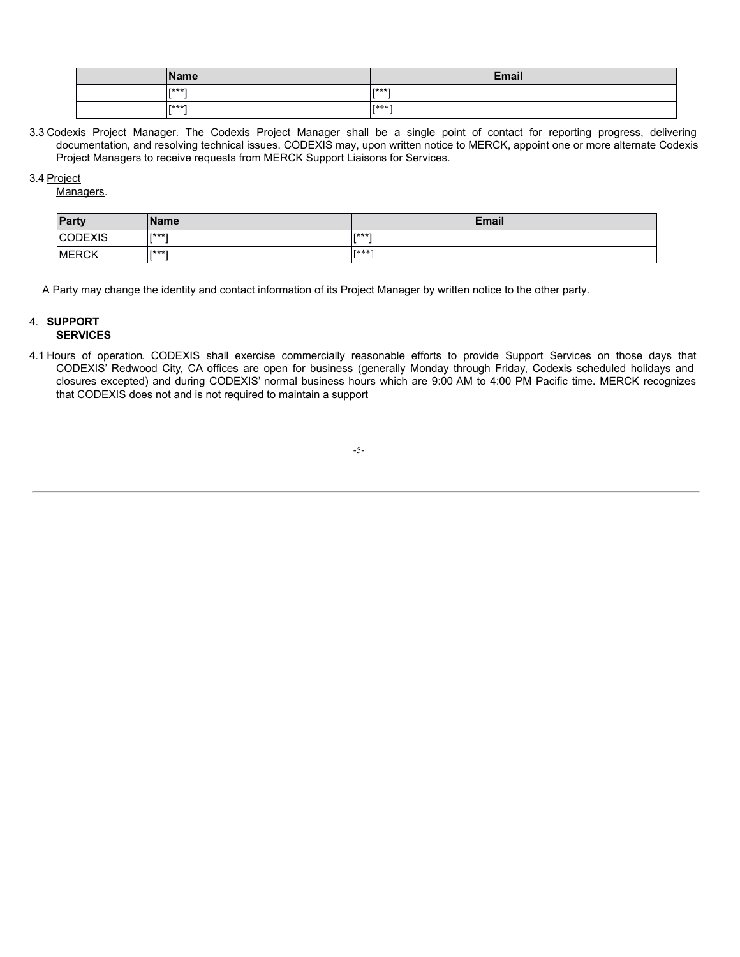| Name     | <b>Email</b>          |
|----------|-----------------------|
| $1x***1$ | $rx**1$               |
| $rx**1$  | $\left[^{***}\right]$ |

3.3 Codexis Project Manager. The Codexis Project Manager shall be a single point of contact for reporting progress, delivering documentation, and resolving technical issues. CODEXIS may, upon written notice to MERCK, appoint one or more alternate Codexis Project Managers to receive requests from MERCK Support Liaisons for Services.

# 3.4 Project

Managers.

| Party          | <b>Name</b>  | <b>Email</b> |
|----------------|--------------|--------------|
| <b>CODEXIS</b> | <b>T***1</b> | $rx**1$      |
| <b>MERCK</b>   | <b>T***1</b> | $F$ ***      |

A Party may change the identity and contact information of its Project Manager by written notice to the other party.

## 4. **SUPPORT SERVICES**

4.1 Hours of operation. CODEXIS shall exercise commercially reasonable efforts to provide Support Services on those days that CODEXIS' Redwood City, CA offices are open for business (generally Monday through Friday, Codexis scheduled holidays and closures excepted) and during CODEXIS' normal business hours which are 9:00 AM to 4:00 PM Pacific time. MERCK recognizes that CODEXIS does not and is not required to maintain a support

# -5-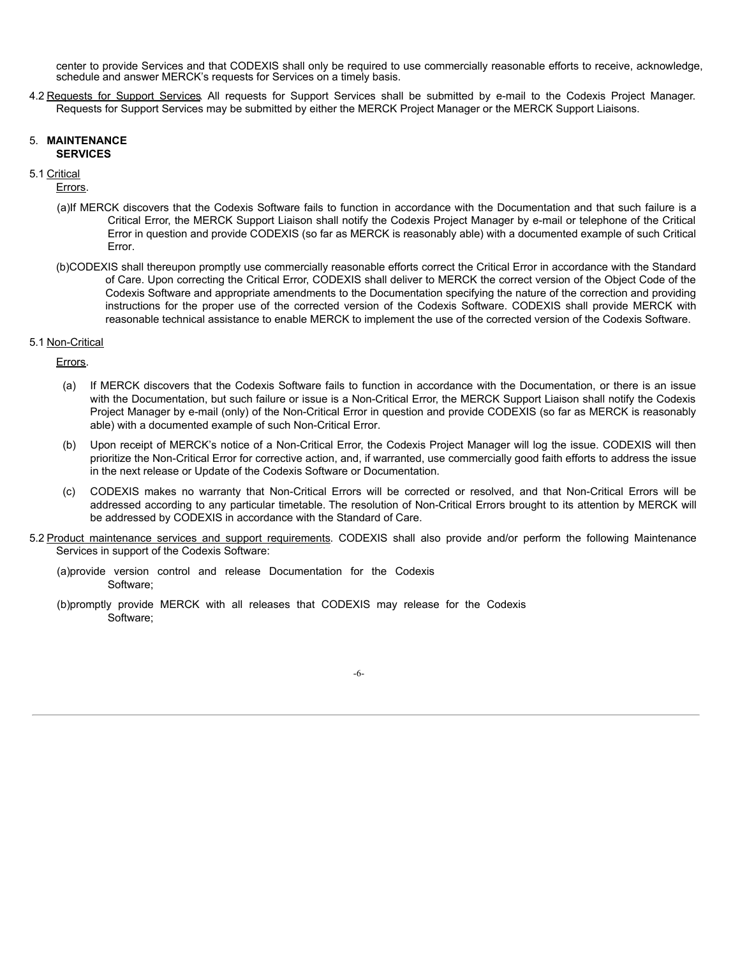center to provide Services and that CODEXIS shall only be required to use commercially reasonable efforts to receive, acknowledge, schedule and answer MERCK's requests for Services on a timely basis.

4.2 Requests for Support Services. All requests for Support Services shall be submitted by e-mail to the Codexis Project Manager. Requests for Support Services may be submitted by either the MERCK Project Manager or the MERCK Support Liaisons.

## 5. **MAINTENANCE SERVICES**

## 5.1 Critical

Errors.

- (a)If MERCK discovers that the Codexis Software fails to function in accordance with the Documentation and that such failure is a Critical Error, the MERCK Support Liaison shall notify the Codexis Project Manager by e-mail or telephone of the Critical Error in question and provide CODEXIS (so far as MERCK is reasonably able) with a documented example of such Critical Error.
- (b)CODEXIS shall thereupon promptly use commercially reasonable efforts correct the Critical Error in accordance with the Standard of Care. Upon correcting the Critical Error, CODEXIS shall deliver to MERCK the correct version of the Object Code of the Codexis Software and appropriate amendments to the Documentation specifying the nature of the correction and providing instructions for the proper use of the corrected version of the Codexis Software. CODEXIS shall provide MERCK with reasonable technical assistance to enable MERCK to implement the use of the corrected version of the Codexis Software.

# 5.1 Non-Critical

Errors.

- (a) If MERCK discovers that the Codexis Software fails to function in accordance with the Documentation, or there is an issue with the Documentation, but such failure or issue is a Non-Critical Error, the MERCK Support Liaison shall notify the Codexis Project Manager by e-mail (only) of the Non-Critical Error in question and provide CODEXIS (so far as MERCK is reasonably able) with a documented example of such Non-Critical Error.
- (b) Upon receipt of MERCK's notice of a Non-Critical Error, the Codexis Project Manager will log the issue. CODEXIS will then prioritize the Non-Critical Error for corrective action, and, if warranted, use commercially good faith efforts to address the issue in the next release or Update of the Codexis Software or Documentation.
- (c) CODEXIS makes no warranty that Non-Critical Errors will be corrected or resolved, and that Non-Critical Errors will be addressed according to any particular timetable. The resolution of Non-Critical Errors brought to its attention by MERCK will be addressed by CODEXIS in accordance with the Standard of Care.
- 5.2 Product maintenance services and support requirements. CODEXIS shall also provide and/or perform the following Maintenance Services in support of the Codexis Software:
	- (a)provide version control and release Documentation for the Codexis Software;
	- (b)promptly provide MERCK with all releases that CODEXIS may release for the Codexis Software;

-6-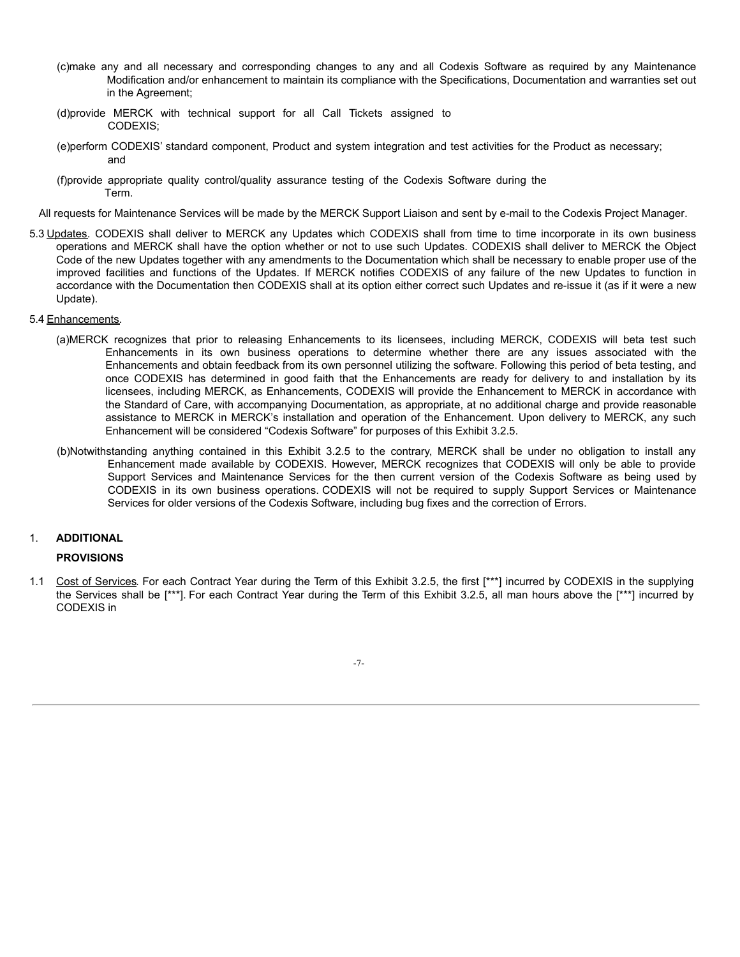- (c)make any and all necessary and corresponding changes to any and all Codexis Software as required by any Maintenance Modification and/or enhancement to maintain its compliance with the Specifications, Documentation and warranties set out in the Agreement;
- (d)provide MERCK with technical support for all Call Tickets assigned to CODEXIS;
- (e)perform CODEXIS' standard component, Product and system integration and test activities for the Product as necessary; and
- (f)provide appropriate quality control/quality assurance testing of the Codexis Software during the Term.

All requests for Maintenance Services will be made by the MERCK Support Liaison and sent by e-mail to the Codexis Project Manager.

- 5.3 Updates. CODEXIS shall deliver to MERCK any Updates which CODEXIS shall from time to time incorporate in its own business operations and MERCK shall have the option whether or not to use such Updates. CODEXIS shall deliver to MERCK the Object Code of the new Updates together with any amendments to the Documentation which shall be necessary to enable proper use of the improved facilities and functions of the Updates. If MERCK notifies CODEXIS of any failure of the new Updates to function in accordance with the Documentation then CODEXIS shall at its option either correct such Updates and re-issue it (as if it were a new Update).
- 5.4 Enhancements.
	- (a)MERCK recognizes that prior to releasing Enhancements to its licensees, including MERCK, CODEXIS will beta test such Enhancements in its own business operations to determine whether there are any issues associated with the Enhancements and obtain feedback from its own personnel utilizing the software. Following this period of beta testing, and once CODEXIS has determined in good faith that the Enhancements are ready for delivery to and installation by its licensees, including MERCK, as Enhancements, CODEXIS will provide the Enhancement to MERCK in accordance with the Standard of Care, with accompanying Documentation, as appropriate, at no additional charge and provide reasonable assistance to MERCK in MERCK's installation and operation of the Enhancement. Upon delivery to MERCK, any such Enhancement will be considered "Codexis Software" for purposes of this Exhibit 3.2.5.
	- (b)Notwithstanding anything contained in this Exhibit 3.2.5 to the contrary, MERCK shall be under no obligation to install any Enhancement made available by CODEXIS. However, MERCK recognizes that CODEXIS will only be able to provide Support Services and Maintenance Services for the then current version of the Codexis Software as being used by CODEXIS in its own business operations. CODEXIS will not be required to supply Support Services or Maintenance Services for older versions of the Codexis Software, including bug fixes and the correction of Errors.

# 1. **ADDITIONAL**

# **PROVISIONS**

1.1 Cost of Services. For each Contract Year during the Term of this Exhibit 3.2.5, the first [\*\*\*] incurred by CODEXIS in the supplying the Services shall be [\*\*\*]. For each Contract Year during the Term of this Exhibit 3.2.5, all man hours above the [\*\*\*] incurred by CODEXIS in

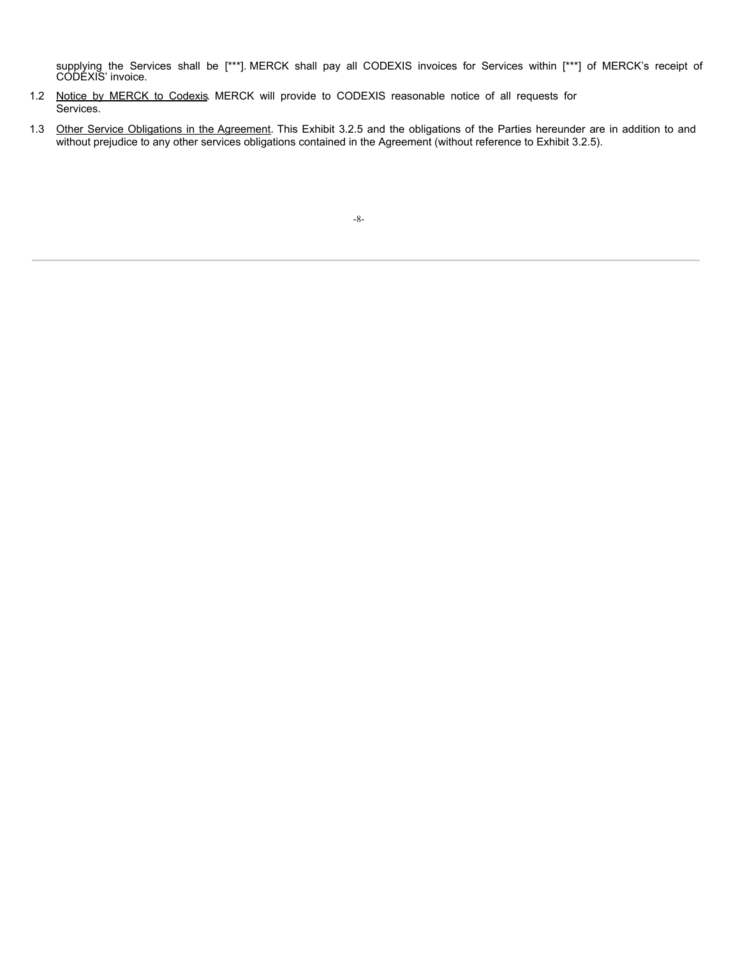supplying the Services shall be [\*\*\*]. MERCK shall pay all CODEXIS invoices for Services within [\*\*\*] of MERCK's receipt of CODEXIS' invoice.

- 1.2 Notice by MERCK to Codexis. MERCK will provide to CODEXIS reasonable notice of all requests for Services.
- 1.3 Other Service Obligations in the Agreement. This Exhibit 3.2.5 and the obligations of the Parties hereunder are in addition to and without prejudice to any other services obligations contained in the Agreement (without reference to Exhibit 3.2.5).

-8-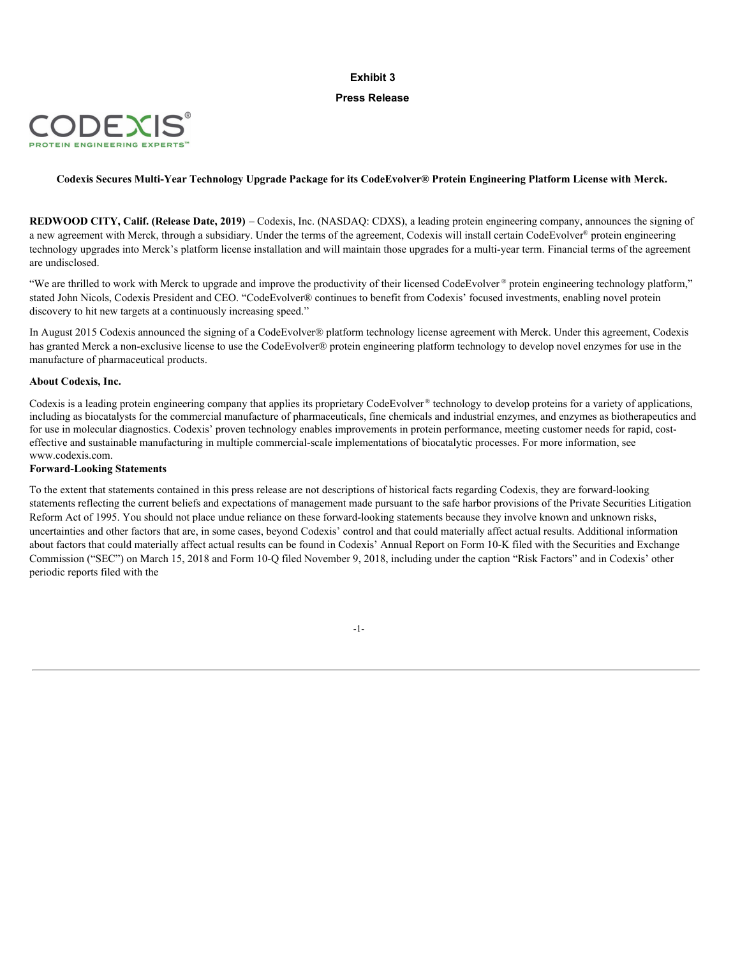## **Press Release**



# Codexis Secures Multi-Year Technology Upgrade Package for its CodeEvolver® Protein Engineering Platform License with Merck.

**REDWOOD CITY, Calif. (Release Date, 2019)** – Codexis, Inc. (NASDAQ: CDXS), a leading protein engineering company, announces the signing of a new agreement with Merck, through a subsidiary. Under the terms of the agreement, Codexis will install certain CodeEvolver® protein engineering technology upgrades into Merck's platform license installation and will maintain those upgrades for a multi-year term. Financial terms of the agreement are undisclosed.

"We are thrilled to work with Merck to upgrade and improve the productivity of their licensed CodeEvolver ® protein engineering technology platform," stated John Nicols, Codexis President and CEO. "CodeEvolver® continues to benefit from Codexis' focused investments, enabling novel protein discovery to hit new targets at a continuously increasing speed."

In August 2015 Codexis announced the signing of a CodeEvolver® platform technology license agreement with Merck. Under this agreement, Codexis has granted Merck a non-exclusive license to use the CodeEvolver® protein engineering platform technology to develop novel enzymes for use in the manufacture of pharmaceutical products.

## **About Codexis, Inc.**

Codexis is a leading protein engineering company that applies its proprietary CodeEvolver ® technology to develop proteins for a variety of applications, including as biocatalysts for the commercial manufacture of pharmaceuticals, fine chemicals and industrial enzymes, and enzymes as biotherapeutics and for use in molecular diagnostics. Codexis' proven technology enables improvements in protein performance, meeting customer needs for rapid, costeffective and sustainable manufacturing in multiple commercial-scale implementations of biocatalytic processes. For more information, see www.codexis.com.

## **Forward-Looking Statements**

To the extent that statements contained in this press release are not descriptions of historical facts regarding Codexis, they are forward-looking statements reflecting the current beliefs and expectations of management made pursuant to the safe harbor provisions of the Private Securities Litigation Reform Act of 1995. You should not place undue reliance on these forward-looking statements because they involve known and unknown risks, uncertainties and other factors that are, in some cases, beyond Codexis' control and that could materially affect actual results. Additional information about factors that could materially affect actual results can be found in Codexis' Annual Report on Form 10-K filed with the Securities and Exchange Commission ("SEC") on March 15, 2018 and Form 10-Q filed November 9, 2018, including under the caption "Risk Factors" and in Codexis' other periodic reports filed with the

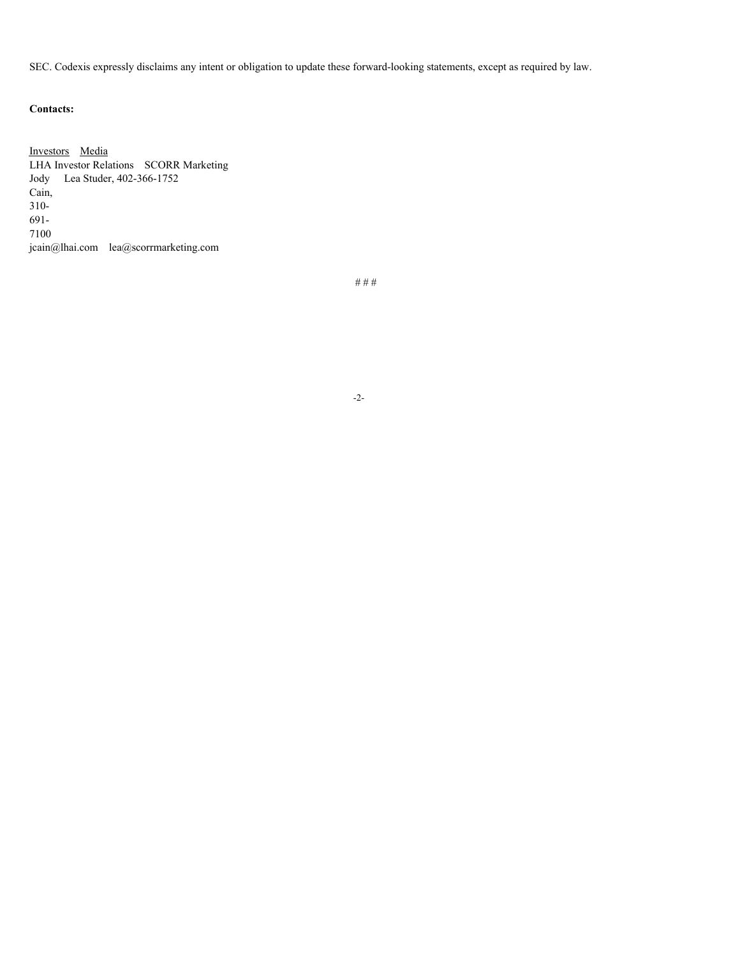SEC. Codexis expressly disclaims any intent or obligation to update these forward-looking statements, except as required by law.

# **Contacts:**

Investors Media LHA Investor Relations SCORR Marketing Jody Lea Studer, 402-366-1752 Cain, 310- 691- 7100 jcain@lhai.com lea@scorrmarketing.com

 $# # #$ 

# -2-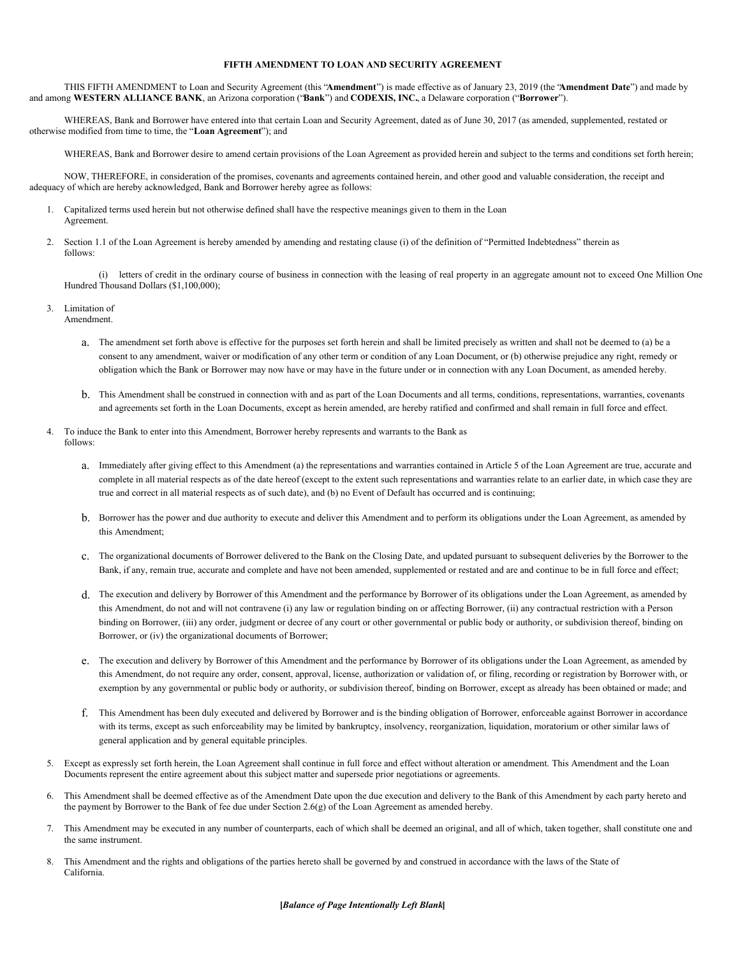## **FIFTH AMENDMENT TO LOAN AND SECURITY AGREEMENT**

<span id="page-64-0"></span>THIS FIFTH AMENDMENT to Loan and Security Agreement (this "**Amendment**") is made effective as of January 23, 2019 (the "**Amendment Date**") and made by and among **WESTERN ALLIANCE BANK**, an Arizona corporation ("**Bank**") and **CODEXIS, INC.**, a Delaware corporation ("**Borrower**").

WHEREAS, Bank and Borrower have entered into that certain Loan and Security Agreement, dated as of June 30, 2017 (as amended, supplemented, restated or otherwise modified from time to time, the "**Loan Agreement**"); and

WHEREAS, Bank and Borrower desire to amend certain provisions of the Loan Agreement as provided herein and subject to the terms and conditions set forth herein;

NOW, THEREFORE, in consideration of the promises, covenants and agreements contained herein, and other good and valuable consideration, the receipt and adequacy of which are hereby acknowledged, Bank and Borrower hereby agree as follows:

- 1. Capitalized terms used herein but not otherwise defined shall have the respective meanings given to them in the Loan Agreement.
- 2. Section 1.1 of the Loan Agreement is hereby amended by amending and restating clause (i) of the definition of "Permitted Indebtedness" therein as follows:

(i) letters of credit in the ordinary course of business in connection with the leasing of real property in an aggregate amount not to exceed One Million One Hundred Thousand Dollars (\$1,100,000);

- 3. Limitation of
- Amendment.
	- a. The amendment set forth above is effective for the purposes set forth herein and shall be limited precisely as written and shall not be deemed to (a) be a consent to any amendment, waiver or modification of any other term or condition of any Loan Document, or (b) otherwise prejudice any right, remedy or obligation which the Bank or Borrower may now have or may have in the future under or in connection with any Loan Document, as amended hereby.
	- b. This Amendment shall be construed in connection with and as part of the Loan Documents and all terms, conditions, representations, warranties, covenants and agreements set forth in the Loan Documents, except as herein amended, are hereby ratified and confirmed and shall remain in full force and effect.
- 4. To induce the Bank to enter into this Amendment, Borrower hereby represents and warrants to the Bank as follows:
	- a. Immediately after giving effect to this Amendment (a) the representations and warranties contained in Article 5 of the Loan Agreement are true, accurate and complete in all material respects as of the date hereof (except to the extent such representations and warranties relate to an earlier date, in which case they are true and correct in all material respects as of such date), and (b) no Event of Default has occurred and is continuing;
	- b. Borrower has the power and due authority to execute and deliver this Amendment and to perform its obligations under the Loan Agreement, as amended by this Amendment;
	- c. The organizational documents of Borrower delivered to the Bank on the Closing Date, and updated pursuant to subsequent deliveries by the Borrower to the Bank, if any, remain true, accurate and complete and have not been amended, supplemented or restated and are and continue to be in full force and effect;
	- d. The execution and delivery by Borrower of this Amendment and the performance by Borrower of its obligations under the Loan Agreement, as amended by this Amendment, do not and will not contravene (i) any law or regulation binding on or affecting Borrower, (ii) any contractual restriction with a Person binding on Borrower, (iii) any order, judgment or decree of any court or other governmental or public body or authority, or subdivision thereof, binding on Borrower, or (iv) the organizational documents of Borrower;
	- e. The execution and delivery by Borrower of this Amendment and the performance by Borrower of its obligations under the Loan Agreement, as amended by this Amendment, do not require any order, consent, approval, license, authorization or validation of, or filing, recording or registration by Borrower with, or exemption by any governmental or public body or authority, or subdivision thereof, binding on Borrower, except as already has been obtained or made; and
	- f. This Amendment has been duly executed and delivered by Borrower and is the binding obligation of Borrower, enforceable against Borrower in accordance with its terms, except as such enforceability may be limited by bankruptcy, insolvency, reorganization, liquidation, moratorium or other similar laws of general application and by general equitable principles.
- 5. Except as expressly set forth herein, the Loan Agreement shall continue in full force and effect without alteration or amendment. This Amendment and the Loan Documents represent the entire agreement about this subject matter and supersede prior negotiations or agreements.
- 6. This Amendment shall be deemed effective as of the Amendment Date upon the due execution and delivery to the Bank of this Amendment by each party hereto and the payment by Borrower to the Bank of fee due under Section 2.6(g) of the Loan Agreement as amended hereby.
- This Amendment may be executed in any number of counterparts, each of which shall be deemed an original, and all of which, taken together, shall constitute one and the same instrument.
- 8. This Amendment and the rights and obligations of the parties hereto shall be governed by and construed in accordance with the laws of the State of California.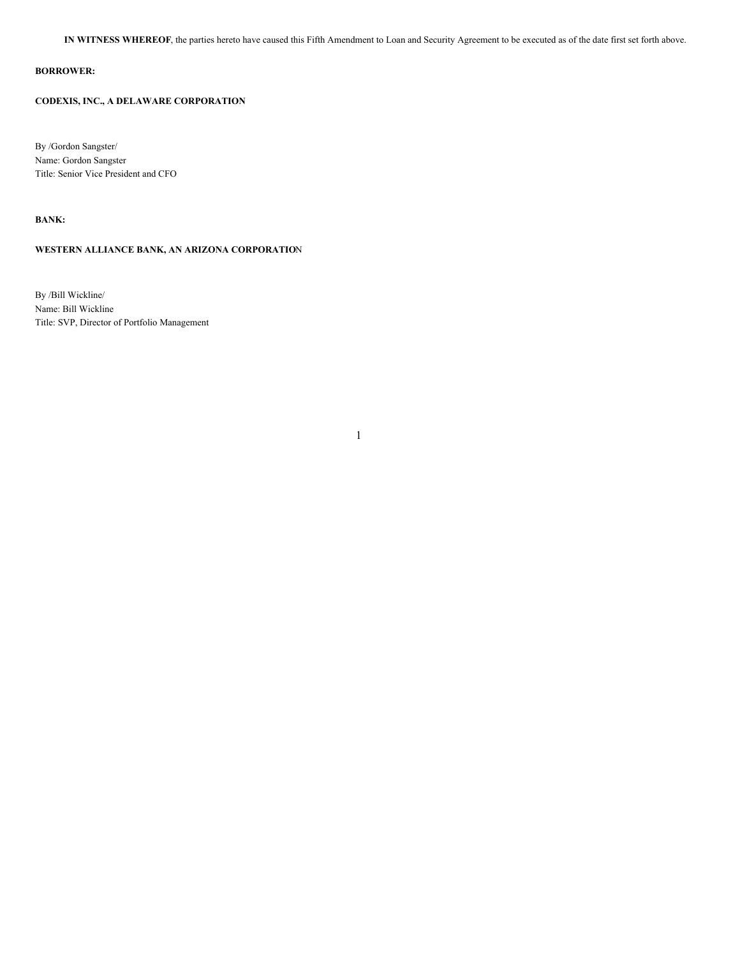**IN WITNESS WHEREOF**, the parties hereto have caused this Fifth Amendment to Loan and Security Agreement to be executed as of the date first set forth above.

## **BORROWER:**

# **CODEXIS, INC., A DELAWARE CORPORATION**

By /Gordon Sangster/ Name: Gordon Sangster Title: Senior Vice President and CFO

## **BANK:**

## **WESTERN ALLIANCE BANK, AN ARIZONA CORPORATIO**N

By /Bill Wickline/ Name: Bill Wickline Title: SVP, Director of Portfolio Management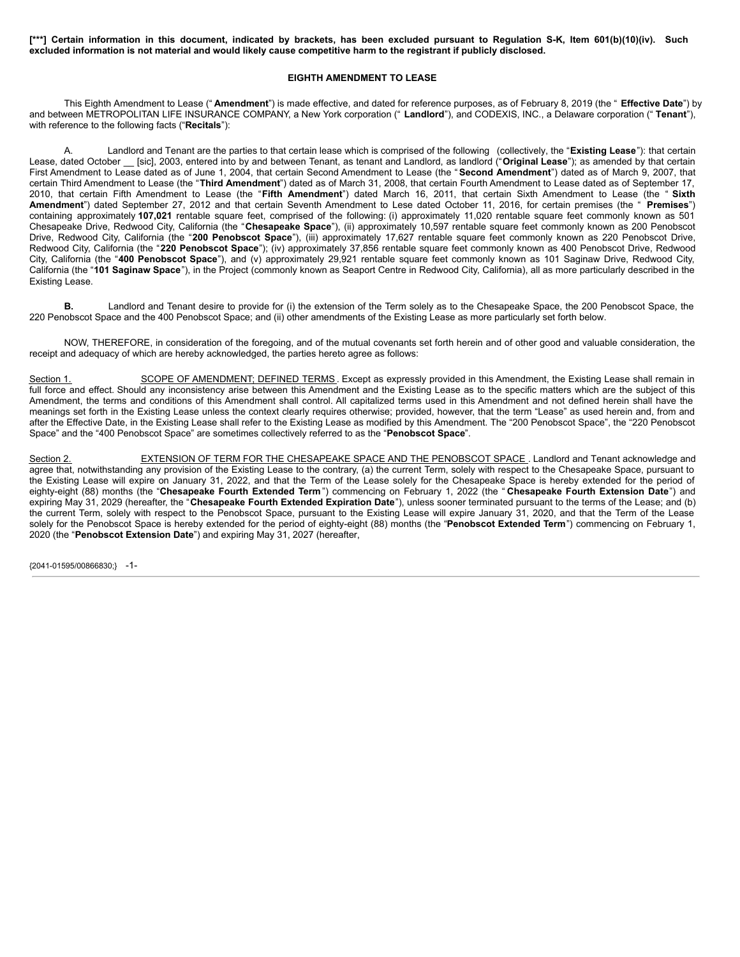[\*\*\*] Certain information in this document, indicated by brackets, has been excluded pursuant to Regulation S-K, Item 601(b)(10)(iv). Such excluded information is not material and would likely cause competitive harm to the registrant if publicly disclosed.

# **EIGHTH AMENDMENT TO LEASE**

This Eighth Amendment to Lease (" **Amendment**") is made effective, and dated for reference purposes, as of February 8, 2019 (the " **Effective Date**") by and between METROPOLITAN LIFE INSURANCE COMPANY, a New York corporation (" **Landlord**"), and CODEXIS, INC., a Delaware corporation (" **Tenant**"), with reference to the following facts ("**Recitals**"):

A. Landlord and Tenant are the parties to that certain lease which is comprised of the following (collectively, the "**Existing Lease**"): that certain Lease, dated October \_\_ [sic], 2003, entered into by and between Tenant, as tenant and Landlord, as landlord ("**Original Lease**"); as amended by that certain First Amendment to Lease dated as of June 1, 2004, that certain Second Amendment to Lease (the "**Second Amendment**") dated as of March 9, 2007, that certain Third Amendment to Lease (the "**Third Amendment**") dated as of March 31, 2008, that certain Fourth Amendment to Lease dated as of September 17, 2010, that certain Fifth Amendment to Lease (the "**Fifth Amendment**") dated March 16, 2011, that certain Sixth Amendment to Lease (the " **Sixth Amendment**") dated September 27, 2012 and that certain Seventh Amendment to Lese dated October 11, 2016, for certain premises (the " **Premises**") containing approximately **107,021** rentable square feet, comprised of the following: (i) approximately 11,020 rentable square feet commonly known as 501 Chesapeake Drive, Redwood City, California (the "**Chesapeake Space**"), (ii) approximately 10,597 rentable square feet commonly known as 200 Penobscot Drive, Redwood City, California (the "**200 Penobscot Space**"), (iii) approximately 17,627 rentable square feet commonly known as 220 Penobscot Drive, Redwood City, California (the "**220 Penobscot Space**"); (iv) approximately 37,856 rentable square feet commonly known as 400 Penobscot Drive, Redwood City, California (the "**400 Penobscot Space**"), and (v) approximately 29,921 rentable square feet commonly known as 101 Saginaw Drive, Redwood City, California (the "**101 Saginaw Space**"), in the Project (commonly known as Seaport Centre in Redwood City, California), all as more particularly described in the Existing Lease.

**B.** Landlord and Tenant desire to provide for (i) the extension of the Term solely as to the Chesapeake Space, the 200 Penobscot Space, the 220 Penobscot Space and the 400 Penobscot Space; and (ii) other amendments of the Existing Lease as more particularly set forth below.

NOW, THEREFORE, in consideration of the foregoing, and of the mutual covenants set forth herein and of other good and valuable consideration, the receipt and adequacy of which are hereby acknowledged, the parties hereto agree as follows:

Section 1. SCOPE OF AMENDMENT; DEFINED TERMS. Except as expressly provided in this Amendment, the Existing Lease shall remain in full force and effect. Should any inconsistency arise between this Amendment and the Existing Lease as to the specific matters which are the subject of this Amendment, the terms and conditions of this Amendment shall control. All capitalized terms used in this Amendment and not defined herein shall have the meanings set forth in the Existing Lease unless the context clearly requires otherwise; provided, however, that the term "Lease" as used herein and, from and after the Effective Date, in the Existing Lease shall refer to the Existing Lease as modified by this Amendment. The "200 Penobscot Space", the "220 Penobscot Space" and the "400 Penobscot Space" are sometimes collectively referred to as the "**Penobscot Space**".

Section 2. EXTENSION OF TERM FOR THE CHESAPEAKE SPACE AND THE PENOBSCOT SPACE. Landlord and Tenant acknowledge and agree that, notwithstanding any provision of the Existing Lease to the contrary, (a) the current Term, solely with respect to the Chesapeake Space, pursuant to the Existing Lease will expire on January 31, 2022, and that the Term of the Lease solely for the Chesapeake Space is hereby extended for the period of eighty-eight (88) months (the "**Chesapeake Fourth Extended Term** ") commencing on February 1, 2022 (the " **Chesapeake Fourth Extension Date**") and expiring May 31, 2029 (hereafter, the "**Chesapeake Fourth Extended Expiration Date**"), unless sooner terminated pursuant to the terms of the Lease; and (b) the current Term, solely with respect to the Penobscot Space, pursuant to the Existing Lease will expire January 31, 2020, and that the Term of the Lease solely for the Penobscot Space is hereby extended for the period of eighty-eight (88) months (the "**Penobscot Extended Term**") commencing on February 1, 2020 (the "**Penobscot Extension Date**") and expiring May 31, 2027 (hereafter,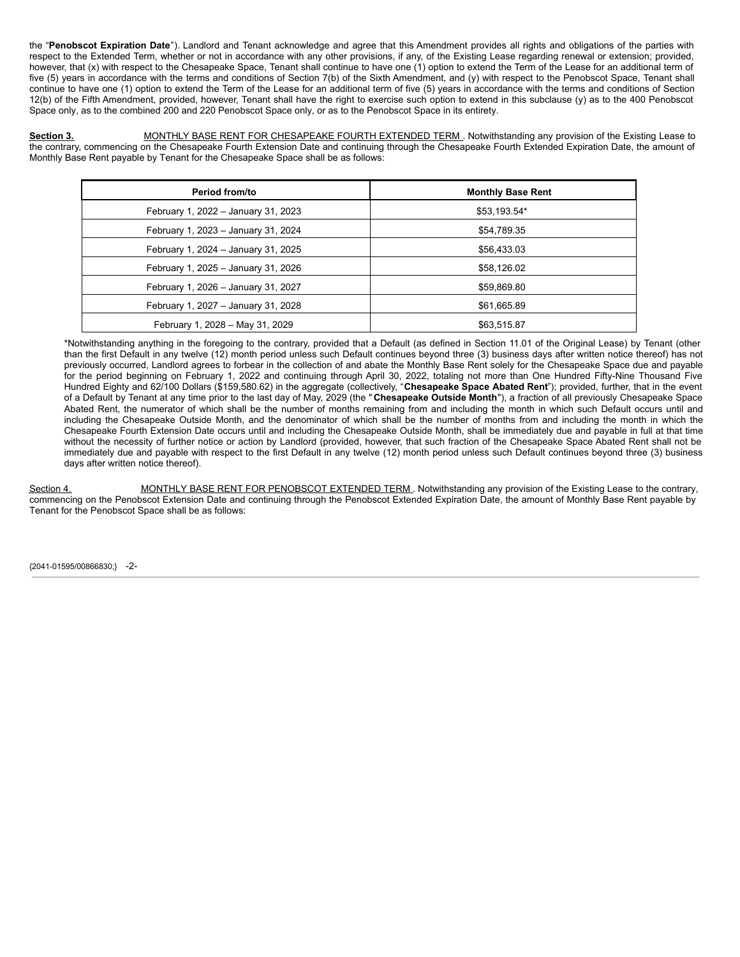the "**Penobscot Expiration Date**"). Landlord and Tenant acknowledge and agree that this Amendment provides all rights and obligations of the parties with respect to the Extended Term, whether or not in accordance with any other provisions, if any, of the Existing Lease regarding renewal or extension; provided, however, that (x) with respect to the Chesapeake Space, Tenant shall continue to have one (1) option to extend the Term of the Lease for an additional term of five (5) years in accordance with the terms and conditions of Section 7(b) of the Sixth Amendment, and (y) with respect to the Penobscot Space, Tenant shall continue to have one (1) option to extend the Term of the Lease for an additional term of five (5) years in accordance with the terms and conditions of Section 12(b) of the Fifth Amendment, provided, however, Tenant shall have the right to exercise such option to extend in this subclause (y) as to the 400 Penobscot Space only, as to the combined 200 and 220 Penobscot Space only, or as to the Penobscot Space in its entirety.

**Section 3.** MONTHLY BASE RENT FOR CHESAPEAKE FOURTH EXTENDED TERM. Notwithstanding any provision of the Existing Lease to the contrary, commencing on the Chesapeake Fourth Extension Date and continuing through the Chesapeake Fourth Extended Expiration Date, the amount of Monthly Base Rent payable by Tenant for the Chesapeake Space shall be as follows:

| <b>Period from/to</b>               | <b>Monthly Base Rent</b> |
|-------------------------------------|--------------------------|
| February 1, 2022 - January 31, 2023 | \$53,193.54*             |
| February 1, 2023 - January 31, 2024 | \$54,789.35              |
| February 1, 2024 - January 31, 2025 | \$56,433.03              |
| February 1, 2025 - January 31, 2026 | \$58,126.02              |
| February 1, 2026 - January 31, 2027 | \$59,869.80              |
| February 1, 2027 - January 31, 2028 | \$61,665.89              |
| February 1, 2028 - May 31, 2029     | \$63,515.87              |

\*Notwithstanding anything in the foregoing to the contrary, provided that a Default (as defined in Section 11.01 of the Original Lease) by Tenant (other than the first Default in any twelve (12) month period unless such Default continues beyond three (3) business days after written notice thereof) has not previously occurred, Landlord agrees to forbear in the collection of and abate the Monthly Base Rent solely for the Chesapeake Space due and payable for the period beginning on February 1, 2022 and continuing through April 30, 2022, totaling not more than One Hundred Fifty-Nine Thousand Five Hundred Eighty and 62/100 Dollars (\$159,580.62) in the aggregate (collectively, "**Chesapeake Space Abated Rent**"); provided, further, that in the event of a Default by Tenant at any time prior to the last day of May, 2029 (the " **Chesapeake Outside Month**"), a fraction of all previously Chesapeake Space Abated Rent, the numerator of which shall be the number of months remaining from and including the month in which such Default occurs until and including the Chesapeake Outside Month, and the denominator of which shall be the number of months from and including the month in which the Chesapeake Fourth Extension Date occurs until and including the Chesapeake Outside Month, shall be immediately due and payable in full at that time without the necessity of further notice or action by Landlord (provided, however, that such fraction of the Chesapeake Space Abated Rent shall not be immediately due and payable with respect to the first Default in any twelve (12) month period unless such Default continues beyond three (3) business days after written notice thereof).

Section 4. MONTHLY BASE RENT FOR PENOBSCOT EXTENDED TERM. Notwithstanding any provision of the Existing Lease to the contrary, commencing on the Penobscot Extension Date and continuing through the Penobscot Extended Expiration Date, the amount of Monthly Base Rent payable by Tenant for the Penobscot Space shall be as follows:

{2041-01595/00866830;} -2-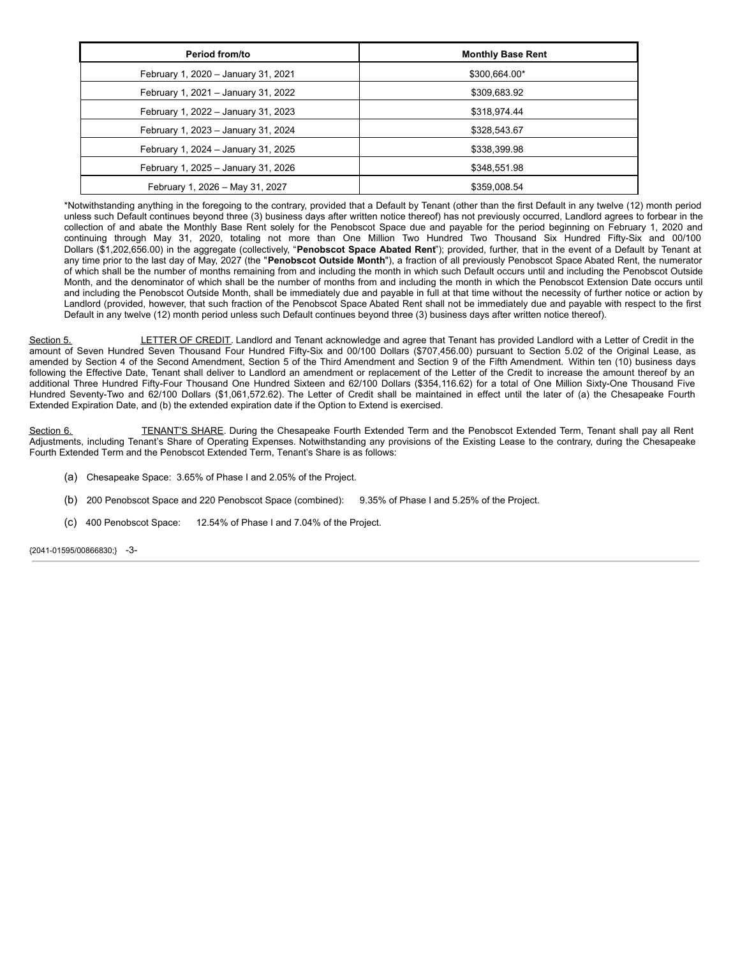| Period from/to                      | <b>Monthly Base Rent</b> |
|-------------------------------------|--------------------------|
| February 1, 2020 - January 31, 2021 | \$300,664.00*            |
| February 1, 2021 - January 31, 2022 | \$309,683.92             |
| February 1, 2022 - January 31, 2023 | \$318.974.44             |
| February 1, 2023 - January 31, 2024 | \$328,543.67             |
| February 1, 2024 - January 31, 2025 | \$338,399.98             |
| February 1, 2025 - January 31, 2026 | \$348,551.98             |
| February 1, 2026 - May 31, 2027     | \$359,008.54             |

\*Notwithstanding anything in the foregoing to the contrary, provided that a Default by Tenant (other than the first Default in any twelve (12) month period unless such Default continues beyond three (3) business days after written notice thereof) has not previously occurred, Landlord agrees to forbear in the collection of and abate the Monthly Base Rent solely for the Penobscot Space due and payable for the period beginning on February 1, 2020 and continuing through May 31, 2020, totaling not more than One Million Two Hundred Two Thousand Six Hundred Fifty-Six and 00/100 Dollars (\$1,202,656.00) in the aggregate (collectively, "**Penobscot Space Abated Rent**"); provided, further, that in the event of a Default by Tenant at any time prior to the last day of May, 2027 (the "**Penobscot Outside Month**"), a fraction of all previously Penobscot Space Abated Rent, the numerator of which shall be the number of months remaining from and including the month in which such Default occurs until and including the Penobscot Outside Month, and the denominator of which shall be the number of months from and including the month in which the Penobscot Extension Date occurs until and including the Penobscot Outside Month, shall be immediately due and payable in full at that time without the necessity of further notice or action by Landlord (provided, however, that such fraction of the Penobscot Space Abated Rent shall not be immediately due and payable with respect to the first Default in any twelve (12) month period unless such Default continues beyond three (3) business days after written notice thereof).

Section 5. LETTER OF CREDIT. Landlord and Tenant acknowledge and agree that Tenant has provided Landlord with a Letter of Credit in the amount of Seven Hundred Seven Thousand Four Hundred Fifty-Six and 00/100 Dollars (\$707,456.00) pursuant to Section 5.02 of the Original Lease, as amended by Section 4 of the Second Amendment, Section 5 of the Third Amendment and Section 9 of the Fifth Amendment. Within ten (10) business days following the Effective Date, Tenant shall deliver to Landlord an amendment or replacement of the Letter of the Credit to increase the amount thereof by an additional Three Hundred Fifty-Four Thousand One Hundred Sixteen and 62/100 Dollars (\$354,116.62) for a total of One Million Sixty-One Thousand Five Hundred Seventy-Two and 62/100 Dollars (\$1,061,572.62). The Letter of Credit shall be maintained in effect until the later of (a) the Chesapeake Fourth Extended Expiration Date, and (b) the extended expiration date if the Option to Extend is exercised.

Section 6. TENANT'S SHARE. During the Chesapeake Fourth Extended Term and the Penobscot Extended Term, Tenant shall pay all Rent Adjustments, including Tenant's Share of Operating Expenses. Notwithstanding any provisions of the Existing Lease to the contrary, during the Chesapeake Fourth Extended Term and the Penobscot Extended Term, Tenant's Share is as follows:

- (a) Chesapeake Space: 3.65% of Phase I and 2.05% of the Project.
- (b) 200 Penobscot Space and 220 Penobscot Space (combined): 9.35% of Phase I and 5.25% of the Project.
- (c) 400 Penobscot Space: 12.54% of Phase I and 7.04% of the Project.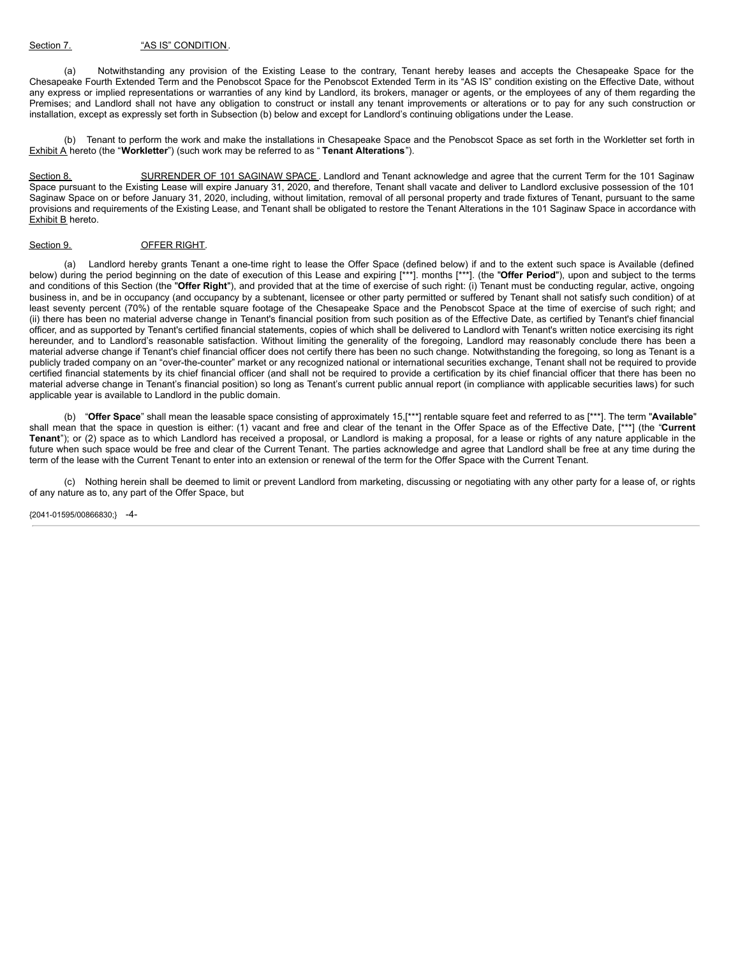## Section 7. "AS IS" CONDITION.

(a) Notwithstanding any provision of the Existing Lease to the contrary, Tenant hereby leases and accepts the Chesapeake Space for the Chesapeake Fourth Extended Term and the Penobscot Space for the Penobscot Extended Term in its "AS IS" condition existing on the Effective Date, without any express or implied representations or warranties of any kind by Landlord, its brokers, manager or agents, or the employees of any of them regarding the Premises; and Landlord shall not have any obligation to construct or install any tenant improvements or alterations or to pay for any such construction or installation, except as expressly set forth in Subsection (b) below and except for Landlord's continuing obligations under the Lease.

(b) Tenant to perform the work and make the installations in Chesapeake Space and the Penobscot Space as set forth in the Workletter set forth in Exhibit A hereto (the "**Workletter**") (such work may be referred to as " **Tenant Alterations**").

Section 8. SURRENDER OF 101 SAGINAW SPACE . Landlord and Tenant acknowledge and agree that the current Term for the 101 Saginaw Space pursuant to the Existing Lease will expire January 31, 2020, and therefore, Tenant shall vacate and deliver to Landlord exclusive possession of the 101 Saginaw Space on or before January 31, 2020, including, without limitation, removal of all personal property and trade fixtures of Tenant, pursuant to the same provisions and requirements of the Existing Lease, and Tenant shall be obligated to restore the Tenant Alterations in the 101 Saginaw Space in accordance with Exhibit B hereto.

### Section 9. **OFFER RIGHT.**

(a) Landlord hereby grants Tenant a one-time right to lease the Offer Space (defined below) if and to the extent such space is Available (defined below) during the period beginning on the date of execution of this Lease and expiring [\*\*\*]. months [\*\*\*]. (the "**Offer Period**"), upon and subject to the terms and conditions of this Section (the "**Offer Right**"), and provided that at the time of exercise of such right: (i) Tenant must be conducting regular, active, ongoing business in, and be in occupancy (and occupancy by a subtenant, licensee or other party permitted or suffered by Tenant shall not satisfy such condition) of at least seventy percent (70%) of the rentable square footage of the Chesapeake Space and the Penobscot Space at the time of exercise of such right; and (ii) there has been no material adverse change in Tenant's financial position from such position as of the Effective Date, as certified by Tenant's chief financial officer, and as supported by Tenant's certified financial statements, copies of which shall be delivered to Landlord with Tenant's written notice exercising its right hereunder, and to Landlord's reasonable satisfaction. Without limiting the generality of the foregoing, Landlord may reasonably conclude there has been a material adverse change if Tenant's chief financial officer does not certify there has been no such change. Notwithstanding the foregoing, so long as Tenant is a publicly traded company on an "over-the-counter" market or any recognized national or international securities exchange, Tenant shall not be required to provide certified financial statements by its chief financial officer (and shall not be required to provide a certification by its chief financial officer that there has been no material adverse change in Tenant's financial position) so long as Tenant's current public annual report (in compliance with applicable securities laws) for such applicable year is available to Landlord in the public domain.

(b) "**Offer Space**" shall mean the leasable space consisting of approximately 15,[\*\*\*] rentable square feet and referred to as [\*\*\*]. The term "**Available**" shall mean that the space in question is either: (1) vacant and free and clear of the tenant in the Offer Space as of the Effective Date, [\*\*\*] (the "**Current Tenant**"); or (2) space as to which Landlord has received a proposal, or Landlord is making a proposal, for a lease or rights of any nature applicable in the future when such space would be free and clear of the Current Tenant. The parties acknowledge and agree that Landlord shall be free at any time during the term of the lease with the Current Tenant to enter into an extension or renewal of the term for the Offer Space with the Current Tenant.

(c) Nothing herein shall be deemed to limit or prevent Landlord from marketing, discussing or negotiating with any other party for a lease of, or rights of any nature as to, any part of the Offer Space, but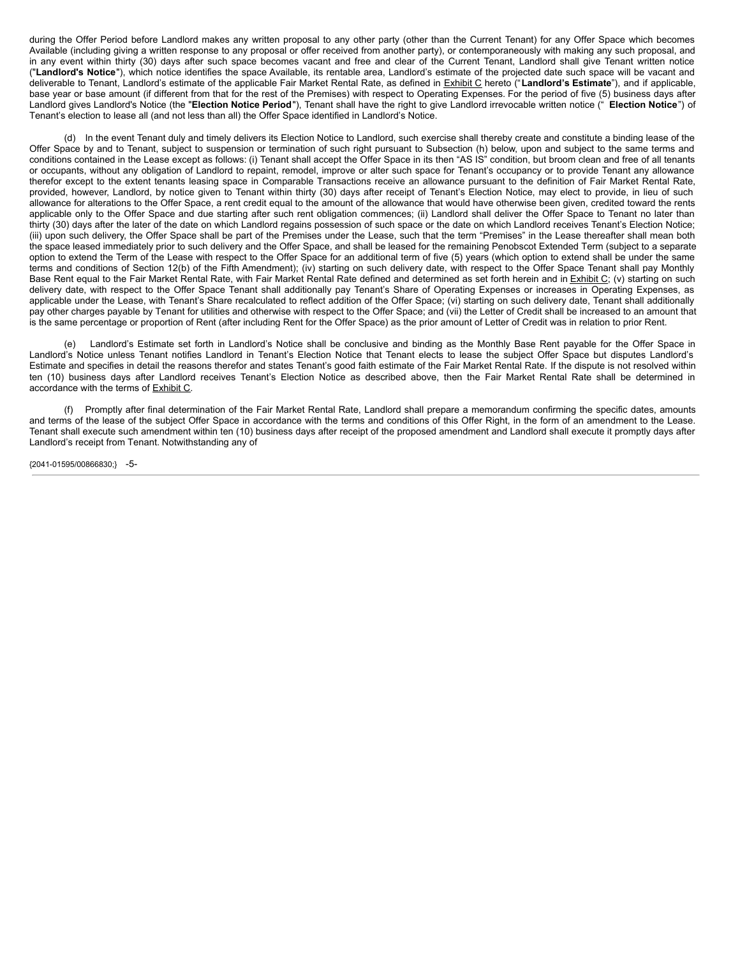during the Offer Period before Landlord makes any written proposal to any other party (other than the Current Tenant) for any Offer Space which becomes Available (including giving a written response to any proposal or offer received from another party), or contemporaneously with making any such proposal, and in any event within thirty (30) days after such space becomes vacant and free and clear of the Current Tenant, Landlord shall give Tenant written notice ("**Landlord's Notice**"), which notice identifies the space Available, its rentable area, Landlord's estimate of the projected date such space will be vacant and deliverable to Tenant, Landlord's estimate of the applicable Fair Market Rental Rate, as defined in Exhibit C hereto ("**Landlord's Estimate**"), and if applicable, base year or base amount (if different from that for the rest of the Premises) with respect to Operating Expenses. For the period of five (5) business days after Landlord gives Landlord's Notice (the "**Election Notice Period**"), Tenant shall have the right to give Landlord irrevocable written notice (" **Election Notice**") of Tenant's election to lease all (and not less than all) the Offer Space identified in Landlord's Notice.

(d) In the event Tenant duly and timely delivers its Election Notice to Landlord, such exercise shall thereby create and constitute a binding lease of the Offer Space by and to Tenant, subject to suspension or termination of such right pursuant to Subsection (h) below, upon and subject to the same terms and conditions contained in the Lease except as follows: (i) Tenant shall accept the Offer Space in its then "AS IS" condition, but broom clean and free of all tenants or occupants, without any obligation of Landlord to repaint, remodel, improve or alter such space for Tenant's occupancy or to provide Tenant any allowance therefor except to the extent tenants leasing space in Comparable Transactions receive an allowance pursuant to the definition of Fair Market Rental Rate, provided, however, Landlord, by notice given to Tenant within thirty (30) days after receipt of Tenant's Election Notice, may elect to provide, in lieu of such allowance for alterations to the Offer Space, a rent credit equal to the amount of the allowance that would have otherwise been given, credited toward the rents applicable only to the Offer Space and due starting after such rent obligation commences; (ii) Landlord shall deliver the Offer Space to Tenant no later than thirty (30) days after the later of the date on which Landlord regains possession of such space or the date on which Landlord receives Tenant's Election Notice; (iii) upon such delivery, the Offer Space shall be part of the Premises under the Lease, such that the term "Premises" in the Lease thereafter shall mean both the space leased immediately prior to such delivery and the Offer Space, and shall be leased for the remaining Penobscot Extended Term (subject to a separate option to extend the Term of the Lease with respect to the Offer Space for an additional term of five (5) years (which option to extend shall be under the same terms and conditions of Section 12(b) of the Fifth Amendment); (iv) starting on such delivery date, with respect to the Offer Space Tenant shall pay Monthly Base Rent equal to the Fair Market Rental Rate, with Fair Market Rental Rate defined and determined as set forth herein and in Exhibit C; (v) starting on such delivery date, with respect to the Offer Space Tenant shall additionally pay Tenant's Share of Operating Expenses or increases in Operating Expenses, as applicable under the Lease, with Tenant's Share recalculated to reflect addition of the Offer Space; (vi) starting on such delivery date, Tenant shall additionally pay other charges payable by Tenant for utilities and otherwise with respect to the Offer Space; and (vii) the Letter of Credit shall be increased to an amount that is the same percentage or proportion of Rent (after including Rent for the Offer Space) as the prior amount of Letter of Credit was in relation to prior Rent.

(e) Landlord's Estimate set forth in Landlord's Notice shall be conclusive and binding as the Monthly Base Rent payable for the Offer Space in Landlord's Notice unless Tenant notifies Landlord in Tenant's Election Notice that Tenant elects to lease the subject Offer Space but disputes Landlord's Estimate and specifies in detail the reasons therefor and states Tenant's good faith estimate of the Fair Market Rental Rate. If the dispute is not resolved within ten (10) business days after Landlord receives Tenant's Election Notice as described above, then the Fair Market Rental Rate shall be determined in accordance with the terms of Exhibit C.

(f) Promptly after final determination of the Fair Market Rental Rate, Landlord shall prepare a memorandum confirming the specific dates, amounts and terms of the lease of the subject Offer Space in accordance with the terms and conditions of this Offer Right, in the form of an amendment to the Lease. Tenant shall execute such amendment within ten (10) business days after receipt of the proposed amendment and Landlord shall execute it promptly days after Landlord's receipt from Tenant. Notwithstanding any of

{2041-01595/00866830;} -5-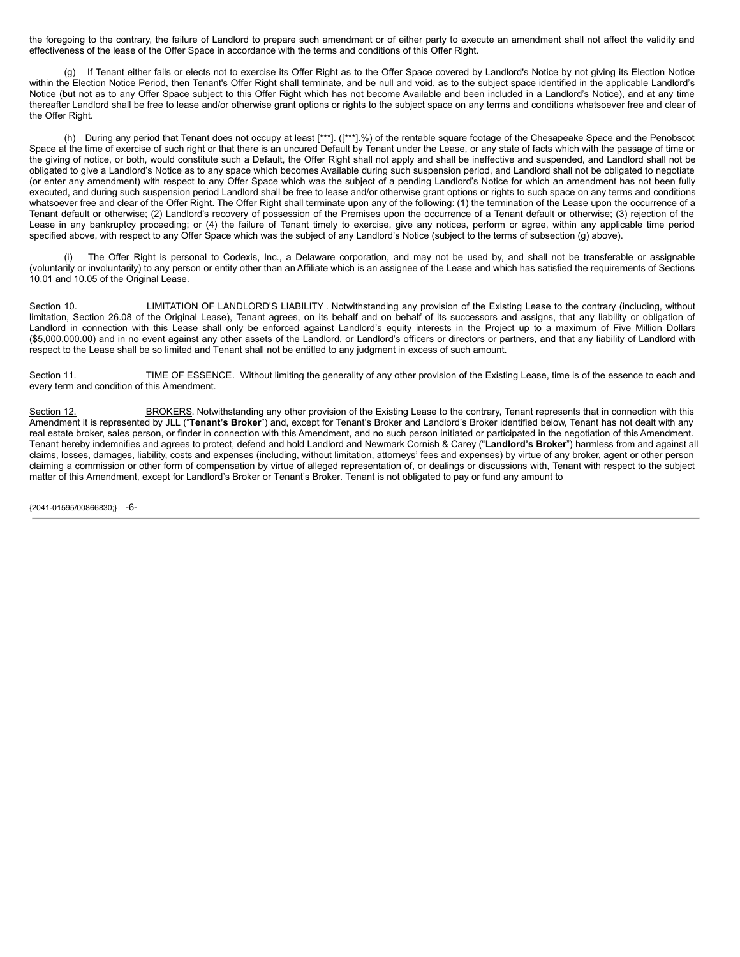the foregoing to the contrary, the failure of Landlord to prepare such amendment or of either party to execute an amendment shall not affect the validity and effectiveness of the lease of the Offer Space in accordance with the terms and conditions of this Offer Right.

If Tenant either fails or elects not to exercise its Offer Right as to the Offer Space covered by Landlord's Notice by not giving its Election Notice within the Election Notice Period, then Tenant's Offer Right shall terminate, and be null and void, as to the subject space identified in the applicable Landlord's Notice (but not as to any Offer Space subject to this Offer Right which has not become Available and been included in a Landlord's Notice), and at any time thereafter Landlord shall be free to lease and/or otherwise grant options or rights to the subject space on any terms and conditions whatsoever free and clear of the Offer Right.

(h) During any period that Tenant does not occupy at least [\*\*\*]. ([\*\*\*].%) of the rentable square footage of the Chesapeake Space and the Penobscot Space at the time of exercise of such right or that there is an uncured Default by Tenant under the Lease, or any state of facts which with the passage of time or the giving of notice, or both, would constitute such a Default, the Offer Right shall not apply and shall be ineffective and suspended, and Landlord shall not be obligated to give a Landlord's Notice as to any space which becomes Available during such suspension period, and Landlord shall not be obligated to negotiate (or enter any amendment) with respect to any Offer Space which was the subject of a pending Landlord's Notice for which an amendment has not been fully executed, and during such suspension period Landlord shall be free to lease and/or otherwise grant options or rights to such space on any terms and conditions whatsoever free and clear of the Offer Right. The Offer Right shall terminate upon any of the following: (1) the termination of the Lease upon the occurrence of a Tenant default or otherwise; (2) Landlord's recovery of possession of the Premises upon the occurrence of a Tenant default or otherwise; (3) rejection of the Lease in any bankruptcy proceeding; or (4) the failure of Tenant timely to exercise, give any notices, perform or agree, within any applicable time period specified above, with respect to any Offer Space which was the subject of any Landlord's Notice (subject to the terms of subsection (g) above).

The Offer Right is personal to Codexis, Inc., a Delaware corporation, and may not be used by, and shall not be transferable or assignable (voluntarily or involuntarily) to any person or entity other than an Affiliate which is an assignee of the Lease and which has satisfied the requirements of Sections 10.01 and 10.05 of the Original Lease.

Section 10. LIMITATION OF LANDLORD'S LIABILITY. Notwithstanding any provision of the Existing Lease to the contrary (including, without limitation, Section 26.08 of the Original Lease), Tenant agrees, on its behalf and on behalf of its successors and assigns, that any liability or obligation of Landlord in connection with this Lease shall only be enforced against Landlord's equity interests in the Project up to a maximum of Five Million Dollars (\$5,000,000.00) and in no event against any other assets of the Landlord, or Landlord's officers or directors or partners, and that any liability of Landlord with respect to the Lease shall be so limited and Tenant shall not be entitled to any judgment in excess of such amount.

Section 11. TIME OF ESSENCE. Without limiting the generality of any other provision of the Existing Lease, time is of the essence to each and every term and condition of this Amendment.

Section 12. BROKERS. Notwithstanding any other provision of the Existing Lease to the contrary, Tenant represents that in connection with this Amendment it is represented by JLL ("**Tenant's Broker**") and, except for Tenant's Broker and Landlord's Broker identified below, Tenant has not dealt with any real estate broker, sales person, or finder in connection with this Amendment, and no such person initiated or participated in the negotiation of this Amendment. Tenant hereby indemnifies and agrees to protect, defend and hold Landlord and Newmark Cornish & Carey ("**Landlord's Broker**") harmless from and against all claims, losses, damages, liability, costs and expenses (including, without limitation, attorneys' fees and expenses) by virtue of any broker, agent or other person claiming a commission or other form of compensation by virtue of alleged representation of, or dealings or discussions with, Tenant with respect to the subject matter of this Amendment, except for Landlord's Broker or Tenant's Broker. Tenant is not obligated to pay or fund any amount to

{2041-01595/00866830;} -6-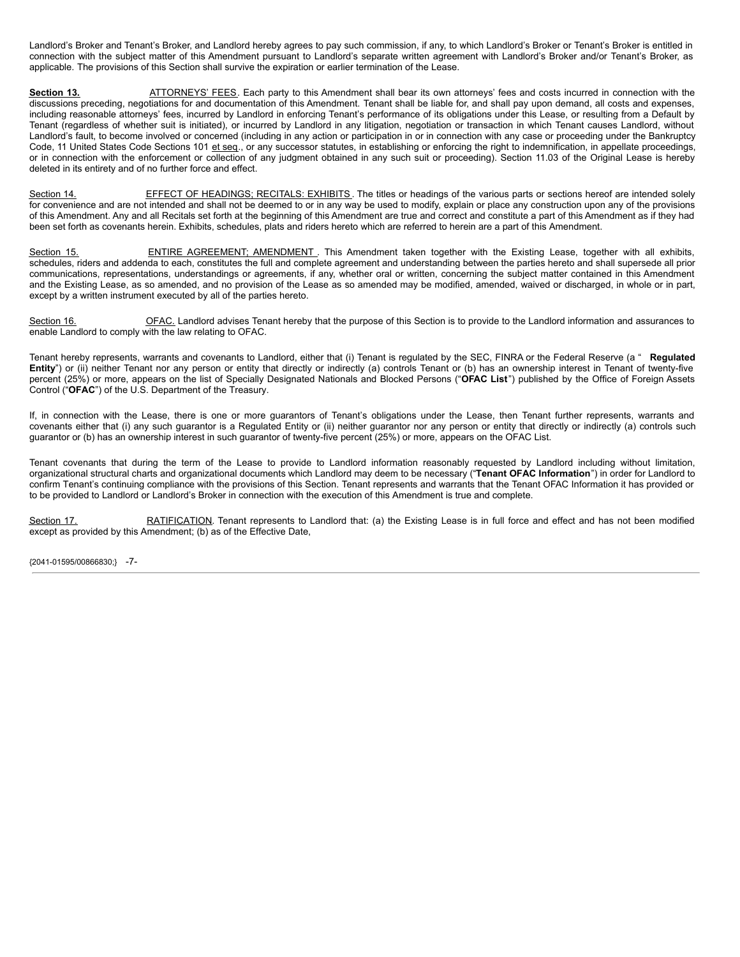Landlord's Broker and Tenant's Broker, and Landlord hereby agrees to pay such commission, if any, to which Landlord's Broker or Tenant's Broker is entitled in connection with the subject matter of this Amendment pursuant to Landlord's separate written agreement with Landlord's Broker and/or Tenant's Broker, as applicable. The provisions of this Section shall survive the expiration or earlier termination of the Lease.

**Section 13.** ATTORNEYS' FEES. Each party to this Amendment shall bear its own attorneys' fees and costs incurred in connection with the discussions preceding, negotiations for and documentation of this Amendment. Tenant shall be liable for, and shall pay upon demand, all costs and expenses, including reasonable attorneys' fees, incurred by Landlord in enforcing Tenant's performance of its obligations under this Lease, or resulting from a Default by Tenant (regardless of whether suit is initiated), or incurred by Landlord in any litigation, negotiation or transaction in which Tenant causes Landlord, without Landlord's fault, to become involved or concerned (including in any action or participation in or in connection with any case or proceeding under the Bankruptcy Code, 11 United States Code Sections 101 et seq., or any successor statutes, in establishing or enforcing the right to indemnification, in appellate proceedings, or in connection with the enforcement or collection of any judgment obtained in any such suit or proceeding). Section 11.03 of the Original Lease is hereby deleted in its entirety and of no further force and effect.

Section 14. **EFFECT OF HEADINGS; RECITALS: EXHIBITS**. The titles or headings of the various parts or sections hereof are intended solely for convenience and are not intended and shall not be deemed to or in any way be used to modify, explain or place any construction upon any of the provisions of this Amendment. Any and all Recitals set forth at the beginning of this Amendment are true and correct and constitute a part of this Amendment as if they had been set forth as covenants herein. Exhibits, schedules, plats and riders hereto which are referred to herein are a part of this Amendment.

Section 15. ENTIRE AGREEMENT; AMENDMENT . This Amendment taken together with the Existing Lease, together with all exhibits, schedules, riders and addenda to each, constitutes the full and complete agreement and understanding between the parties hereto and shall supersede all prior communications, representations, understandings or agreements, if any, whether oral or written, concerning the subject matter contained in this Amendment and the Existing Lease, as so amended, and no provision of the Lease as so amended may be modified, amended, waived or discharged, in whole or in part, except by a written instrument executed by all of the parties hereto.

Section 16. OFAC. Landlord advises Tenant hereby that the purpose of this Section is to provide to the Landlord information and assurances to enable Landlord to comply with the law relating to OFAC.

Tenant hereby represents, warrants and covenants to Landlord, either that (i) Tenant is regulated by the SEC, FINRA or the Federal Reserve (a " **Regulated Entity**") or (ii) neither Tenant nor any person or entity that directly or indirectly (a) controls Tenant or (b) has an ownership interest in Tenant of twenty-five percent (25%) or more, appears on the list of Specially Designated Nationals and Blocked Persons ("**OFAC List**") published by the Office of Foreign Assets Control ("**OFAC**") of the U.S. Department of the Treasury.

If, in connection with the Lease, there is one or more guarantors of Tenant's obligations under the Lease, then Tenant further represents, warrants and covenants either that (i) any such guarantor is a Regulated Entity or (ii) neither guarantor nor any person or entity that directly or indirectly (a) controls such guarantor or (b) has an ownership interest in such guarantor of twenty-five percent (25%) or more, appears on the OFAC List.

Tenant covenants that during the term of the Lease to provide to Landlord information reasonably requested by Landlord including without limitation, organizational structural charts and organizational documents which Landlord may deem to be necessary ("**Tenant OFAC Information**") in order for Landlord to confirm Tenant's continuing compliance with the provisions of this Section. Tenant represents and warrants that the Tenant OFAC Information it has provided or to be provided to Landlord or Landlord's Broker in connection with the execution of this Amendment is true and complete.

Section 17. RATIFICATION. Tenant represents to Landlord that: (a) the Existing Lease is in full force and effect and has not been modified except as provided by this Amendment; (b) as of the Effective Date,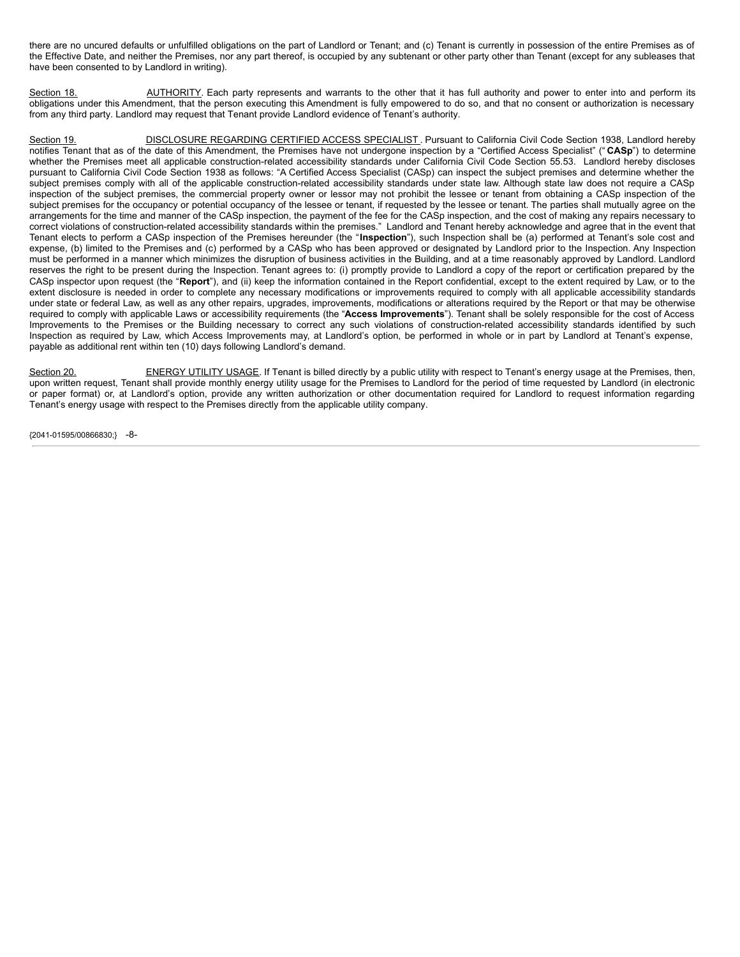there are no uncured defaults or unfulfilled obligations on the part of Landlord or Tenant; and (c) Tenant is currently in possession of the entire Premises as of the Effective Date, and neither the Premises, nor any part thereof, is occupied by any subtenant or other party other than Tenant (except for any subleases that have been consented to by Landlord in writing).

Section 18. AUTHORITY. Each party represents and warrants to the other that it has full authority and power to enter into and perform its obligations under this Amendment, that the person executing this Amendment is fully empowered to do so, and that no consent or authorization is necessary from any third party. Landlord may request that Tenant provide Landlord evidence of Tenant's authority.

Section 19. DISCLOSURE REGARDING CERTIFIED ACCESS SPECIALIST . Pursuant to California Civil Code Section 1938, Landlord hereby notifies Tenant that as of the date of this Amendment, the Premises have not undergone inspection by a "Certified Access Specialist" (" **CASp**") to determine whether the Premises meet all applicable construction-related accessibility standards under California Civil Code Section 55.53. Landlord hereby discloses pursuant to California Civil Code Section 1938 as follows: "A Certified Access Specialist (CASp) can inspect the subject premises and determine whether the subject premises comply with all of the applicable construction-related accessibility standards under state law. Although state law does not require a CASp inspection of the subject premises, the commercial property owner or lessor may not prohibit the lessee or tenant from obtaining a CASp inspection of the subject premises for the occupancy or potential occupancy of the lessee or tenant, if requested by the lessee or tenant. The parties shall mutually agree on the arrangements for the time and manner of the CASp inspection, the payment of the fee for the CASp inspection, and the cost of making any repairs necessary to correct violations of construction-related accessibility standards within the premises." Landlord and Tenant hereby acknowledge and agree that in the event that Tenant elects to perform a CASp inspection of the Premises hereunder (the "**Inspection**"), such Inspection shall be (a) performed at Tenant's sole cost and expense, (b) limited to the Premises and (c) performed by a CASp who has been approved or designated by Landlord prior to the Inspection. Any Inspection must be performed in a manner which minimizes the disruption of business activities in the Building, and at a time reasonably approved by Landlord. Landlord reserves the right to be present during the Inspection. Tenant agrees to: (i) promptly provide to Landlord a copy of the report or certification prepared by the CASp inspector upon request (the "**Report**"), and (ii) keep the information contained in the Report confidential, except to the extent required by Law, or to the extent disclosure is needed in order to complete any necessary modifications or improvements required to comply with all applicable accessibility standards under state or federal Law, as well as any other repairs, upgrades, improvements, modifications or alterations required by the Report or that may be otherwise required to comply with applicable Laws or accessibility requirements (the "**Access Improvements**"). Tenant shall be solely responsible for the cost of Access Improvements to the Premises or the Building necessary to correct any such violations of construction-related accessibility standards identified by such Inspection as required by Law, which Access Improvements may, at Landlord's option, be performed in whole or in part by Landlord at Tenant's expense, payable as additional rent within ten (10) days following Landlord's demand.

Section 20. ENERGY UTILITY USAGE. If Tenant is billed directly by a public utility with respect to Tenant's energy usage at the Premises, then, upon written request, Tenant shall provide monthly energy utility usage for the Premises to Landlord for the period of time requested by Landlord (in electronic or paper format) or, at Landlord's option, provide any written authorization or other documentation required for Landlord to request information regarding Tenant's energy usage with respect to the Premises directly from the applicable utility company.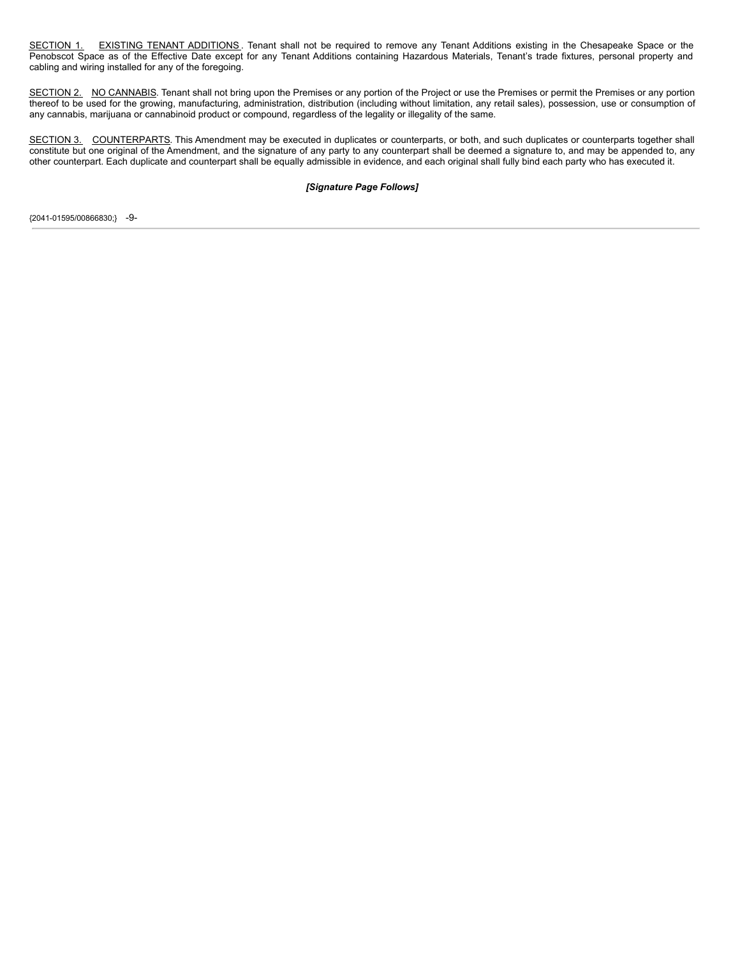SECTION 1. EXISTING TENANT ADDITIONS. Tenant shall not be required to remove any Tenant Additions existing in the Chesapeake Space or the Penobscot Space as of the Effective Date except for any Tenant Additions containing Hazardous Materials, Tenant's trade fixtures, personal property and cabling and wiring installed for any of the foregoing.

SECTION 2. NO CANNABIS. Tenant shall not bring upon the Premises or any portion of the Project or use the Premises or permit the Premises or any portion thereof to be used for the growing, manufacturing, administration, distribution (including without limitation, any retail sales), possession, use or consumption of any cannabis, marijuana or cannabinoid product or compound, regardless of the legality or illegality of the same.

SECTION 3. COUNTERPARTS. This Amendment may be executed in duplicates or counterparts, or both, and such duplicates or counterparts together shall constitute but one original of the Amendment, and the signature of any party to any counterpart shall be deemed a signature to, and may be appended to, any other counterpart. Each duplicate and counterpart shall be equally admissible in evidence, and each original shall fully bind each party who has executed it.

# *[Signature Page Follows]*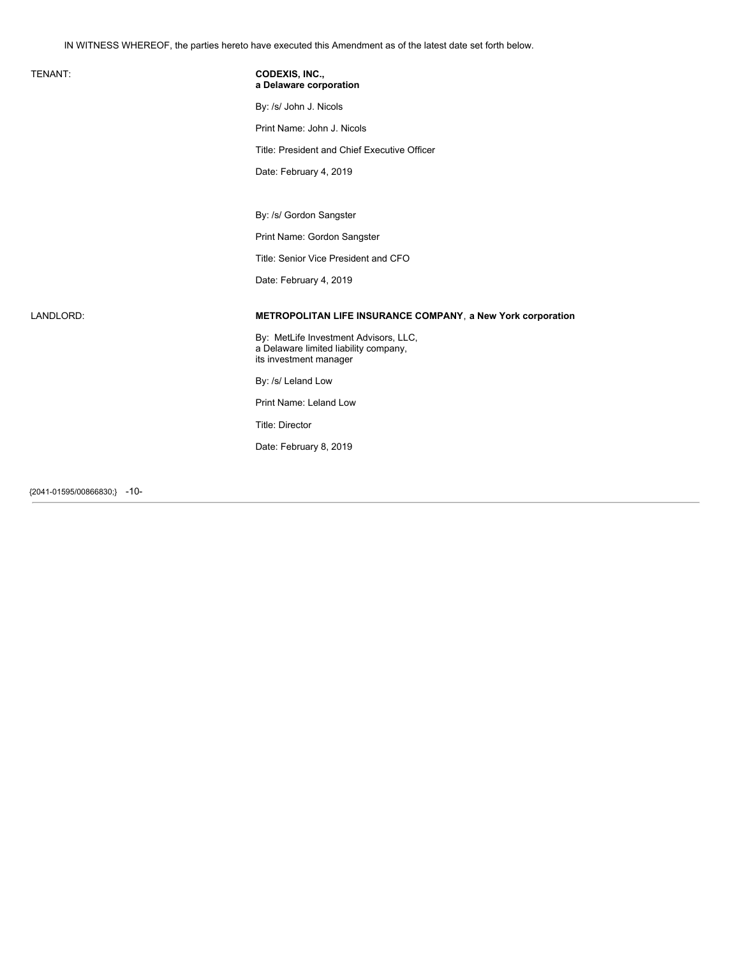IN WITNESS WHEREOF, the parties hereto have executed this Amendment as of the latest date set forth below.

| TENANT:   | CODEXIS, INC.,<br>a Delaware corporation                                                                 |
|-----------|----------------------------------------------------------------------------------------------------------|
|           | By: /s/ John J. Nicols                                                                                   |
|           | Print Name: John J. Nicols                                                                               |
|           | Title: President and Chief Executive Officer                                                             |
|           | Date: February 4, 2019                                                                                   |
|           |                                                                                                          |
|           | By: /s/ Gordon Sangster                                                                                  |
|           | Print Name: Gordon Sangster                                                                              |
|           | Title: Senior Vice President and CFO                                                                     |
|           | Date: February 4, 2019                                                                                   |
| LANDLORD: | <b>METROPOLITAN LIFE INSURANCE COMPANY, a New York corporation</b>                                       |
|           | By: MetLife Investment Advisors, LLC,<br>a Delaware limited liability company,<br>its investment manager |
|           | By: /s/ Leland Low                                                                                       |
|           | Print Name: Leland Low                                                                                   |
|           | Title: Director                                                                                          |
|           | Date: February 8, 2019                                                                                   |
|           |                                                                                                          |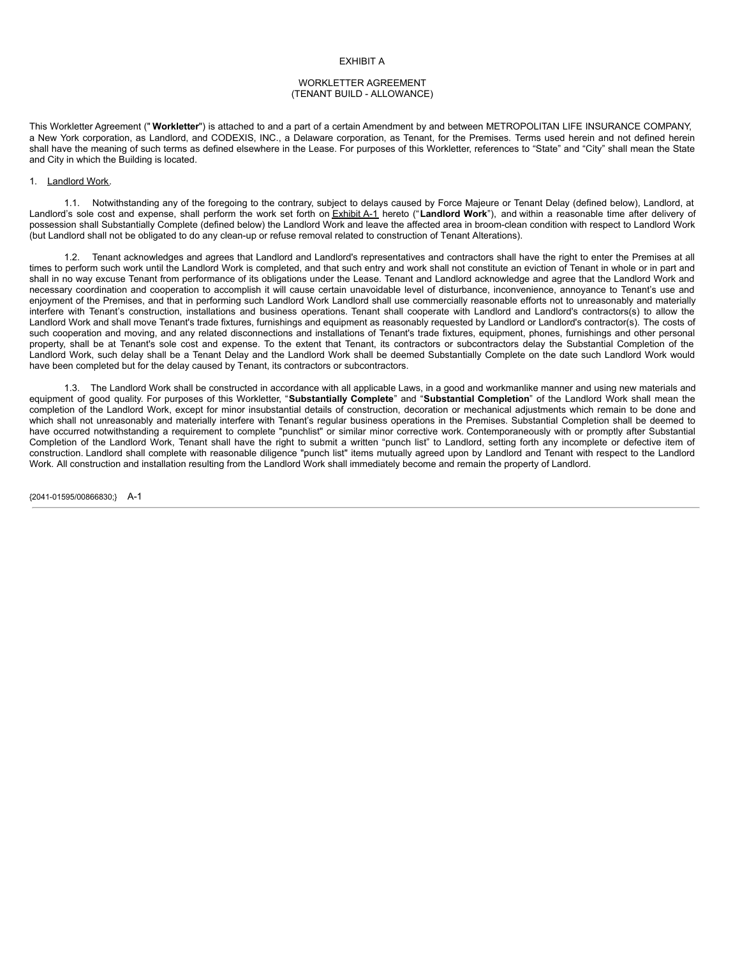## EXHIBIT A

#### WORKLETTER AGREEMENT (TENANT BUILD - ALLOWANCE)

This Workletter Agreement (" **Workletter**") is attached to and a part of a certain Amendment by and between METROPOLITAN LIFE INSURANCE COMPANY, a New York corporation, as Landlord, and CODEXIS, INC., a Delaware corporation, as Tenant, for the Premises. Terms used herein and not defined herein shall have the meaning of such terms as defined elsewhere in the Lease. For purposes of this Workletter, references to "State" and "City" shall mean the State and City in which the Building is located.

### 1. Landlord Work.

1.1. Notwithstanding any of the foregoing to the contrary, subject to delays caused by Force Majeure or Tenant Delay (defined below), Landlord, at Landlord's sole cost and expense, shall perform the work set forth on Exhibit A-1 hereto ("**Landlord Work**"), and within a reasonable time after delivery of possession shall Substantially Complete (defined below) the Landlord Work and leave the affected area in broom-clean condition with respect to Landlord Work (but Landlord shall not be obligated to do any clean-up or refuse removal related to construction of Tenant Alterations).

1.2. Tenant acknowledges and agrees that Landlord and Landlord's representatives and contractors shall have the right to enter the Premises at all times to perform such work until the Landlord Work is completed, and that such entry and work shall not constitute an eviction of Tenant in whole or in part and shall in no way excuse Tenant from performance of its obligations under the Lease. Tenant and Landlord acknowledge and agree that the Landlord Work and necessary coordination and cooperation to accomplish it will cause certain unavoidable level of disturbance, inconvenience, annoyance to Tenant's use and enjoyment of the Premises, and that in performing such Landlord Work Landlord shall use commercially reasonable efforts not to unreasonably and materially interfere with Tenant's construction, installations and business operations. Tenant shall cooperate with Landlord and Landlord's contractors(s) to allow the Landlord Work and shall move Tenant's trade fixtures, furnishings and equipment as reasonably requested by Landlord or Landlord's contractor(s). The costs of such cooperation and moving, and any related disconnections and installations of Tenant's trade fixtures, equipment, phones, furnishings and other personal property, shall be at Tenant's sole cost and expense. To the extent that Tenant, its contractors or subcontractors delay the Substantial Completion of the Landlord Work, such delay shall be a Tenant Delay and the Landlord Work shall be deemed Substantially Complete on the date such Landlord Work would have been completed but for the delay caused by Tenant, its contractors or subcontractors.

1.3. The Landlord Work shall be constructed in accordance with all applicable Laws, in a good and workmanlike manner and using new materials and equipment of good quality. For purposes of this Workletter, "**Substantially Complete**" and "**Substantial Completion**" of the Landlord Work shall mean the completion of the Landlord Work, except for minor insubstantial details of construction, decoration or mechanical adjustments which remain to be done and which shall not unreasonably and materially interfere with Tenant's regular business operations in the Premises. Substantial Completion shall be deemed to have occurred notwithstanding a requirement to complete "punchlist" or similar minor corrective work. Contemporaneously with or promptly after Substantial Completion of the Landlord Work, Tenant shall have the right to submit a written "punch list" to Landlord, setting forth any incomplete or defective item of construction. Landlord shall complete with reasonable diligence "punch list" items mutually agreed upon by Landlord and Tenant with respect to the Landlord Work. All construction and installation resulting from the Landlord Work shall immediately become and remain the property of Landlord.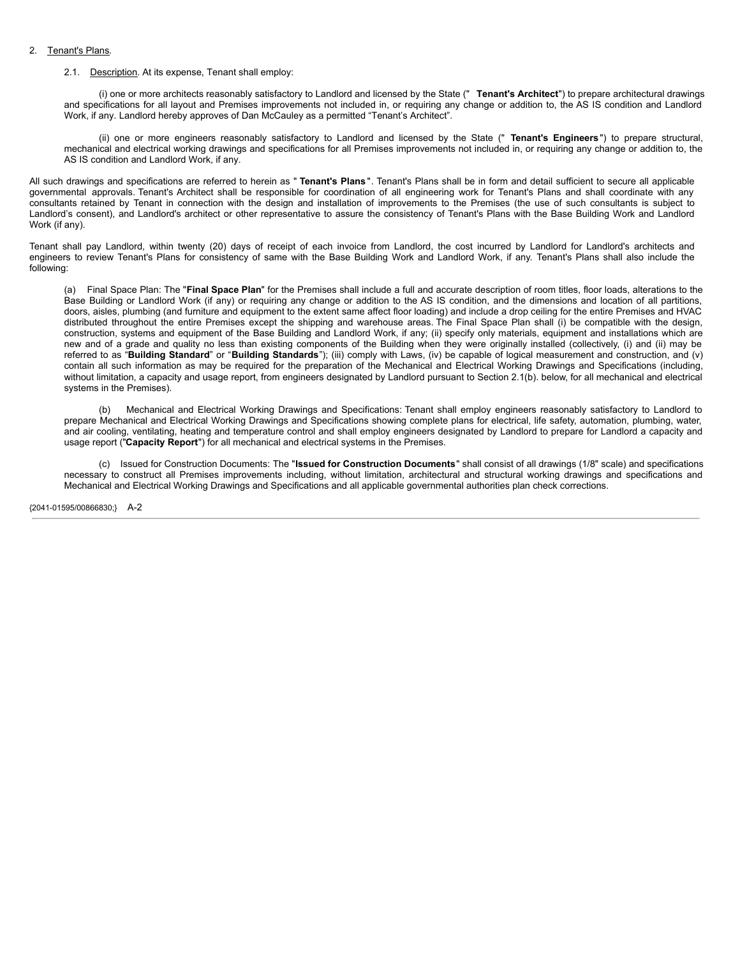## 2. Tenant's Plans.

### 2.1. Description. At its expense, Tenant shall employ:

(i) one or more architects reasonably satisfactory to Landlord and licensed by the State (" **Tenant's Architect**") to prepare architectural drawings and specifications for all layout and Premises improvements not included in, or requiring any change or addition to, the AS IS condition and Landlord Work, if any. Landlord hereby approves of Dan McCauley as a permitted "Tenant's Architect".

(ii) one or more engineers reasonably satisfactory to Landlord and licensed by the State (" **Tenant's Engineers**") to prepare structural, mechanical and electrical working drawings and specifications for all Premises improvements not included in, or requiring any change or addition to, the AS IS condition and Landlord Work, if any.

All such drawings and specifications are referred to herein as " **Tenant's Plans** ". Tenant's Plans shall be in form and detail sufficient to secure all applicable governmental approvals. Tenant's Architect shall be responsible for coordination of all engineering work for Tenant's Plans and shall coordinate with any consultants retained by Tenant in connection with the design and installation of improvements to the Premises (the use of such consultants is subject to Landlord's consent), and Landlord's architect or other representative to assure the consistency of Tenant's Plans with the Base Building Work and Landlord Work (if any).

Tenant shall pay Landlord, within twenty (20) days of receipt of each invoice from Landlord, the cost incurred by Landlord for Landlord's architects and engineers to review Tenant's Plans for consistency of same with the Base Building Work and Landlord Work, if any. Tenant's Plans shall also include the following:

(a) Final Space Plan: The "**Final Space Plan**" for the Premises shall include a full and accurate description of room titles, floor loads, alterations to the Base Building or Landlord Work (if any) or requiring any change or addition to the AS IS condition, and the dimensions and location of all partitions, doors, aisles, plumbing (and furniture and equipment to the extent same affect floor loading) and include a drop ceiling for the entire Premises and HVAC distributed throughout the entire Premises except the shipping and warehouse areas. The Final Space Plan shall (i) be compatible with the design, construction, systems and equipment of the Base Building and Landlord Work, if any; (ii) specify only materials, equipment and installations which are new and of a grade and quality no less than existing components of the Building when they were originally installed (collectively, (i) and (ii) may be referred to as "**Building Standard**" or "**Building Standards**"); (iii) comply with Laws, (iv) be capable of logical measurement and construction, and (v) contain all such information as may be required for the preparation of the Mechanical and Electrical Working Drawings and Specifications (including, without limitation, a capacity and usage report, from engineers designated by Landlord pursuant to Section 2.1(b). below, for all mechanical and electrical systems in the Premises).

(b) Mechanical and Electrical Working Drawings and Specifications: Tenant shall employ engineers reasonably satisfactory to Landlord to prepare Mechanical and Electrical Working Drawings and Specifications showing complete plans for electrical, life safety, automation, plumbing, water, and air cooling, ventilating, heating and temperature control and shall employ engineers designated by Landlord to prepare for Landlord a capacity and usage report ("**Capacity Report**") for all mechanical and electrical systems in the Premises.

(c) Issued for Construction Documents: The "**Issued for Construction Documents**" shall consist of all drawings (1/8" scale) and specifications necessary to construct all Premises improvements including, without limitation, architectural and structural working drawings and specifications and Mechanical and Electrical Working Drawings and Specifications and all applicable governmental authorities plan check corrections.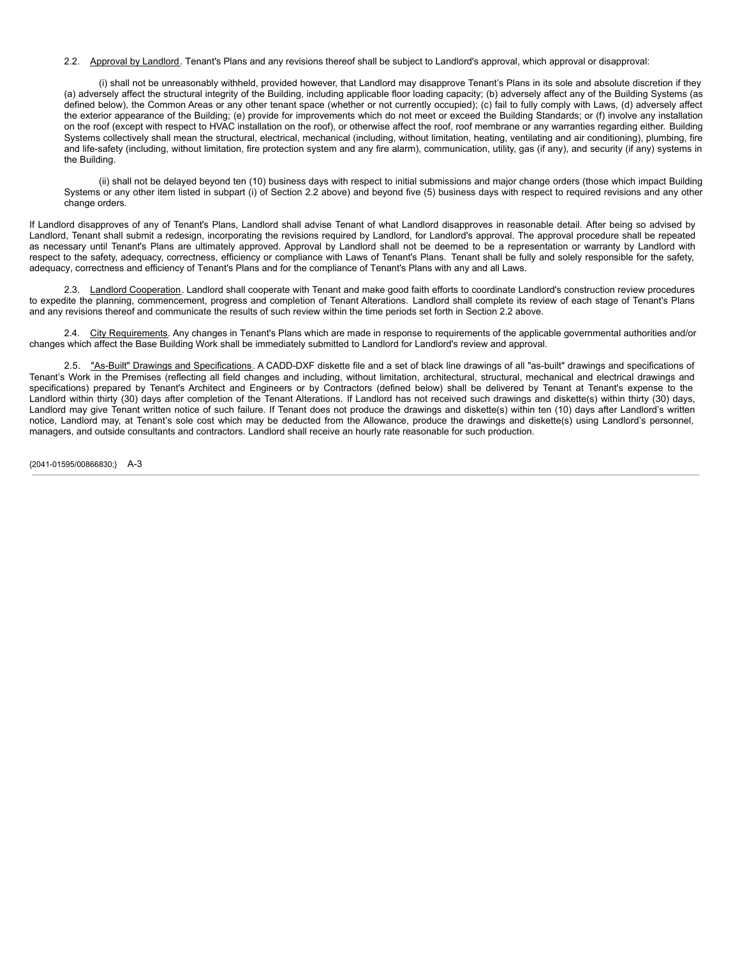2.2. Approval by Landlord. Tenant's Plans and any revisions thereof shall be subject to Landlord's approval, which approval or disapproval:

(i) shall not be unreasonably withheld, provided however, that Landlord may disapprove Tenant's Plans in its sole and absolute discretion if they (a) adversely affect the structural integrity of the Building, including applicable floor loading capacity; (b) adversely affect any of the Building Systems (as defined below), the Common Areas or any other tenant space (whether or not currently occupied); (c) fail to fully comply with Laws, (d) adversely affect the exterior appearance of the Building; (e) provide for improvements which do not meet or exceed the Building Standards; or (f) involve any installation on the roof (except with respect to HVAC installation on the roof), or otherwise affect the roof, roof membrane or any warranties regarding either. Building Systems collectively shall mean the structural, electrical, mechanical (including, without limitation, heating, ventilating and air conditioning), plumbing, fire and life-safety (including, without limitation, fire protection system and any fire alarm), communication, utility, gas (if any), and security (if any) systems in the Building.

(ii) shall not be delayed beyond ten (10) business days with respect to initial submissions and major change orders (those which impact Building Systems or any other item listed in subpart (i) of Section 2.2 above) and beyond five (5) business days with respect to required revisions and any other change orders.

If Landlord disapproves of any of Tenant's Plans, Landlord shall advise Tenant of what Landlord disapproves in reasonable detail. After being so advised by Landlord, Tenant shall submit a redesign, incorporating the revisions required by Landlord, for Landlord's approval. The approval procedure shall be repeated as necessary until Tenant's Plans are ultimately approved. Approval by Landlord shall not be deemed to be a representation or warranty by Landlord with respect to the safety, adequacy, correctness, efficiency or compliance with Laws of Tenant's Plans. Tenant shall be fully and solely responsible for the safety, adequacy, correctness and efficiency of Tenant's Plans and for the compliance of Tenant's Plans with any and all Laws.

2.3. Landlord Cooperation. Landlord shall cooperate with Tenant and make good faith efforts to coordinate Landlord's construction review procedures to expedite the planning, commencement, progress and completion of Tenant Alterations. Landlord shall complete its review of each stage of Tenant's Plans and any revisions thereof and communicate the results of such review within the time periods set forth in Section 2.2 above.

2.4. City Requirements. Any changes in Tenant's Plans which are made in response to requirements of the applicable governmental authorities and/or changes which affect the Base Building Work shall be immediately submitted to Landlord for Landlord's review and approval.

2.5. "As-Built" Drawings and Specifications. A CADD-DXF diskette file and a set of black line drawings of all "as-built" drawings and specifications of Tenant's Work in the Premises (reflecting all field changes and including, without limitation, architectural, structural, mechanical and electrical drawings and specifications) prepared by Tenant's Architect and Engineers or by Contractors (defined below) shall be delivered by Tenant at Tenant's expense to the Landlord within thirty (30) days after completion of the Tenant Alterations. If Landlord has not received such drawings and diskette(s) within thirty (30) days, Landlord may give Tenant written notice of such failure. If Tenant does not produce the drawings and diskette(s) within ten (10) days after Landlord's written notice, Landlord may, at Tenant's sole cost which may be deducted from the Allowance, produce the drawings and diskette(s) using Landlord's personnel, managers, and outside consultants and contractors. Landlord shall receive an hourly rate reasonable for such production.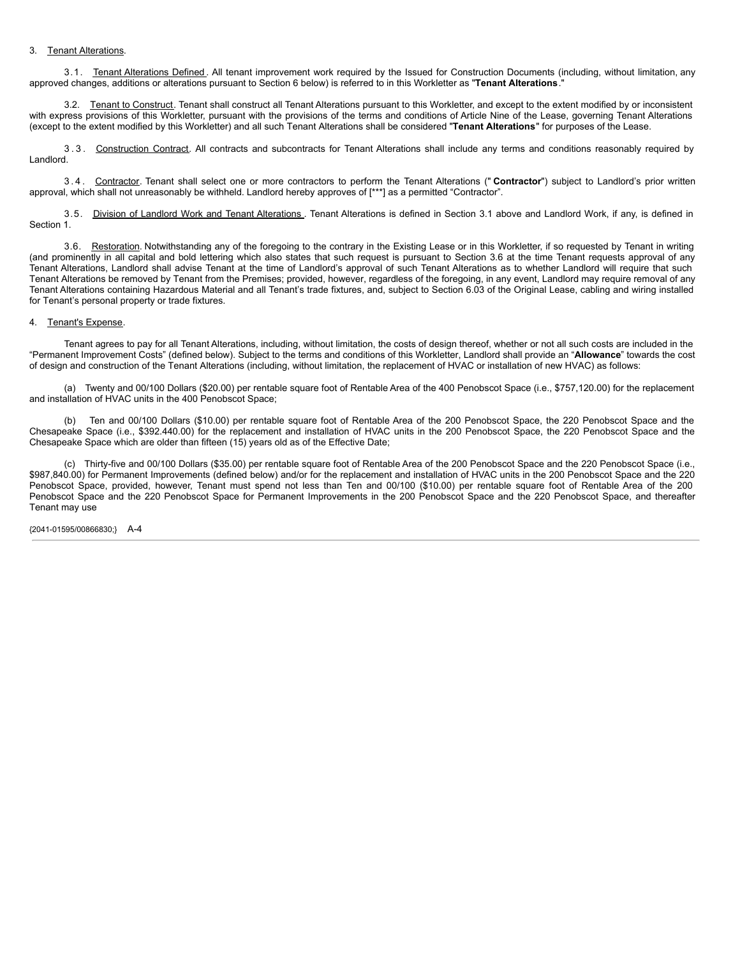### 3. Tenant Alterations.

3.1. Tenant Alterations Defined. All tenant improvement work required by the Issued for Construction Documents (including, without limitation, any approved changes, additions or alterations pursuant to Section 6 below) is referred to in this Workletter as "**Tenant Alterations**."

3.2. Tenant to Construct. Tenant shall construct all Tenant Alterations pursuant to this Workletter, and except to the extent modified by or inconsistent with express provisions of this Workletter, pursuant with the provisions of the terms and conditions of Article Nine of the Lease, governing Tenant Alterations (except to the extent modified by this Workletter) and all such Tenant Alterations shall be considered "**Tenant Alterations**" for purposes of the Lease.

3.3. Construction Contract. All contracts and subcontracts for Tenant Alterations shall include any terms and conditions reasonably required by Landlord.

3 . 4 . Contractor. Tenant shall select one or more contractors to perform the Tenant Alterations (" **Contractor**") subject to Landlord's prior written approval, which shall not unreasonably be withheld. Landlord hereby approves of [\*\*\*] as a permitted "Contractor".

3.5. Division of Landlord Work and Tenant Alterations . Tenant Alterations is defined in Section 3.1 above and Landlord Work, if any, is defined in Section 1.

3.6. Restoration. Notwithstanding any of the foregoing to the contrary in the Existing Lease or in this Workletter, if so requested by Tenant in writing (and prominently in all capital and bold lettering which also states that such request is pursuant to Section 3.6 at the time Tenant requests approval of any Tenant Alterations, Landlord shall advise Tenant at the time of Landlord's approval of such Tenant Alterations as to whether Landlord will require that such Tenant Alterations be removed by Tenant from the Premises; provided, however, regardless of the foregoing, in any event, Landlord may require removal of any Tenant Alterations containing Hazardous Material and all Tenant's trade fixtures, and, subject to Section 6.03 of the Original Lease, cabling and wiring installed for Tenant's personal property or trade fixtures.

## 4. Tenant's Expense.

Tenant agrees to pay for all Tenant Alterations, including, without limitation, the costs of design thereof, whether or not all such costs are included in the "Permanent Improvement Costs" (defined below). Subject to the terms and conditions of this Workletter, Landlord shall provide an "**Allowance**" towards the cost of design and construction of the Tenant Alterations (including, without limitation, the replacement of HVAC or installation of new HVAC) as follows:

(a) Twenty and 00/100 Dollars (\$20.00) per rentable square foot of Rentable Area of the 400 Penobscot Space (i.e., \$757,120.00) for the replacement and installation of HVAC units in the 400 Penobscot Space;

Ten and 00/100 Dollars (\$10.00) per rentable square foot of Rentable Area of the 200 Penobscot Space, the 220 Penobscot Space and the Chesapeake Space (i.e., \$392.440.00) for the replacement and installation of HVAC units in the 200 Penobscot Space, the 220 Penobscot Space and the Chesapeake Space which are older than fifteen (15) years old as of the Effective Date;

(c) Thirty-five and 00/100 Dollars (\$35.00) per rentable square foot of Rentable Area of the 200 Penobscot Space and the 220 Penobscot Space (i.e., \$987,840.00) for Permanent Improvements (defined below) and/or for the replacement and installation of HVAC units in the 200 Penobscot Space and the 220 Penobscot Space, provided, however, Tenant must spend not less than Ten and 00/100 (\$10.00) per rentable square foot of Rentable Area of the 200 Penobscot Space and the 220 Penobscot Space for Permanent Improvements in the 200 Penobscot Space and the 220 Penobscot Space, and thereafter Tenant may use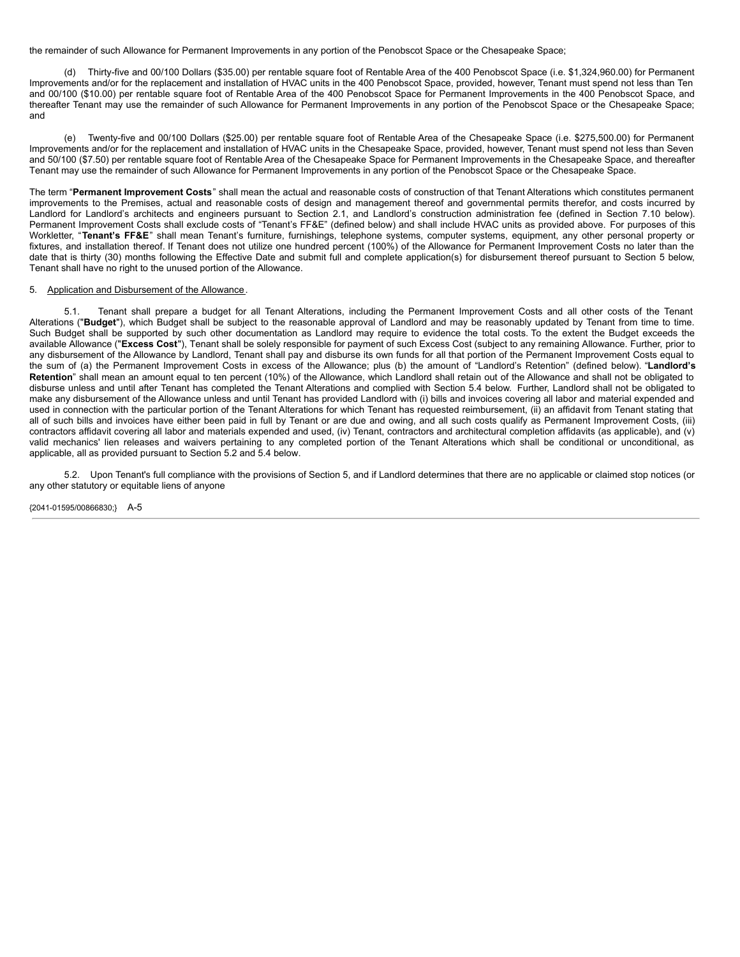the remainder of such Allowance for Permanent Improvements in any portion of the Penobscot Space or the Chesapeake Space;

(d) Thirty-five and 00/100 Dollars (\$35.00) per rentable square foot of Rentable Area of the 400 Penobscot Space (i.e. \$1,324,960.00) for Permanent Improvements and/or for the replacement and installation of HVAC units in the 400 Penobscot Space, provided, however, Tenant must spend not less than Ten and 00/100 (\$10.00) per rentable square foot of Rentable Area of the 400 Penobscot Space for Permanent Improvements in the 400 Penobscot Space, and thereafter Tenant may use the remainder of such Allowance for Permanent Improvements in any portion of the Penobscot Space or the Chesapeake Space; and

(e) Twenty-five and 00/100 Dollars (\$25.00) per rentable square foot of Rentable Area of the Chesapeake Space (i.e. \$275,500.00) for Permanent Improvements and/or for the replacement and installation of HVAC units in the Chesapeake Space, provided, however, Tenant must spend not less than Seven and 50/100 (\$7.50) per rentable square foot of Rentable Area of the Chesapeake Space for Permanent Improvements in the Chesapeake Space, and thereafter Tenant may use the remainder of such Allowance for Permanent Improvements in any portion of the Penobscot Space or the Chesapeake Space.

The term "**Permanent Improvement Costs**" shall mean the actual and reasonable costs of construction of that Tenant Alterations which constitutes permanent improvements to the Premises, actual and reasonable costs of design and management thereof and governmental permits therefor, and costs incurred by Landlord for Landlord's architects and engineers pursuant to Section 2.1, and Landlord's construction administration fee (defined in Section 7.10 below). Permanent Improvement Costs shall exclude costs of "Tenant's FF&E" (defined below) and shall include HVAC units as provided above. For purposes of this Workletter, "**Tenant's FF&E**" shall mean Tenant's furniture, furnishings, telephone systems, computer systems, equipment, any other personal property or fixtures, and installation thereof. If Tenant does not utilize one hundred percent (100%) of the Allowance for Permanent Improvement Costs no later than the date that is thirty (30) months following the Effective Date and submit full and complete application(s) for disbursement thereof pursuant to Section 5 below, Tenant shall have no right to the unused portion of the Allowance.

#### 5. Application and Disbursement of the Allowance.

5.1. Tenant shall prepare a budget for all Tenant Alterations, including the Permanent Improvement Costs and all other costs of the Tenant Alterations ("**Budget**"), which Budget shall be subject to the reasonable approval of Landlord and may be reasonably updated by Tenant from time to time. Such Budget shall be supported by such other documentation as Landlord may require to evidence the total costs. To the extent the Budget exceeds the available Allowance ("**Excess Cost**"), Tenant shall be solely responsible for payment of such Excess Cost (subject to any remaining Allowance. Further, prior to any disbursement of the Allowance by Landlord, Tenant shall pay and disburse its own funds for all that portion of the Permanent Improvement Costs equal to the sum of (a) the Permanent Improvement Costs in excess of the Allowance; plus (b) the amount of "Landlord's Retention" (defined below). "**Landlord's Retention**" shall mean an amount equal to ten percent (10%) of the Allowance, which Landlord shall retain out of the Allowance and shall not be obligated to disburse unless and until after Tenant has completed the Tenant Alterations and complied with Section 5.4 below. Further, Landlord shall not be obligated to make any disbursement of the Allowance unless and until Tenant has provided Landlord with (i) bills and invoices covering all labor and material expended and used in connection with the particular portion of the Tenant Alterations for which Tenant has requested reimbursement, (ii) an affidavit from Tenant stating that all of such bills and invoices have either been paid in full by Tenant or are due and owing, and all such costs qualify as Permanent Improvement Costs, (iii) contractors affidavit covering all labor and materials expended and used, (iv) Tenant, contractors and architectural completion affidavits (as applicable), and (v) valid mechanics' lien releases and waivers pertaining to any completed portion of the Tenant Alterations which shall be conditional or unconditional, as applicable, all as provided pursuant to Section 5.2 and 5.4 below.

5.2. Upon Tenant's full compliance with the provisions of Section 5, and if Landlord determines that there are no applicable or claimed stop notices (or any other statutory or equitable liens of anyone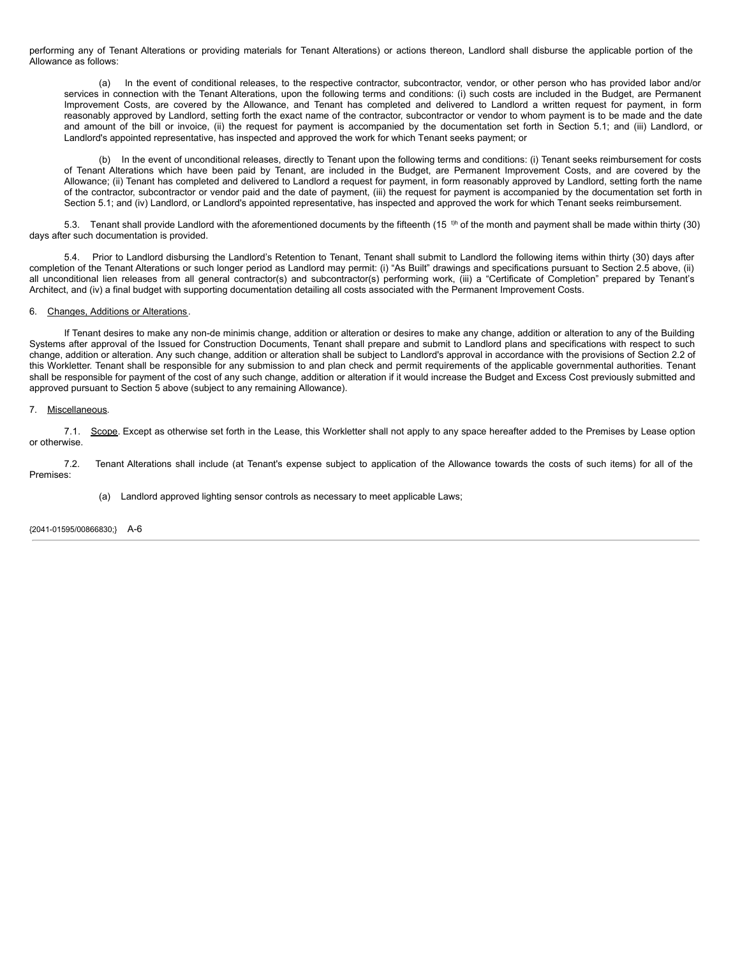performing any of Tenant Alterations or providing materials for Tenant Alterations) or actions thereon, Landlord shall disburse the applicable portion of the Allowance as follows:

(a) In the event of conditional releases, to the respective contractor, subcontractor, vendor, or other person who has provided labor and/or services in connection with the Tenant Alterations, upon the following terms and conditions: (i) such costs are included in the Budget, are Permanent Improvement Costs, are covered by the Allowance, and Tenant has completed and delivered to Landlord a written request for payment, in form reasonably approved by Landlord, setting forth the exact name of the contractor, subcontractor or vendor to whom payment is to be made and the date and amount of the bill or invoice, (ii) the request for payment is accompanied by the documentation set forth in Section 5.1; and (iii) Landlord, or Landlord's appointed representative, has inspected and approved the work for which Tenant seeks payment; or

(b) In the event of unconditional releases, directly to Tenant upon the following terms and conditions: (i) Tenant seeks reimbursement for costs of Tenant Alterations which have been paid by Tenant, are included in the Budget, are Permanent Improvement Costs, and are covered by the Allowance; (ii) Tenant has completed and delivered to Landlord a request for payment, in form reasonably approved by Landlord, setting forth the name of the contractor, subcontractor or vendor paid and the date of payment, (iii) the request for payment is accompanied by the documentation set forth in Section 5.1; and (iv) Landlord, or Landlord's appointed representative, has inspected and approved the work for which Tenant seeks reimbursement.

5.3. Tenant shall provide Landlord with the aforementioned documents by the fifteenth (15 <sup>th</sup> of the month and payment shall be made within thirty (30) days after such documentation is provided.

5.4. Prior to Landlord disbursing the Landlord's Retention to Tenant, Tenant shall submit to Landlord the following items within thirty (30) days after completion of the Tenant Alterations or such longer period as Landlord may permit: (i) "As Built" drawings and specifications pursuant to Section 2.5 above, (ii) all unconditional lien releases from all general contractor(s) and subcontractor(s) performing work, (iii) a "Certificate of Completion" prepared by Tenant's Architect, and (iv) a final budget with supporting documentation detailing all costs associated with the Permanent Improvement Costs.

#### 6. Changes, Additions or Alterations.

If Tenant desires to make any non-de minimis change, addition or alteration or desires to make any change, addition or alteration to any of the Building Systems after approval of the Issued for Construction Documents, Tenant shall prepare and submit to Landlord plans and specifications with respect to such change, addition or alteration. Any such change, addition or alteration shall be subject to Landlord's approval in accordance with the provisions of Section 2.2 of this Workletter. Tenant shall be responsible for any submission to and plan check and permit requirements of the applicable governmental authorities. Tenant shall be responsible for payment of the cost of any such change, addition or alteration if it would increase the Budget and Excess Cost previously submitted and approved pursuant to Section 5 above (subject to any remaining Allowance).

## 7. Miscellaneous.

7.1. Scope. Except as otherwise set forth in the Lease, this Workletter shall not apply to any space hereafter added to the Premises by Lease option or otherwise.

7.2. Tenant Alterations shall include (at Tenant's expense subject to application of the Allowance towards the costs of such items) for all of the Premises:

(a) Landlord approved lighting sensor controls as necessary to meet applicable Laws;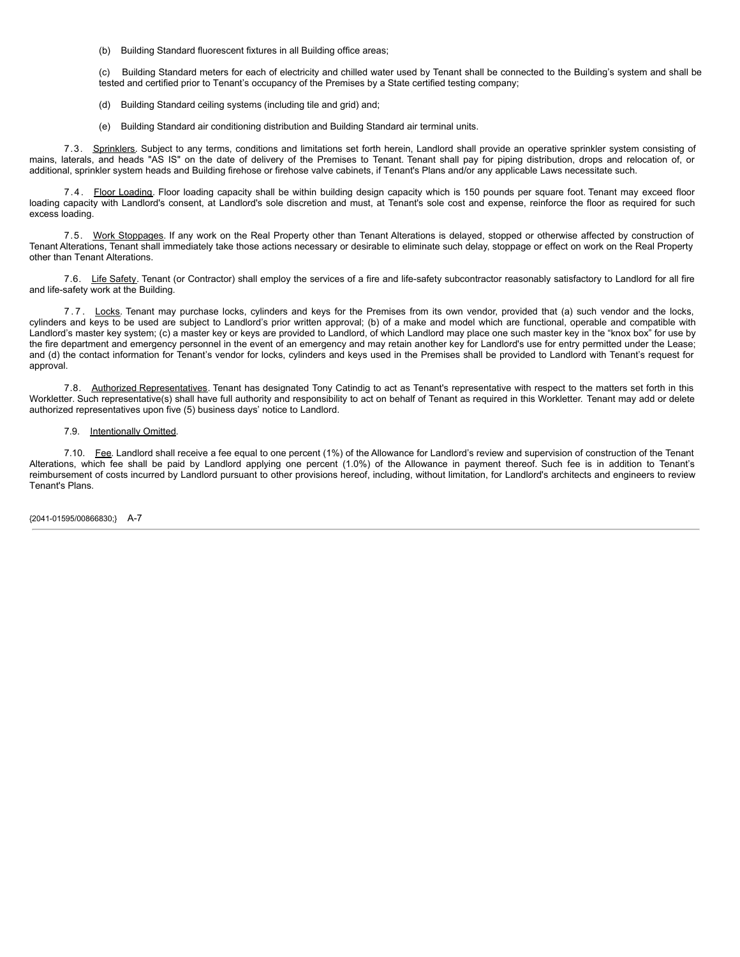(b) Building Standard fluorescent fixtures in all Building office areas;

(c) Building Standard meters for each of electricity and chilled water used by Tenant shall be connected to the Building's system and shall be tested and certified prior to Tenant's occupancy of the Premises by a State certified testing company;

- (d) Building Standard ceiling systems (including tile and grid) and;
- (e) Building Standard air conditioning distribution and Building Standard air terminal units.

7.3. Sprinklers. Subject to any terms, conditions and limitations set forth herein, Landlord shall provide an operative sprinkler system consisting of mains, laterals, and heads "AS IS" on the date of delivery of the Premises to Tenant. Tenant shall pay for piping distribution, drops and relocation of, or additional, sprinkler system heads and Building firehose or firehose valve cabinets, if Tenant's Plans and/or any applicable Laws necessitate such.

7.4. Floor Loading. Floor loading capacity shall be within building design capacity which is 150 pounds per square foot. Tenant may exceed floor loading capacity with Landlord's consent, at Landlord's sole discretion and must, at Tenant's sole cost and expense, reinforce the floor as required for such excess loading.

7.5. Work Stoppages. If any work on the Real Property other than Tenant Alterations is delayed, stopped or otherwise affected by construction of Tenant Alterations, Tenant shall immediately take those actions necessary or desirable to eliminate such delay, stoppage or effect on work on the Real Property other than Tenant Alterations.

7.6. Life Safety. Tenant (or Contractor) shall employ the services of a fire and life-safety subcontractor reasonably satisfactory to Landlord for all fire and life-safety work at the Building.

7.7. Locks. Tenant may purchase locks, cylinders and keys for the Premises from its own vendor, provided that (a) such vendor and the locks, cylinders and keys to be used are subject to Landlord's prior written approval; (b) of a make and model which are functional, operable and compatible with Landlord's master key system; (c) a master key or keys are provided to Landlord, of which Landlord may place one such master key in the "knox box" for use by the fire department and emergency personnel in the event of an emergency and may retain another key for Landlord's use for entry permitted under the Lease; and (d) the contact information for Tenant's vendor for locks, cylinders and keys used in the Premises shall be provided to Landlord with Tenant's request for approval.

7.8. Authorized Representatives. Tenant has designated Tony Catindig to act as Tenant's representative with respect to the matters set forth in this Workletter. Such representative(s) shall have full authority and responsibility to act on behalf of Tenant as required in this Workletter. Tenant may add or delete authorized representatives upon five (5) business days' notice to Landlord.

# 7.9. Intentionally Omitted.

7.10. Fee. Landlord shall receive a fee equal to one percent (1%) of the Allowance for Landlord's review and supervision of construction of the Tenant Alterations, which fee shall be paid by Landlord applying one percent (1.0%) of the Allowance in payment thereof. Such fee is in addition to Tenant's reimbursement of costs incurred by Landlord pursuant to other provisions hereof, including, without limitation, for Landlord's architects and engineers to review Tenant's Plans.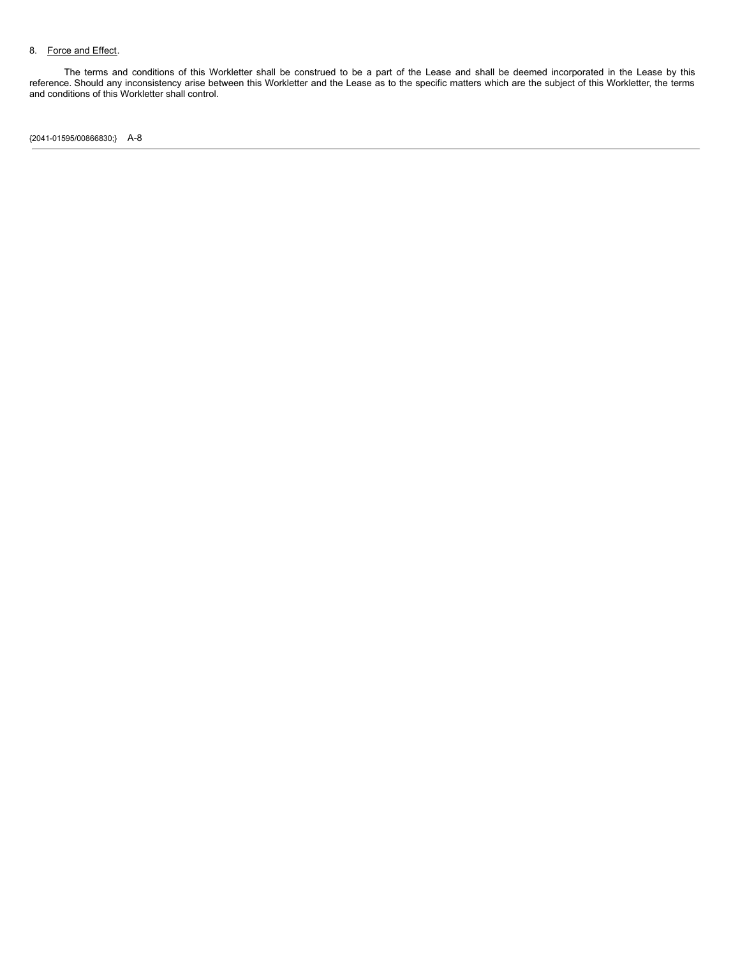# 8. Force and Effect.

The terms and conditions of this Workletter shall be construed to be a part of the Lease and shall be deemed incorporated in the Lease by this reference. Should any inconsistency arise between this Workletter and the Lease as to the specific matters which are the subject of this Workletter, the terms and conditions of this Workletter shall control.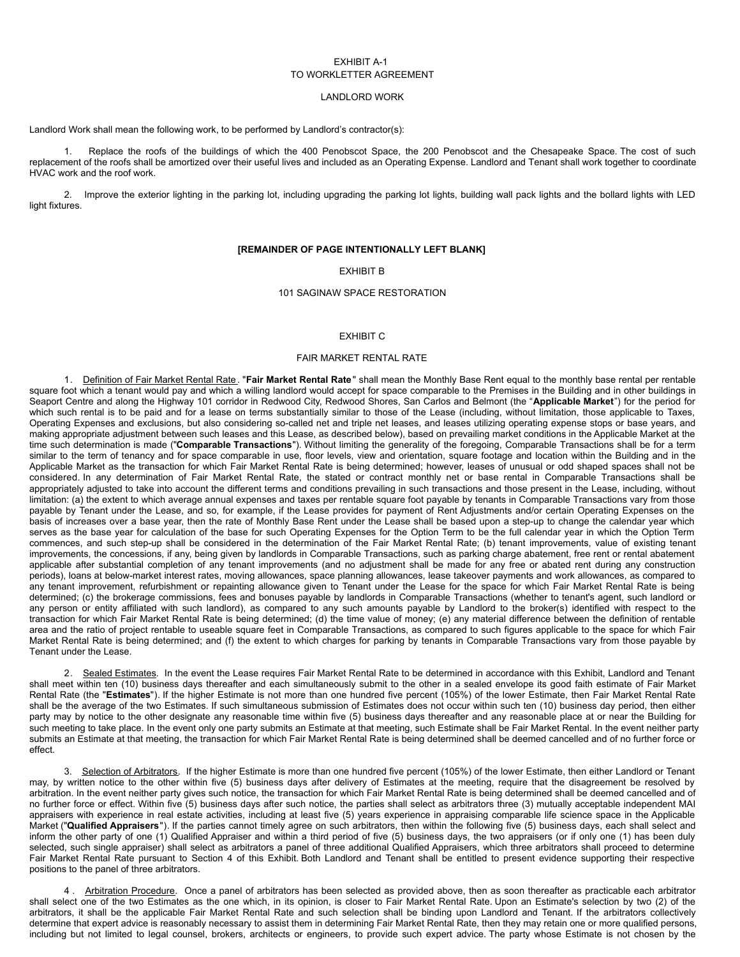# EXHIBIT A-1 TO WORKLETTER AGREEMENT

#### LANDLORD WORK

Landlord Work shall mean the following work, to be performed by Landlord's contractor(s):

Replace the roofs of the buildings of which the 400 Penobscot Space, the 200 Penobscot and the Chesapeake Space. The cost of such replacement of the roofs shall be amortized over their useful lives and included as an Operating Expense. Landlord and Tenant shall work together to coordinate HVAC work and the roof work.

2. Improve the exterior lighting in the parking lot, including upgrading the parking lot lights, building wall pack lights and the bollard lights with LED light fixtures.

#### **[REMAINDER OF PAGE INTENTIONALLY LEFT BLANK]**

## EXHIBIT B

101 SAGINAW SPACE RESTORATION

# EXHIBIT C

# FAIR MARKET RENTAL RATE

1. Definition of Fair Market Rental Rate . "**Fair Market Rental Rate**" shall mean the Monthly Base Rent equal to the monthly base rental per rentable square foot which a tenant would pay and which a willing landlord would accept for space comparable to the Premises in the Building and in other buildings in Seaport Centre and along the Highway 101 corridor in Redwood City, Redwood Shores, San Carlos and Belmont (the "**Applicable Market**") for the period for which such rental is to be paid and for a lease on terms substantially similar to those of the Lease (including, without limitation, those applicable to Taxes, Operating Expenses and exclusions, but also considering so-called net and triple net leases, and leases utilizing operating expense stops or base years, and making appropriate adjustment between such leases and this Lease, as described below), based on prevailing market conditions in the Applicable Market at the time such determination is made ("**Comparable Transactions**"). Without limiting the generality of the foregoing, Comparable Transactions shall be for a term similar to the term of tenancy and for space comparable in use, floor levels, view and orientation, square footage and location within the Building and in the Applicable Market as the transaction for which Fair Market Rental Rate is being determined; however, leases of unusual or odd shaped spaces shall not be considered. In any determination of Fair Market Rental Rate, the stated or contract monthly net or base rental in Comparable Transactions shall be appropriately adjusted to take into account the different terms and conditions prevailing in such transactions and those present in the Lease, including, without limitation: (a) the extent to which average annual expenses and taxes per rentable square foot payable by tenants in Comparable Transactions vary from those payable by Tenant under the Lease, and so, for example, if the Lease provides for payment of Rent Adjustments and/or certain Operating Expenses on the basis of increases over a base year, then the rate of Monthly Base Rent under the Lease shall be based upon a step-up to change the calendar year which serves as the base year for calculation of the base for such Operating Expenses for the Option Term to be the full calendar year in which the Option Term commences, and such step-up shall be considered in the determination of the Fair Market Rental Rate; (b) tenant improvements, value of existing tenant improvements, the concessions, if any, being given by landlords in Comparable Transactions, such as parking charge abatement, free rent or rental abatement applicable after substantial completion of any tenant improvements (and no adjustment shall be made for any free or abated rent during any construction periods), loans at below-market interest rates, moving allowances, space planning allowances, lease takeover payments and work allowances, as compared to any tenant improvement, refurbishment or repainting allowance given to Tenant under the Lease for the space for which Fair Market Rental Rate is being determined; (c) the brokerage commissions, fees and bonuses payable by landlords in Comparable Transactions (whether to tenant's agent, such landlord or any person or entity affiliated with such landlord), as compared to any such amounts payable by Landlord to the broker(s) identified with respect to the transaction for which Fair Market Rental Rate is being determined; (d) the time value of money; (e) any material difference between the definition of rentable area and the ratio of project rentable to useable square feet in Comparable Transactions, as compared to such figures applicable to the space for which Fair Market Rental Rate is being determined; and (f) the extent to which charges for parking by tenants in Comparable Transactions vary from those payable by Tenant under the Lease.

2. Sealed Estimates. In the event the Lease requires Fair Market Rental Rate to be determined in accordance with this Exhibit, Landlord and Tenant shall meet within ten (10) business days thereafter and each simultaneously submit to the other in a sealed envelope its good faith estimate of Fair Market Rental Rate (the "**Estimates**"). If the higher Estimate is not more than one hundred five percent (105%) of the lower Estimate, then Fair Market Rental Rate shall be the average of the two Estimates. If such simultaneous submission of Estimates does not occur within such ten (10) business day period, then either party may by notice to the other designate any reasonable time within five (5) business days thereafter and any reasonable place at or near the Building for such meeting to take place. In the event only one party submits an Estimate at that meeting, such Estimate shall be Fair Market Rental. In the event neither party submits an Estimate at that meeting, the transaction for which Fair Market Rental Rate is being determined shall be deemed cancelled and of no further force or effect.

3. Selection of Arbitrators. If the higher Estimate is more than one hundred five percent (105%) of the lower Estimate, then either Landlord or Tenant may, by written notice to the other within five (5) business days after delivery of Estimates at the meeting, require that the disagreement be resolved by arbitration. In the event neither party gives such notice, the transaction for which Fair Market Rental Rate is being determined shall be deemed cancelled and of no further force or effect. Within five (5) business days after such notice, the parties shall select as arbitrators three (3) mutually acceptable independent MAI appraisers with experience in real estate activities, including at least five (5) years experience in appraising comparable life science space in the Applicable Market ("**Qualified Appraisers**"). If the parties cannot timely agree on such arbitrators, then within the following five (5) business days, each shall select and inform the other party of one (1) Qualified Appraiser and within a third period of five (5) business days, the two appraisers (or if only one (1) has been duly selected, such single appraiser) shall select as arbitrators a panel of three additional Qualified Appraisers, which three arbitrators shall proceed to determine Fair Market Rental Rate pursuant to Section 4 of this Exhibit. Both Landlord and Tenant shall be entitled to present evidence supporting their respective positions to the panel of three arbitrators.

4. Arbitration Procedure. Once a panel of arbitrators has been selected as provided above, then as soon thereafter as practicable each arbitrator shall select one of the two Estimates as the one which, in its opinion, is closer to Fair Market Rental Rate. Upon an Estimate's selection by two (2) of the arbitrators, it shall be the applicable Fair Market Rental Rate and such selection shall be binding upon Landlord and Tenant. If the arbitrators collectively determine that expert advice is reasonably necessary to assist them in determining Fair Market Rental Rate, then they may retain one or more qualified persons, including but not limited to legal counsel, brokers, architects or engineers, to provide such expert advice. The party whose Estimate is not chosen by the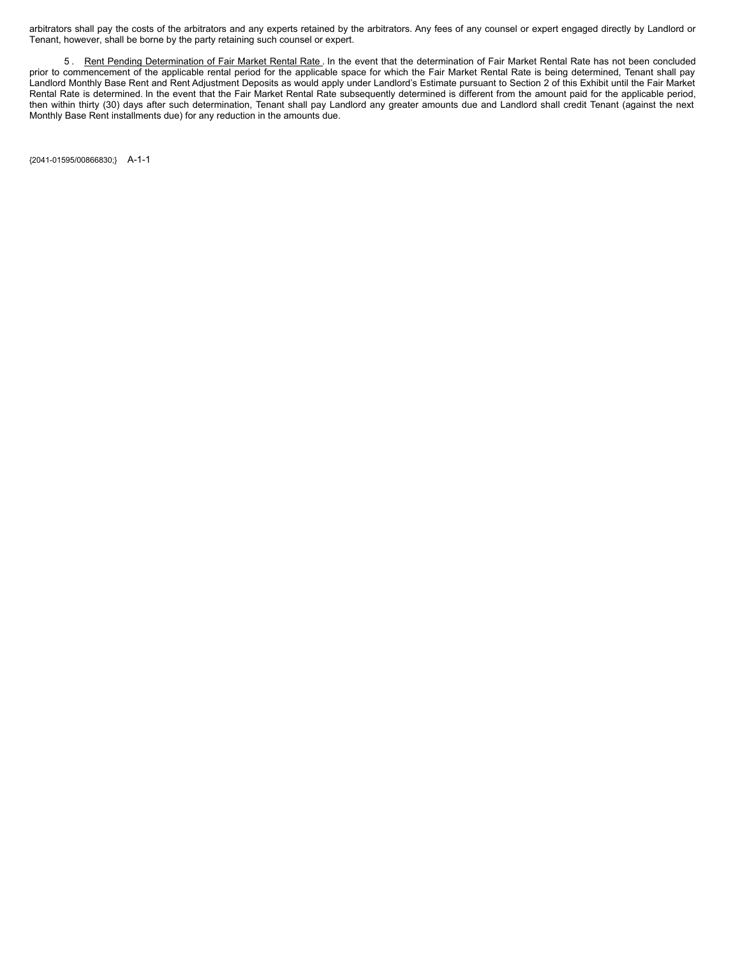arbitrators shall pay the costs of the arbitrators and any experts retained by the arbitrators. Any fees of any counsel or expert engaged directly by Landlord or Tenant, however, shall be borne by the party retaining such counsel or expert.

5. Rent Pending Determination of Fair Market Rental Rate. In the event that the determination of Fair Market Rental Rate has not been concluded prior to commencement of the applicable rental period for the applicable space for which the Fair Market Rental Rate is being determined, Tenant shall pay Landlord Monthly Base Rent and Rent Adjustment Deposits as would apply under Landlord's Estimate pursuant to Section 2 of this Exhibit until the Fair Market Rental Rate is determined. In the event that the Fair Market Rental Rate subsequently determined is different from the amount paid for the applicable period, then within thirty (30) days after such determination, Tenant shall pay Landlord any greater amounts due and Landlord shall credit Tenant (against the next Monthly Base Rent installments due) for any reduction in the amounts due.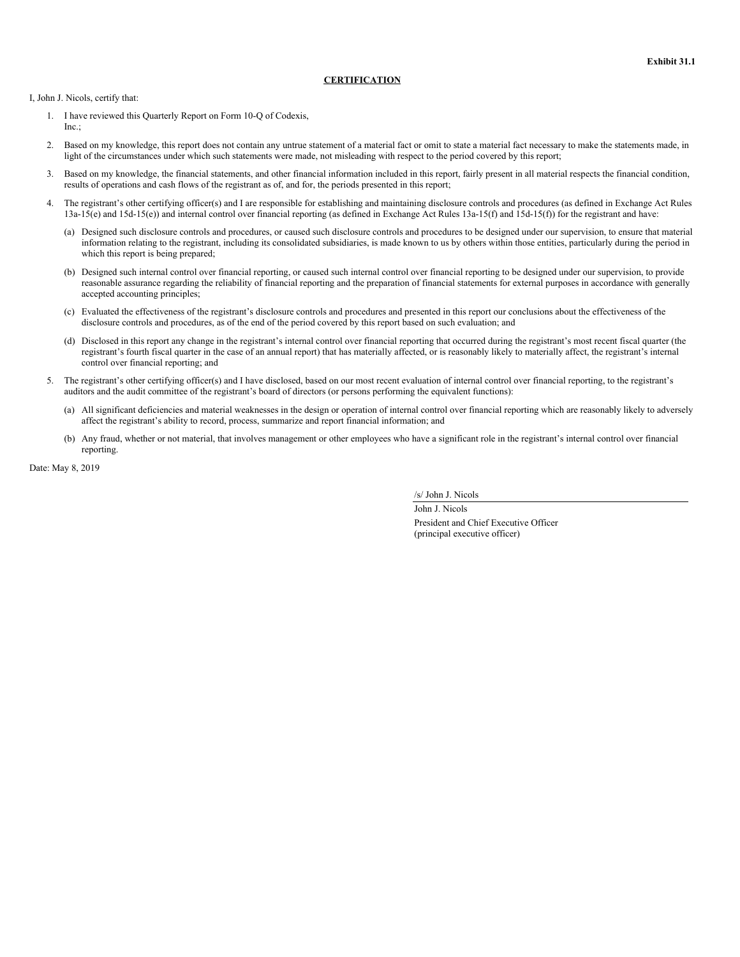I, John J. Nicols, certify that:

- 1. I have reviewed this Quarterly Report on Form 10-Q of Codexis, Inc.;
- 2. Based on my knowledge, this report does not contain any untrue statement of a material fact or omit to state a material fact necessary to make the statements made, in light of the circumstances under which such statements were made, not misleading with respect to the period covered by this report;
- 3. Based on my knowledge, the financial statements, and other financial information included in this report, fairly present in all material respects the financial condition, results of operations and cash flows of the registrant as of, and for, the periods presented in this report;
- 4. The registrant's other certifying officer(s) and I are responsible for establishing and maintaining disclosure controls and procedures (as defined in Exchange Act Rules 13a-15(e) and 15d-15(e)) and internal control over financial reporting (as defined in Exchange Act Rules 13a-15(f) and 15d-15(f)) for the registrant and have:
	- (a) Designed such disclosure controls and procedures, or caused such disclosure controls and procedures to be designed under our supervision, to ensure that material information relating to the registrant, including its consolidated subsidiaries, is made known to us by others within those entities, particularly during the period in which this report is being prepared;
	- (b) Designed such internal control over financial reporting, or caused such internal control over financial reporting to be designed under our supervision, to provide reasonable assurance regarding the reliability of financial reporting and the preparation of financial statements for external purposes in accordance with generally accepted accounting principles;
	- (c) Evaluated the effectiveness of the registrant's disclosure controls and procedures and presented in this report our conclusions about the effectiveness of the disclosure controls and procedures, as of the end of the period covered by this report based on such evaluation; and
	- (d) Disclosed in this report any change in the registrant's internal control over financial reporting that occurred during the registrant's most recent fiscal quarter (the registrant's fourth fiscal quarter in the case of an annual report) that has materially affected, or is reasonably likely to materially affect, the registrant's internal control over financial reporting; and
- 5. The registrant's other certifying officer(s) and I have disclosed, based on our most recent evaluation of internal control over financial reporting, to the registrant's auditors and the audit committee of the registrant's board of directors (or persons performing the equivalent functions):
	- (a) All significant deficiencies and material weaknesses in the design or operation of internal control over financial reporting which are reasonably likely to adversely affect the registrant's ability to record, process, summarize and report financial information; and
	- (b) Any fraud, whether or not material, that involves management or other employees who have a significant role in the registrant's internal control over financial reporting.

Date: May 8, 2019

/s/ John J. Nicols John J. Nicols

President and Chief Executive Officer (principal executive officer)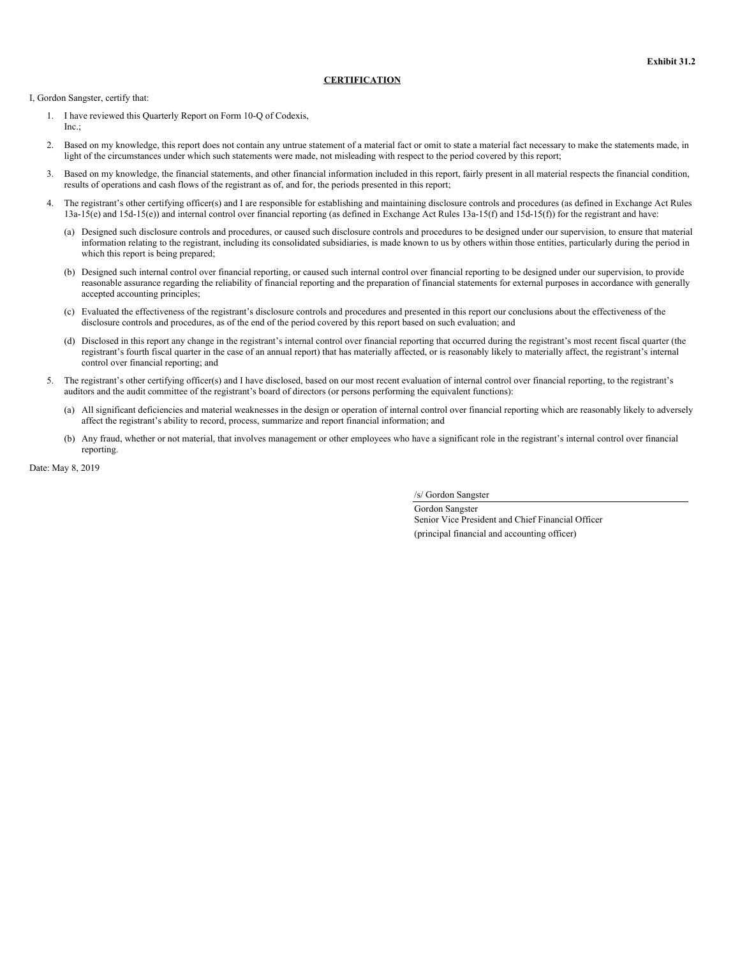I, Gordon Sangster, certify that:

- 1. I have reviewed this Quarterly Report on Form 10-Q of Codexis, Inc.;
- 2. Based on my knowledge, this report does not contain any untrue statement of a material fact or omit to state a material fact necessary to make the statements made, in light of the circumstances under which such statements were made, not misleading with respect to the period covered by this report;
- 3. Based on my knowledge, the financial statements, and other financial information included in this report, fairly present in all material respects the financial condition, results of operations and cash flows of the registrant as of, and for, the periods presented in this report;
- 4. The registrant's other certifying officer(s) and I are responsible for establishing and maintaining disclosure controls and procedures (as defined in Exchange Act Rules 13a-15(e) and 15d-15(e)) and internal control over financial reporting (as defined in Exchange Act Rules 13a-15(f) and 15d-15(f)) for the registrant and have:
	- (a) Designed such disclosure controls and procedures, or caused such disclosure controls and procedures to be designed under our supervision, to ensure that material information relating to the registrant, including its consolidated subsidiaries, is made known to us by others within those entities, particularly during the period in which this report is being prepared;
	- (b) Designed such internal control over financial reporting, or caused such internal control over financial reporting to be designed under our supervision, to provide reasonable assurance regarding the reliability of financial reporting and the preparation of financial statements for external purposes in accordance with generally accepted accounting principles;
	- (c) Evaluated the effectiveness of the registrant's disclosure controls and procedures and presented in this report our conclusions about the effectiveness of the disclosure controls and procedures, as of the end of the period covered by this report based on such evaluation; and
	- (d) Disclosed in this report any change in the registrant's internal control over financial reporting that occurred during the registrant's most recent fiscal quarter (the registrant's fourth fiscal quarter in the case of an annual report) that has materially affected, or is reasonably likely to materially affect, the registrant's internal control over financial reporting; and
- 5. The registrant's other certifying officer(s) and I have disclosed, based on our most recent evaluation of internal control over financial reporting, to the registrant's auditors and the audit committee of the registrant's board of directors (or persons performing the equivalent functions):
	- (a) All significant deficiencies and material weaknesses in the design or operation of internal control over financial reporting which are reasonably likely to adversely affect the registrant's ability to record, process, summarize and report financial information; and
	- (b) Any fraud, whether or not material, that involves management or other employees who have a significant role in the registrant's internal control over financial reporting.

Date: May 8, 2019

/s/ Gordon Sangster

Gordon Sangster Senior Vice President and Chief Financial Officer (principal financial and accounting officer)